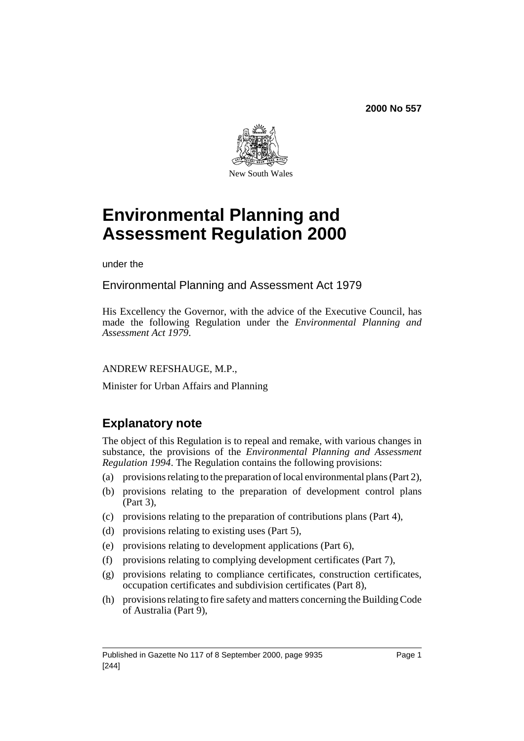

New South Wales

# **Environmental Planning and Assessment Regulation 2000**

under the

Environmental Planning and Assessment Act 1979

His Excellency the Governor, with the advice of the Executive Council, has made the following Regulation under the *Environmental Planning and Assessment Act 1979*.

# ANDREW REFSHAUGE, M.P.,

Minister for Urban Affairs and Planning

# **Explanatory note**

The object of this Regulation is to repeal and remake, with various changes in substance, the provisions of the *Environmental Planning and Assessment Regulation 1994*. The Regulation contains the following provisions:

- (a) provisions relating to the preparation of local environmental plans (Part 2),
- (b) provisions relating to the preparation of development control plans (Part 3),
- (c) provisions relating to the preparation of contributions plans (Part 4),
- (d) provisions relating to existing uses (Part 5),
- (e) provisions relating to development applications (Part 6),
- (f) provisions relating to complying development certificates (Part 7),
- (g) provisions relating to compliance certificates, construction certificates, occupation certificates and subdivision certificates (Part 8),
- (h) provisions relating to fire safety and matters concerning the Building Code of Australia (Part 9),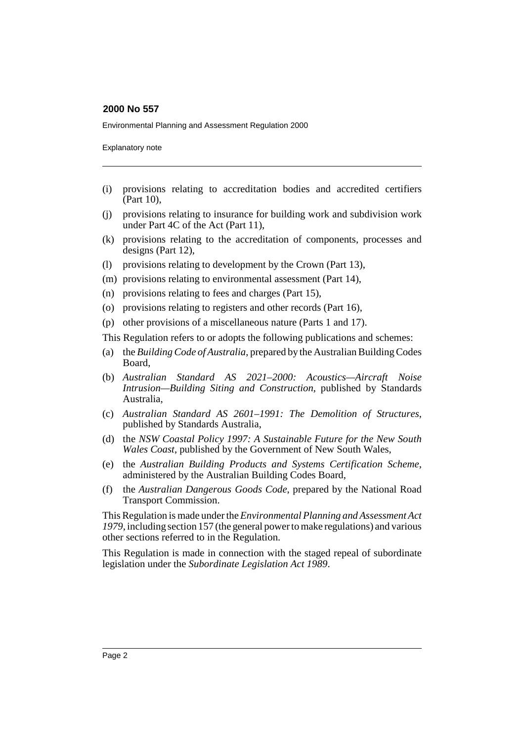Environmental Planning and Assessment Regulation 2000

Explanatory note

- (i) provisions relating to accreditation bodies and accredited certifiers (Part 10),
- (j) provisions relating to insurance for building work and subdivision work under Part 4C of the Act (Part 11),
- (k) provisions relating to the accreditation of components, processes and designs (Part 12),
- (l) provisions relating to development by the Crown (Part 13),
- (m) provisions relating to environmental assessment (Part 14),
- (n) provisions relating to fees and charges (Part 15),
- (o) provisions relating to registers and other records (Part 16),
- (p) other provisions of a miscellaneous nature (Parts 1 and 17).

This Regulation refers to or adopts the following publications and schemes:

- (a) the *Building Code of Australia*, prepared by the Australian Building Codes Board,
- (b) *Australian Standard AS 2021–2000: Acoustics—Aircraft Noise Intrusion—Building Siting and Construction*, published by Standards Australia,
- (c) *Australian Standard AS 2601–1991: The Demolition of Structures*, published by Standards Australia,
- (d) the *NSW Coastal Policy 1997: A Sustainable Future for the New South Wales Coast*, published by the Government of New South Wales,
- (e) the *Australian Building Products and Systems Certification Scheme*, administered by the Australian Building Codes Board,
- (f) the *Australian Dangerous Goods Code*, prepared by the National Road Transport Commission.

This Regulation is made under the *Environmental Planning and Assessment Act 1979*, including section 157 (the general power to make regulations) and various other sections referred to in the Regulation.

This Regulation is made in connection with the staged repeal of subordinate legislation under the *Subordinate Legislation Act 1989*.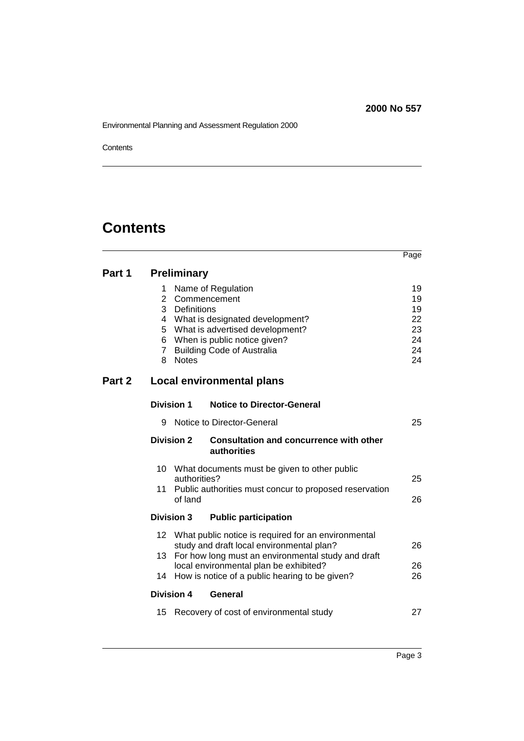Environmental Planning and Assessment Regulation 2000

**Contents** 

|        |                                                                                                                                                                                                                                                                   | Page                                         |
|--------|-------------------------------------------------------------------------------------------------------------------------------------------------------------------------------------------------------------------------------------------------------------------|----------------------------------------------|
| Part 1 | <b>Preliminary</b>                                                                                                                                                                                                                                                |                                              |
|        | Name of Regulation<br>1<br>$\overline{2}$<br>Commencement<br>3<br>Definitions<br>What is designated development?<br>4<br>What is advertised development?<br>5<br>When is public notice given?<br>6<br>7<br><b>Building Code of Australia</b><br><b>Notes</b><br>8 | 19<br>19<br>19<br>22<br>23<br>24<br>24<br>24 |
| Part 2 | <b>Local environmental plans</b>                                                                                                                                                                                                                                  |                                              |
|        | <b>Division 1</b><br><b>Notice to Director-General</b>                                                                                                                                                                                                            |                                              |
|        | Notice to Director-General<br>9                                                                                                                                                                                                                                   | 25                                           |
|        | <b>Division 2</b><br><b>Consultation and concurrence with other</b><br><b>authorities</b>                                                                                                                                                                         |                                              |
|        | 10 What documents must be given to other public<br>authorities?<br>Public authorities must concur to proposed reservation<br>11<br>of land                                                                                                                        | 25<br>26                                     |
|        | <b>Division 3</b><br><b>Public participation</b>                                                                                                                                                                                                                  |                                              |
|        | What public notice is required for an environmental<br>12<br>study and draft local environmental plan?                                                                                                                                                            | 26                                           |
|        | For how long must an environmental study and draft<br>13<br>local environmental plan be exhibited?<br>14<br>How is notice of a public hearing to be given?                                                                                                        | 26<br>26                                     |
|        | <b>Division 4</b><br>General                                                                                                                                                                                                                                      |                                              |
|        | 15<br>Recovery of cost of environmental study                                                                                                                                                                                                                     | 27                                           |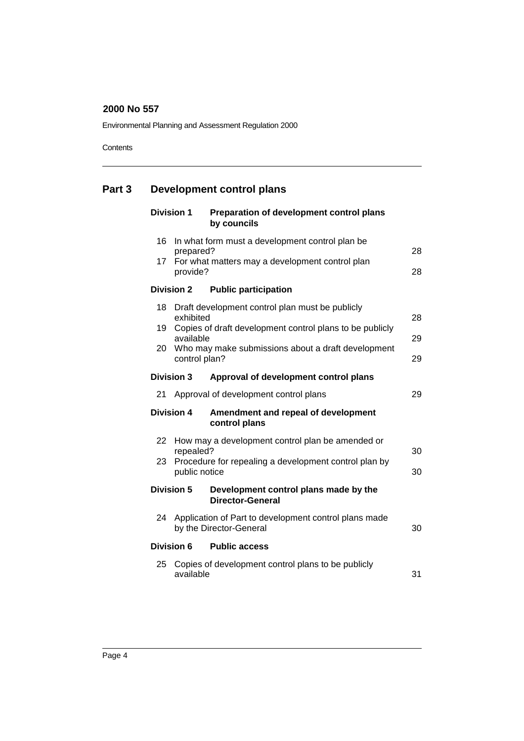Environmental Planning and Assessment Regulation 2000

**Contents** 

# **Part 3 Development control plans**

|    | <b>Division 1</b> | Preparation of development control plans<br>by councils                             |    |
|----|-------------------|-------------------------------------------------------------------------------------|----|
| 16 | prepared?         | In what form must a development control plan be                                     | 28 |
| 17 | provide?          | For what matters may a development control plan                                     | 28 |
|    | <b>Division 2</b> | <b>Public participation</b>                                                         |    |
| 18 | exhibited         | Draft development control plan must be publicly                                     | 28 |
| 19 | available         | Copies of draft development control plans to be publicly                            | 29 |
| 20 | control plan?     | Who may make submissions about a draft development                                  | 29 |
|    | <b>Division 3</b> | Approval of development control plans                                               |    |
| 21 |                   | Approval of development control plans                                               | 29 |
|    | <b>Division 4</b> | Amendment and repeal of development<br>control plans                                |    |
| 22 | repealed?         | How may a development control plan be amended or                                    | 30 |
| 23 | public notice     | Procedure for repealing a development control plan by                               | 30 |
|    | <b>Division 5</b> | Development control plans made by the<br><b>Director-General</b>                    |    |
|    |                   | 24 Application of Part to development control plans made<br>by the Director-General | 30 |
|    | Division 6        | <b>Public access</b>                                                                |    |
| 25 | available         | Copies of development control plans to be publicly                                  | 31 |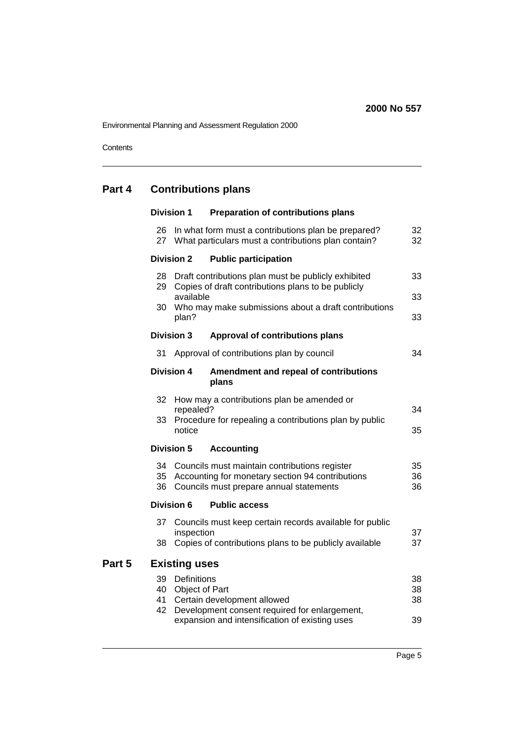Environmental Planning and Assessment Regulation 2000

**Contents** 

# **Part 4 Contributions plans**

|        |          | <b>Division 1</b>                       | <b>Preparation of contributions plans</b>                                                                                                          |                |
|--------|----------|-----------------------------------------|----------------------------------------------------------------------------------------------------------------------------------------------------|----------------|
|        | 26<br>27 |                                         | In what form must a contributions plan be prepared?<br>What particulars must a contributions plan contain?                                         | 32<br>32       |
|        |          | <b>Division 2</b>                       | <b>Public participation</b>                                                                                                                        |                |
|        | 28<br>29 |                                         | Draft contributions plan must be publicly exhibited<br>Copies of draft contributions plans to be publicly                                          | 33<br>33       |
|        | 30       | available<br>plan?                      | Who may make submissions about a draft contributions                                                                                               | 33             |
|        |          | <b>Division 3</b>                       | Approval of contributions plans                                                                                                                    |                |
|        | 31       |                                         | Approval of contributions plan by council                                                                                                          | 34             |
|        |          | <b>Division 4</b>                       | Amendment and repeal of contributions<br>plans                                                                                                     |                |
|        | 32       | repealed?                               | How may a contributions plan be amended or                                                                                                         | 34             |
|        | 33       | notice                                  | Procedure for repealing a contributions plan by public                                                                                             | 35             |
|        |          | <b>Division 5</b>                       | <b>Accounting</b>                                                                                                                                  |                |
|        | 36       |                                         | 34 Councils must maintain contributions register<br>35 Accounting for monetary section 94 contributions<br>Councils must prepare annual statements | 35<br>36<br>36 |
|        |          | <b>Division 6</b>                       | <b>Public access</b>                                                                                                                               |                |
|        | 37       |                                         | Councils must keep certain records available for public                                                                                            |                |
|        | 38       | inspection                              | Copies of contributions plans to be publicly available                                                                                             | 37<br>37       |
| Part 5 |          | <b>Existing uses</b>                    |                                                                                                                                                    |                |
|        | 39       | <b>Definitions</b><br>40 Object of Part |                                                                                                                                                    | 38<br>38       |
|        | 41       |                                         | Certain development allowed                                                                                                                        | 38             |
|        | 42       |                                         | Development consent required for enlargement,<br>expansion and intensification of existing uses                                                    | 39             |
|        |          |                                         |                                                                                                                                                    |                |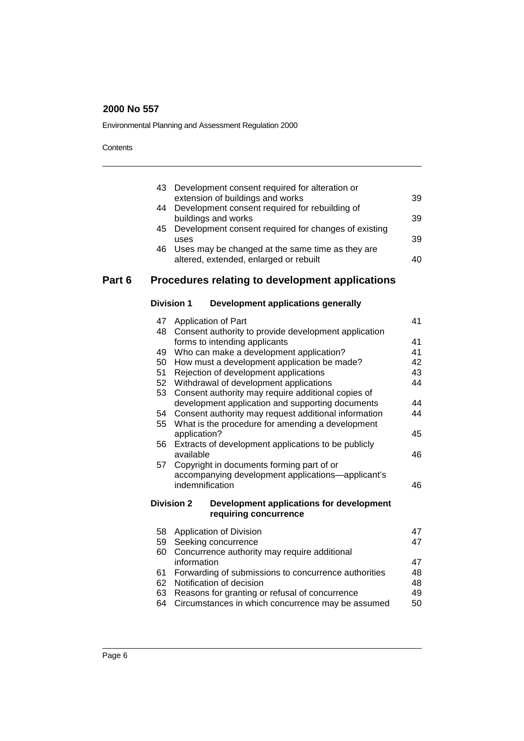Environmental Planning and Assessment Regulation 2000

|        | 43<br>44<br>45<br>46                                           | Development consent required for alteration or<br>extension of buildings and works<br>Development consent required for rebuilding of<br>buildings and works<br>Development consent required for changes of existing<br>uses<br>Uses may be changed at the same time as they are<br>altered, extended, enlarged or rebuilt                                                                                                                                                                                                                                                                                                                                                                                                | 39<br>39<br>39<br>40                                           |
|--------|----------------------------------------------------------------|--------------------------------------------------------------------------------------------------------------------------------------------------------------------------------------------------------------------------------------------------------------------------------------------------------------------------------------------------------------------------------------------------------------------------------------------------------------------------------------------------------------------------------------------------------------------------------------------------------------------------------------------------------------------------------------------------------------------------|----------------------------------------------------------------|
| Part 6 |                                                                | Procedures relating to development applications                                                                                                                                                                                                                                                                                                                                                                                                                                                                                                                                                                                                                                                                          |                                                                |
|        |                                                                | <b>Division 1</b><br><b>Development applications generally</b>                                                                                                                                                                                                                                                                                                                                                                                                                                                                                                                                                                                                                                                           |                                                                |
|        | 47<br>48<br>49<br>50<br>51<br>52<br>53<br>54<br>55<br>56<br>57 | Application of Part<br>Consent authority to provide development application<br>forms to intending applicants<br>Who can make a development application?<br>How must a development application be made?<br>Rejection of development applications<br>Withdrawal of development applications<br>Consent authority may require additional copies of<br>development application and supporting documents<br>Consent authority may request additional information<br>What is the procedure for amending a development<br>application?<br>Extracts of development applications to be publicly<br>available<br>Copyright in documents forming part of or<br>accompanying development applications-applicant's<br>indemnification | 41<br>41<br>41<br>42<br>43<br>44<br>44<br>44<br>45<br>46<br>46 |
|        |                                                                | <b>Division 2</b><br>Development applications for development<br>requiring concurrence                                                                                                                                                                                                                                                                                                                                                                                                                                                                                                                                                                                                                                   |                                                                |
|        | 58<br>59<br>60<br>61<br>62<br>63<br>64                         | <b>Application of Division</b><br>Seeking concurrence<br>Concurrence authority may require additional<br>information<br>Forwarding of submissions to concurrence authorities<br>Notification of decision<br>Reasons for granting or refusal of concurrence<br>Circumstances in which concurrence may be assumed                                                                                                                                                                                                                                                                                                                                                                                                          | 47<br>47<br>47<br>48<br>48<br>49<br>50                         |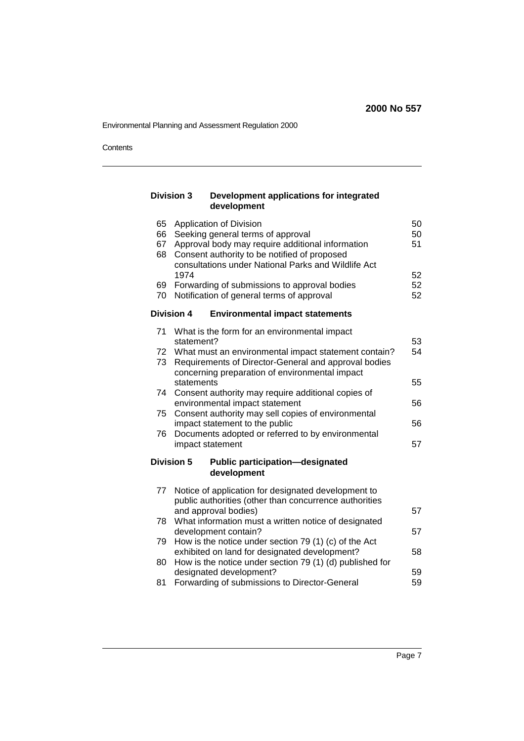Environmental Planning and Assessment Regulation 2000

**Contents** 

### **Division 3 Development applications for integrated development**

| 65<br>66<br>67<br>68 | Application of Division<br>Seeking general terms of approval<br>Approval body may require additional information<br>Consent authority to be notified of proposed<br>consultations under National Parks and Wildlife Act | 50<br>50<br>51 |
|----------------------|-------------------------------------------------------------------------------------------------------------------------------------------------------------------------------------------------------------------------|----------------|
| 69<br>70             | 1974<br>Forwarding of submissions to approval bodies<br>Notification of general terms of approval                                                                                                                       | 52<br>52<br>52 |
|                      | <b>Division 4</b><br><b>Environmental impact statements</b>                                                                                                                                                             |                |
| 71                   | What is the form for an environmental impact                                                                                                                                                                            |                |
| 72                   | statement?<br>What must an environmental impact statement contain?                                                                                                                                                      | 53<br>54       |
| 73                   | Requirements of Director-General and approval bodies<br>concerning preparation of environmental impact                                                                                                                  |                |
|                      | statements                                                                                                                                                                                                              | 55             |
| 74                   | Consent authority may require additional copies of<br>environmental impact statement                                                                                                                                    | 56             |
| 75                   | Consent authority may sell copies of environmental<br>impact statement to the public                                                                                                                                    | 56             |
| 76                   | Documents adopted or referred to by environmental<br>impact statement                                                                                                                                                   | 57             |
|                      | <b>Division 5</b><br><b>Public participation-designated</b>                                                                                                                                                             |                |
|                      | development                                                                                                                                                                                                             |                |
| 77                   | Notice of application for designated development to                                                                                                                                                                     |                |
|                      | public authorities (other than concurrence authorities<br>and approval bodies)                                                                                                                                          | 57             |
| 78                   | What information must a written notice of designated                                                                                                                                                                    |                |
| 79                   | development contain?<br>How is the notice under section 79 (1) (c) of the Act                                                                                                                                           | 57             |
|                      | exhibited on land for designated development?                                                                                                                                                                           | 58             |
| 80                   | How is the notice under section 79 (1) (d) published for                                                                                                                                                                |                |
| 81                   | designated development?<br>Forwarding of submissions to Director-General                                                                                                                                                | 59<br>59       |
|                      |                                                                                                                                                                                                                         |                |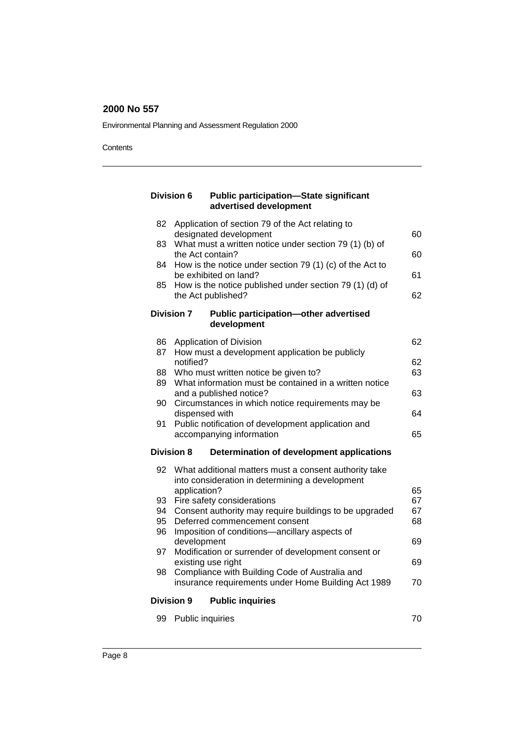Environmental Planning and Assessment Regulation 2000

|          | <b>Division 6</b> | <b>Public participation-State significant</b><br>advertised development                                  |          |
|----------|-------------------|----------------------------------------------------------------------------------------------------------|----------|
| 82       |                   | Application of section 79 of the Act relating to<br>designated development                               | 60       |
| 83       |                   | What must a written notice under section 79 (1) (b) of<br>the Act contain?                               | 60       |
| 84       |                   | How is the notice under section 79 (1) (c) of the Act to<br>be exhibited on land?                        | 61       |
| 85       |                   | How is the notice published under section 79 (1) (d) of<br>the Act published?                            | 62       |
|          | <b>Division 7</b> | <b>Public participation-other advertised</b><br>development                                              |          |
| 86<br>87 |                   | Application of Division<br>How must a development application be publicly                                | 62       |
|          | notified?         |                                                                                                          | 62       |
| 88<br>89 |                   | Who must written notice be given to?<br>What information must be contained in a written notice           | 63       |
| 90       |                   | and a published notice?<br>Circumstances in which notice requirements may be                             | 63       |
| 91       |                   | dispensed with<br>Public notification of development application and                                     | 64       |
|          |                   | accompanying information                                                                                 | 65       |
|          | <b>Division 8</b> | Determination of development applications                                                                |          |
| 92       | application?      | What additional matters must a consent authority take<br>into consideration in determining a development | 65       |
| 93       |                   | Fire safety considerations                                                                               | 67       |
| 94<br>95 |                   | Consent authority may require buildings to be upgraded<br>Deferred commencement consent                  | 67<br>68 |
| 96       |                   | Imposition of conditions-ancillary aspects of                                                            |          |
|          | development       |                                                                                                          | 69       |
| 97       |                   | Modification or surrender of development consent or<br>existing use right                                | 69       |
| 98       |                   | Compliance with Building Code of Australia and<br>insurance requirements under Home Building Act 1989    | 70       |
|          | <b>Division 9</b> | <b>Public inquiries</b>                                                                                  |          |
| 99       |                   | Public inquiries                                                                                         | 70       |
|          |                   |                                                                                                          |          |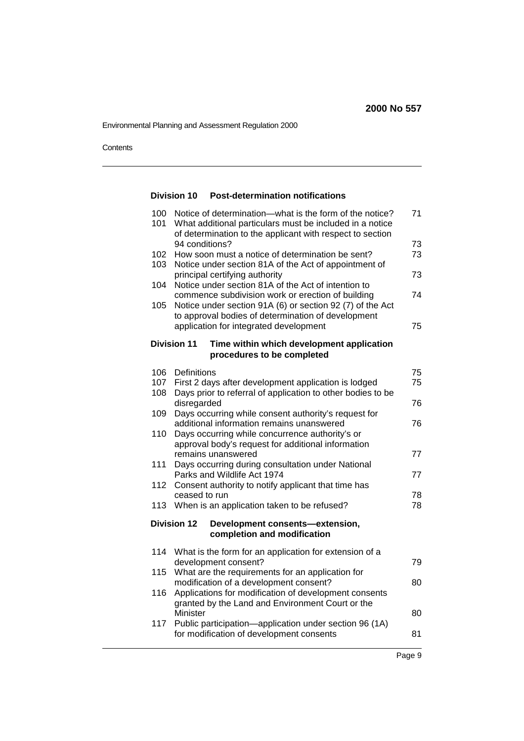Environmental Planning and Assessment Regulation 2000

### **Contents**

### **Division 10 Post-determination notifications**

| 100<br>101 | Notice of determination-what is the form of the notice?<br>What additional particulars must be included in a notice<br>of determination to the applicant with respect to section | 71 |
|------------|----------------------------------------------------------------------------------------------------------------------------------------------------------------------------------|----|
|            | 94 conditions?                                                                                                                                                                   | 73 |
| 102        | How soon must a notice of determination be sent?                                                                                                                                 | 73 |
| 103        | Notice under section 81A of the Act of appointment of                                                                                                                            |    |
|            | principal certifying authority                                                                                                                                                   | 73 |
| 104        | Notice under section 81A of the Act of intention to                                                                                                                              |    |
|            | commence subdivision work or erection of building                                                                                                                                | 74 |
| 105        | Notice under section 91A (6) or section 92 (7) of the Act                                                                                                                        |    |
|            | to approval bodies of determination of development                                                                                                                               |    |
|            | application for integrated development                                                                                                                                           | 75 |
|            | <b>Division 11</b><br>Time within which development application                                                                                                                  |    |
|            | procedures to be completed                                                                                                                                                       |    |
| 106        | <b>Definitions</b>                                                                                                                                                               | 75 |
| 107        | First 2 days after development application is lodged                                                                                                                             | 75 |
| 108        | Days prior to referral of application to other bodies to be                                                                                                                      |    |
|            | disregarded                                                                                                                                                                      | 76 |
| 109        | Days occurring while consent authority's request for                                                                                                                             |    |
|            | additional information remains unanswered                                                                                                                                        | 76 |
| 110        | Days occurring while concurrence authority's or                                                                                                                                  |    |
|            | approval body's request for additional information                                                                                                                               |    |
|            | remains unanswered                                                                                                                                                               | 77 |
| 111        | Days occurring during consultation under National                                                                                                                                |    |
|            | Parks and Wildlife Act 1974                                                                                                                                                      | 77 |
| 112        | Consent authority to notify applicant that time has                                                                                                                              |    |
|            | ceased to run                                                                                                                                                                    | 78 |
| 113        | When is an application taken to be refused?                                                                                                                                      | 78 |
|            | <b>Division 12</b><br>Development consents-extension,                                                                                                                            |    |
|            | completion and modification                                                                                                                                                      |    |
| 114        | What is the form for an application for extension of a                                                                                                                           |    |
|            | development consent?                                                                                                                                                             | 79 |
| 115        | What are the requirements for an application for                                                                                                                                 |    |
|            | modification of a development consent?                                                                                                                                           | 80 |
| 116        | Applications for modification of development consents                                                                                                                            |    |
|            | granted by the Land and Environment Court or the                                                                                                                                 |    |
|            | Minister                                                                                                                                                                         | 80 |
| 117        | Public participation-application under section 96 (1A)                                                                                                                           |    |
|            | for modification of development consents                                                                                                                                         | 81 |
|            |                                                                                                                                                                                  |    |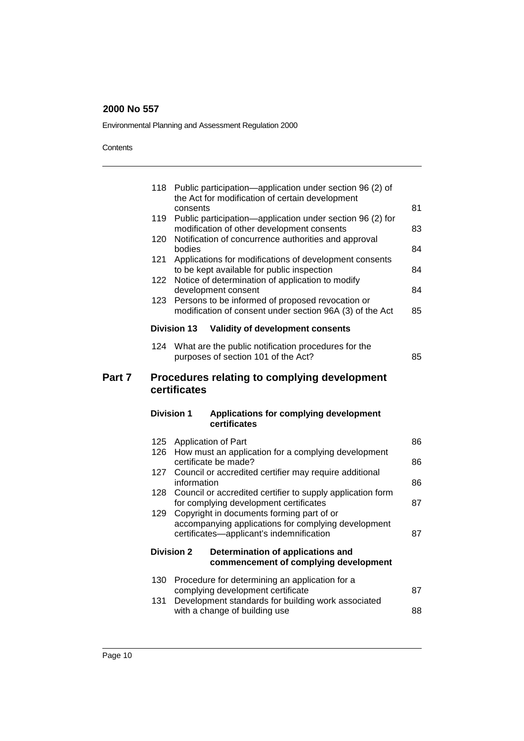Environmental Planning and Assessment Regulation 2000

|        | 118 | Public participation—application under section 96 (2) of<br>the Act for modification of certain development  |    |
|--------|-----|--------------------------------------------------------------------------------------------------------------|----|
|        | 119 | consents<br>Public participation—application under section 96 (2) for                                        | 81 |
|        | 120 | modification of other development consents<br>Notification of concurrence authorities and approval           | 83 |
|        |     | bodies                                                                                                       | 84 |
|        | 121 | Applications for modifications of development consents<br>to be kept available for public inspection         | 84 |
|        | 122 | Notice of determination of application to modify<br>development consent                                      | 84 |
|        | 123 | Persons to be informed of proposed revocation or<br>modification of consent under section 96A (3) of the Act | 85 |
|        |     | <b>Division 13</b><br>Validity of development consents                                                       |    |
|        | 124 | What are the public notification procedures for the<br>purposes of section 101 of the Act?                   | 85 |
| Part 7 |     | Procedures relating to complying development<br>certificates                                                 |    |
|        |     | <b>Division 1</b><br>Applications for complying development<br>certificates                                  |    |
|        | 125 | Application of Part                                                                                          | 86 |
|        | 126 | How must an application for a complying development<br>certificate be made?                                  | 86 |
|        | 127 | Council or accredited certifier may require additional<br>information                                        | 86 |
|        | 128 | Council or accredited certifier to supply application form                                                   |    |
|        | 129 | for complying development certificates<br>Copyright in documents forming part of or                          | 87 |
|        |     | accompanying applications for complying development<br>certificates-applicant's indemnification              | 87 |
|        |     | <b>Division 2</b><br>Determination of applications and<br>commencement of complying development              |    |
|        | 130 | Procedure for determining an application for a                                                               |    |
|        | 131 | complying development certificate<br>Development standards for building work associated                      | 87 |
|        |     | with a change of building use                                                                                | 88 |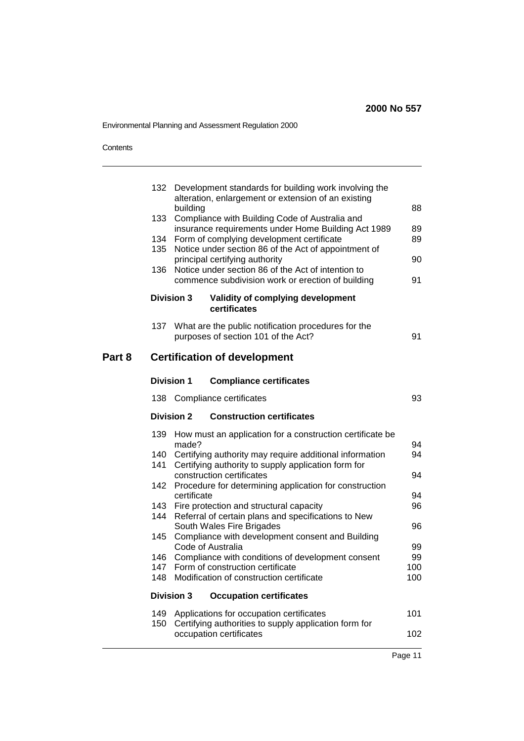Environmental Planning and Assessment Regulation 2000

|        | 133<br>135 | 132 Development standards for building work involving the<br>alteration, enlargement or extension of an existing<br>building<br>Compliance with Building Code of Australia and<br>insurance requirements under Home Building Act 1989<br>134 Form of complying development certificate<br>Notice under section 86 of the Act of appointment of | 88<br>89<br>89 |
|--------|------------|------------------------------------------------------------------------------------------------------------------------------------------------------------------------------------------------------------------------------------------------------------------------------------------------------------------------------------------------|----------------|
|        | 136        | principal certifying authority<br>Notice under section 86 of the Act of intention to<br>commence subdivision work or erection of building                                                                                                                                                                                                      | 90<br>91       |
|        |            | <b>Division 3</b><br>Validity of complying development<br>certificates                                                                                                                                                                                                                                                                         |                |
|        |            | 137 What are the public notification procedures for the<br>purposes of section 101 of the Act?                                                                                                                                                                                                                                                 | 91             |
| Part 8 |            | <b>Certification of development</b>                                                                                                                                                                                                                                                                                                            |                |
|        |            | <b>Division 1</b><br><b>Compliance certificates</b>                                                                                                                                                                                                                                                                                            |                |
|        |            | 138 Compliance certificates                                                                                                                                                                                                                                                                                                                    | 93             |
|        |            | <b>Construction certificates</b><br><b>Division 2</b>                                                                                                                                                                                                                                                                                          |                |
|        | 139        | How must an application for a construction certificate be<br>made?                                                                                                                                                                                                                                                                             | 94             |
|        |            | 140 Certifying authority may require additional information                                                                                                                                                                                                                                                                                    | 94             |
|        | 141        | Certifying authority to supply application form for<br>construction certificates                                                                                                                                                                                                                                                               | 94             |
|        |            | 142 Procedure for determining application for construction                                                                                                                                                                                                                                                                                     |                |
|        |            | certificate<br>143 Fire protection and structural capacity                                                                                                                                                                                                                                                                                     | 94<br>96       |
|        | 144        | Referral of certain plans and specifications to New                                                                                                                                                                                                                                                                                            |                |
|        | 145        | South Wales Fire Brigades<br>Compliance with development consent and Building<br>Code of Australia                                                                                                                                                                                                                                             | 96             |
|        |            |                                                                                                                                                                                                                                                                                                                                                |                |
|        | 146        |                                                                                                                                                                                                                                                                                                                                                | 99<br>99       |
|        | 147        | Compliance with conditions of development consent<br>Form of construction certificate                                                                                                                                                                                                                                                          | 100            |
|        | 148        | Modification of construction certificate                                                                                                                                                                                                                                                                                                       | 100            |
|        |            | <b>Division 3</b><br><b>Occupation certificates</b>                                                                                                                                                                                                                                                                                            |                |
|        | 149<br>150 | Applications for occupation certificates<br>Certifying authorities to supply application form for                                                                                                                                                                                                                                              | 101            |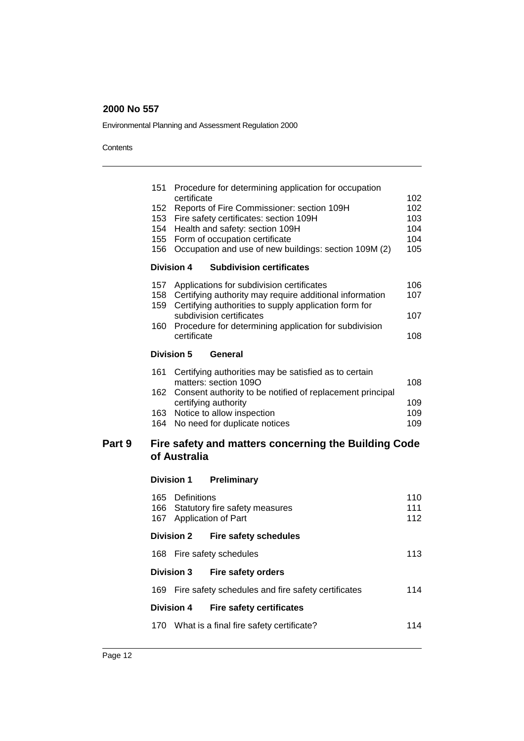Environmental Planning and Assessment Regulation 2000

|        | 151        | certificate       | Procedure for determining application for occupation                                                 | 102        |
|--------|------------|-------------------|------------------------------------------------------------------------------------------------------|------------|
|        | 152        |                   | Reports of Fire Commissioner: section 109H<br>153 Fire safety certificates: section 109H             | 102<br>103 |
|        |            |                   | 154 Health and safety: section 109H                                                                  | 104        |
|        | 155<br>156 |                   | Form of occupation certificate<br>Occupation and use of new buildings: section 109M (2)              | 104<br>105 |
|        |            | <b>Division 4</b> | <b>Subdivision certificates</b>                                                                      |            |
|        | 157<br>158 |                   | Applications for subdivision certificates<br>Certifying authority may require additional information | 106<br>107 |
|        | 159        |                   | Certifying authorities to supply application form for                                                |            |
|        | 160        |                   | subdivision certificates<br>Procedure for determining application for subdivision                    | 107        |
|        |            | certificate       |                                                                                                      | 108        |
|        |            | <b>Division 5</b> | General                                                                                              |            |
|        | 161        |                   | Certifying authorities may be satisfied as to certain<br>matters: section 1090                       | 108        |
|        | 162        |                   | Consent authority to be notified of replacement principal                                            |            |
|        | 163        |                   | certifying authority<br>Notice to allow inspection                                                   | 109<br>109 |
|        | 164        |                   | No need for duplicate notices                                                                        | 109        |
| Part 9 |            |                   | Fire safety and matters concerning the Building Code                                                 |            |
|        |            | of Australia      |                                                                                                      |            |
|        |            | <b>Division 1</b> | <b>Preliminary</b>                                                                                   |            |
|        | 165        | Definitions       |                                                                                                      | 110        |
|        | 166<br>167 |                   | Statutory fire safety measures<br>Application of Part                                                | 111<br>112 |
|        |            | <b>Division 2</b> | <b>Fire safety schedules</b>                                                                         |            |
|        |            |                   | 168 Fire safety schedules                                                                            | 113        |
|        |            | <b>Division 3</b> | Fire safety orders                                                                                   |            |
|        |            |                   | 169 Fire safety schedules and fire safety certificates                                               | 114        |
|        |            | <b>Division 4</b> | <b>Fire safety certificates</b>                                                                      |            |
|        |            |                   | 170 What is a final fire safety certificate?                                                         | 114        |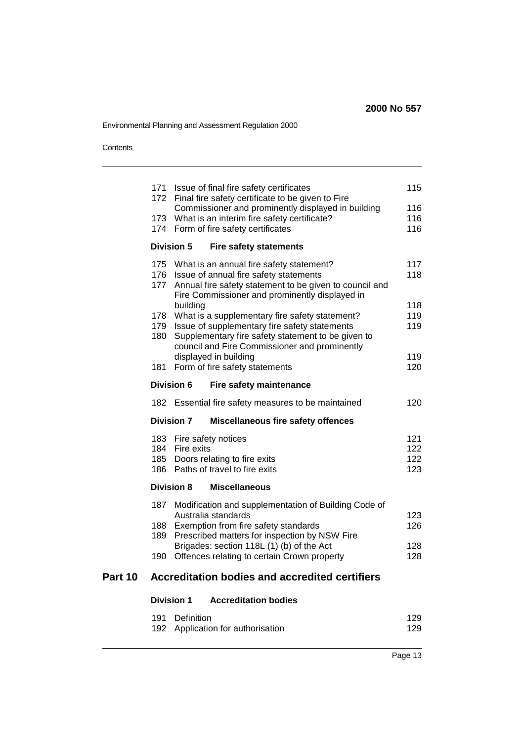Environmental Planning and Assessment Regulation 2000

|         |            | 171 Issue of final fire safety certificates<br>172 Final fire safety certificate to be given to Fire<br>Commissioner and prominently displayed in building<br>173 What is an interim fire safety certificate?<br>174 Form of fire safety certificates | 115<br>116<br>116<br>116 |
|---------|------------|-------------------------------------------------------------------------------------------------------------------------------------------------------------------------------------------------------------------------------------------------------|--------------------------|
|         |            | <b>Division 5</b><br><b>Fire safety statements</b>                                                                                                                                                                                                    |                          |
|         |            | 175 What is an annual fire safety statement?                                                                                                                                                                                                          | 117                      |
|         |            | 176 Issue of annual fire safety statements<br>177 Annual fire safety statement to be given to council and<br>Fire Commissioner and prominently displayed in                                                                                           | 118                      |
|         | 178        | building<br>What is a supplementary fire safety statement?                                                                                                                                                                                            | 118<br>119               |
|         | 179<br>180 | Issue of supplementary fire safety statements<br>Supplementary fire safety statement to be given to<br>council and Fire Commissioner and prominently                                                                                                  | 119                      |
|         | 181        | displayed in building<br>Form of fire safety statements                                                                                                                                                                                               | 119<br>120               |
|         |            |                                                                                                                                                                                                                                                       |                          |
|         |            | Division 6<br>Fire safety maintenance                                                                                                                                                                                                                 |                          |
|         |            | 182 Essential fire safety measures to be maintained                                                                                                                                                                                                   | 120                      |
|         |            | <b>Division 7</b><br><b>Miscellaneous fire safety offences</b>                                                                                                                                                                                        |                          |
|         |            | 183 Fire safety notices<br>184 Fire exits<br>185 Doors relating to fire exits<br>186 Paths of travel to fire exits                                                                                                                                    | 121<br>122<br>122<br>123 |
|         |            | <b>Division 8</b><br><b>Miscellaneous</b>                                                                                                                                                                                                             |                          |
|         | 187        | Modification and supplementation of Building Code of<br>Australia standards                                                                                                                                                                           | 123                      |
|         | 188        | Exemption from fire safety standards                                                                                                                                                                                                                  | 126                      |
|         | 189        | Prescribed matters for inspection by NSW Fire<br>Brigades: section 118L (1) (b) of the Act                                                                                                                                                            | 128                      |
|         | 190        | Offences relating to certain Crown property                                                                                                                                                                                                           | 128                      |
| Part 10 |            | Accreditation bodies and accredited certifiers                                                                                                                                                                                                        |                          |
|         |            | <b>Accreditation bodies</b><br><b>Division 1</b>                                                                                                                                                                                                      |                          |
|         | 191<br>192 | Definition<br>Application for authorisation                                                                                                                                                                                                           | 129<br>129               |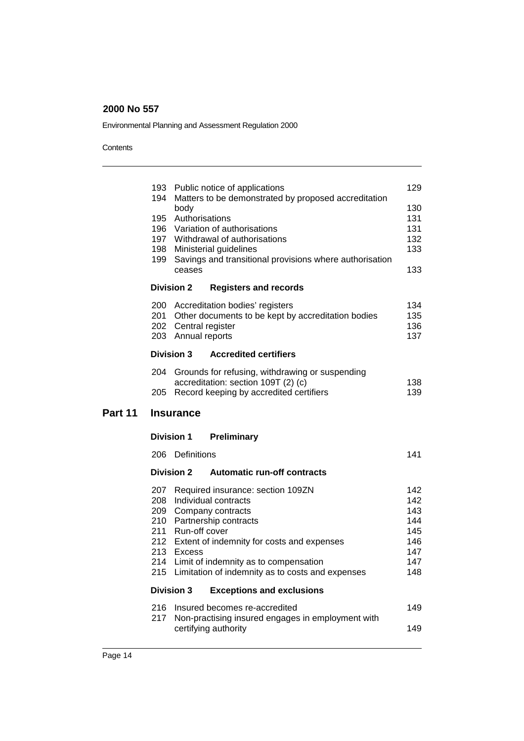Environmental Planning and Assessment Regulation 2000

|         | 194<br>199                      | body<br>195 Authorisations<br>ceases             | 193 Public notice of applications<br>Matters to be demonstrated by proposed accreditation<br>196 Variation of authorisations<br>197 Withdrawal of authorisations<br>198 Ministerial guidelines<br>Savings and transitional provisions where authorisation                                                                                                                                                                | 129<br>130<br>131<br>131<br>132<br>133<br>133                             |
|---------|---------------------------------|--------------------------------------------------|--------------------------------------------------------------------------------------------------------------------------------------------------------------------------------------------------------------------------------------------------------------------------------------------------------------------------------------------------------------------------------------------------------------------------|---------------------------------------------------------------------------|
|         |                                 | <b>Division 2</b>                                | <b>Registers and records</b>                                                                                                                                                                                                                                                                                                                                                                                             |                                                                           |
|         |                                 | 202 Central register<br>203 Annual reports       | 200 Accreditation bodies' registers<br>201 Other documents to be kept by accreditation bodies                                                                                                                                                                                                                                                                                                                            | 134<br>135<br>136<br>137                                                  |
|         |                                 | <b>Division 3</b>                                | <b>Accredited certifiers</b>                                                                                                                                                                                                                                                                                                                                                                                             |                                                                           |
|         | 204<br>205                      |                                                  | Grounds for refusing, withdrawing or suspending<br>accreditation: section 109T (2) (c)<br>Record keeping by accredited certifiers                                                                                                                                                                                                                                                                                        | 138<br>139                                                                |
| Part 11 |                                 | <b>Insurance</b>                                 |                                                                                                                                                                                                                                                                                                                                                                                                                          |                                                                           |
|         |                                 | <b>Division 1</b>                                | Preliminary                                                                                                                                                                                                                                                                                                                                                                                                              |                                                                           |
|         | 206                             |                                                  |                                                                                                                                                                                                                                                                                                                                                                                                                          |                                                                           |
|         |                                 | Definitions                                      |                                                                                                                                                                                                                                                                                                                                                                                                                          | 141                                                                       |
|         |                                 | <b>Division 2</b>                                | <b>Automatic run-off contracts</b>                                                                                                                                                                                                                                                                                                                                                                                       |                                                                           |
|         | 207<br>208<br>211<br>216<br>217 | Run-off cover<br>213 Excess<br><b>Division 3</b> | Required insurance: section 109ZN<br>Individual contracts<br>209 Company contracts<br>210 Partnership contracts<br>212 Extent of indemnity for costs and expenses<br>214 Limit of indemnity as to compensation<br>215 Limitation of indemnity as to costs and expenses<br><b>Exceptions and exclusions</b><br>Insured becomes re-accredited<br>Non-practising insured engages in employment with<br>certifying authority | 142<br>142<br>143<br>144<br>145<br>146<br>147<br>147<br>148<br>149<br>149 |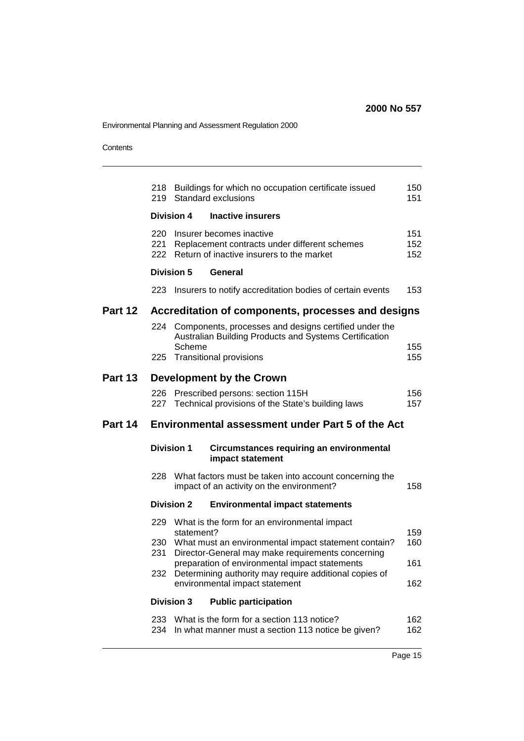Environmental Planning and Assessment Regulation 2000

|                | 218               |                   | Buildings for which no occupation certificate issued<br>219 Standard exclusions                                                                             | 150<br>151        |
|----------------|-------------------|-------------------|-------------------------------------------------------------------------------------------------------------------------------------------------------------|-------------------|
|                |                   | <b>Division 4</b> | <b>Inactive insurers</b>                                                                                                                                    |                   |
|                | 220<br>221<br>222 |                   | Insurer becomes inactive<br>Replacement contracts under different schemes<br>Return of inactive insurers to the market                                      | 151<br>152<br>152 |
|                |                   | <b>Division 5</b> | General                                                                                                                                                     |                   |
|                |                   |                   | 223 Insurers to notify accreditation bodies of certain events                                                                                               | 153               |
| <b>Part 12</b> |                   |                   | Accreditation of components, processes and designs                                                                                                          |                   |
|                | 224               | Scheme            | Components, processes and designs certified under the<br>Australian Building Products and Systems Certification<br>225 Transitional provisions              | 155<br>155        |
| Part 13        |                   |                   | Development by the Crown                                                                                                                                    |                   |
|                | 226<br>227        |                   | Prescribed persons: section 115H<br>Technical provisions of the State's building laws                                                                       | 156<br>157        |
|                |                   |                   |                                                                                                                                                             |                   |
| Part 14        |                   |                   | Environmental assessment under Part 5 of the Act                                                                                                            |                   |
|                |                   | <b>Division 1</b> | <b>Circumstances requiring an environmental</b><br>impact statement                                                                                         |                   |
|                | 228               |                   | What factors must be taken into account concerning the<br>impact of an activity on the environment?                                                         | 158               |
|                |                   | <b>Division 2</b> | <b>Environmental impact statements</b>                                                                                                                      |                   |
|                | 230               | statement?        | 229 What is the form for an environmental impact                                                                                                            | 159<br>160        |
|                | 231               |                   | What must an environmental impact statement contain?<br>Director-General may make requirements concerning<br>preparation of environmental impact statements | 161               |
|                | 232               |                   | Determining authority may require additional copies of<br>environmental impact statement                                                                    | 162               |
|                |                   | <b>Division 3</b> | <b>Public participation</b>                                                                                                                                 |                   |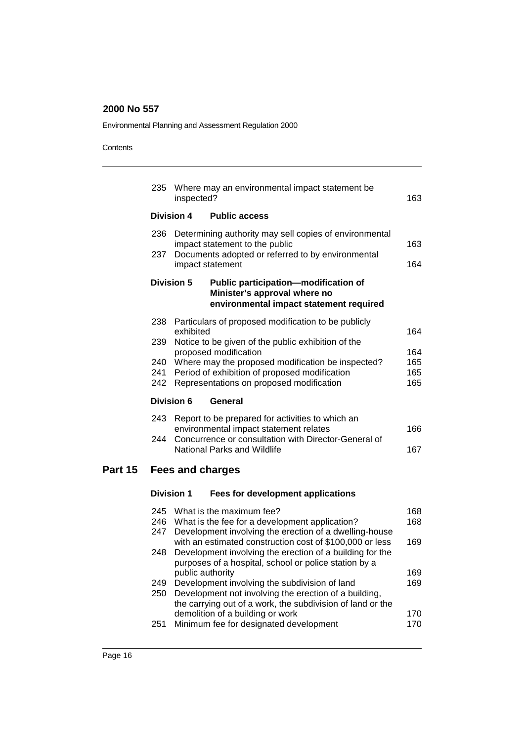Environmental Planning and Assessment Regulation 2000

|                                                   | 235        | inspected?                                                                      | Where may an environmental impact statement be                                                                                                                       | 163        |
|---------------------------------------------------|------------|---------------------------------------------------------------------------------|----------------------------------------------------------------------------------------------------------------------------------------------------------------------|------------|
|                                                   |            | <b>Division 4</b>                                                               | <b>Public access</b>                                                                                                                                                 |            |
|                                                   | 236        |                                                                                 | Determining authority may sell copies of environmental<br>impact statement to the public                                                                             | 163        |
|                                                   | 237        |                                                                                 | Documents adopted or referred to by environmental<br>impact statement                                                                                                | 164        |
| <b>Division 5</b><br>Minister's approval where no |            | Public participation-modification of<br>environmental impact statement required |                                                                                                                                                                      |            |
|                                                   | 238        | exhibited                                                                       | Particulars of proposed modification to be publicly                                                                                                                  | 164        |
|                                                   | 239        |                                                                                 | Notice to be given of the public exhibition of the                                                                                                                   |            |
|                                                   | 240        |                                                                                 | proposed modification<br>Where may the proposed modification be inspected?                                                                                           | 164<br>165 |
|                                                   | 241        |                                                                                 | Period of exhibition of proposed modification                                                                                                                        | 165        |
|                                                   | 242        |                                                                                 | Representations on proposed modification                                                                                                                             | 165        |
| <b>Division 6</b><br>General                      |            |                                                                                 |                                                                                                                                                                      |            |
|                                                   | 243        |                                                                                 | Report to be prepared for activities to which an<br>environmental impact statement relates                                                                           | 166        |
|                                                   | 244        |                                                                                 | Concurrence or consultation with Director-General of<br>National Parks and Wildlife                                                                                  | 167        |
| Part 15                                           |            | Fees and charges                                                                |                                                                                                                                                                      |            |
|                                                   |            | <b>Division 1</b>                                                               | <b>Fees for development applications</b>                                                                                                                             |            |
|                                                   | 245        |                                                                                 | What is the maximum fee?                                                                                                                                             | 168        |
|                                                   |            |                                                                                 | 246 What is the fee for a development application?                                                                                                                   | 168        |
|                                                   | 247        |                                                                                 | Development involving the erection of a dwelling-house<br>with an estimated construction cost of \$100,000 or less                                                   | 169        |
|                                                   | 248        |                                                                                 | Development involving the erection of a building for the<br>purposes of a hospital, school or police station by a                                                    |            |
|                                                   |            | public authority                                                                |                                                                                                                                                                      | 169        |
|                                                   | 249<br>250 |                                                                                 | Development involving the subdivision of land<br>Development not involving the erection of a building,<br>the carrying out of a work, the subdivision of land or the | 169        |
|                                                   |            |                                                                                 | demolition of a building or work                                                                                                                                     | 170        |
|                                                   | 251        |                                                                                 | Minimum fee for designated development                                                                                                                               | 170        |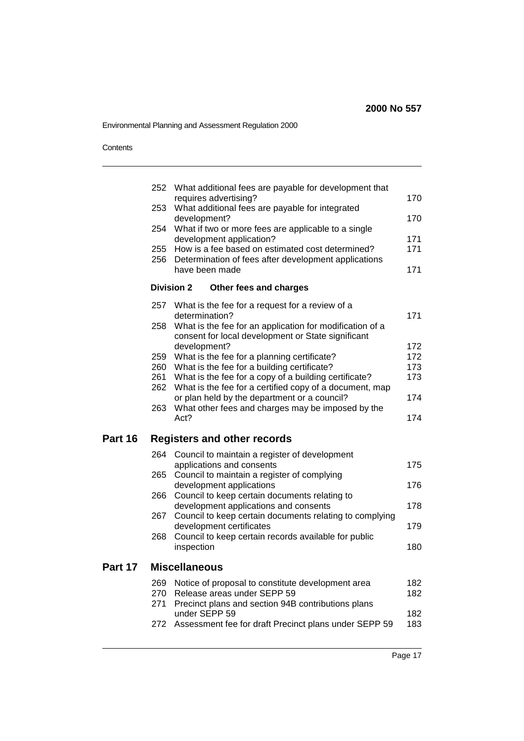Environmental Planning and Assessment Regulation 2000

|         |            | 252 What additional fees are payable for development that<br>requires advertising?                                                   | 170        |
|---------|------------|--------------------------------------------------------------------------------------------------------------------------------------|------------|
|         | 253        | What additional fees are payable for integrated                                                                                      | 170        |
|         | 254        | development?<br>What if two or more fees are applicable to a single                                                                  |            |
|         | 255<br>256 | development application?<br>How is a fee based on estimated cost determined?<br>Determination of fees after development applications | 171<br>171 |
|         |            | have been made                                                                                                                       | 171        |
|         |            | <b>Division 2</b><br>Other fees and charges                                                                                          |            |
|         | 257        | What is the fee for a request for a review of a<br>determination?                                                                    | 171        |
|         | 258        | What is the fee for an application for modification of a<br>consent for local development or State significant                       |            |
|         |            | development?                                                                                                                         | 172        |
|         | 259        | What is the fee for a planning certificate?                                                                                          | 172        |
|         | 260        | What is the fee for a building certificate?                                                                                          | 173        |
|         | 261        | What is the fee for a copy of a building certificate?                                                                                | 173        |
|         | 262        | What is the fee for a certified copy of a document, map                                                                              |            |
|         |            | or plan held by the department or a council?                                                                                         | 174        |
|         | 263        | What other fees and charges may be imposed by the                                                                                    |            |
|         |            |                                                                                                                                      |            |
|         |            | Act?                                                                                                                                 | 174        |
| Part 16 |            | <b>Registers and other records</b>                                                                                                   |            |
|         | 264        | Council to maintain a register of development                                                                                        |            |
|         | 265        | applications and consents<br>Council to maintain a register of complying                                                             | 175        |
|         | 266        | development applications<br>Council to keep certain documents relating to                                                            | 176        |
|         | 267        | development applications and consents<br>Council to keep certain documents relating to complying                                     | 178        |
|         | 268        | development certificates<br>Council to keep certain records available for public                                                     | 179        |
|         |            | inspection                                                                                                                           | 180        |
| Part 17 |            | <b>Miscellaneous</b>                                                                                                                 |            |
|         |            |                                                                                                                                      |            |
|         | 269<br>270 | Notice of proposal to constitute development area<br>Release areas under SEPP 59                                                     | 182        |
|         |            |                                                                                                                                      | 182        |
|         | 271        | Precinct plans and section 94B contributions plans                                                                                   |            |
|         | 272        | under SEPP 59<br>Assessment fee for draft Precinct plans under SEPP 59                                                               | 182<br>183 |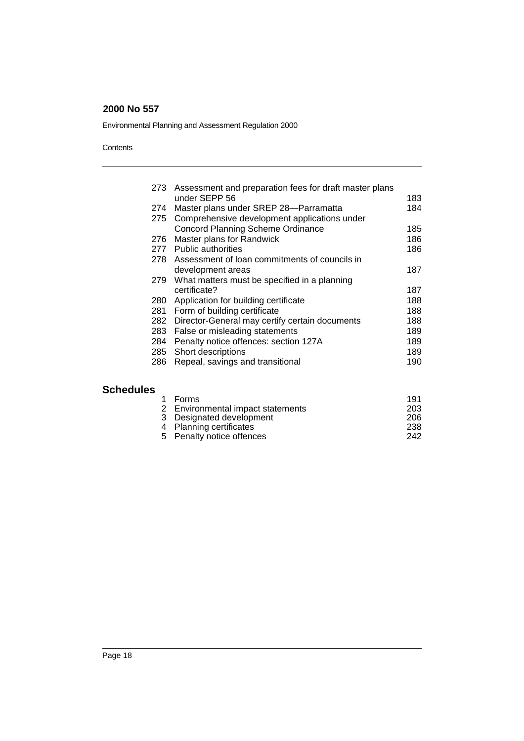Environmental Planning and Assessment Regulation 2000

### **Contents**

| under SEPP 56                                  | 183.                                                                                                                                                                                                                                                    |
|------------------------------------------------|---------------------------------------------------------------------------------------------------------------------------------------------------------------------------------------------------------------------------------------------------------|
| Master plans under SREP 28-Parramatta          | 184                                                                                                                                                                                                                                                     |
| Comprehensive development applications under   |                                                                                                                                                                                                                                                         |
| <b>Concord Planning Scheme Ordinance</b>       | 185                                                                                                                                                                                                                                                     |
|                                                | 186                                                                                                                                                                                                                                                     |
|                                                | 186                                                                                                                                                                                                                                                     |
|                                                |                                                                                                                                                                                                                                                         |
| development areas                              | 187                                                                                                                                                                                                                                                     |
| What matters must be specified in a planning   |                                                                                                                                                                                                                                                         |
| certificate?                                   | 187                                                                                                                                                                                                                                                     |
| Application for building certificate           | 188                                                                                                                                                                                                                                                     |
| Form of building certificate                   | 188                                                                                                                                                                                                                                                     |
| Director-General may certify certain documents | 188                                                                                                                                                                                                                                                     |
| False or misleading statements                 | 189                                                                                                                                                                                                                                                     |
|                                                | 189                                                                                                                                                                                                                                                     |
| Short descriptions                             | 189                                                                                                                                                                                                                                                     |
|                                                | 190                                                                                                                                                                                                                                                     |
|                                                |                                                                                                                                                                                                                                                         |
| 282                                            | 273 Assessment and preparation fees for draft master plans<br>276 Master plans for Randwick<br>277 Public authorities<br>278 Assessment of loan commitments of councils in<br>Penalty notice offences: section 127A<br>Repeal, savings and transitional |

# **Schedules**

| 1 Forms                           | 191  |
|-----------------------------------|------|
| 2 Environmental impact statements | -203 |
| 3 Designated development          | -206 |
| 4 Planning certificates           | 238  |
| 5 Penalty notice offences         | 242  |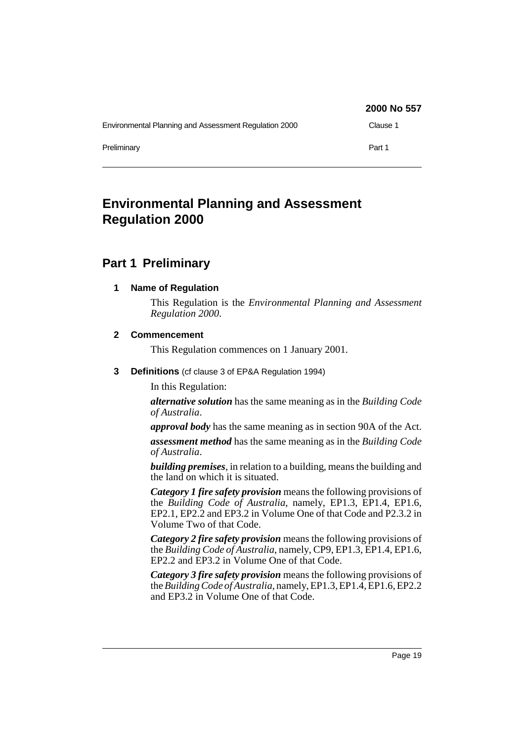|                                                       | 2000 No 557 |
|-------------------------------------------------------|-------------|
| Environmental Planning and Assessment Regulation 2000 | Clause 1    |
| Preliminary                                           | Part 1      |

# **Environmental Planning and Assessment Regulation 2000**

# **Part 1 Preliminary**

## **1 Name of Regulation**

This Regulation is the *Environmental Planning and Assessment Regulation 2000*.

### **2 Commencement**

This Regulation commences on 1 January 2001.

**3 Definitions** (cf clause 3 of EP&A Regulation 1994)

In this Regulation:

*alternative solution* has the same meaning as in the *Building Code of Australia*.

*approval body* has the same meaning as in section 90A of the Act.

*assessment method* has the same meaning as in the *Building Code of Australia*.

*building premises*, in relation to a building, means the building and the land on which it is situated.

*Category 1 fire safety provision* means the following provisions of the *Building Code of Australia*, namely, EP1.3, EP1.4, EP1.6, EP2.1, EP2.2 and EP3.2 in Volume One of that Code and P2.3.2 in Volume Two of that Code.

*Category 2 fire safety provision* means the following provisions of the *Building Code of Australia*, namely, CP9, EP1.3, EP1.4, EP1.6, EP2.2 and EP3.2 in Volume One of that Code.

*Category 3 fire safety provision* means the following provisions of the *Building Code of Australia*, namely, EP1.3, EP1.4, EP1.6, EP2.2 and EP3.2 in Volume One of that Code.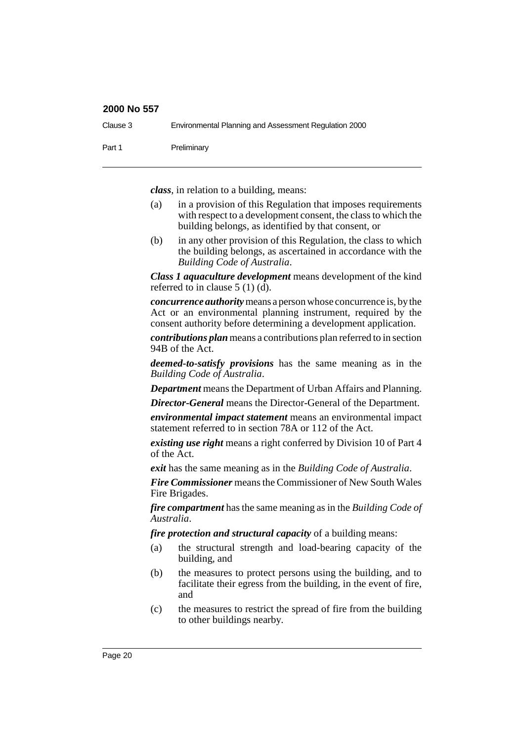| Clause 3 | Environmental Planning and Assessment Regulation 2000 |
|----------|-------------------------------------------------------|
| Part 1   | Preliminary                                           |

*class*, in relation to a building, means:

- (a) in a provision of this Regulation that imposes requirements with respect to a development consent, the class to which the building belongs, as identified by that consent, or
- (b) in any other provision of this Regulation, the class to which the building belongs, as ascertained in accordance with the *Building Code of Australia*.

*Class 1 aquaculture development* means development of the kind referred to in clause 5 (1) (d).

*concurrence authority* means a person whose concurrence is, by the Act or an environmental planning instrument, required by the consent authority before determining a development application.

*contributions plan* means a contributions plan referred to in section 94B of the Act.

*deemed-to-satisfy provisions* has the same meaning as in the *Building Code of Australia*.

*Department* means the Department of Urban Affairs and Planning.

*Director-General* means the Director-General of the Department.

*environmental impact statement* means an environmental impact statement referred to in section 78A or 112 of the Act.

*existing use right* means a right conferred by Division 10 of Part 4 of the Act.

*exit* has the same meaning as in the *Building Code of Australia*.

*Fire Commissioner* means the Commissioner of New South Wales Fire Brigades.

*fire compartment* has the same meaning as in the *Building Code of Australia*.

*fire protection and structural capacity* of a building means:

- (a) the structural strength and load-bearing capacity of the building, and
- (b) the measures to protect persons using the building, and to facilitate their egress from the building, in the event of fire, and
- (c) the measures to restrict the spread of fire from the building to other buildings nearby.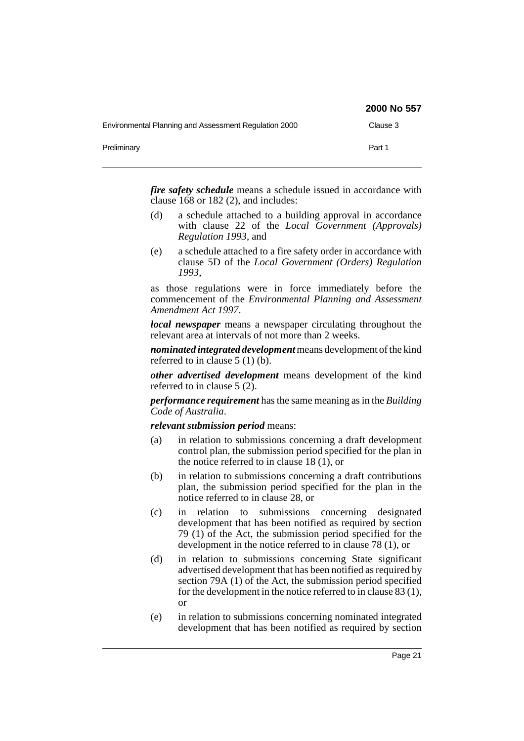|                                                       | <b>2000 NO 557</b> |
|-------------------------------------------------------|--------------------|
| Environmental Planning and Assessment Regulation 2000 | Clause 3           |
| Preliminary                                           | Part 1             |

*fire safety schedule* means a schedule issued in accordance with clause 168 or 182 (2), and includes:

2000 No 55

- (d) a schedule attached to a building approval in accordance with clause 22 of the *Local Government (Approvals) Regulation 1993*, and
- (e) a schedule attached to a fire safety order in accordance with clause 5D of the *Local Government (Orders) Regulation 1993*,

as those regulations were in force immediately before the commencement of the *Environmental Planning and Assessment Amendment Act 1997*.

*local newspaper* means a newspaper circulating throughout the relevant area at intervals of not more than 2 weeks.

*nominated integrated development* means development of the kind referred to in clause 5 (1) (b).

*other advertised development* means development of the kind referred to in clause 5 (2).

*performance requirement* has the same meaning as in the *Building Code of Australia*.

### *relevant submission period* means:

- (a) in relation to submissions concerning a draft development control plan, the submission period specified for the plan in the notice referred to in clause 18 (1), or
- (b) in relation to submissions concerning a draft contributions plan, the submission period specified for the plan in the notice referred to in clause 28, or
- (c) in relation to submissions concerning designated development that has been notified as required by section 79 (1) of the Act, the submission period specified for the development in the notice referred to in clause 78 (1), or
- (d) in relation to submissions concerning State significant advertised development that has been notified as required by section 79A (1) of the Act, the submission period specified for the development in the notice referred to in clause 83 (1), or
- (e) in relation to submissions concerning nominated integrated development that has been notified as required by section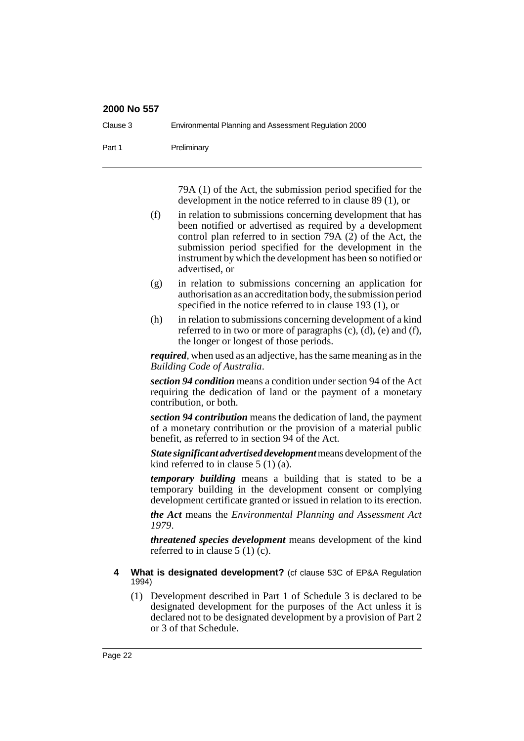| Clause 3 | Environmental Planning and Assessment Regulation 2000 |
|----------|-------------------------------------------------------|
| Part 1   | Preliminary                                           |

79A (1) of the Act, the submission period specified for the development in the notice referred to in clause 89 (1), or

- (f) in relation to submissions concerning development that has been notified or advertised as required by a development control plan referred to in section 79A (2) of the Act, the submission period specified for the development in the instrument by which the development has been so notified or advertised, or
- (g) in relation to submissions concerning an application for authorisation as an accreditation body, the submission period specified in the notice referred to in clause 193 (1), or
- (h) in relation to submissions concerning development of a kind referred to in two or more of paragraphs (c), (d), (e) and (f), the longer or longest of those periods.

*required*, when used as an adjective, has the same meaning as in the *Building Code of Australia*.

*section 94 condition* means a condition under section 94 of the Act requiring the dedication of land or the payment of a monetary contribution, or both.

*section 94 contribution* means the dedication of land, the payment of a monetary contribution or the provision of a material public benefit, as referred to in section 94 of the Act.

*State significant advertised development* means development of the kind referred to in clause 5 (1) (a).

*temporary building* means a building that is stated to be a temporary building in the development consent or complying development certificate granted or issued in relation to its erection.

*the Act* means the *Environmental Planning and Assessment Act 1979*.

*threatened species development* means development of the kind referred to in clause 5 (1) (c).

- **4 What is designated development?** (cf clause 53C of EP&A Regulation 1994)
	- (1) Development described in Part 1 of Schedule 3 is declared to be designated development for the purposes of the Act unless it is declared not to be designated development by a provision of Part 2 or 3 of that Schedule.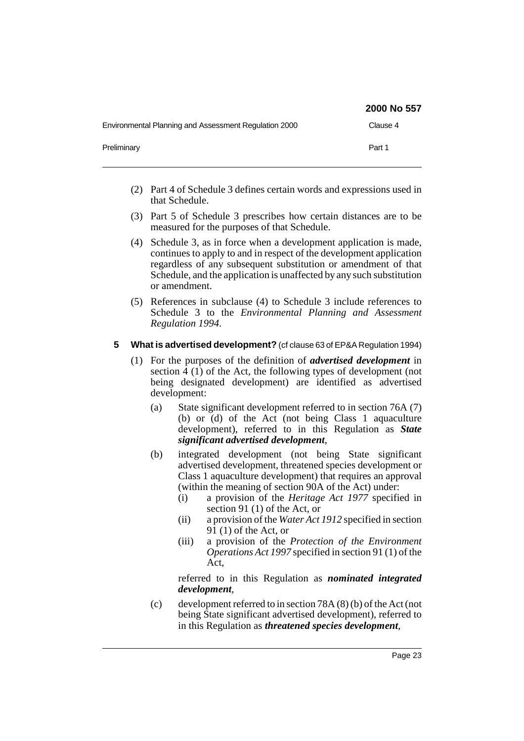|                                                       | 2000 No 557 |
|-------------------------------------------------------|-------------|
| Environmental Planning and Assessment Regulation 2000 | Clause 4    |
| Preliminary                                           | Part 1      |

- (2) Part 4 of Schedule 3 defines certain words and expressions used in that Schedule.
- (3) Part 5 of Schedule 3 prescribes how certain distances are to be measured for the purposes of that Schedule.
- (4) Schedule 3, as in force when a development application is made, continues to apply to and in respect of the development application regardless of any subsequent substitution or amendment of that Schedule, and the application is unaffected by any such substitution or amendment.
- (5) References in subclause (4) to Schedule 3 include references to Schedule 3 to the *Environmental Planning and Assessment Regulation 1994*.

### **5 What is advertised development?** (cf clause 63 of EP&A Regulation 1994)

- (1) For the purposes of the definition of *advertised development* in section 4 (1) of the Act, the following types of development (not being designated development) are identified as advertised development:
	- (a) State significant development referred to in section 76A (7) (b) or (d) of the Act (not being Class 1 aquaculture development), referred to in this Regulation as *State significant advertised development*,
	- (b) integrated development (not being State significant advertised development, threatened species development or Class 1 aquaculture development) that requires an approval (within the meaning of section 90A of the Act) under:
		- (i) a provision of the *Heritage Act 1977* specified in section 91 (1) of the Act, or
		- (ii) a provision of the *Water Act 1912* specified in section 91 (1) of the Act, or
		- (iii) a provision of the *Protection of the Environment Operations Act 1997* specified in section 91 (1) of the Act,

referred to in this Regulation as *nominated integrated development*,

(c) development referred to in section 78A (8) (b) of the Act (not being State significant advertised development), referred to in this Regulation as *threatened species development*,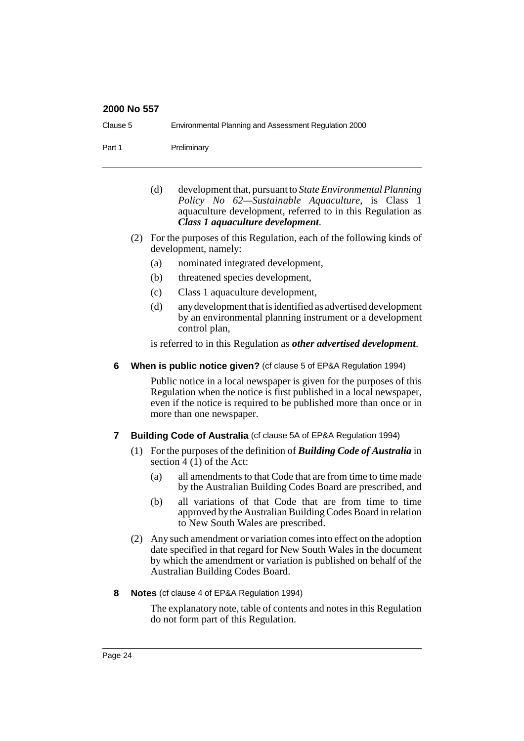| Clause 5 | Environmental Planning and Assessment Regulation 2000 |
|----------|-------------------------------------------------------|
| Part 1   | Preliminary                                           |

- (d) development that, pursuant to *State Environmental Planning Policy No 62—Sustainable Aquaculture*, is Class 1 aquaculture development, referred to in this Regulation as *Class 1 aquaculture development*.
- (2) For the purposes of this Regulation, each of the following kinds of development, namely:
	- (a) nominated integrated development,
	- (b) threatened species development,
	- (c) Class 1 aquaculture development,
	- (d) any development that is identified as advertised development by an environmental planning instrument or a development control plan,

is referred to in this Regulation as *other advertised development*.

**6 When is public notice given?** (cf clause 5 of EP&A Regulation 1994)

Public notice in a local newspaper is given for the purposes of this Regulation when the notice is first published in a local newspaper. even if the notice is required to be published more than once or in more than one newspaper.

- **7 Building Code of Australia** (cf clause 5A of EP&A Regulation 1994)
	- (1) For the purposes of the definition of *Building Code of Australia* in section 4 (1) of the Act:
		- (a) all amendments to that Code that are from time to time made by the Australian Building Codes Board are prescribed, and
		- (b) all variations of that Code that are from time to time approved by the Australian Building Codes Board in relation to New South Wales are prescribed.
	- (2) Any such amendment or variation comes into effect on the adoption date specified in that regard for New South Wales in the document by which the amendment or variation is published on behalf of the Australian Building Codes Board.
- **8 Notes** (cf clause 4 of EP&A Regulation 1994)

The explanatory note, table of contents and notes in this Regulation do not form part of this Regulation.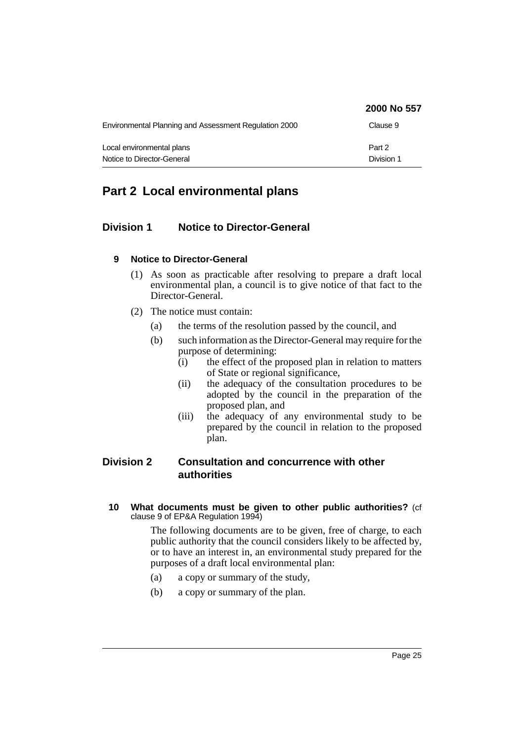|                                                       | 2000 No 557 |
|-------------------------------------------------------|-------------|
| Environmental Planning and Assessment Regulation 2000 | Clause 9    |
| Local environmental plans                             | Part 2      |
| Notice to Director-General                            | Division 1  |

# **Part 2 Local environmental plans**

# **Division 1 Notice to Director-General**

### **9 Notice to Director-General**

- (1) As soon as practicable after resolving to prepare a draft local environmental plan, a council is to give notice of that fact to the Director-General.
- (2) The notice must contain:
	- (a) the terms of the resolution passed by the council, and
	- (b) such information as the Director-General may require for the purpose of determining:
		- (i) the effect of the proposed plan in relation to matters of State or regional significance,
		- (ii) the adequacy of the consultation procedures to be adopted by the council in the preparation of the proposed plan, and
		- (iii) the adequacy of any environmental study to be prepared by the council in relation to the proposed plan.

# **Division 2 Consultation and concurrence with other authorities**

### **10 What documents must be given to other public authorities?** (cf clause 9 of EP&A Regulation 1994)

The following documents are to be given, free of charge, to each public authority that the council considers likely to be affected by, or to have an interest in, an environmental study prepared for the purposes of a draft local environmental plan:

- (a) a copy or summary of the study,
- (b) a copy or summary of the plan.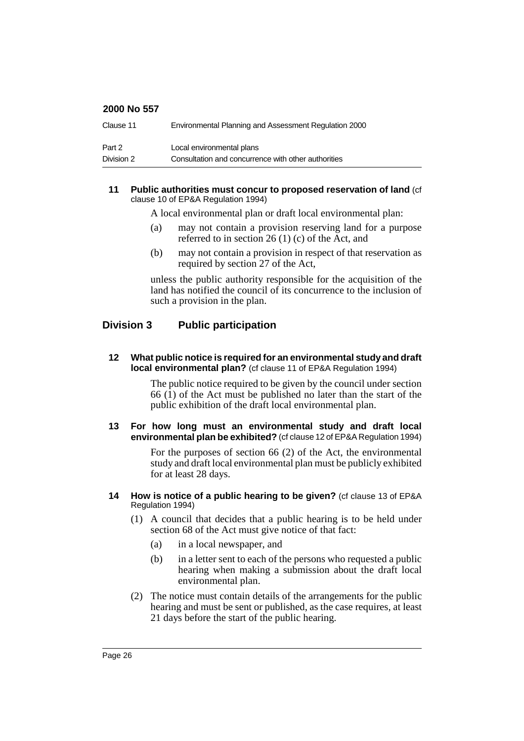| Clause 11  | Environmental Planning and Assessment Regulation 2000 |
|------------|-------------------------------------------------------|
| Part 2     | Local environmental plans                             |
| Division 2 | Consultation and concurrence with other authorities   |

#### **11 Public authorities must concur to proposed reservation of land** (cf clause 10 of EP&A Regulation 1994)

A local environmental plan or draft local environmental plan:

- (a) may not contain a provision reserving land for a purpose referred to in section 26 (1) (c) of the Act, and
- (b) may not contain a provision in respect of that reservation as required by section 27 of the Act,

unless the public authority responsible for the acquisition of the land has notified the council of its concurrence to the inclusion of such a provision in the plan.

# **Division 3 Public participation**

### **12 What public notice is required for an environmental study and draft local environmental plan?** (cf clause 11 of EP&A Regulation 1994)

The public notice required to be given by the council under section  $66$  (1) of the Act must be published no later than the start of the public exhibition of the draft local environmental plan.

### **13 For how long must an environmental study and draft local environmental plan be exhibited?** (cf clause 12 of EP&A Regulation 1994)

For the purposes of section 66 (2) of the Act, the environmental study and draft local environmental plan must be publicly exhibited for at least 28 days.

- **14 How is notice of a public hearing to be given?** (cf clause 13 of EP&A Regulation 1994)
	- (1) A council that decides that a public hearing is to be held under section 68 of the Act must give notice of that fact:
		- (a) in a local newspaper, and
		- (b) in a letter sent to each of the persons who requested a public hearing when making a submission about the draft local environmental plan.
	- (2) The notice must contain details of the arrangements for the public hearing and must be sent or published, as the case requires, at least 21 days before the start of the public hearing.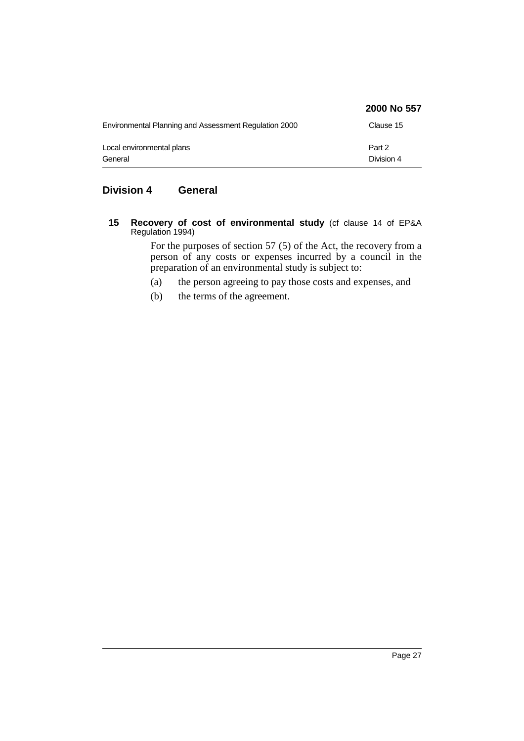|                                                       | 2000 No 557          |
|-------------------------------------------------------|----------------------|
| Environmental Planning and Assessment Regulation 2000 | Clause 15            |
| Local environmental plans<br>General                  | Part 2<br>Division 4 |

# **Division 4 General**

**15 Recovery of cost of environmental study** (cf clause 14 of EP&A Regulation 1994)

> For the purposes of section 57 (5) of the Act, the recovery from a person of any costs or expenses incurred by a council in the preparation of an environmental study is subject to:

- (a) the person agreeing to pay those costs and expenses, and
- (b) the terms of the agreement.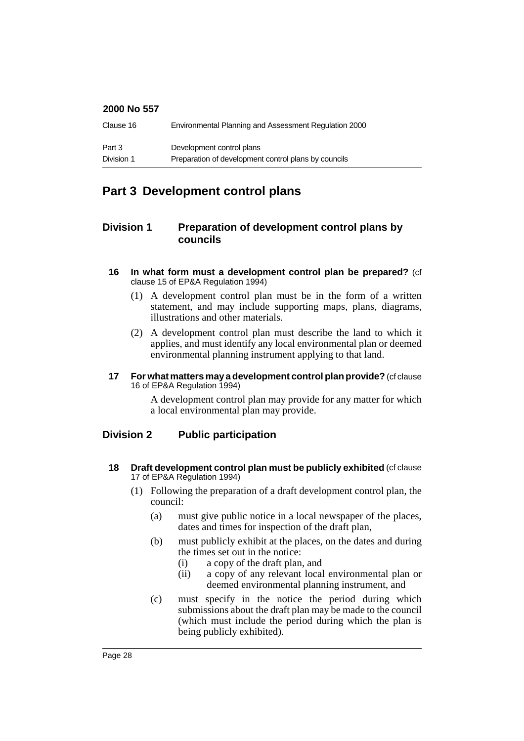| Clause 16  | Environmental Planning and Assessment Regulation 2000 |
|------------|-------------------------------------------------------|
| Part 3     | Development control plans                             |
| Division 1 | Preparation of development control plans by councils  |

# **Part 3 Development control plans**

# **Division 1 Preparation of development control plans by councils**

- **16 In what form must a development control plan be prepared?** (cf clause 15 of EP&A Regulation 1994)
	- (1) A development control plan must be in the form of a written statement, and may include supporting maps, plans, diagrams, illustrations and other materials.
	- (2) A development control plan must describe the land to which it applies, and must identify any local environmental plan or deemed environmental planning instrument applying to that land.
- **17 For what matters may a development control plan provide?** (cf clause 16 of EP&A Regulation 1994)

A development control plan may provide for any matter for which a local environmental plan may provide.

# **Division 2 Public participation**

- **18** Draft development control plan must be publicly exhibited (cf clause) 17 of EP&A Regulation 1994)
	- (1) Following the preparation of a draft development control plan, the council:
		- (a) must give public notice in a local newspaper of the places, dates and times for inspection of the draft plan,
		- (b) must publicly exhibit at the places, on the dates and during the times set out in the notice:
			- (i) a copy of the draft plan, and
			- (ii) a copy of any relevant local environmental plan or deemed environmental planning instrument, and
		- (c) must specify in the notice the period during which submissions about the draft plan may be made to the council (which must include the period during which the plan is being publicly exhibited).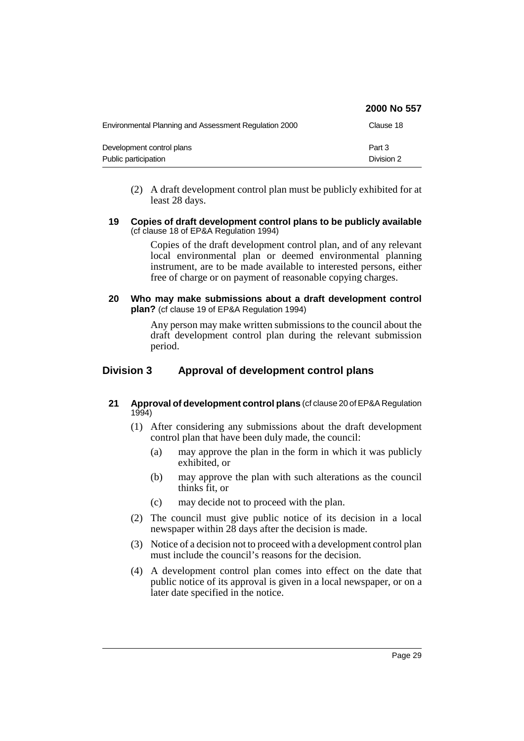|                                                       | 2000 No 557          |
|-------------------------------------------------------|----------------------|
| Environmental Planning and Assessment Regulation 2000 | Clause 18            |
| Development control plans<br>Public participation     | Part 3<br>Division 2 |

- (2) A draft development control plan must be publicly exhibited for at least 28 days.
- **19 Copies of draft development control plans to be publicly available** (cf clause 18 of EP&A Regulation 1994)

Copies of the draft development control plan, and of any relevant local environmental plan or deemed environmental planning instrument, are to be made available to interested persons, either free of charge or on payment of reasonable copying charges.

**20 Who may make submissions about a draft development control plan?** (cf clause 19 of EP&A Regulation 1994)

> Any person may make written submissions to the council about the draft development control plan during the relevant submission period.

# **Division 3 Approval of development control plans**

### **21 Approval of development control plans** (cf clause 20 of EP&A Regulation 1994)

- (1) After considering any submissions about the draft development control plan that have been duly made, the council:
	- (a) may approve the plan in the form in which it was publicly exhibited, or
	- (b) may approve the plan with such alterations as the council thinks fit, or
	- (c) may decide not to proceed with the plan.
- (2) The council must give public notice of its decision in a local newspaper within 28 days after the decision is made.
- (3) Notice of a decision not to proceed with a development control plan must include the council's reasons for the decision.
- (4) A development control plan comes into effect on the date that public notice of its approval is given in a local newspaper, or on a later date specified in the notice.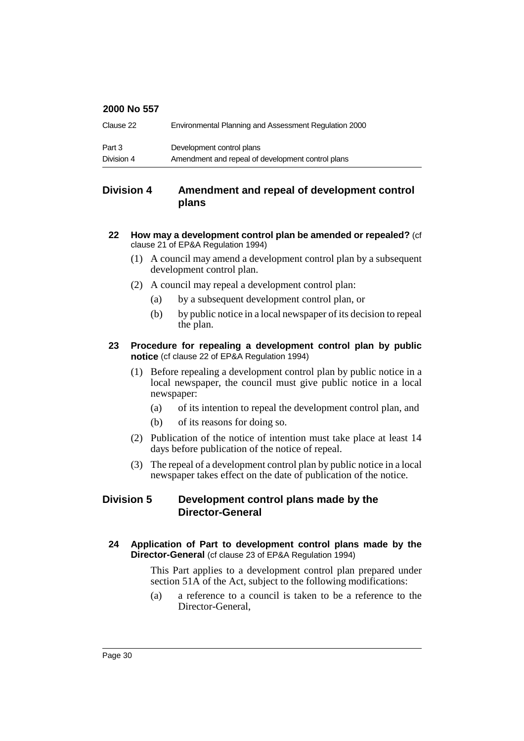| Clause 22  | Environmental Planning and Assessment Regulation 2000 |
|------------|-------------------------------------------------------|
| Part 3     | Development control plans                             |
| Division 4 | Amendment and repeal of development control plans     |

# **Division 4 Amendment and repeal of development control plans**

- **22 How may a development control plan be amended or repealed?** (cf clause 21 of EP&A Regulation 1994)
	- (1) A council may amend a development control plan by a subsequent development control plan.
	- (2) A council may repeal a development control plan:
		- (a) by a subsequent development control plan, or
		- (b) by public notice in a local newspaper of its decision to repeal the plan.

### **23 Procedure for repealing a development control plan by public notice** (cf clause 22 of EP&A Regulation 1994)

- (1) Before repealing a development control plan by public notice in a local newspaper, the council must give public notice in a local newspaper:
	- (a) of its intention to repeal the development control plan, and
	- (b) of its reasons for doing so.
- (2) Publication of the notice of intention must take place at least 14 days before publication of the notice of repeal.
- (3) The repeal of a development control plan by public notice in a local newspaper takes effect on the date of publication of the notice.

# **Division 5 Development control plans made by the Director-General**

### **24 Application of Part to development control plans made by the Director-General** (cf clause 23 of EP&A Regulation 1994)

This Part applies to a development control plan prepared under section 51A of the Act, subject to the following modifications:

(a) a reference to a council is taken to be a reference to the Director-General,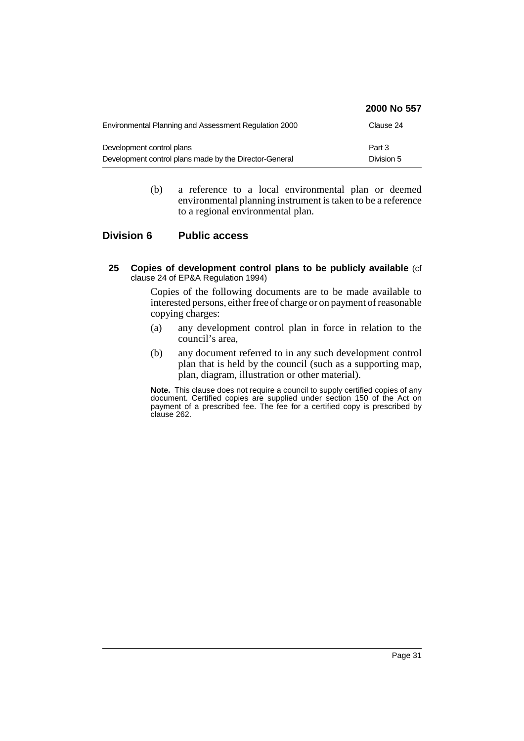|                                                        | 2000 No 557 |
|--------------------------------------------------------|-------------|
| Environmental Planning and Assessment Regulation 2000  | Clause 24   |
| Development control plans                              | Part 3      |
| Development control plans made by the Director-General | Division 5  |

(b) a reference to a local environmental plan or deemed environmental planning instrument is taken to be a reference to a regional environmental plan.

### **Division 6 Public access**

**25 Copies of development control plans to be publicly available** (cf clause 24 of EP&A Regulation 1994)

> Copies of the following documents are to be made available to interested persons, either free of charge or on payment of reasonable copying charges:

- (a) any development control plan in force in relation to the council's area,
- (b) any document referred to in any such development control plan that is held by the council (such as a supporting map, plan, diagram, illustration or other material).

**Note.** This clause does not require a council to supply certified copies of any document. Certified copies are supplied under section 150 of the Act on payment of a prescribed fee. The fee for a certified copy is prescribed by clause 262.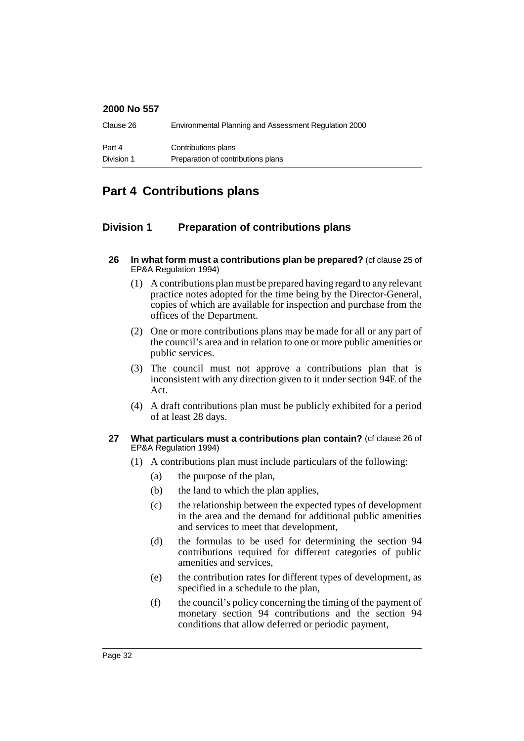| Clause 26  | Environmental Planning and Assessment Regulation 2000 |
|------------|-------------------------------------------------------|
| Part 4     | Contributions plans                                   |
| Division 1 | Preparation of contributions plans                    |

# **Part 4 Contributions plans**

## **Division 1 Preparation of contributions plans**

- **26 In what form must a contributions plan be prepared?** (cf clause 25 of EP&A Regulation 1994)
	- (1) A contributions plan must be prepared having regard to any relevant practice notes adopted for the time being by the Director-General, copies of which are available for inspection and purchase from the offices of the Department.
	- (2) One or more contributions plans may be made for all or any part of the council's area and in relation to one or more public amenities or public services.
	- (3) The council must not approve a contributions plan that is inconsistent with any direction given to it under section 94E of the Act.
	- (4) A draft contributions plan must be publicly exhibited for a period of at least 28 days.

### **27 What particulars must a contributions plan contain?** (cf clause 26 of EP&A Regulation 1994)

- (1) A contributions plan must include particulars of the following:
	- (a) the purpose of the plan,
	- (b) the land to which the plan applies,
	- (c) the relationship between the expected types of development in the area and the demand for additional public amenities and services to meet that development,
	- (d) the formulas to be used for determining the section 94 contributions required for different categories of public amenities and services,
	- (e) the contribution rates for different types of development, as specified in a schedule to the plan,
	- (f) the council's policy concerning the timing of the payment of monetary section 94 contributions and the section 94 conditions that allow deferred or periodic payment,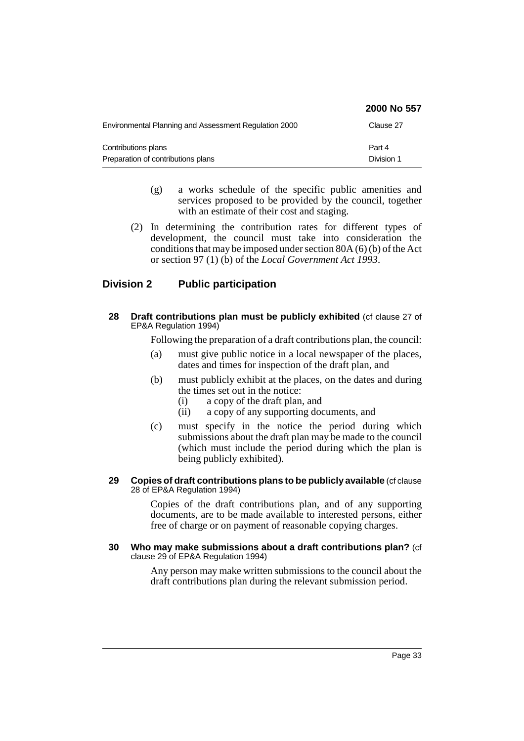|                                                       | 2000 No 557 |
|-------------------------------------------------------|-------------|
| Environmental Planning and Assessment Regulation 2000 | Clause 27   |
| Contributions plans                                   | Part 4      |
| Preparation of contributions plans                    | Division 1  |

- (g) a works schedule of the specific public amenities and services proposed to be provided by the council, together with an estimate of their cost and staging.
- (2) In determining the contribution rates for different types of development, the council must take into consideration the conditions that may be imposed under section 80A (6) (b) of the Act or section 97 (1) (b) of the *Local Government Act 1993*.

## **Division 2 Public participation**

**28 Draft contributions plan must be publicly exhibited** (cf clause 27 of EP&A Regulation 1994)

Following the preparation of a draft contributions plan, the council:

- (a) must give public notice in a local newspaper of the places, dates and times for inspection of the draft plan, and
- (b) must publicly exhibit at the places, on the dates and during the times set out in the notice:
	- (i) a copy of the draft plan, and
	- (ii) a copy of any supporting documents, and
- (c) must specify in the notice the period during which submissions about the draft plan may be made to the council (which must include the period during which the plan is being publicly exhibited).
- **29 Copies of draft contributions plans to be publicly available** (cf clause 28 of EP&A Regulation 1994)

Copies of the draft contributions plan, and of any supporting documents, are to be made available to interested persons, either free of charge or on payment of reasonable copying charges.

**30 Who may make submissions about a draft contributions plan?** (cf clause 29 of EP&A Regulation 1994)

> Any person may make written submissions to the council about the draft contributions plan during the relevant submission period.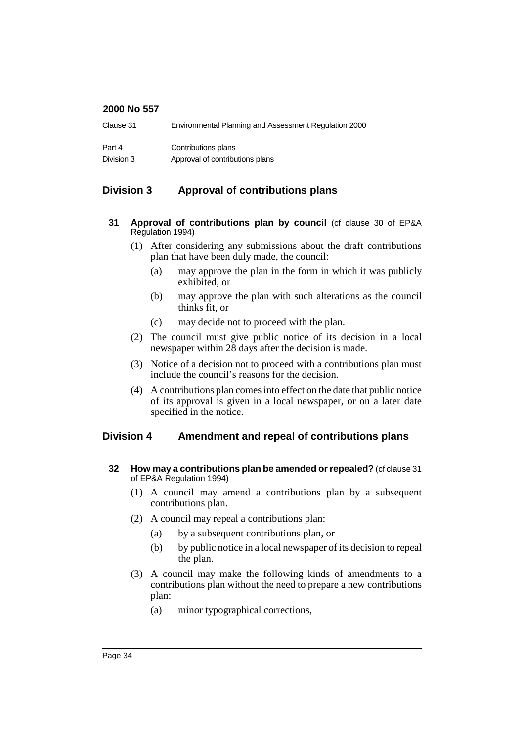| Clause 31  | Environmental Planning and Assessment Regulation 2000 |
|------------|-------------------------------------------------------|
| Part 4     | Contributions plans                                   |
| Division 3 | Approval of contributions plans                       |

# **Division 3 Approval of contributions plans**

- **31 Approval of contributions plan by council** (cf clause 30 of EP&A Regulation 1994)
	- (1) After considering any submissions about the draft contributions plan that have been duly made, the council:
		- (a) may approve the plan in the form in which it was publicly exhibited, or
		- (b) may approve the plan with such alterations as the council thinks fit, or
		- (c) may decide not to proceed with the plan.
	- (2) The council must give public notice of its decision in a local newspaper within 28 days after the decision is made.
	- (3) Notice of a decision not to proceed with a contributions plan must include the council's reasons for the decision.
	- (4) A contributions plan comes into effect on the date that public notice of its approval is given in a local newspaper, or on a later date specified in the notice.

### **Division 4 Amendment and repeal of contributions plans**

- **32 How may a contributions plan be amended or repealed?** (cf clause 31 of EP&A Regulation 1994)
	- (1) A council may amend a contributions plan by a subsequent contributions plan.
	- (2) A council may repeal a contributions plan:
		- (a) by a subsequent contributions plan, or
		- (b) by public notice in a local newspaper of its decision to repeal the plan.
	- (3) A council may make the following kinds of amendments to a contributions plan without the need to prepare a new contributions plan:
		- (a) minor typographical corrections,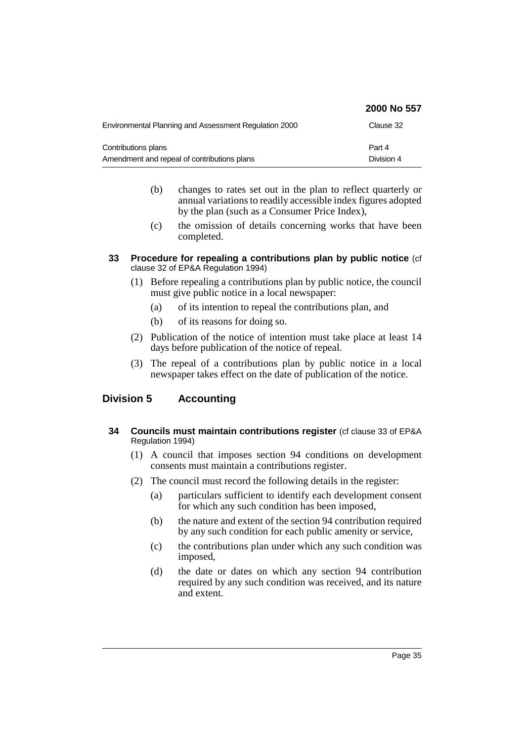|                                                       | <b>2000 No 557</b> |
|-------------------------------------------------------|--------------------|
| Environmental Planning and Assessment Regulation 2000 | Clause 32          |
| Contributions plans                                   | Part 4             |
| Amendment and repeal of contributions plans           | Division 4         |

(b) changes to rates set out in the plan to reflect quarterly or annual variations to readily accessible index figures adopted by the plan (such as a Consumer Price Index),

2000 No 55

(c) the omission of details concerning works that have been completed.

#### **33 Procedure for repealing a contributions plan by public notice** (cf clause 32 of EP&A Regulation 1994)

- (1) Before repealing a contributions plan by public notice, the council must give public notice in a local newspaper:
	- (a) of its intention to repeal the contributions plan, and
	- (b) of its reasons for doing so.
- (2) Publication of the notice of intention must take place at least 14 days before publication of the notice of repeal.
- (3) The repeal of a contributions plan by public notice in a local newspaper takes effect on the date of publication of the notice.

# **Division 5 Accounting**

- **34 Councils must maintain contributions register** (cf clause 33 of EP&A Regulation 1994)
	- (1) A council that imposes section 94 conditions on development consents must maintain a contributions register.
	- (2) The council must record the following details in the register:
		- (a) particulars sufficient to identify each development consent for which any such condition has been imposed,
		- (b) the nature and extent of the section 94 contribution required by any such condition for each public amenity or service,
		- (c) the contributions plan under which any such condition was imposed,
		- (d) the date or dates on which any section 94 contribution required by any such condition was received, and its nature and extent.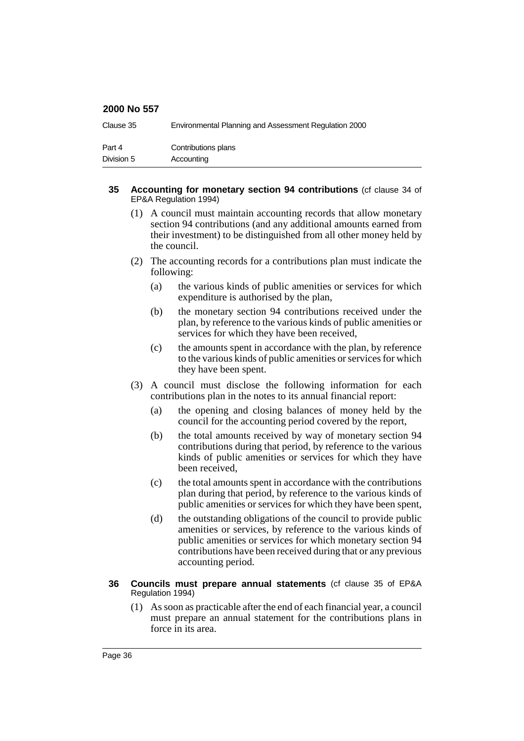| Clause 35  | Environmental Planning and Assessment Regulation 2000 |
|------------|-------------------------------------------------------|
| Part 4     | Contributions plans                                   |
| Division 5 | Accounting                                            |

#### **35 Accounting for monetary section 94 contributions** (cf clause 34 of EP&A Regulation 1994)

- (1) A council must maintain accounting records that allow monetary section 94 contributions (and any additional amounts earned from their investment) to be distinguished from all other money held by the council.
- (2) The accounting records for a contributions plan must indicate the following:
	- (a) the various kinds of public amenities or services for which expenditure is authorised by the plan,
	- (b) the monetary section 94 contributions received under the plan, by reference to the various kinds of public amenities or services for which they have been received,
	- (c) the amounts spent in accordance with the plan, by reference to the various kinds of public amenities or services for which they have been spent.
- (3) A council must disclose the following information for each contributions plan in the notes to its annual financial report:
	- (a) the opening and closing balances of money held by the council for the accounting period covered by the report,
	- (b) the total amounts received by way of monetary section 94 contributions during that period, by reference to the various kinds of public amenities or services for which they have been received,
	- (c) the total amounts spent in accordance with the contributions plan during that period, by reference to the various kinds of public amenities or services for which they have been spent,
	- (d) the outstanding obligations of the council to provide public amenities or services, by reference to the various kinds of public amenities or services for which monetary section 94 contributions have been received during that or any previous accounting period.

#### **36 Councils must prepare annual statements** (cf clause 35 of EP&A Regulation 1994)

(1) As soon as practicable after the end of each financial year, a council must prepare an annual statement for the contributions plans in force in its area.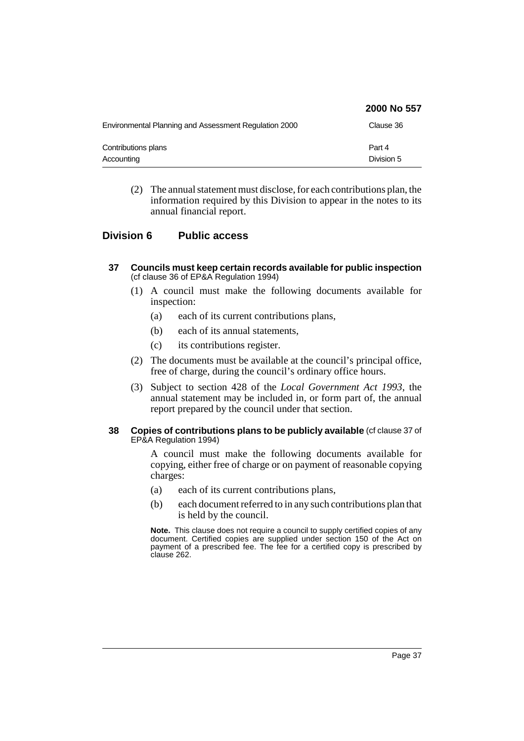|                                                       | 2000 No 557 |
|-------------------------------------------------------|-------------|
| Environmental Planning and Assessment Regulation 2000 | Clause 36   |
| Contributions plans                                   | Part 4      |
| Accounting                                            | Division 5  |

(2) The annual statement must disclose, for each contributions plan, the information required by this Division to appear in the notes to its annual financial report.

## **Division 6 Public access**

- **37 Councils must keep certain records available for public inspection** (cf clause 36 of EP&A Regulation 1994)
	- (1) A council must make the following documents available for inspection:
		- (a) each of its current contributions plans,
		- (b) each of its annual statements,
		- (c) its contributions register.
	- (2) The documents must be available at the council's principal office, free of charge, during the council's ordinary office hours.
	- (3) Subject to section 428 of the *Local Government Act 1993*, the annual statement may be included in, or form part of, the annual report prepared by the council under that section.

#### **38 Copies of contributions plans to be publicly available** (cf clause 37 of EP&A Regulation 1994)

A council must make the following documents available for copying, either free of charge or on payment of reasonable copying charges:

- (a) each of its current contributions plans,
- (b) each document referred to in any such contributions plan that is held by the council.

**Note.** This clause does not require a council to supply certified copies of any document. Certified copies are supplied under section 150 of the Act on payment of a prescribed fee. The fee for a certified copy is prescribed by clause 262.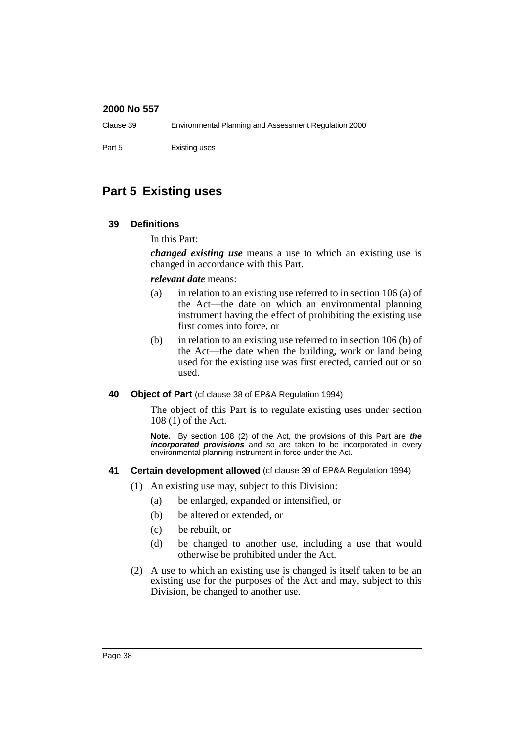| Clause 39 | Environmental Planning and Assessment Regulation 2000 |
|-----------|-------------------------------------------------------|
| Part 5    | Existing uses                                         |

## **Part 5 Existing uses**

#### **39 Definitions**

In this Part:

*changed existing use* means a use to which an existing use is changed in accordance with this Part.

#### *relevant date* means:

- (a) in relation to an existing use referred to in section  $106$  (a) of the Act—the date on which an environmental planning instrument having the effect of prohibiting the existing use first comes into force, or
- (b) in relation to an existing use referred to in section 106 (b) of the Act—the date when the building, work or land being used for the existing use was first erected, carried out or so used.

#### **40 Object of Part** (cf clause 38 of EP&A Regulation 1994)

The object of this Part is to regulate existing uses under section 108 (1) of the Act.

**Note.** By section 108 (2) of the Act, the provisions of this Part are **the incorporated provisions** and so are taken to be incorporated in every environmental planning instrument in force under the Act.

### **41 Certain development allowed** (cf clause 39 of EP&A Regulation 1994)

- (1) An existing use may, subject to this Division:
	- (a) be enlarged, expanded or intensified, or
	- (b) be altered or extended, or
	- (c) be rebuilt, or
	- (d) be changed to another use, including a use that would otherwise be prohibited under the Act.
- (2) A use to which an existing use is changed is itself taken to be an existing use for the purposes of the Act and may, subject to this Division, be changed to another use.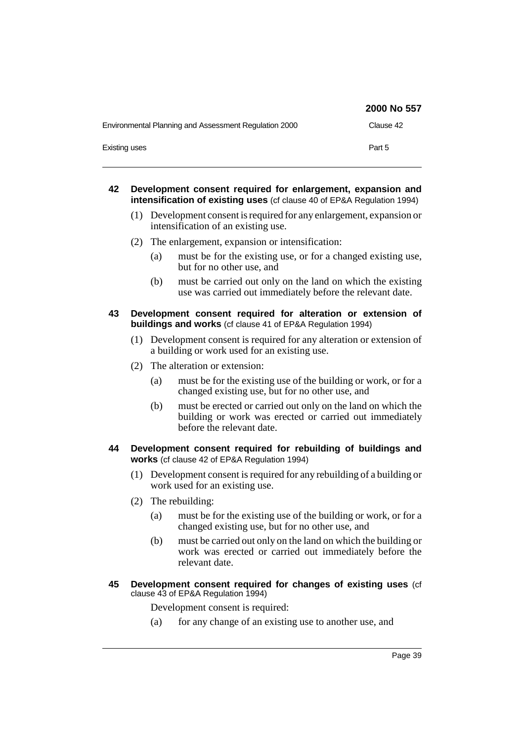|                                                       | 2000 No 557 |
|-------------------------------------------------------|-------------|
| Environmental Planning and Assessment Regulation 2000 | Clause 42   |
| Existing uses                                         | Part 5      |

### **42 Development consent required for enlargement, expansion and intensification of existing uses** (cf clause 40 of EP&A Regulation 1994)

- (1) Development consent is required for any enlargement, expansion or intensification of an existing use.
- (2) The enlargement, expansion or intensification:
	- (a) must be for the existing use, or for a changed existing use, but for no other use, and
	- (b) must be carried out only on the land on which the existing use was carried out immediately before the relevant date.

### **43 Development consent required for alteration or extension of buildings and works** (cf clause 41 of EP&A Regulation 1994)

- (1) Development consent is required for any alteration or extension of a building or work used for an existing use.
- (2) The alteration or extension:
	- (a) must be for the existing use of the building or work, or for a changed existing use, but for no other use, and
	- (b) must be erected or carried out only on the land on which the building or work was erected or carried out immediately before the relevant date.
- **44 Development consent required for rebuilding of buildings and works** (cf clause 42 of EP&A Regulation 1994)
	- (1) Development consent is required for any rebuilding of a building or work used for an existing use.
	- (2) The rebuilding:
		- (a) must be for the existing use of the building or work, or for a changed existing use, but for no other use, and
		- (b) must be carried out only on the land on which the building or work was erected or carried out immediately before the relevant date.
- **45 Development consent required for changes of existing uses** (cf clause 43 of EP&A Regulation 1994)

Development consent is required:

(a) for any change of an existing use to another use, and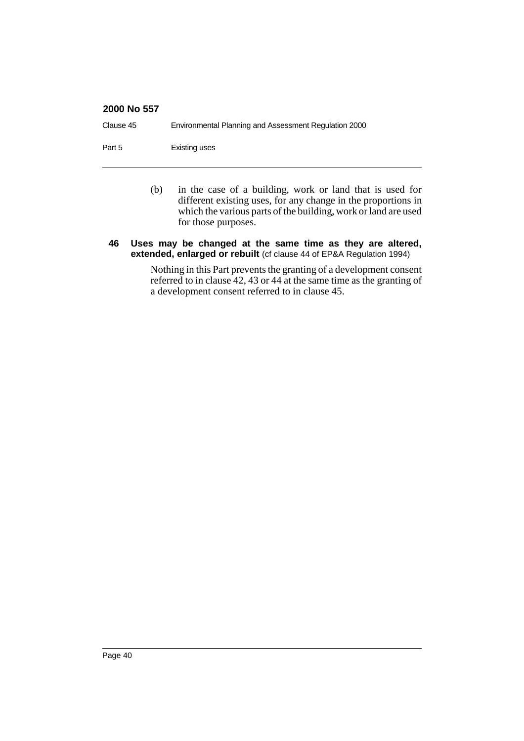| Clause 45 | Environmental Planning and Assessment Regulation 2000 |
|-----------|-------------------------------------------------------|
| Part 5    | Existing uses                                         |

(b) in the case of a building, work or land that is used for different existing uses, for any change in the proportions in which the various parts of the building, work or land are used for those purposes.

#### **46 Uses may be changed at the same time as they are altered, extended, enlarged or rebuilt** (cf clause 44 of EP&A Regulation 1994)

Nothing in this Part prevents the granting of a development consent referred to in clause 42, 43 or 44 at the same time as the granting of a development consent referred to in clause 45.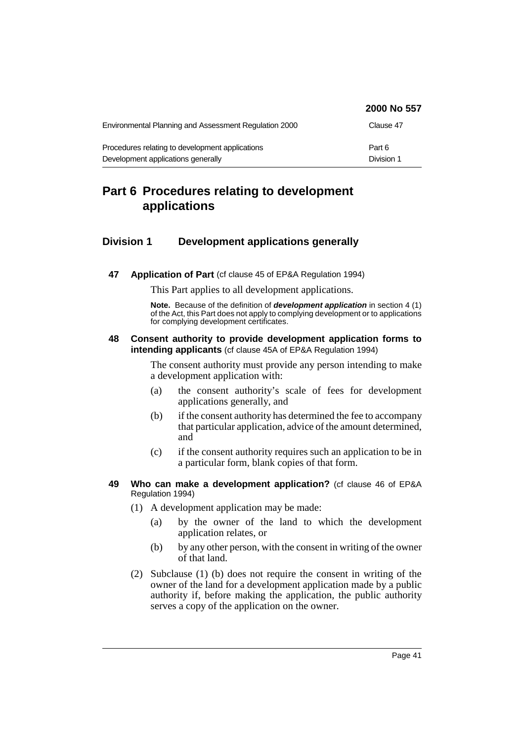|                                                       | 2000 No 557 |
|-------------------------------------------------------|-------------|
| Environmental Planning and Assessment Regulation 2000 | Clause 47   |
| Procedures relating to development applications       | Part 6      |
| Development applications generally                    | Division 1  |

# **Part 6 Procedures relating to development applications**

## **Division 1 Development applications generally**

**47 Application of Part** (cf clause 45 of EP&A Regulation 1994)

This Part applies to all development applications.

**Note.** Because of the definition of **development application** in section 4 (1) of the Act, this Part does not apply to complying development or to applications for complying development certificates.

#### **48 Consent authority to provide development application forms to intending applicants** (cf clause 45A of EP&A Regulation 1994)

The consent authority must provide any person intending to make a development application with:

- (a) the consent authority's scale of fees for development applications generally, and
- (b) if the consent authority has determined the fee to accompany that particular application, advice of the amount determined, and
- (c) if the consent authority requires such an application to be in a particular form, blank copies of that form.
- **49 Who can make a development application?** (cf clause 46 of EP&A Regulation 1994)
	- (1) A development application may be made:
		- (a) by the owner of the land to which the development application relates, or
		- (b) by any other person, with the consent in writing of the owner of that land.
	- (2) Subclause (1) (b) does not require the consent in writing of the owner of the land for a development application made by a public authority if, before making the application, the public authority serves a copy of the application on the owner.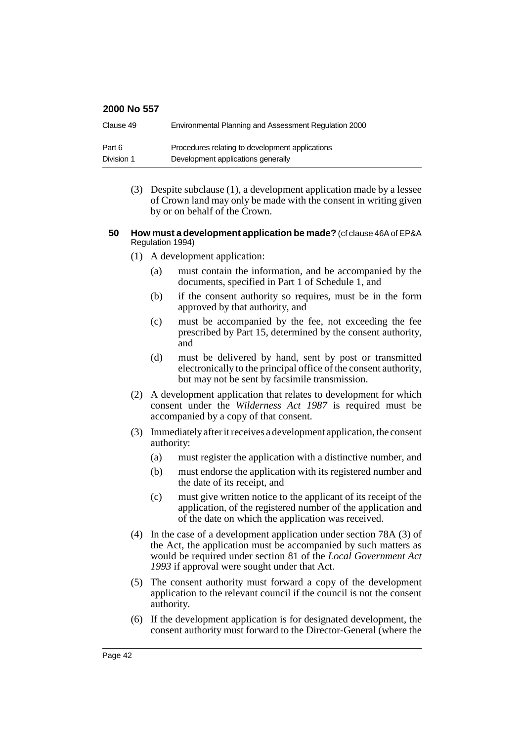| Clause 49  | Environmental Planning and Assessment Regulation 2000 |
|------------|-------------------------------------------------------|
| Part 6     | Procedures relating to development applications       |
| Division 1 | Development applications generally                    |

(3) Despite subclause (1), a development application made by a lessee of Crown land may only be made with the consent in writing given by or on behalf of the Crown.

#### **50 How must a development application be made?** (cf clause 46A of EP&A Regulation 1994)

- (1) A development application:
	- (a) must contain the information, and be accompanied by the documents, specified in Part 1 of Schedule 1, and
	- (b) if the consent authority so requires, must be in the form approved by that authority, and
	- (c) must be accompanied by the fee, not exceeding the fee prescribed by Part 15, determined by the consent authority, and
	- (d) must be delivered by hand, sent by post or transmitted electronically to the principal office of the consent authority, but may not be sent by facsimile transmission.
- (2) A development application that relates to development for which consent under the *Wilderness Act 1987* is required must be accompanied by a copy of that consent.
- (3) Immediately after it receives a development application, the consent authority:
	- (a) must register the application with a distinctive number, and
	- (b) must endorse the application with its registered number and the date of its receipt, and
	- (c) must give written notice to the applicant of its receipt of the application, of the registered number of the application and of the date on which the application was received.
- (4) In the case of a development application under section 78A (3) of the Act, the application must be accompanied by such matters as would be required under section 81 of the *Local Government Act 1993* if approval were sought under that Act.
- (5) The consent authority must forward a copy of the development application to the relevant council if the council is not the consent authority.
- (6) If the development application is for designated development, the consent authority must forward to the Director-General (where the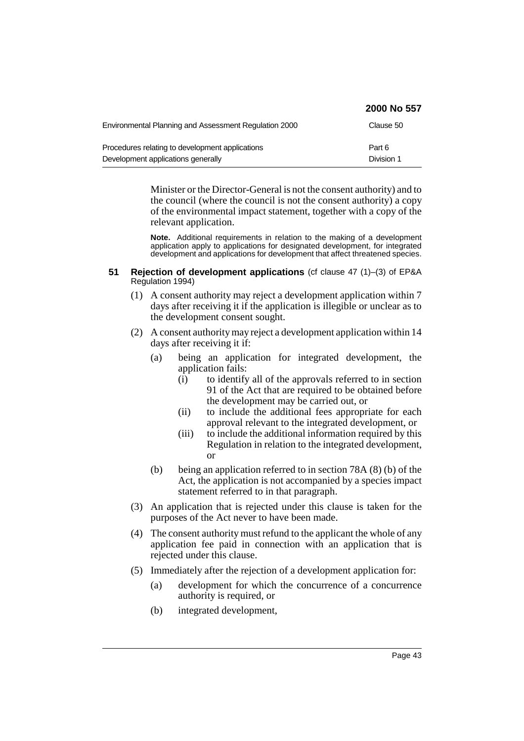|                                                       | 2000 No 557 |
|-------------------------------------------------------|-------------|
| Environmental Planning and Assessment Regulation 2000 | Clause 50   |
| Procedures relating to development applications       | Part 6      |
| Development applications generally                    | Division 1  |

Minister or the Director-General is not the consent authority) and to the council (where the council is not the consent authority) a copy of the environmental impact statement, together with a copy of the relevant application.

**Note.** Additional requirements in relation to the making of a development application apply to applications for designated development, for integrated development and applications for development that affect threatened species.

- **51 Rejection of development applications** (cf clause 47 (1)–(3) of EP&A Regulation 1994)
	- (1) A consent authority may reject a development application within 7 days after receiving it if the application is illegible or unclear as to the development consent sought.
	- (2) A consent authority may reject a development application within 14 days after receiving it if:
		- (a) being an application for integrated development, the application fails:
			- (i) to identify all of the approvals referred to in section 91 of the Act that are required to be obtained before the development may be carried out, or
			- (ii) to include the additional fees appropriate for each approval relevant to the integrated development, or
			- (iii) to include the additional information required by this Regulation in relation to the integrated development, or
		- (b) being an application referred to in section 78A (8) (b) of the Act, the application is not accompanied by a species impact statement referred to in that paragraph.
	- (3) An application that is rejected under this clause is taken for the purposes of the Act never to have been made.
	- (4) The consent authority must refund to the applicant the whole of any application fee paid in connection with an application that is rejected under this clause.
	- (5) Immediately after the rejection of a development application for:
		- (a) development for which the concurrence of a concurrence authority is required, or
		- (b) integrated development,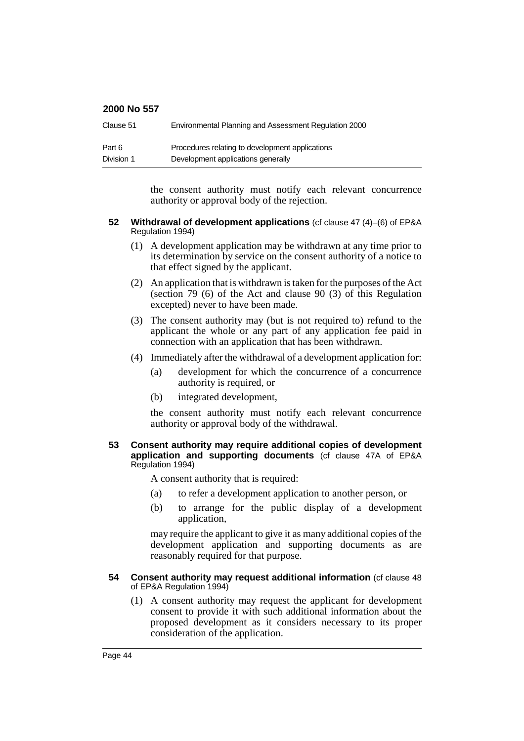| Clause 51  | Environmental Planning and Assessment Regulation 2000 |
|------------|-------------------------------------------------------|
| Part 6     | Procedures relating to development applications       |
| Division 1 | Development applications generally                    |

the consent authority must notify each relevant concurrence authority or approval body of the rejection.

#### **52 Withdrawal of development applications** (cf clause 47 (4)–(6) of EP&A Regulation 1994)

- (1) A development application may be withdrawn at any time prior to its determination by service on the consent authority of a notice to that effect signed by the applicant.
- (2) An application that is withdrawn is taken for the purposes of the Act (section 79 (6) of the Act and clause 90 (3) of this Regulation excepted) never to have been made.
- (3) The consent authority may (but is not required to) refund to the applicant the whole or any part of any application fee paid in connection with an application that has been withdrawn.
- (4) Immediately after the withdrawal of a development application for:
	- (a) development for which the concurrence of a concurrence authority is required, or
	- (b) integrated development,

the consent authority must notify each relevant concurrence authority or approval body of the withdrawal.

#### **53 Consent authority may require additional copies of development application and supporting documents** (cf clause 47A of EP&A Regulation 1994)

A consent authority that is required:

- (a) to refer a development application to another person, or
- (b) to arrange for the public display of a development application,

may require the applicant to give it as many additional copies of the development application and supporting documents as are reasonably required for that purpose.

#### **54 Consent authority may request additional information** (cf clause 48 of EP&A Regulation 1994)

(1) A consent authority may request the applicant for development consent to provide it with such additional information about the proposed development as it considers necessary to its proper consideration of the application.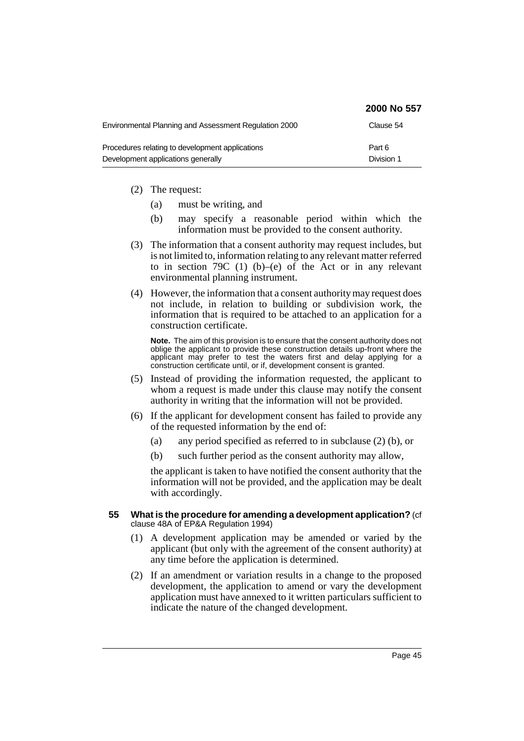|                                                       | 2000 No 557 |
|-------------------------------------------------------|-------------|
| Environmental Planning and Assessment Regulation 2000 | Clause 54   |
| Procedures relating to development applications       | Part 6      |
| Development applications generally                    | Division 1  |

- (2) The request:
	- (a) must be writing, and
	- (b) may specify a reasonable period within which the information must be provided to the consent authority.
- (3) The information that a consent authority may request includes, but is not limited to, information relating to any relevant matter referred to in section 79C (1) (b)–(e) of the Act or in any relevant environmental planning instrument.
- (4) However, the information that a consent authority may request does not include, in relation to building or subdivision work, the information that is required to be attached to an application for a construction certificate.

**Note.** The aim of this provision is to ensure that the consent authority does not oblige the applicant to provide these construction details up-front where the applicant may prefer to test the waters first and delay applying for a construction certificate until, or if, development consent is granted.

- (5) Instead of providing the information requested, the applicant to whom a request is made under this clause may notify the consent authority in writing that the information will not be provided.
- (6) If the applicant for development consent has failed to provide any of the requested information by the end of:
	- (a) any period specified as referred to in subclause (2) (b), or
	- (b) such further period as the consent authority may allow,

the applicant is taken to have notified the consent authority that the information will not be provided, and the application may be dealt with accordingly.

- **55 What is the procedure for amending a development application?** (cf clause 48A of EP&A Regulation 1994)
	- (1) A development application may be amended or varied by the applicant (but only with the agreement of the consent authority) at any time before the application is determined.
	- (2) If an amendment or variation results in a change to the proposed development, the application to amend or vary the development application must have annexed to it written particulars sufficient to indicate the nature of the changed development.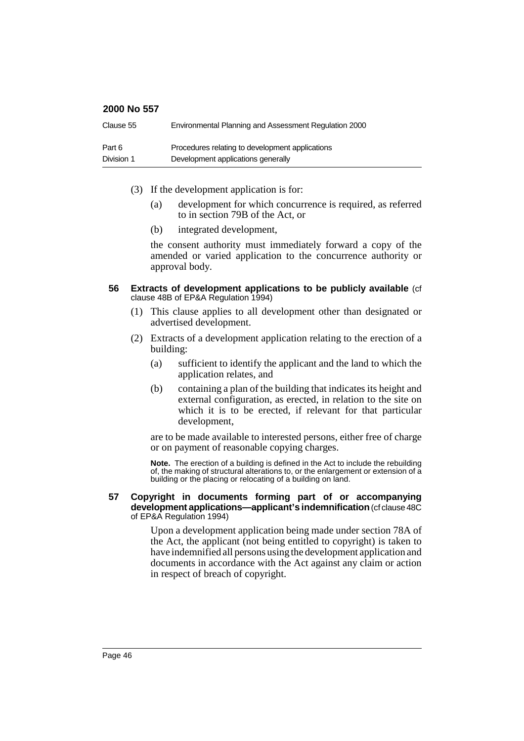| Clause 55  | Environmental Planning and Assessment Regulation 2000 |
|------------|-------------------------------------------------------|
| Part 6     | Procedures relating to development applications       |
| Division 1 | Development applications generally                    |

- (3) If the development application is for:
	- (a) development for which concurrence is required, as referred to in section 79B of the Act, or
	- (b) integrated development,

the consent authority must immediately forward a copy of the amended or varied application to the concurrence authority or approval body.

#### **56 Extracts of development applications to be publicly available** (cf clause 48B of EP&A Regulation 1994)

- (1) This clause applies to all development other than designated or advertised development.
- (2) Extracts of a development application relating to the erection of a building:
	- (a) sufficient to identify the applicant and the land to which the application relates, and
	- (b) containing a plan of the building that indicates its height and external configuration, as erected, in relation to the site on which it is to be erected, if relevant for that particular development,

are to be made available to interested persons, either free of charge or on payment of reasonable copying charges.

**Note.** The erection of a building is defined in the Act to include the rebuilding of, the making of structural alterations to, or the enlargement or extension of a building or the placing or relocating of a building on land.

#### **57 Copyright in documents forming part of or accompanying development applications—applicant's indemnification**(cf clause 48C of EP&A Regulation 1994)

Upon a development application being made under section 78A of the Act, the applicant (not being entitled to copyright) is taken to have indemnified all persons using the development application and documents in accordance with the Act against any claim or action in respect of breach of copyright.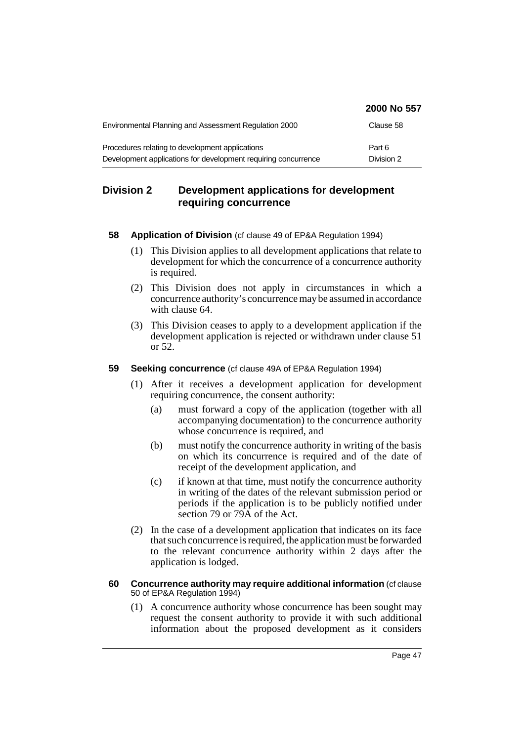|                                                                | 2000 No 557 |
|----------------------------------------------------------------|-------------|
| Environmental Planning and Assessment Regulation 2000          | Clause 58   |
| Procedures relating to development applications                | Part 6      |
| Development applications for development requiring concurrence | Division 2  |

## **Division 2 Development applications for development requiring concurrence**

- **58 Application of Division** (cf clause 49 of EP&A Regulation 1994)
	- (1) This Division applies to all development applications that relate to development for which the concurrence of a concurrence authority is required.
	- (2) This Division does not apply in circumstances in which a concurrence authority's concurrence may be assumed in accordance with clause 64.
	- (3) This Division ceases to apply to a development application if the development application is rejected or withdrawn under clause 51 or 52.

## **59 Seeking concurrence** (cf clause 49A of EP&A Regulation 1994)

- (1) After it receives a development application for development requiring concurrence, the consent authority:
	- (a) must forward a copy of the application (together with all accompanying documentation) to the concurrence authority whose concurrence is required, and
	- (b) must notify the concurrence authority in writing of the basis on which its concurrence is required and of the date of receipt of the development application, and
	- (c) if known at that time, must notify the concurrence authority in writing of the dates of the relevant submission period or periods if the application is to be publicly notified under section 79 or 79A of the Act.
- (2) In the case of a development application that indicates on its face that such concurrence is required, the application must be forwarded to the relevant concurrence authority within 2 days after the application is lodged.
- **60 Concurrence authority may require additional information** (cf clause 50 of EP&A Regulation 1994)
	- (1) A concurrence authority whose concurrence has been sought may request the consent authority to provide it with such additional information about the proposed development as it considers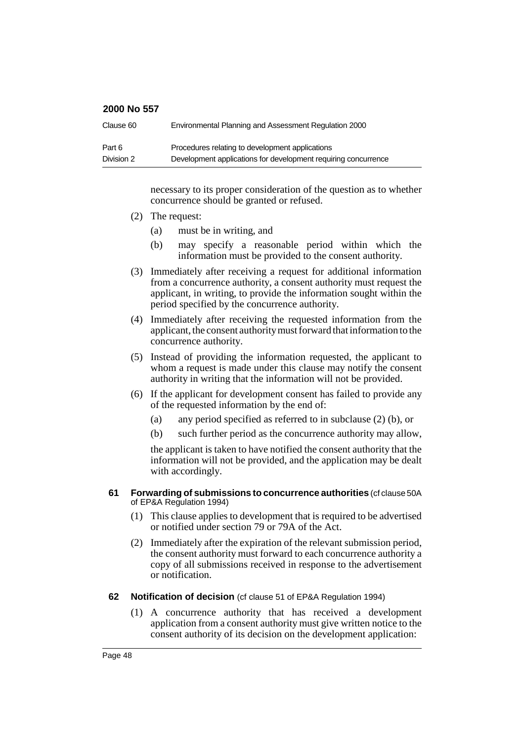| Clause 60  | Environmental Planning and Assessment Regulation 2000          |
|------------|----------------------------------------------------------------|
| Part 6     | Procedures relating to development applications                |
| Division 2 | Development applications for development requiring concurrence |

necessary to its proper consideration of the question as to whether concurrence should be granted or refused.

- (2) The request:
	- (a) must be in writing, and
	- (b) may specify a reasonable period within which the information must be provided to the consent authority.
- (3) Immediately after receiving a request for additional information from a concurrence authority, a consent authority must request the applicant, in writing, to provide the information sought within the period specified by the concurrence authority.
- (4) Immediately after receiving the requested information from the applicant, the consent authority must forward that information to the concurrence authority.
- (5) Instead of providing the information requested, the applicant to whom a request is made under this clause may notify the consent authority in writing that the information will not be provided.
- (6) If the applicant for development consent has failed to provide any of the requested information by the end of:
	- (a) any period specified as referred to in subclause (2) (b), or
	- (b) such further period as the concurrence authority may allow,

the applicant is taken to have notified the consent authority that the information will not be provided, and the application may be dealt with accordingly.

#### **61 Forwarding of submissions to concurrence authorities** (cf clause 50A of EP&A Regulation 1994)

- (1) This clause applies to development that is required to be advertised or notified under section 79 or 79A of the Act.
- (2) Immediately after the expiration of the relevant submission period, the consent authority must forward to each concurrence authority a copy of all submissions received in response to the advertisement or notification.
- **62 Notification of decision** (cf clause 51 of EP&A Regulation 1994)
	- (1) A concurrence authority that has received a development application from a consent authority must give written notice to the consent authority of its decision on the development application: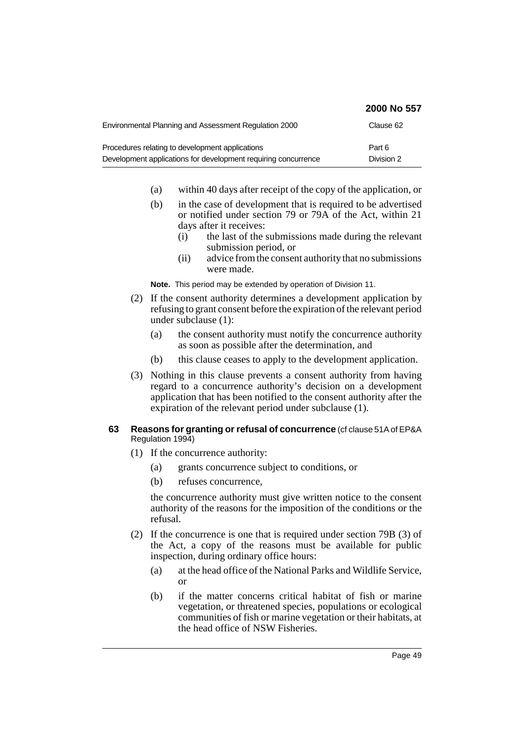|                                                                                                                   | 2000 No 557          |
|-------------------------------------------------------------------------------------------------------------------|----------------------|
| Environmental Planning and Assessment Regulation 2000                                                             | Clause 62            |
| Procedures relating to development applications<br>Development applications for development requiring concurrence | Part 6<br>Division 2 |

- (a) within 40 days after receipt of the copy of the application, or
- (b) in the case of development that is required to be advertised or notified under section 79 or 79A of the Act, within 21 days after it receives:
	- (i) the last of the submissions made during the relevant submission period, or
	- (ii) advice from the consent authority that no submissions were made.

**Note.** This period may be extended by operation of Division 11.

- (2) If the consent authority determines a development application by refusing to grant consent before the expiration of the relevant period under subclause (1):
	- (a) the consent authority must notify the concurrence authority as soon as possible after the determination, and
	- (b) this clause ceases to apply to the development application.
- (3) Nothing in this clause prevents a consent authority from having regard to a concurrence authority's decision on a development application that has been notified to the consent authority after the expiration of the relevant period under subclause (1).

### **63 Reasons for granting or refusal of concurrence** (cf clause 51A of EP&A Regulation 1994)

- (1) If the concurrence authority:
	- (a) grants concurrence subject to conditions, or
	- (b) refuses concurrence,

the concurrence authority must give written notice to the consent authority of the reasons for the imposition of the conditions or the refusal.

- (2) If the concurrence is one that is required under section 79B (3) of the Act, a copy of the reasons must be available for public inspection, during ordinary office hours:
	- (a) at the head office of the National Parks and Wildlife Service, or
	- (b) if the matter concerns critical habitat of fish or marine vegetation, or threatened species, populations or ecological communities of fish or marine vegetation or their habitats, at the head office of NSW Fisheries.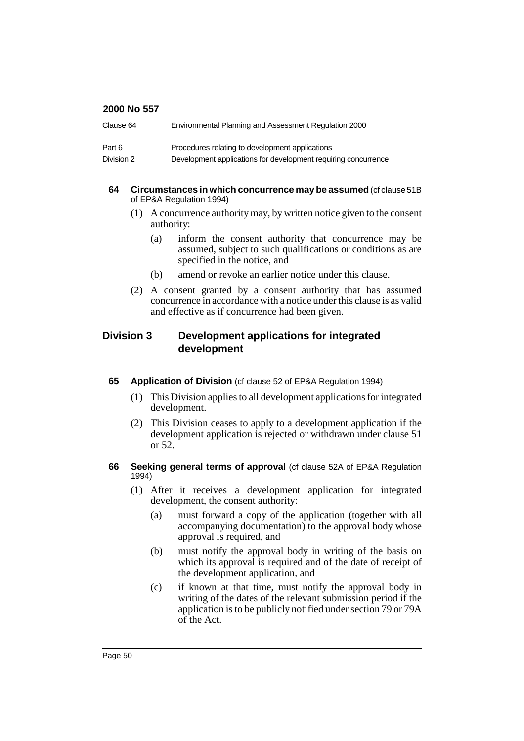| Clause 64  | Environmental Planning and Assessment Regulation 2000          |
|------------|----------------------------------------------------------------|
| Part 6     | Procedures relating to development applications                |
| Division 2 | Development applications for development requiring concurrence |

#### **64** Circumstances in which concurrence may be assumed (cf clause 51B) of EP&A Regulation 1994)

- (1) A concurrence authority may, by written notice given to the consent authority:
	- (a) inform the consent authority that concurrence may be assumed, subject to such qualifications or conditions as are specified in the notice, and
	- (b) amend or revoke an earlier notice under this clause.
- (2) A consent granted by a consent authority that has assumed concurrence in accordance with a notice under this clause is as valid and effective as if concurrence had been given.

## **Division 3 Development applications for integrated development**

## **65 Application of Division** (cf clause 52 of EP&A Regulation 1994)

- (1) This Division applies to all development applications for integrated development.
- (2) This Division ceases to apply to a development application if the development application is rejected or withdrawn under clause 51 or 52.
- **66 Seeking general terms of approval** (cf clause 52A of EP&A Regulation 1994)
	- (1) After it receives a development application for integrated development, the consent authority:
		- (a) must forward a copy of the application (together with all accompanying documentation) to the approval body whose approval is required, and
		- (b) must notify the approval body in writing of the basis on which its approval is required and of the date of receipt of the development application, and
		- (c) if known at that time, must notify the approval body in writing of the dates of the relevant submission period if the application is to be publicly notified under section 79 or 79A of the Act.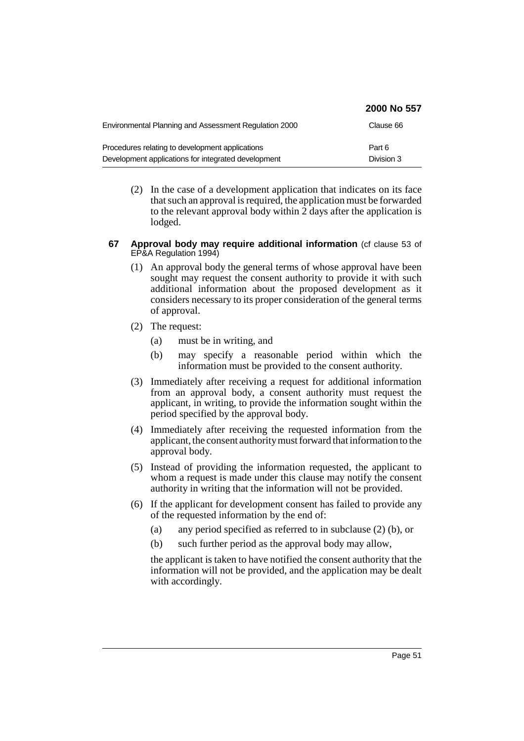|                                                       | 2000 No 557 |
|-------------------------------------------------------|-------------|
| Environmental Planning and Assessment Regulation 2000 | Clause 66   |
| Procedures relating to development applications       | Part 6      |
| Development applications for integrated development   | Division 3  |

- (2) In the case of a development application that indicates on its face that such an approval is required, the application must be forwarded to the relevant approval body within 2 days after the application is lodged.
- **67 Approval body may require additional information** (cf clause 53 of EP&A Regulation 1994)
	- (1) An approval body the general terms of whose approval have been sought may request the consent authority to provide it with such additional information about the proposed development as it considers necessary to its proper consideration of the general terms of approval.
	- (2) The request:
		- (a) must be in writing, and
		- (b) may specify a reasonable period within which the information must be provided to the consent authority.
	- (3) Immediately after receiving a request for additional information from an approval body, a consent authority must request the applicant, in writing, to provide the information sought within the period specified by the approval body.
	- (4) Immediately after receiving the requested information from the applicant, the consent authority must forward that information to the approval body.
	- (5) Instead of providing the information requested, the applicant to whom a request is made under this clause may notify the consent authority in writing that the information will not be provided.
	- (6) If the applicant for development consent has failed to provide any of the requested information by the end of:
		- (a) any period specified as referred to in subclause (2) (b), or
		- (b) such further period as the approval body may allow,

the applicant is taken to have notified the consent authority that the information will not be provided, and the application may be dealt with accordingly.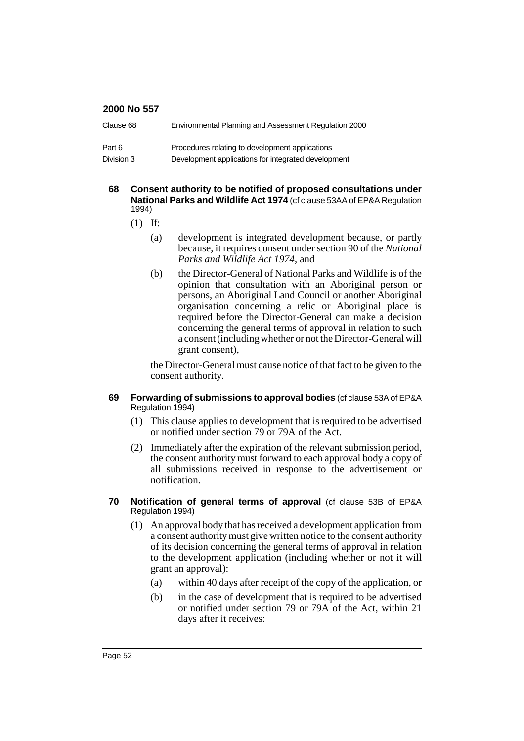| Clause 68  | Environmental Planning and Assessment Regulation 2000 |
|------------|-------------------------------------------------------|
| Part 6     | Procedures relating to development applications       |
| Division 3 | Development applications for integrated development   |

#### **68 Consent authority to be notified of proposed consultations under National Parks and Wildlife Act 1974** (cf clause 53AA of EP&A Regulation 1994)

- (1) If:
	- (a) development is integrated development because, or partly because, it requires consent under section 90 of the *National Parks and Wildlife Act 1974*, and
	- (b) the Director-General of National Parks and Wildlife is of the opinion that consultation with an Aboriginal person or persons, an Aboriginal Land Council or another Aboriginal organisation concerning a relic or Aboriginal place is required before the Director-General can make a decision concerning the general terms of approval in relation to such a consent (including whether or not the Director-General will grant consent),

the Director-General must cause notice of that fact to be given to the consent authority.

#### **69 Forwarding of submissions to approval bodies** (cf clause 53A of EP&A Regulation 1994)

- (1) This clause applies to development that is required to be advertised or notified under section 79 or 79A of the Act.
- (2) Immediately after the expiration of the relevant submission period, the consent authority must forward to each approval body a copy of all submissions received in response to the advertisement or notification.
- **70 Notification of general terms of approval** (cf clause 53B of EP&A Regulation 1994)
	- (1) An approval body that has received a development application from a consent authority must give written notice to the consent authority of its decision concerning the general terms of approval in relation to the development application (including whether or not it will grant an approval):
		- (a) within 40 days after receipt of the copy of the application, or
		- (b) in the case of development that is required to be advertised or notified under section 79 or 79A of the Act, within 21 days after it receives: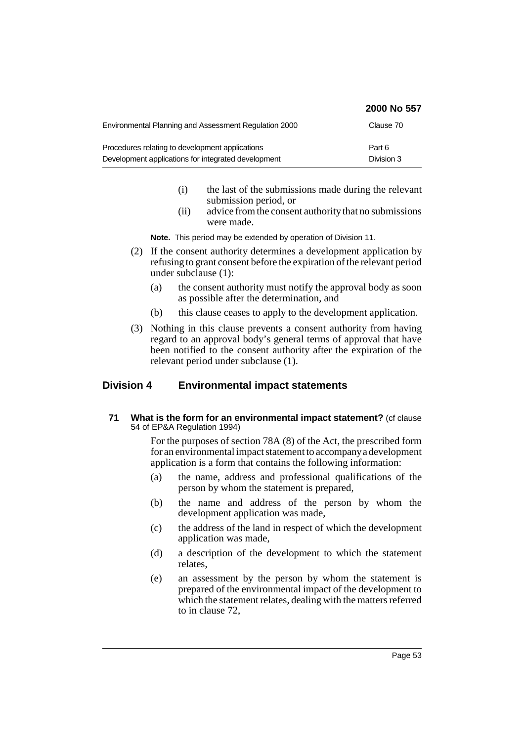|                                                                                                        | 2000 No 557          |
|--------------------------------------------------------------------------------------------------------|----------------------|
| Environmental Planning and Assessment Regulation 2000                                                  | Clause 70            |
| Procedures relating to development applications<br>Development applications for integrated development | Part 6<br>Division 3 |

- (i) the last of the submissions made during the relevant submission period, or
- (ii) advice from the consent authority that no submissions were made.

**Note.** This period may be extended by operation of Division 11.

- (2) If the consent authority determines a development application by refusing to grant consent before the expiration of the relevant period under subclause (1):
	- (a) the consent authority must notify the approval body as soon as possible after the determination, and
	- (b) this clause ceases to apply to the development application.
- (3) Nothing in this clause prevents a consent authority from having regard to an approval body's general terms of approval that have been notified to the consent authority after the expiration of the relevant period under subclause (1).

## **Division 4 Environmental impact statements**

**71 What is the form for an environmental impact statement?** (cf clause 54 of EP&A Regulation 1994)

> For the purposes of section 78A (8) of the Act, the prescribed form for an environmental impact statement to accompany a development application is a form that contains the following information:

- (a) the name, address and professional qualifications of the person by whom the statement is prepared,
- (b) the name and address of the person by whom the development application was made,
- (c) the address of the land in respect of which the development application was made,
- (d) a description of the development to which the statement relates,
- (e) an assessment by the person by whom the statement is prepared of the environmental impact of the development to which the statement relates, dealing with the matters referred to in clause 72,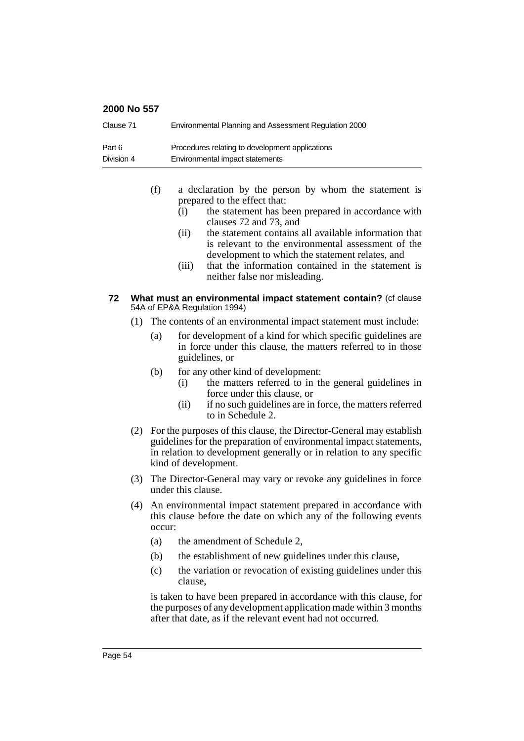| Clause 71  | Environmental Planning and Assessment Regulation 2000 |
|------------|-------------------------------------------------------|
| Part 6     | Procedures relating to development applications       |
| Division 4 | Environmental impact statements                       |

- (f) a declaration by the person by whom the statement is prepared to the effect that:
	- $(i)$  the statement has been prepared in accordance with clauses 72 and 73, and
	- (ii) the statement contains all available information that is relevant to the environmental assessment of the development to which the statement relates, and
	- (iii) that the information contained in the statement is neither false nor misleading.

#### **72 What must an environmental impact statement contain?** (cf clause 54A of EP&A Regulation 1994)

- (1) The contents of an environmental impact statement must include:
	- (a) for development of a kind for which specific guidelines are in force under this clause, the matters referred to in those guidelines, or
	- (b) for any other kind of development:
		- (i) the matters referred to in the general guidelines in force under this clause, or
		- (ii) if no such guidelines are in force, the matters referred to in Schedule 2.
- (2) For the purposes of this clause, the Director-General may establish guidelines for the preparation of environmental impact statements, in relation to development generally or in relation to any specific kind of development.
- (3) The Director-General may vary or revoke any guidelines in force under this clause.
- (4) An environmental impact statement prepared in accordance with this clause before the date on which any of the following events occur:
	- (a) the amendment of Schedule 2,
	- (b) the establishment of new guidelines under this clause,
	- (c) the variation or revocation of existing guidelines under this clause,

is taken to have been prepared in accordance with this clause, for the purposes of any development application made within 3 months after that date, as if the relevant event had not occurred.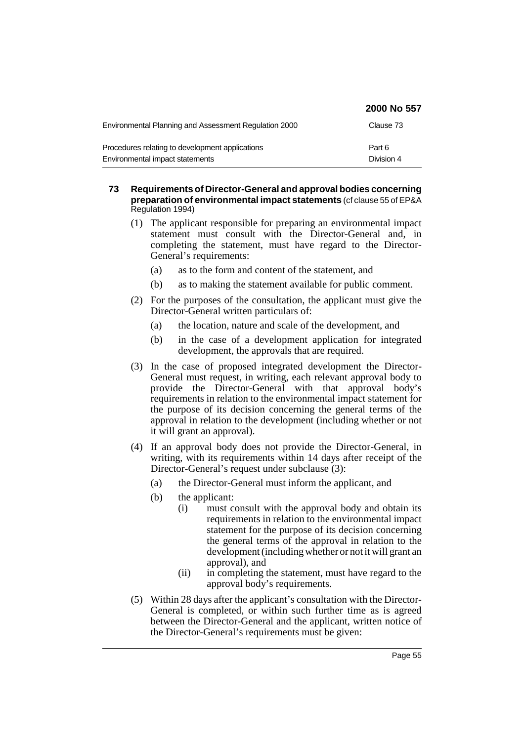|                                                                                    | 2000 No 557          |
|------------------------------------------------------------------------------------|----------------------|
| Environmental Planning and Assessment Regulation 2000                              | Clause 73            |
| Procedures relating to development applications<br>Environmental impact statements | Part 6<br>Division 4 |

#### **73 Requirements of Director-General and approval bodies concerning preparation of environmental impact statements** (cf clause 55 of EP&A Regulation 1994)

- (1) The applicant responsible for preparing an environmental impact statement must consult with the Director-General and, in completing the statement, must have regard to the Director-General's requirements:
	- (a) as to the form and content of the statement, and
	- (b) as to making the statement available for public comment.
- (2) For the purposes of the consultation, the applicant must give the Director-General written particulars of:
	- (a) the location, nature and scale of the development, and
	- (b) in the case of a development application for integrated development, the approvals that are required.
- (3) In the case of proposed integrated development the Director-General must request, in writing, each relevant approval body to provide the Director-General with that approval body's requirements in relation to the environmental impact statement for the purpose of its decision concerning the general terms of the approval in relation to the development (including whether or not it will grant an approval).
- (4) If an approval body does not provide the Director-General, in writing, with its requirements within 14 days after receipt of the Director-General's request under subclause (3):
	- (a) the Director-General must inform the applicant, and
	- (b) the applicant:
		- (i) must consult with the approval body and obtain its requirements in relation to the environmental impact statement for the purpose of its decision concerning the general terms of the approval in relation to the development (including whether or not it will grant an approval), and
		- (ii) in completing the statement, must have regard to the approval body's requirements.
- (5) Within 28 days after the applicant's consultation with the Director-General is completed, or within such further time as is agreed between the Director-General and the applicant, written notice of the Director-General's requirements must be given: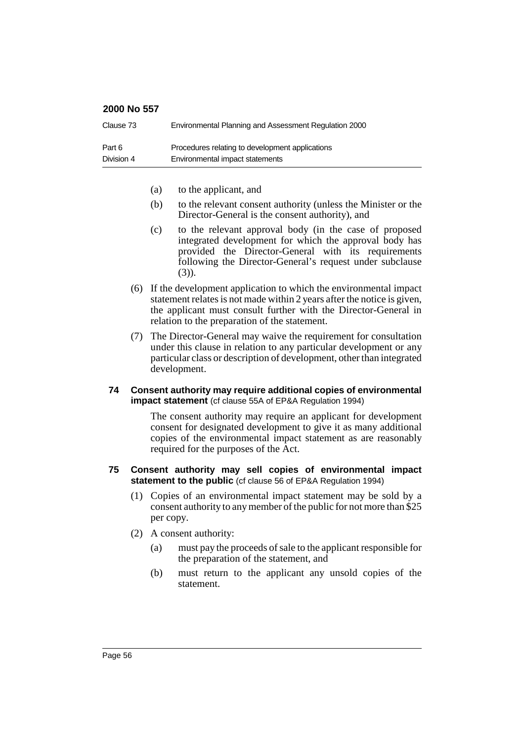| Clause 73  | Environmental Planning and Assessment Regulation 2000 |
|------------|-------------------------------------------------------|
| Part 6     | Procedures relating to development applications       |
| Division 4 | Environmental impact statements                       |

- (a) to the applicant, and
- (b) to the relevant consent authority (unless the Minister or the Director-General is the consent authority), and
- (c) to the relevant approval body (in the case of proposed integrated development for which the approval body has provided the Director-General with its requirements following the Director-General's request under subclause (3)).
- (6) If the development application to which the environmental impact statement relates is not made within 2 years after the notice is given, the applicant must consult further with the Director-General in relation to the preparation of the statement.
- (7) The Director-General may waive the requirement for consultation under this clause in relation to any particular development or any particular class or description of development, other than integrated development.
- **74 Consent authority may require additional copies of environmental impact statement** (cf clause 55A of EP&A Regulation 1994)

The consent authority may require an applicant for development consent for designated development to give it as many additional copies of the environmental impact statement as are reasonably required for the purposes of the Act.

#### **75 Consent authority may sell copies of environmental impact statement to the public** (cf clause 56 of EP&A Regulation 1994)

- (1) Copies of an environmental impact statement may be sold by a consent authority to any member of the public for not more than \$25 per copy.
- (2) A consent authority:
	- (a) must pay the proceeds of sale to the applicant responsible for the preparation of the statement, and
	- (b) must return to the applicant any unsold copies of the statement.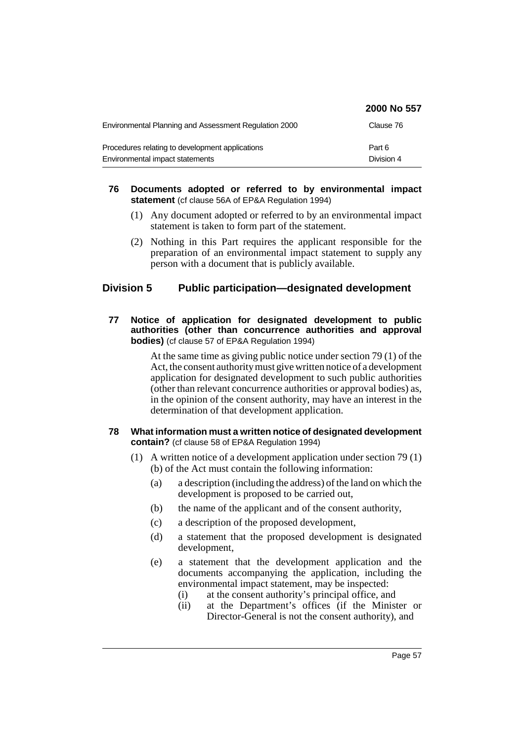|                                                       | 2000 No 557 |
|-------------------------------------------------------|-------------|
| Environmental Planning and Assessment Regulation 2000 | Clause 76   |
| Procedures relating to development applications       | Part 6      |
| Environmental impact statements                       | Division 4  |

### **76 Documents adopted or referred to by environmental impact statement** (cf clause 56A of EP&A Regulation 1994)

- (1) Any document adopted or referred to by an environmental impact statement is taken to form part of the statement.
- (2) Nothing in this Part requires the applicant responsible for the preparation of an environmental impact statement to supply any person with a document that is publicly available.

## **Division 5 Public participation—designated development**

**77 Notice of application for designated development to public authorities (other than concurrence authorities and approval bodies)** (cf clause 57 of EP&A Regulation 1994)

> At the same time as giving public notice under section 79 (1) of the Act, the consent authority must give written notice of a development application for designated development to such public authorities (other than relevant concurrence authorities or approval bodies) as, in the opinion of the consent authority, may have an interest in the determination of that development application.

### **78 What information must a written notice of designated development contain?** (cf clause 58 of EP&A Regulation 1994)

- (1) A written notice of a development application under section 79 (1) (b) of the Act must contain the following information:
	- (a) a description (including the address) of the land on which the development is proposed to be carried out,
	- (b) the name of the applicant and of the consent authority,
	- (c) a description of the proposed development,
	- (d) a statement that the proposed development is designated development,
	- (e) a statement that the development application and the documents accompanying the application, including the environmental impact statement, may be inspected:
		- (i) at the consent authority's principal office, and
		- (ii) at the Department's offices (if the Minister or Director-General is not the consent authority), and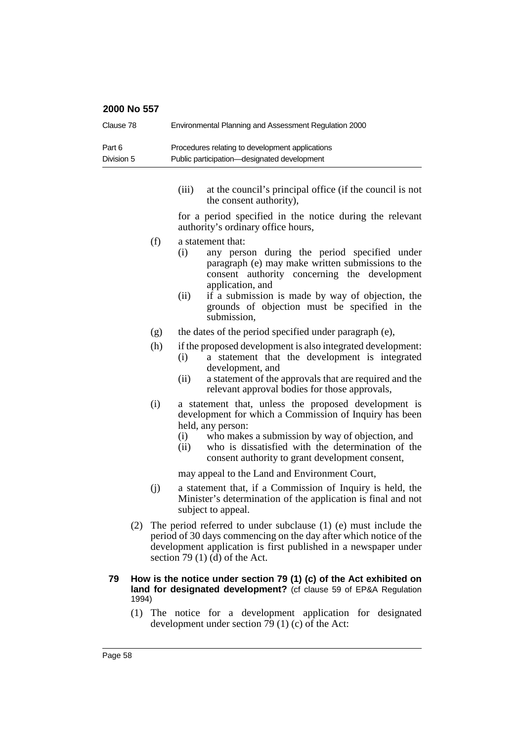| Clause 78  | Environmental Planning and Assessment Regulation 2000 |
|------------|-------------------------------------------------------|
| Part 6     | Procedures relating to development applications       |
| Division 5 | Public participation—designated development           |

(iii) at the council's principal office (if the council is not the consent authority),

for a period specified in the notice during the relevant authority's ordinary office hours,

- (f) a statement that:
	- (i) any person during the period specified under paragraph (e) may make written submissions to the consent authority concerning the development application, and
	- (ii) if a submission is made by way of objection, the grounds of objection must be specified in the submission,
- (g) the dates of the period specified under paragraph (e),
- (h) if the proposed development is also integrated development:
	- (i) a statement that the development is integrated development, and
	- (ii) a statement of the approvals that are required and the relevant approval bodies for those approvals,
- (i) a statement that, unless the proposed development is development for which a Commission of Inquiry has been held, any person:
	- (i) who makes a submission by way of objection, and
	- (ii) who is dissatisfied with the determination of the consent authority to grant development consent,

may appeal to the Land and Environment Court,

- (j) a statement that, if a Commission of Inquiry is held, the Minister's determination of the application is final and not subject to appeal.
- (2) The period referred to under subclause (1) (e) must include the period of 30 days commencing on the day after which notice of the development application is first published in a newspaper under section 79 (1)  $(d)$  of the Act.
- **79 How is the notice under section 79 (1) (c) of the Act exhibited on land for designated development?** (cf clause 59 of EP&A Regulation 1994)
	- (1) The notice for a development application for designated development under section  $79(1)(c)$  of the Act: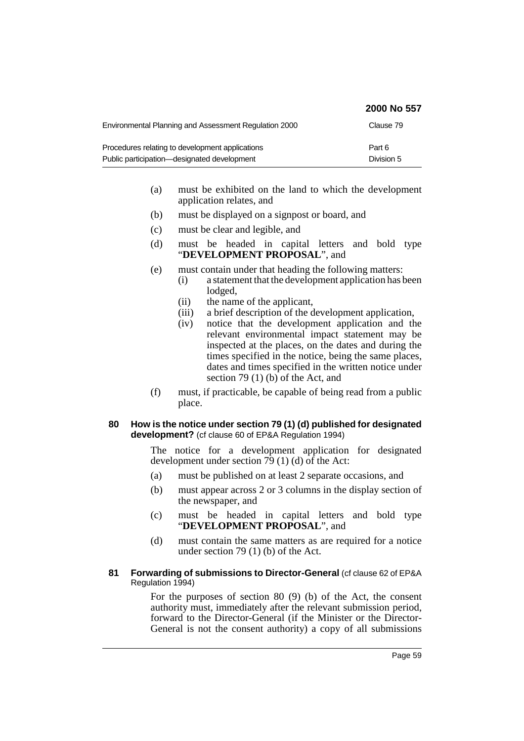|                                                                                                | 2000 No 557          |
|------------------------------------------------------------------------------------------------|----------------------|
| Environmental Planning and Assessment Regulation 2000                                          | Clause 79            |
| Procedures relating to development applications<br>Public participation—designated development | Part 6<br>Division 5 |

- (a) must be exhibited on the land to which the development application relates, and
- (b) must be displayed on a signpost or board, and
- (c) must be clear and legible, and
- (d) must be headed in capital letters and bold type "**DEVELOPMENT PROPOSAL**", and
- (e) must contain under that heading the following matters:
	- (i) a statement that the development application has been lodged,
	- (ii) the name of the applicant,
	- (iii) a brief description of the development application,
	- (iv) notice that the development application and the relevant environmental impact statement may be inspected at the places, on the dates and during the times specified in the notice, being the same places, dates and times specified in the written notice under section 79 $(1)$  (b) of the Act, and
- (f) must, if practicable, be capable of being read from a public place.

## **80 How is the notice under section 79 (1) (d) published for designated development?** (cf clause 60 of EP&A Regulation 1994)

The notice for a development application for designated development under section  $\overline{79}$  (1) (d) of the Act:

- (a) must be published on at least 2 separate occasions, and
- (b) must appear across 2 or 3 columns in the display section of the newspaper, and
- (c) must be headed in capital letters and bold type "**DEVELOPMENT PROPOSAL**", and
- (d) must contain the same matters as are required for a notice under section 79 (1) (b) of the Act.

### **81 Forwarding of submissions to Director-General** (cf clause 62 of EP&A Regulation 1994)

For the purposes of section 80 (9) (b) of the Act, the consent authority must, immediately after the relevant submission period, forward to the Director-General (if the Minister or the Director-General is not the consent authority) a copy of all submissions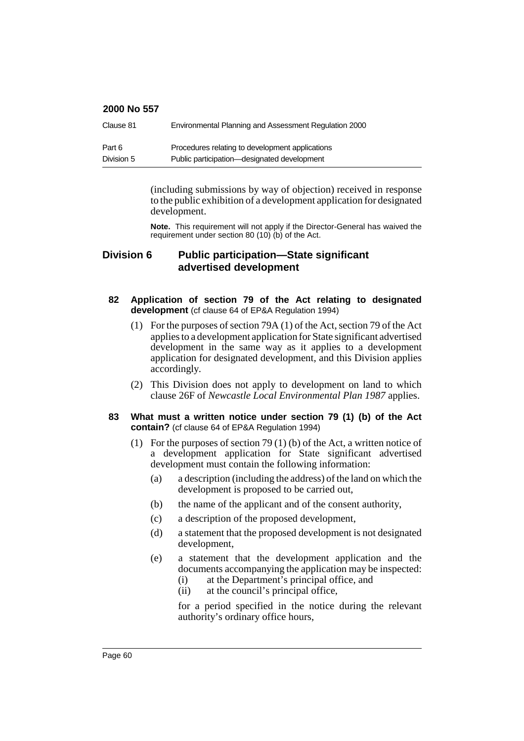| Clause 81  | Environmental Planning and Assessment Regulation 2000 |
|------------|-------------------------------------------------------|
| Part 6     | Procedures relating to development applications       |
| Division 5 | Public participation—designated development           |

(including submissions by way of objection) received in response to the public exhibition of a development application for designated development.

**Note.** This requirement will not apply if the Director-General has waived the requirement under section 80 (10) (b) of the Act.

## **Division 6 Public participation—State significant advertised development**

### **82 Application of section 79 of the Act relating to designated development** (cf clause 64 of EP&A Regulation 1994)

- (1) For the purposes of section 79A (1) of the Act, section 79 of the Act applies to a development application for State significant advertised development in the same way as it applies to a development application for designated development, and this Division applies accordingly.
- (2) This Division does not apply to development on land to which clause 26F of *Newcastle Local Environmental Plan 1987* applies.

#### **83 What must a written notice under section 79 (1) (b) of the Act contain?** (cf clause 64 of EP&A Regulation 1994)

- (1) For the purposes of section 79 (1) (b) of the Act, a written notice of a development application for State significant advertised development must contain the following information:
	- (a) a description (including the address) of the land on which the development is proposed to be carried out,
	- (b) the name of the applicant and of the consent authority,
	- (c) a description of the proposed development,
	- (d) a statement that the proposed development is not designated development,
	- (e) a statement that the development application and the documents accompanying the application may be inspected:
		- (i) at the Department's principal office, and
		- (ii) at the council's principal office,

for a period specified in the notice during the relevant authority's ordinary office hours,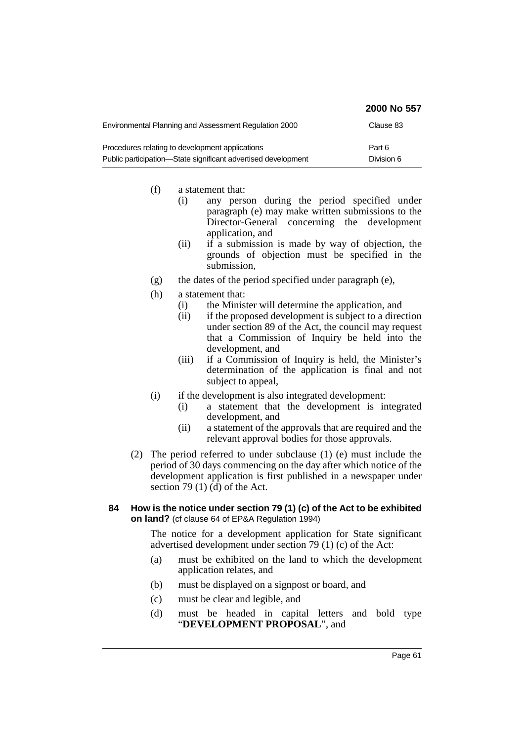|                                                               | 2000 No 557 |
|---------------------------------------------------------------|-------------|
| Environmental Planning and Assessment Regulation 2000         | Clause 83   |
| Procedures relating to development applications               | Part 6      |
| Public participation—State significant advertised development | Division 6  |

- (f) a statement that:
	- (i) any person during the period specified under paragraph (e) may make written submissions to the Director-General concerning the development application, and
	- (ii) if a submission is made by way of objection, the grounds of objection must be specified in the submission,
- (g) the dates of the period specified under paragraph (e),
- (h) a statement that:
	- (i) the Minister will determine the application, and
	- (ii) if the proposed development is subject to a direction under section 89 of the Act, the council may request that a Commission of Inquiry be held into the development, and
	- (iii) if a Commission of Inquiry is held, the Minister's determination of the application is final and not subject to appeal,
- (i) if the development is also integrated development:
	- (i) a statement that the development is integrated development, and
	- (ii) a statement of the approvals that are required and the relevant approval bodies for those approvals.
- (2) The period referred to under subclause (1) (e) must include the period of 30 days commencing on the day after which notice of the development application is first published in a newspaper under section 79 (1) (d) of the Act.

### **84 How is the notice under section 79 (1) (c) of the Act to be exhibited on land?** (cf clause 64 of EP&A Regulation 1994)

The notice for a development application for State significant advertised development under section 79 (1) (c) of the Act:

- (a) must be exhibited on the land to which the development application relates, and
- (b) must be displayed on a signpost or board, and
- (c) must be clear and legible, and
- (d) must be headed in capital letters and bold type "**DEVELOPMENT PROPOSAL**", and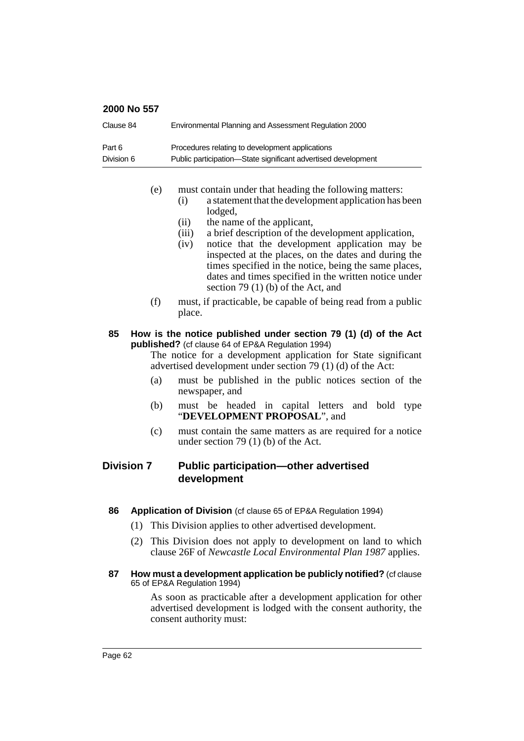| Clause 84  | Environmental Planning and Assessment Regulation 2000         |
|------------|---------------------------------------------------------------|
| Part 6     | Procedures relating to development applications               |
| Division 6 | Public participation—State significant advertised development |

- (e) must contain under that heading the following matters:
	- (i) a statement that the development application has been lodged,
	- (ii) the name of the applicant,
	- (iii) a brief description of the development application,
	- (iv) notice that the development application may be inspected at the places, on the dates and during the times specified in the notice, being the same places, dates and times specified in the written notice under section 79 $(1)$  (b) of the Act, and
- (f) must, if practicable, be capable of being read from a public place.

### **85 How is the notice published under section 79 (1) (d) of the Act published?** (cf clause 64 of EP&A Regulation 1994)

The notice for a development application for State significant advertised development under section 79 (1) (d) of the Act:

- (a) must be published in the public notices section of the newspaper, and
- (b) must be headed in capital letters and bold type "**DEVELOPMENT PROPOSAL**", and
- (c) must contain the same matters as are required for a notice under section 79 (1) (b) of the Act.

## **Division 7 Public participation—other advertised development**

- **86 Application of Division** (cf clause 65 of EP&A Regulation 1994)
	- (1) This Division applies to other advertised development.
	- (2) This Division does not apply to development on land to which clause 26F of *Newcastle Local Environmental Plan 1987* applies.
- **87 How must a development application be publicly notified?** (cf clause 65 of EP&A Regulation 1994)

As soon as practicable after a development application for other advertised development is lodged with the consent authority, the consent authority must: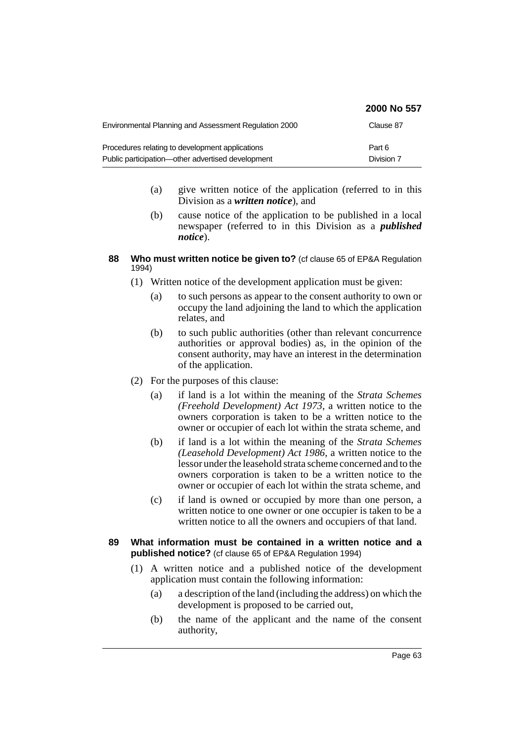|                                                       | 2000 No 557 |
|-------------------------------------------------------|-------------|
| Environmental Planning and Assessment Regulation 2000 | Clause 87   |
| Procedures relating to development applications       | Part 6      |
| Public participation—other advertised development     | Division 7  |

- (a) give written notice of the application (referred to in this Division as a *written notice*), and
- (b) cause notice of the application to be published in a local newspaper (referred to in this Division as a *published notice*).

#### **88 Who must written notice be given to?** (cf clause 65 of EP&A Regulation 1994)

- (1) Written notice of the development application must be given:
	- (a) to such persons as appear to the consent authority to own or occupy the land adjoining the land to which the application relates, and
	- (b) to such public authorities (other than relevant concurrence authorities or approval bodies) as, in the opinion of the consent authority, may have an interest in the determination of the application.
- (2) For the purposes of this clause:
	- (a) if land is a lot within the meaning of the *Strata Schemes (Freehold Development) Act 1973*, a written notice to the owners corporation is taken to be a written notice to the owner or occupier of each lot within the strata scheme, and
	- (b) if land is a lot within the meaning of the *Strata Schemes (Leasehold Development) Act 1986*, a written notice to the lessor under the leasehold strata scheme concerned and to the owners corporation is taken to be a written notice to the owner or occupier of each lot within the strata scheme, and
	- (c) if land is owned or occupied by more than one person, a written notice to one owner or one occupier is taken to be a written notice to all the owners and occupiers of that land.
- **89 What information must be contained in a written notice and a published notice?** (cf clause 65 of EP&A Regulation 1994)
	- (1) A written notice and a published notice of the development application must contain the following information:
		- (a) a description of the land (including the address) on which the development is proposed to be carried out,
		- (b) the name of the applicant and the name of the consent authority,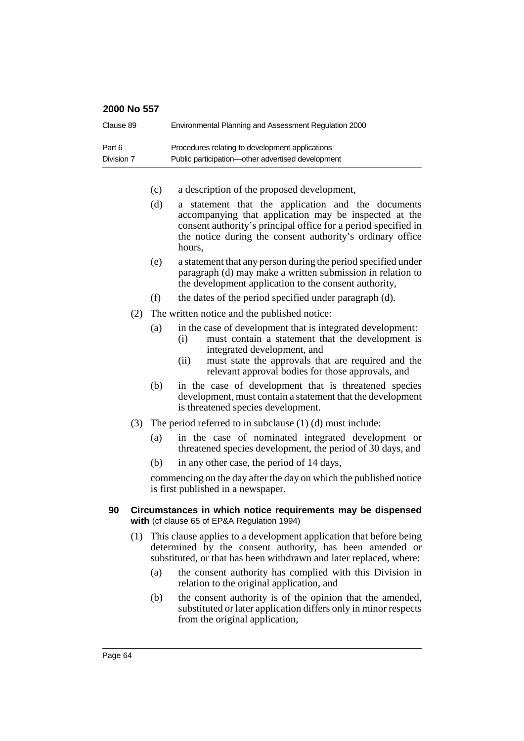| Clause 89  | Environmental Planning and Assessment Regulation 2000 |
|------------|-------------------------------------------------------|
| Part 6     | Procedures relating to development applications       |
| Division 7 | Public participation—other advertised development     |

- (c) a description of the proposed development,
- (d) a statement that the application and the documents accompanying that application may be inspected at the consent authority's principal office for a period specified in the notice during the consent authority's ordinary office hours,
- (e) a statement that any person during the period specified under paragraph (d) may make a written submission in relation to the development application to the consent authority,
- (f) the dates of the period specified under paragraph (d).
- (2) The written notice and the published notice:
	- (a) in the case of development that is integrated development:
		- (i) must contain a statement that the development is integrated development, and
		- (ii) must state the approvals that are required and the relevant approval bodies for those approvals, and
	- (b) in the case of development that is threatened species development, must contain a statement that the development is threatened species development.
- (3) The period referred to in subclause (1) (d) must include:
	- (a) in the case of nominated integrated development or threatened species development, the period of 30 days, and
	- (b) in any other case, the period of 14 days,

commencing on the day after the day on which the published notice is first published in a newspaper.

#### **90 Circumstances in which notice requirements may be dispensed with** (cf clause 65 of EP&A Regulation 1994)

- (1) This clause applies to a development application that before being determined by the consent authority, has been amended or substituted, or that has been withdrawn and later replaced, where:
	- (a) the consent authority has complied with this Division in relation to the original application, and
	- (b) the consent authority is of the opinion that the amended, substituted or later application differs only in minor respects from the original application,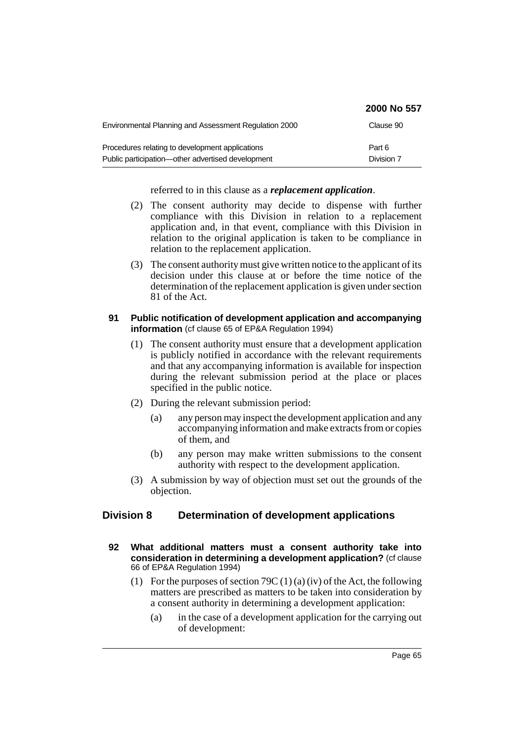|                                                       | 2000 No 557 |
|-------------------------------------------------------|-------------|
| Environmental Planning and Assessment Regulation 2000 | Clause 90   |
| Procedures relating to development applications       | Part 6      |
| Public participation—other advertised development     | Division 7  |

referred to in this clause as a *replacement application*.

- (2) The consent authority may decide to dispense with further compliance with this Division in relation to a replacement application and, in that event, compliance with this Division in relation to the original application is taken to be compliance in relation to the replacement application.
- (3) The consent authority must give written notice to the applicant of its decision under this clause at or before the time notice of the determination of the replacement application is given under section 81 of the Act.

## **91 Public notification of development application and accompanying information** (cf clause 65 of EP&A Regulation 1994)

- (1) The consent authority must ensure that a development application is publicly notified in accordance with the relevant requirements and that any accompanying information is available for inspection during the relevant submission period at the place or places specified in the public notice.
- (2) During the relevant submission period:
	- (a) any person may inspect the development application and any accompanying information and make extracts from or copies of them, and
	- (b) any person may make written submissions to the consent authority with respect to the development application.
- (3) A submission by way of objection must set out the grounds of the objection.

## **Division 8 Determination of development applications**

- **92 What additional matters must a consent authority take into consideration in determining a development application?** (cf clause 66 of EP&A Regulation 1994)
	- (1) For the purposes of section 79C (1) (a) (iv) of the Act, the following matters are prescribed as matters to be taken into consideration by a consent authority in determining a development application:
		- (a) in the case of a development application for the carrying out of development: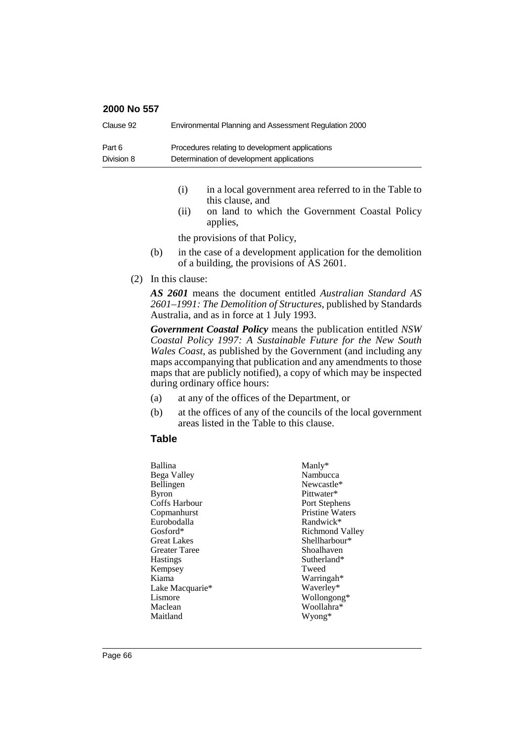| Clause 92  | Environmental Planning and Assessment Regulation 2000 |
|------------|-------------------------------------------------------|
| Part 6     | Procedures relating to development applications       |
| Division 8 | Determination of development applications             |

- (i) in a local government area referred to in the Table to this clause, and
- (ii) on land to which the Government Coastal Policy applies,

the provisions of that Policy,

- (b) in the case of a development application for the demolition of a building, the provisions of AS 2601.
- (2) In this clause:

*AS 2601* means the document entitled *Australian Standard AS 2601–1991: The Demolition of Structures*, published by Standards Australia, and as in force at 1 July 1993.

*Government Coastal Policy* means the publication entitled *NSW Coastal Policy 1997: A Sustainable Future for the New South Wales Coast*, as published by the Government (and including any maps accompanying that publication and any amendments to those maps that are publicly notified), a copy of which may be inspected during ordinary office hours:

- (a) at any of the offices of the Department, or
- (b) at the offices of any of the councils of the local government areas listed in the Table to this clause.

## **Table**

| Ballina         | $Manly*$               |
|-----------------|------------------------|
| Bega Valley     | Nambucca               |
| Bellingen       | Newcastle*             |
| Byron           | Pittwater*             |
| Coffs Harbour   | Port Stephens          |
| Copmanhurst     | <b>Pristine Waters</b> |
| Eurobodalla     | Randwick*              |
| Gosford*        | Richmond Valley        |
| Great Lakes     | Shellharbour*          |
| Greater Taree   | Shoalhaven             |
| Hastings        | Sutherland*            |
| Kempsey         | Tweed                  |
| Kiama           | Warringah*             |
| Lake Macquarie* | Waverley*              |
| Lismore         | Wollongong*            |
| Maclean         | Woollahra*             |
| Maitland        | Wyong*                 |
|                 |                        |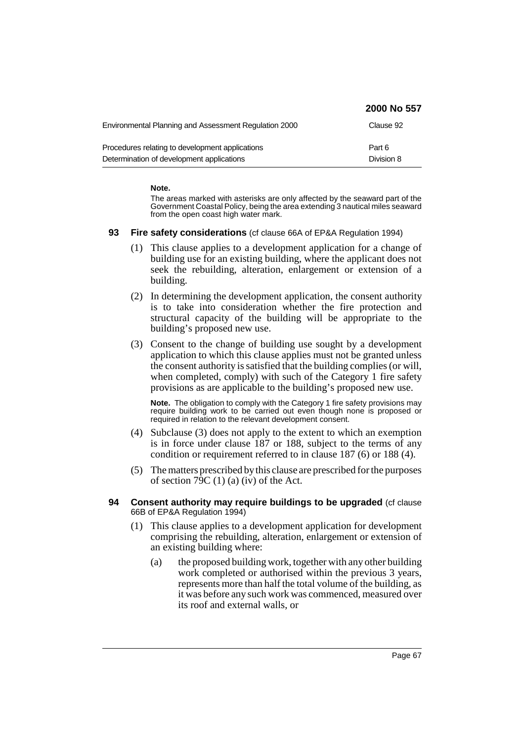|                                                       | 2000 No 557 |
|-------------------------------------------------------|-------------|
| Environmental Planning and Assessment Regulation 2000 | Clause 92   |
| Procedures relating to development applications       | Part 6      |
| Determination of development applications             | Division 8  |

#### **Note.**

The areas marked with asterisks are only affected by the seaward part of the Government Coastal Policy, being the area extending 3 nautical miles seaward from the open coast high water mark.

- **93 Fire safety considerations** (cf clause 66A of EP&A Regulation 1994)
	- (1) This clause applies to a development application for a change of building use for an existing building, where the applicant does not seek the rebuilding, alteration, enlargement or extension of a building.
	- (2) In determining the development application, the consent authority is to take into consideration whether the fire protection and structural capacity of the building will be appropriate to the building's proposed new use.
	- (3) Consent to the change of building use sought by a development application to which this clause applies must not be granted unless the consent authority is satisfied that the building complies (or will, when completed, comply) with such of the Category 1 fire safety provisions as are applicable to the building's proposed new use.

**Note.** The obligation to comply with the Category 1 fire safety provisions may require building work to be carried out even though none is proposed or required in relation to the relevant development consent.

- (4) Subclause (3) does not apply to the extent to which an exemption is in force under clause 187 or 188, subject to the terms of any condition or requirement referred to in clause 187 (6) or 188 (4).
- (5) The matters prescribed by this clause are prescribed for the purposes of section 79C (1) (a) (iv) of the Act.

### **94 Consent authority may require buildings to be upgraded** (cf clause 66B of EP&A Regulation 1994)

- (1) This clause applies to a development application for development comprising the rebuilding, alteration, enlargement or extension of an existing building where:
	- (a) the proposed building work, together with any other building work completed or authorised within the previous 3 years, represents more than half the total volume of the building, as it was before any such work was commenced, measured over its roof and external walls, or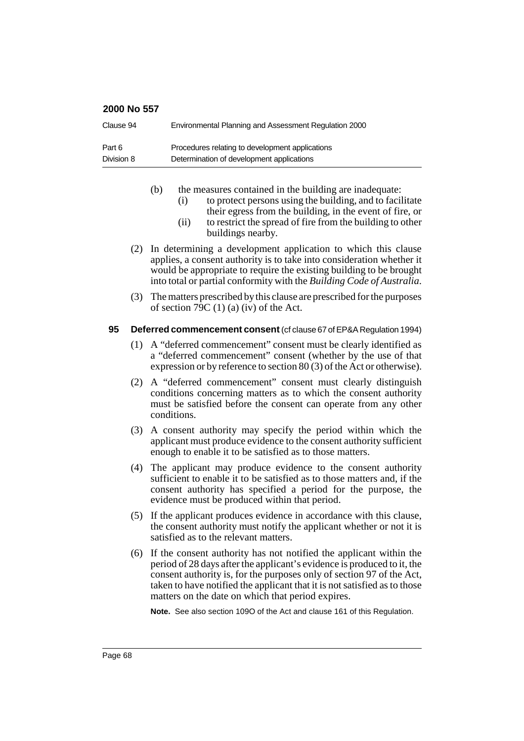| Clause 94  | Environmental Planning and Assessment Regulation 2000 |
|------------|-------------------------------------------------------|
| Part 6     | Procedures relating to development applications       |
| Division 8 | Determination of development applications             |

- (b) the measures contained in the building are inadequate:
	- (i) to protect persons using the building, and to facilitate their egress from the building, in the event of fire, or
	- (ii) to restrict the spread of fire from the building to other buildings nearby.
- (2) In determining a development application to which this clause applies, a consent authority is to take into consideration whether it would be appropriate to require the existing building to be brought into total or partial conformity with the *Building Code of Australia*.
- (3) The matters prescribed by this clause are prescribed for the purposes of section  $79C(1)$  (a) (iv) of the Act.

### **95 Deferred commencement consent** (cf clause 67 of EP&A Regulation 1994)

- (1) A "deferred commencement" consent must be clearly identified as a "deferred commencement" consent (whether by the use of that expression or by reference to section 80 (3) of the Act or otherwise).
- (2) A "deferred commencement" consent must clearly distinguish conditions concerning matters as to which the consent authority must be satisfied before the consent can operate from any other conditions.
- (3) A consent authority may specify the period within which the applicant must produce evidence to the consent authority sufficient enough to enable it to be satisfied as to those matters.
- (4) The applicant may produce evidence to the consent authority sufficient to enable it to be satisfied as to those matters and, if the consent authority has specified a period for the purpose, the evidence must be produced within that period.
- (5) If the applicant produces evidence in accordance with this clause, the consent authority must notify the applicant whether or not it is satisfied as to the relevant matters.
- (6) If the consent authority has not notified the applicant within the period of 28 days after the applicant's evidence is produced to it, the consent authority is, for the purposes only of section 97 of the Act, taken to have notified the applicant that it is not satisfied as to those matters on the date on which that period expires.

**Note.** See also section 109O of the Act and clause 161 of this Regulation.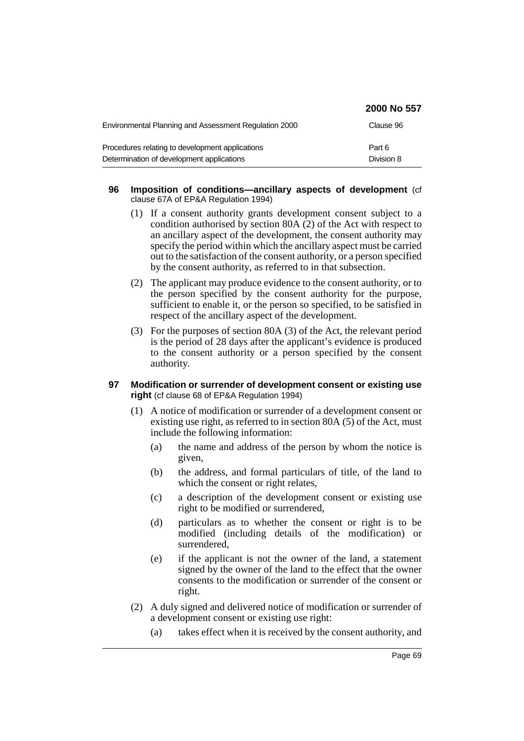|                                                                                              | 2000 No 557          |
|----------------------------------------------------------------------------------------------|----------------------|
| Environmental Planning and Assessment Regulation 2000                                        | Clause 96            |
| Procedures relating to development applications<br>Determination of development applications | Part 6<br>Division 8 |
|                                                                                              |                      |

#### **96 Imposition of conditions—ancillary aspects of development** (cf clause 67A of EP&A Regulation 1994)

- (1) If a consent authority grants development consent subject to a condition authorised by section 80A (2) of the Act with respect to an ancillary aspect of the development, the consent authority may specify the period within which the ancillary aspect must be carried out to the satisfaction of the consent authority, or a person specified by the consent authority, as referred to in that subsection.
- (2) The applicant may produce evidence to the consent authority, or to the person specified by the consent authority for the purpose, sufficient to enable it, or the person so specified, to be satisfied in respect of the ancillary aspect of the development.
- (3) For the purposes of section 80A (3) of the Act, the relevant period is the period of 28 days after the applicant's evidence is produced to the consent authority or a person specified by the consent authority.

### **97 Modification or surrender of development consent or existing use right** (cf clause 68 of EP&A Regulation 1994)

- (1) A notice of modification or surrender of a development consent or existing use right, as referred to in section 80A (5) of the Act, must include the following information:
	- (a) the name and address of the person by whom the notice is given,
	- (b) the address, and formal particulars of title, of the land to which the consent or right relates,
	- (c) a description of the development consent or existing use right to be modified or surrendered,
	- (d) particulars as to whether the consent or right is to be modified (including details of the modification) or surrendered,
	- (e) if the applicant is not the owner of the land, a statement signed by the owner of the land to the effect that the owner consents to the modification or surrender of the consent or right.
- (2) A duly signed and delivered notice of modification or surrender of a development consent or existing use right:
	- (a) takes effect when it is received by the consent authority, and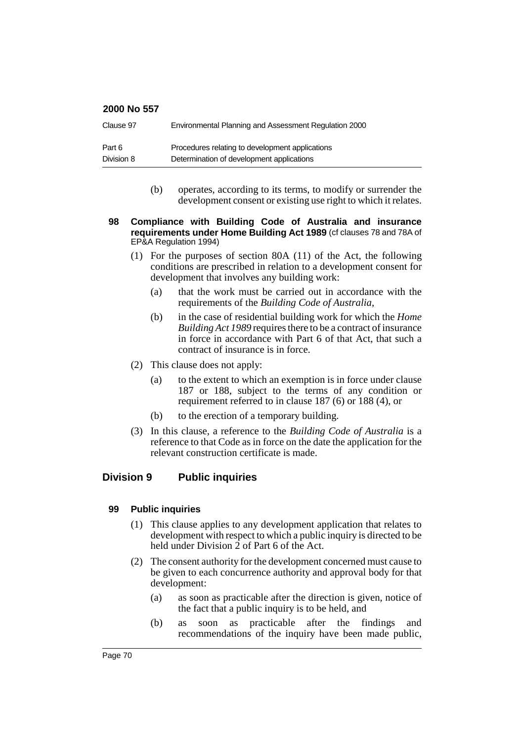| Clause 97  | Environmental Planning and Assessment Regulation 2000 |
|------------|-------------------------------------------------------|
| Part 6     | Procedures relating to development applications       |
| Division 8 | Determination of development applications             |

- (b) operates, according to its terms, to modify or surrender the development consent or existing use right to which it relates.
- **98 Compliance with Building Code of Australia and insurance requirements under Home Building Act 1989** (cf clauses 78 and 78A of EP&A Regulation 1994)
	- (1) For the purposes of section 80A (11) of the Act, the following conditions are prescribed in relation to a development consent for development that involves any building work:
		- (a) that the work must be carried out in accordance with the requirements of the *Building Code of Australia*,
		- (b) in the case of residential building work for which the *Home Building Act 1989* requires there to be a contract of insurance in force in accordance with Part 6 of that Act, that such a contract of insurance is in force.
	- (2) This clause does not apply:
		- (a) to the extent to which an exemption is in force under clause 187 or 188, subject to the terms of any condition or requirement referred to in clause 187 (6) or 188 (4), or
		- (b) to the erection of a temporary building.
	- (3) In this clause, a reference to the *Building Code of Australia* is a reference to that Code as in force on the date the application for the relevant construction certificate is made.

## **Division 9 Public inquiries**

### **99 Public inquiries**

- (1) This clause applies to any development application that relates to development with respect to which a public inquiry is directed to be held under Division 2 of Part 6 of the Act.
- (2) The consent authority for the development concerned must cause to be given to each concurrence authority and approval body for that development:
	- (a) as soon as practicable after the direction is given, notice of the fact that a public inquiry is to be held, and
	- (b) as soon as practicable after the findings and recommendations of the inquiry have been made public,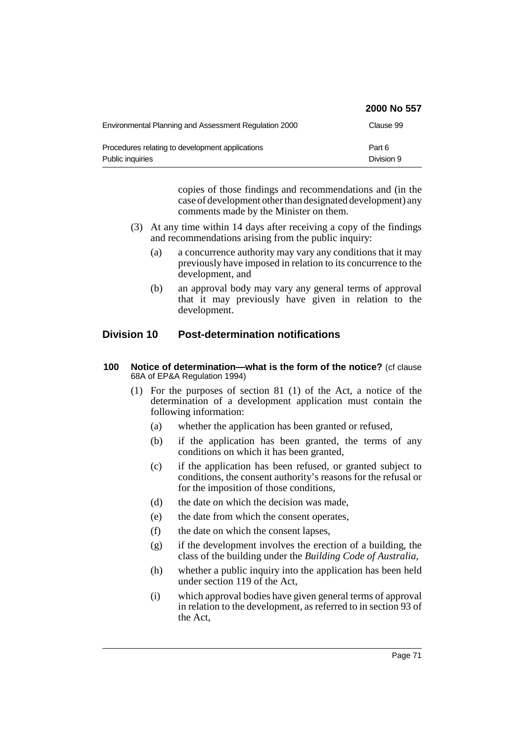|                                                                     | 2000 No 557          |
|---------------------------------------------------------------------|----------------------|
| Environmental Planning and Assessment Regulation 2000               | Clause 99            |
| Procedures relating to development applications<br>Public inquiries | Part 6<br>Division 9 |

copies of those findings and recommendations and (in the case of development other than designated development) any comments made by the Minister on them.

- (3) At any time within 14 days after receiving a copy of the findings and recommendations arising from the public inquiry:
	- (a) a concurrence authority may vary any conditions that it may previously have imposed in relation to its concurrence to the development, and
	- (b) an approval body may vary any general terms of approval that it may previously have given in relation to the development.

## **Division 10 Post-determination notifications**

#### **100 Notice of determination—what is the form of the notice?** (cf clause 68A of EP&A Regulation 1994)

- (1) For the purposes of section 81 (1) of the Act, a notice of the determination of a development application must contain the following information:
	- (a) whether the application has been granted or refused,
	- (b) if the application has been granted, the terms of any conditions on which it has been granted,
	- (c) if the application has been refused, or granted subject to conditions, the consent authority's reasons for the refusal or for the imposition of those conditions,
	- (d) the date on which the decision was made,
	- (e) the date from which the consent operates,
	- (f) the date on which the consent lapses,
	- (g) if the development involves the erection of a building, the class of the building under the *Building Code of Australia*,
	- (h) whether a public inquiry into the application has been held under section 119 of the Act,
	- (i) which approval bodies have given general terms of approval in relation to the development, as referred to in section 93 of the Act,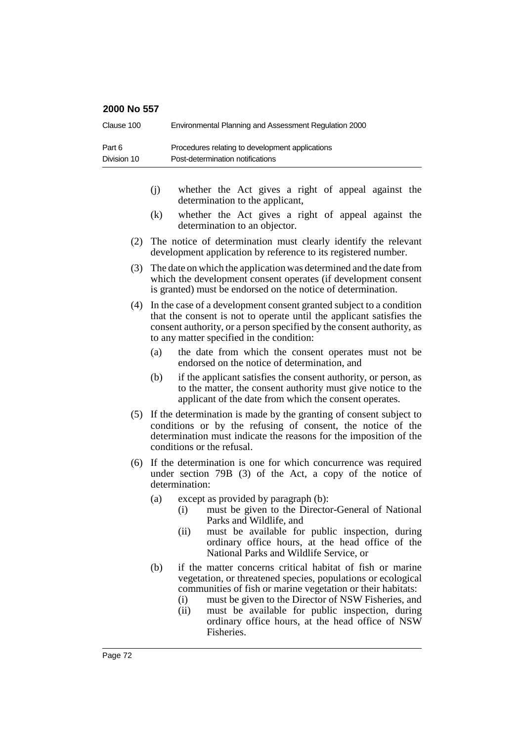| Clause 100  | Environmental Planning and Assessment Regulation 2000 |
|-------------|-------------------------------------------------------|
| Part 6      | Procedures relating to development applications       |
| Division 10 | Post-determination notifications                      |

- (j) whether the Act gives a right of appeal against the determination to the applicant,
- (k) whether the Act gives a right of appeal against the determination to an objector.
- (2) The notice of determination must clearly identify the relevant development application by reference to its registered number.
- (3) The date on which the application was determined and the date from which the development consent operates (if development consent is granted) must be endorsed on the notice of determination.
- (4) In the case of a development consent granted subject to a condition that the consent is not to operate until the applicant satisfies the consent authority, or a person specified by the consent authority, as to any matter specified in the condition:
	- (a) the date from which the consent operates must not be endorsed on the notice of determination, and
	- (b) if the applicant satisfies the consent authority, or person, as to the matter, the consent authority must give notice to the applicant of the date from which the consent operates.
- (5) If the determination is made by the granting of consent subject to conditions or by the refusing of consent, the notice of the determination must indicate the reasons for the imposition of the conditions or the refusal.
- (6) If the determination is one for which concurrence was required under section 79B (3) of the Act, a copy of the notice of determination:
	- (a) except as provided by paragraph (b):
		- (i) must be given to the Director-General of National Parks and Wildlife, and
		- (ii) must be available for public inspection, during ordinary office hours, at the head office of the National Parks and Wildlife Service, or
	- (b) if the matter concerns critical habitat of fish or marine vegetation, or threatened species, populations or ecological communities of fish or marine vegetation or their habitats:
		- (i) must be given to the Director of NSW Fisheries, and
		- (ii) must be available for public inspection, during ordinary office hours, at the head office of NSW Fisheries.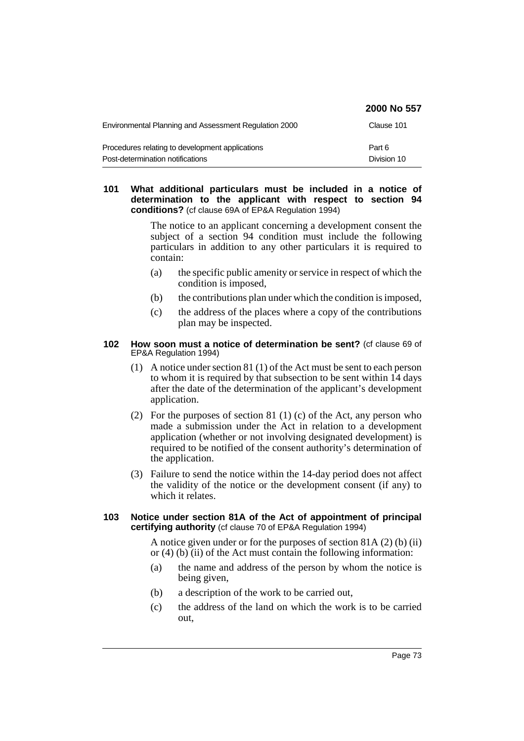|                                                                                     | 2000 No 557           |
|-------------------------------------------------------------------------------------|-----------------------|
| Environmental Planning and Assessment Regulation 2000                               | Clause 101            |
| Procedures relating to development applications<br>Post-determination notifications | Part 6<br>Division 10 |

## **101 What additional particulars must be included in a notice of determination to the applicant with respect to section 94 conditions?** (cf clause 69A of EP&A Regulation 1994)

The notice to an applicant concerning a development consent the subject of a section 94 condition must include the following particulars in addition to any other particulars it is required to contain:

- (a) the specific public amenity or service in respect of which the condition is imposed,
- (b) the contributions plan under which the condition is imposed,
- (c) the address of the places where a copy of the contributions plan may be inspected.

## **102 How soon must a notice of determination be sent?** (cf clause 69 of EP&A Regulation 1994)

- (1) A notice under section 81 (1) of the Act must be sent to each person to whom it is required by that subsection to be sent within 14 days after the date of the determination of the applicant's development application.
- (2) For the purposes of section 81 (1) (c) of the Act, any person who made a submission under the Act in relation to a development application (whether or not involving designated development) is required to be notified of the consent authority's determination of the application.
- (3) Failure to send the notice within the 14-day period does not affect the validity of the notice or the development consent (if any) to which it relates.

## **103 Notice under section 81A of the Act of appointment of principal certifying authority** (cf clause 70 of EP&A Regulation 1994)

A notice given under or for the purposes of section  $81A(2)$  (b) (ii) or  $(4)$  (b) (ii) of the Act must contain the following information:

- (a) the name and address of the person by whom the notice is being given,
- (b) a description of the work to be carried out,
- (c) the address of the land on which the work is to be carried out,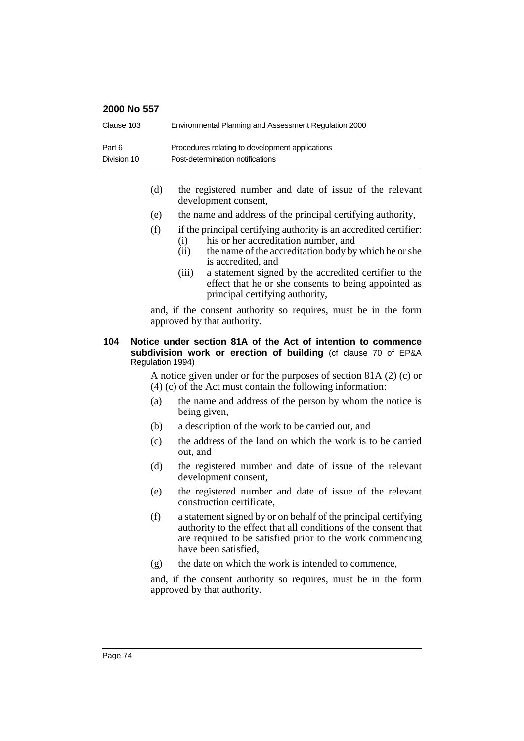| Clause 103  | Environmental Planning and Assessment Regulation 2000 |
|-------------|-------------------------------------------------------|
| Part 6      | Procedures relating to development applications       |
| Division 10 | Post-determination notifications                      |

- (d) the registered number and date of issue of the relevant development consent,
- (e) the name and address of the principal certifying authority,
- (f) if the principal certifying authority is an accredited certifier: (i) his or her accreditation number, and
	- (ii) the name of the accreditation body by which he or she is accredited, and
	- (iii) a statement signed by the accredited certifier to the effect that he or she consents to being appointed as principal certifying authority,

and, if the consent authority so requires, must be in the form approved by that authority.

#### **104 Notice under section 81A of the Act of intention to commence subdivision work or erection of building** (cf clause 70 of EP&A Regulation 1994)

A notice given under or for the purposes of section 81A (2) (c) or (4) (c) of the Act must contain the following information:

- (a) the name and address of the person by whom the notice is being given,
- (b) a description of the work to be carried out, and
- (c) the address of the land on which the work is to be carried out, and
- (d) the registered number and date of issue of the relevant development consent,
- (e) the registered number and date of issue of the relevant construction certificate,
- (f) a statement signed by or on behalf of the principal certifying authority to the effect that all conditions of the consent that are required to be satisfied prior to the work commencing have been satisfied,
- (g) the date on which the work is intended to commence,

and, if the consent authority so requires, must be in the form approved by that authority.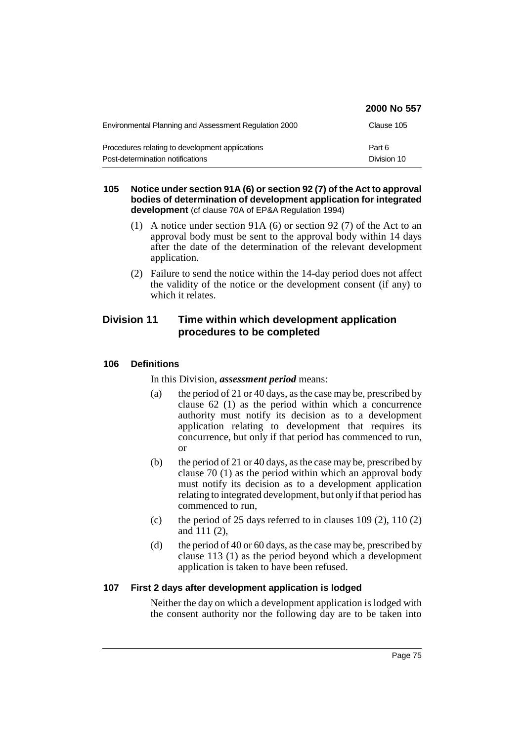| 2000 No 557           |
|-----------------------|
| Clause 105            |
| Part 6<br>Division 10 |
|                       |

## **105 Notice under section 91A (6) or section 92 (7) of the Act to approval bodies of determination of development application for integrated development** (cf clause 70A of EP&A Regulation 1994)

- (1) A notice under section 91A (6) or section 92 (7) of the Act to an approval body must be sent to the approval body within 14 days after the date of the determination of the relevant development application.
- (2) Failure to send the notice within the 14-day period does not affect the validity of the notice or the development consent (if any) to which it relates.

# **Division 11 Time within which development application procedures to be completed**

# **106 Definitions**

In this Division, *assessment period* means:

- (a) the period of 21 or 40 days, as the case may be, prescribed by clause 62 (1) as the period within which a concurrence authority must notify its decision as to a development application relating to development that requires its concurrence, but only if that period has commenced to run, or
- (b) the period of 21 or 40 days, as the case may be, prescribed by clause 70 (1) as the period within which an approval body must notify its decision as to a development application relating to integrated development, but only if that period has commenced to run,
- (c) the period of 25 days referred to in clauses  $109 (2)$ ,  $110 (2)$ and 111 (2),
- (d) the period of 40 or 60 days, as the case may be, prescribed by clause 113 (1) as the period beyond which a development application is taken to have been refused.

# **107 First 2 days after development application is lodged**

Neither the day on which a development application is lodged with the consent authority nor the following day are to be taken into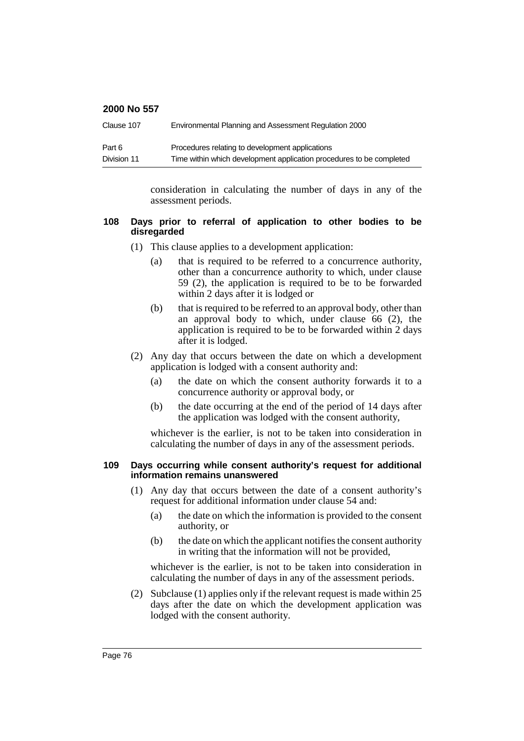| Clause 107  | Environmental Planning and Assessment Regulation 2000                |
|-------------|----------------------------------------------------------------------|
| Part 6      | Procedures relating to development applications                      |
| Division 11 | Time within which development application procedures to be completed |

consideration in calculating the number of days in any of the assessment periods.

## **108 Days prior to referral of application to other bodies to be disregarded**

- (1) This clause applies to a development application:
	- (a) that is required to be referred to a concurrence authority, other than a concurrence authority to which, under clause 59 (2), the application is required to be to be forwarded within 2 days after it is lodged or
	- (b) that is required to be referred to an approval body, other than an approval body to which, under clause 66 (2), the application is required to be to be forwarded within 2 days after it is lodged.
- (2) Any day that occurs between the date on which a development application is lodged with a consent authority and:
	- (a) the date on which the consent authority forwards it to a concurrence authority or approval body, or
	- (b) the date occurring at the end of the period of 14 days after the application was lodged with the consent authority,

whichever is the earlier, is not to be taken into consideration in calculating the number of days in any of the assessment periods.

#### **109 Days occurring while consent authority's request for additional information remains unanswered**

- (1) Any day that occurs between the date of a consent authority's request for additional information under clause 54 and:
	- (a) the date on which the information is provided to the consent authority, or
	- (b) the date on which the applicant notifies the consent authority in writing that the information will not be provided,

whichever is the earlier, is not to be taken into consideration in calculating the number of days in any of the assessment periods.

(2) Subclause (1) applies only if the relevant request is made within 25 days after the date on which the development application was lodged with the consent authority.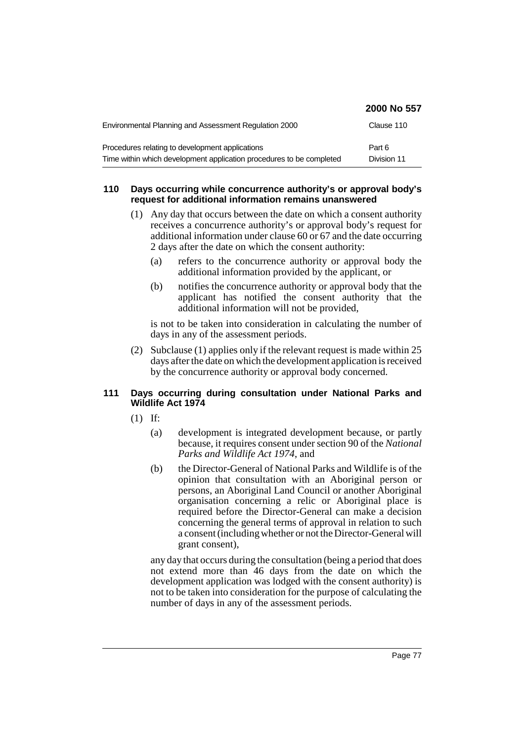|                                                                      | <b>2000 No 557</b> |
|----------------------------------------------------------------------|--------------------|
| Environmental Planning and Assessment Regulation 2000                | Clause 110         |
| Procedures relating to development applications                      | Part 6             |
| Time within which development application procedures to be completed | Division 11        |

## **110 Days occurring while concurrence authority's or approval body's request for additional information remains unanswered**

- (1) Any day that occurs between the date on which a consent authority receives a concurrence authority's or approval body's request for additional information under clause 60 or 67 and the date occurring 2 days after the date on which the consent authority:
	- (a) refers to the concurrence authority or approval body the additional information provided by the applicant, or
	- (b) notifies the concurrence authority or approval body that the applicant has notified the consent authority that the additional information will not be provided,

is not to be taken into consideration in calculating the number of days in any of the assessment periods.

(2) Subclause (1) applies only if the relevant request is made within 25 days after the date on which the development application is received by the concurrence authority or approval body concerned.

## **111 Days occurring during consultation under National Parks and Wildlife Act 1974**

- (1) If:
	- (a) development is integrated development because, or partly because, it requires consent under section 90 of the *National Parks and Wildlife Act 1974*, and
	- (b) the Director-General of National Parks and Wildlife is of the opinion that consultation with an Aboriginal person or persons, an Aboriginal Land Council or another Aboriginal organisation concerning a relic or Aboriginal place is required before the Director-General can make a decision concerning the general terms of approval in relation to such a consent (including whether or not the Director-General will grant consent),

any day that occurs during the consultation (being a period that does not extend more than 46 days from the date on which the development application was lodged with the consent authority) is not to be taken into consideration for the purpose of calculating the number of days in any of the assessment periods.

**2000 No 557**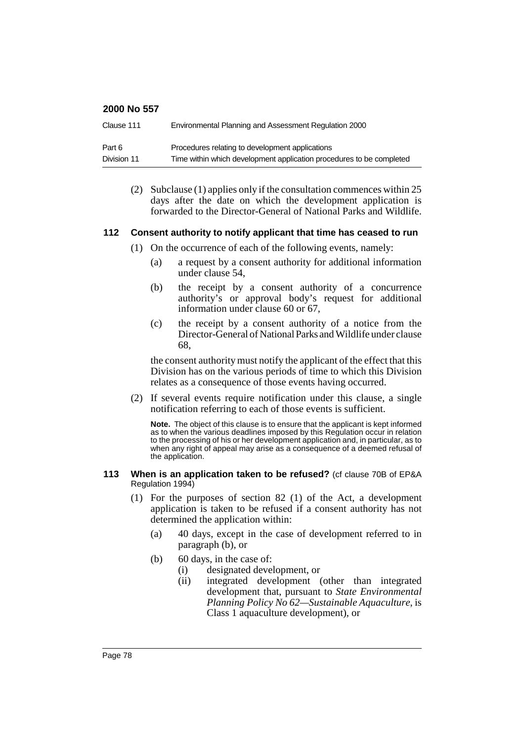| Clause 111  | Environmental Planning and Assessment Regulation 2000                |
|-------------|----------------------------------------------------------------------|
| Part 6      | Procedures relating to development applications                      |
| Division 11 | Time within which development application procedures to be completed |

(2) Subclause (1) applies only if the consultation commences within 25 days after the date on which the development application is forwarded to the Director-General of National Parks and Wildlife.

## **112 Consent authority to notify applicant that time has ceased to run**

- (1) On the occurrence of each of the following events, namely:
	- (a) a request by a consent authority for additional information under clause 54,
	- (b) the receipt by a consent authority of a concurrence authority's or approval body's request for additional information under clause 60 or 67,
	- (c) the receipt by a consent authority of a notice from the Director-General of National Parks and Wildlife under clause 68,

the consent authority must notify the applicant of the effect that this Division has on the various periods of time to which this Division relates as a consequence of those events having occurred.

(2) If several events require notification under this clause, a single notification referring to each of those events is sufficient.

**Note.** The object of this clause is to ensure that the applicant is kept informed as to when the various deadlines imposed by this Requilation occur in relation to the processing of his or her development application and, in particular, as to when any right of appeal may arise as a consequence of a deemed refusal of the application.

#### **113 When is an application taken to be refused?** (cf clause 70B of EP&A Regulation 1994)

- (1) For the purposes of section 82 (1) of the Act, a development application is taken to be refused if a consent authority has not determined the application within:
	- (a) 40 days, except in the case of development referred to in paragraph (b), or
	- (b) 60 days, in the case of:
		- (i) designated development, or
		- (ii) integrated development (other than integrated development that, pursuant to *State Environmental Planning Policy No 62—Sustainable Aquaculture*, is Class 1 aquaculture development), or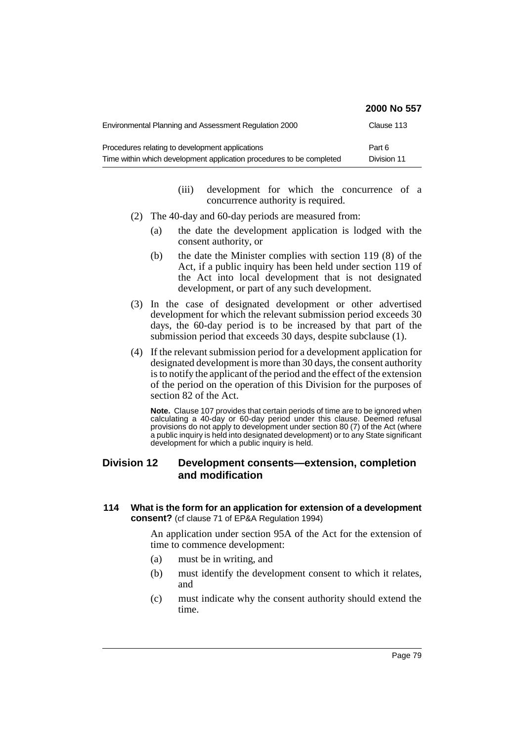|                                                                                                                         | 2000 No 557           |
|-------------------------------------------------------------------------------------------------------------------------|-----------------------|
| Environmental Planning and Assessment Regulation 2000                                                                   | Clause 113            |
| Procedures relating to development applications<br>Time within which development application procedures to be completed | Part 6<br>Division 11 |

- (iii) development for which the concurrence of a concurrence authority is required.
- (2) The 40-day and 60-day periods are measured from:
	- (a) the date the development application is lodged with the consent authority, or
	- (b) the date the Minister complies with section 119 (8) of the Act, if a public inquiry has been held under section 119 of the Act into local development that is not designated development, or part of any such development.
- (3) In the case of designated development or other advertised development for which the relevant submission period exceeds 30 days, the 60-day period is to be increased by that part of the submission period that exceeds 30 days, despite subclause (1).
- (4) If the relevant submission period for a development application for designated development is more than 30 days, the consent authority is to notify the applicant of the period and the effect of the extension of the period on the operation of this Division for the purposes of section 82 of the Act.

**Note.** Clause 107 provides that certain periods of time are to be ignored when calculating a 40-day or 60-day period under this clause. Deemed refusal provisions do not apply to development under section 80 (7) of the Act (where a public inquiry is held into designated development) or to any State significant development for which a public inquiry is held.

# **Division 12 Development consents—extension, completion and modification**

## **114 What is the form for an application for extension of a development consent?** (cf clause 71 of EP&A Regulation 1994)

An application under section 95A of the Act for the extension of time to commence development:

- (a) must be in writing, and
- (b) must identify the development consent to which it relates, and
- (c) must indicate why the consent authority should extend the time.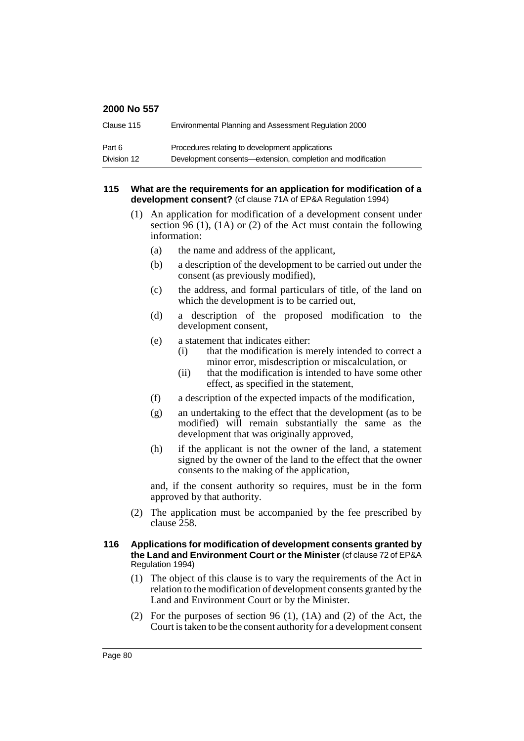| Clause 115  | Environmental Planning and Assessment Regulation 2000       |
|-------------|-------------------------------------------------------------|
| Part 6      | Procedures relating to development applications             |
| Division 12 | Development consents—extension, completion and modification |

#### **115 What are the requirements for an application for modification of a development consent?** (cf clause 71A of EP&A Regulation 1994)

- (1) An application for modification of a development consent under section 96 (1), (1A) or (2) of the Act must contain the following information:
	- (a) the name and address of the applicant,
	- (b) a description of the development to be carried out under the consent (as previously modified),
	- (c) the address, and formal particulars of title, of the land on which the development is to be carried out,
	- (d) a description of the proposed modification to the development consent,
	- (e) a statement that indicates either:
		- (i) that the modification is merely intended to correct a minor error, misdescription or miscalculation, or
		- (ii) that the modification is intended to have some other effect, as specified in the statement,
	- (f) a description of the expected impacts of the modification,
	- (g) an undertaking to the effect that the development (as to be modified) will remain substantially the same as the development that was originally approved,
	- (h) if the applicant is not the owner of the land, a statement signed by the owner of the land to the effect that the owner consents to the making of the application,

and, if the consent authority so requires, must be in the form approved by that authority.

(2) The application must be accompanied by the fee prescribed by clause 258.

## **116 Applications for modification of development consents granted by the Land and Environment Court or the Minister** (cf clause 72 of EP&A Regulation 1994)

- (1) The object of this clause is to vary the requirements of the Act in relation to the modification of development consents granted by the Land and Environment Court or by the Minister.
- (2) For the purposes of section 96 (1), (1A) and (2) of the Act, the Court is taken to be the consent authority for a development consent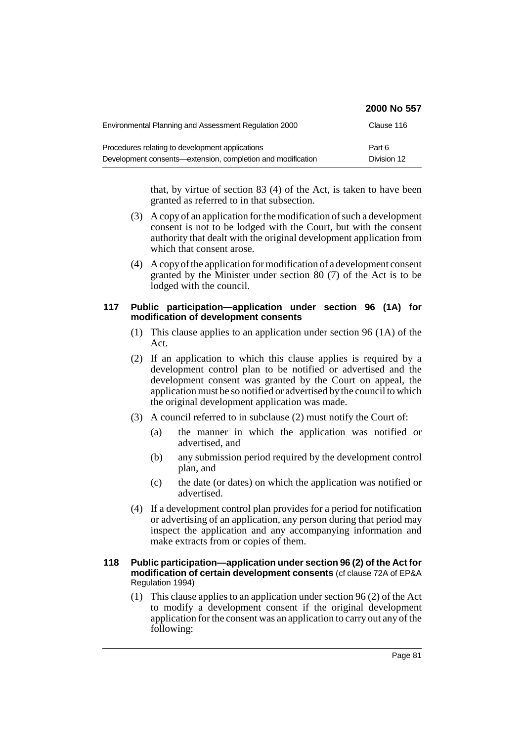|                                                                                                                | 2000 No 557           |
|----------------------------------------------------------------------------------------------------------------|-----------------------|
| Environmental Planning and Assessment Regulation 2000                                                          | Clause 116            |
| Procedures relating to development applications<br>Development consents—extension, completion and modification | Part 6<br>Division 12 |

that, by virtue of section 83 (4) of the Act, is taken to have been granted as referred to in that subsection.

- (3) A copy of an application for the modification of such a development consent is not to be lodged with the Court, but with the consent authority that dealt with the original development application from which that consent arose.
- (4) A copy of the application for modification of a development consent granted by the Minister under section 80 (7) of the Act is to be lodged with the council.

## **117 Public participation—application under section 96 (1A) for modification of development consents**

- (1) This clause applies to an application under section 96 (1A) of the Act.
- (2) If an application to which this clause applies is required by a development control plan to be notified or advertised and the development consent was granted by the Court on appeal, the application must be so notified or advertised by the council to which the original development application was made.
- (3) A council referred to in subclause (2) must notify the Court of:
	- (a) the manner in which the application was notified or advertised, and
	- (b) any submission period required by the development control plan, and
	- (c) the date (or dates) on which the application was notified or advertised.
- (4) If a development control plan provides for a period for notification or advertising of an application, any person during that period may inspect the application and any accompanying information and make extracts from or copies of them.

#### **118 Public participation—application under section 96 (2) of the Act for modification of certain development consents** (cf clause 72A of EP&A Regulation 1994)

(1) This clause applies to an application under section 96 (2) of the Act to modify a development consent if the original development application for the consent was an application to carry out any of the following: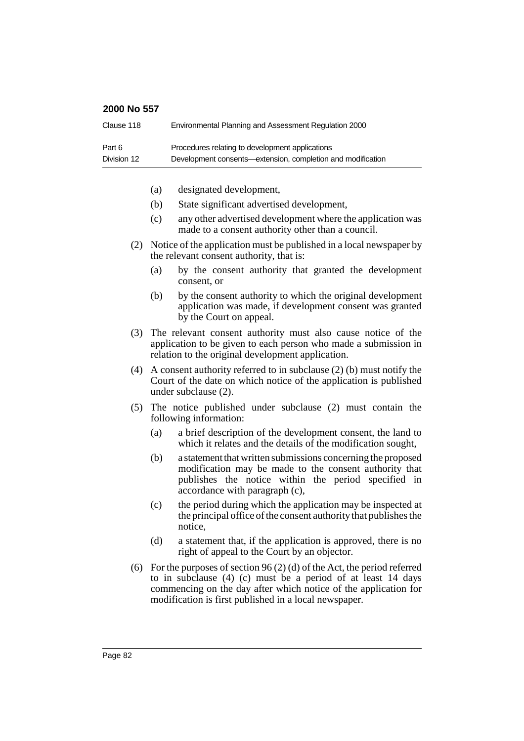| Clause 118  | Environmental Planning and Assessment Regulation 2000       |
|-------------|-------------------------------------------------------------|
| Part 6      | Procedures relating to development applications             |
| Division 12 | Development consents—extension, completion and modification |

- (a) designated development,
- (b) State significant advertised development,
- (c) any other advertised development where the application was made to a consent authority other than a council.
- (2) Notice of the application must be published in a local newspaper by the relevant consent authority, that is:
	- (a) by the consent authority that granted the development consent, or
	- (b) by the consent authority to which the original development application was made, if development consent was granted by the Court on appeal.
- (3) The relevant consent authority must also cause notice of the application to be given to each person who made a submission in relation to the original development application.
- (4) A consent authority referred to in subclause (2) (b) must notify the Court of the date on which notice of the application is published under subclause (2).
- (5) The notice published under subclause (2) must contain the following information:
	- (a) a brief description of the development consent, the land to which it relates and the details of the modification sought,
	- (b) a statement that written submissions concerning the proposed modification may be made to the consent authority that publishes the notice within the period specified in accordance with paragraph (c),
	- (c) the period during which the application may be inspected at the principal office of the consent authority that publishes the notice,
	- (d) a statement that, if the application is approved, there is no right of appeal to the Court by an objector.
- (6) For the purposes of section  $96(2)$  (d) of the Act, the period referred to in subclause (4) (c) must be a period of at least 14 days commencing on the day after which notice of the application for modification is first published in a local newspaper.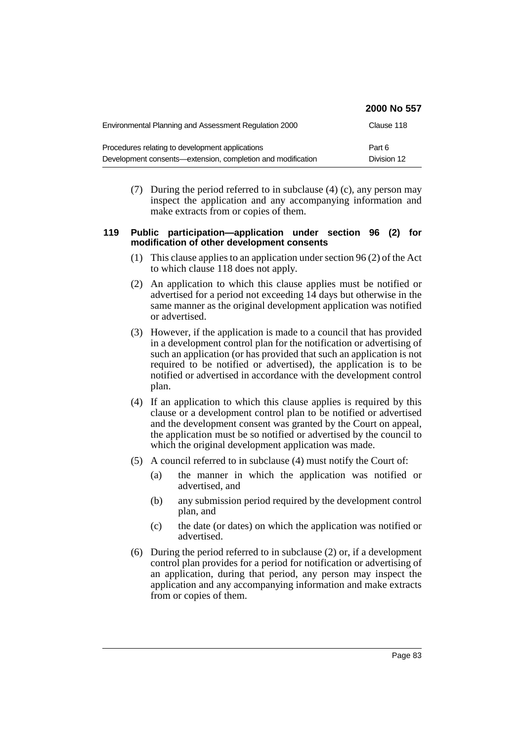|                                                                                                                | 2000 No 557           |
|----------------------------------------------------------------------------------------------------------------|-----------------------|
| Environmental Planning and Assessment Regulation 2000                                                          | Clause 118            |
| Procedures relating to development applications<br>Development consents—extension, completion and modification | Part 6<br>Division 12 |

(7) During the period referred to in subclause (4) (c), any person may inspect the application and any accompanying information and make extracts from or copies of them.

## **119 Public participation—application under section 96 (2) for modification of other development consents**

- (1) This clause applies to an application under section 96 (2) of the Act to which clause 118 does not apply.
- (2) An application to which this clause applies must be notified or advertised for a period not exceeding 14 days but otherwise in the same manner as the original development application was notified or advertised.
- (3) However, if the application is made to a council that has provided in a development control plan for the notification or advertising of such an application (or has provided that such an application is not required to be notified or advertised), the application is to be notified or advertised in accordance with the development control plan.
- (4) If an application to which this clause applies is required by this clause or a development control plan to be notified or advertised and the development consent was granted by the Court on appeal, the application must be so notified or advertised by the council to which the original development application was made.
- (5) A council referred to in subclause (4) must notify the Court of:
	- (a) the manner in which the application was notified or advertised, and
	- (b) any submission period required by the development control plan, and
	- (c) the date (or dates) on which the application was notified or advertised.
- (6) During the period referred to in subclause (2) or, if a development control plan provides for a period for notification or advertising of an application, during that period, any person may inspect the application and any accompanying information and make extracts from or copies of them.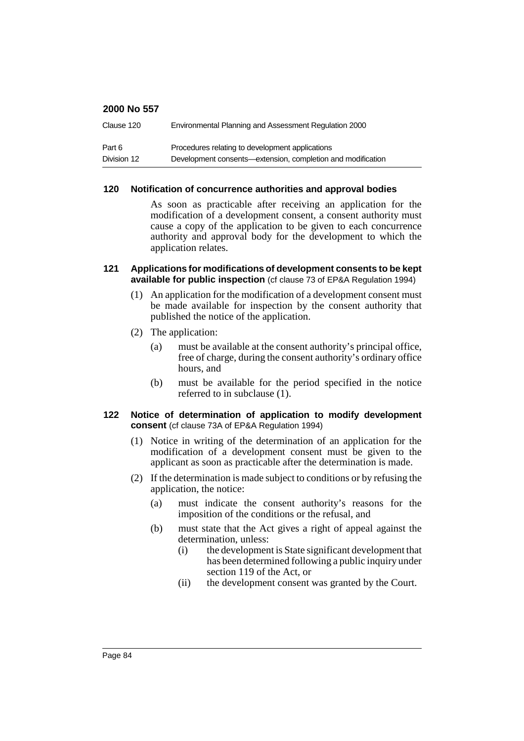| Clause 120  | Environmental Planning and Assessment Regulation 2000       |
|-------------|-------------------------------------------------------------|
| Part 6      | Procedures relating to development applications             |
| Division 12 | Development consents—extension, completion and modification |

## **120 Notification of concurrence authorities and approval bodies**

As soon as practicable after receiving an application for the modification of a development consent, a consent authority must cause a copy of the application to be given to each concurrence authority and approval body for the development to which the application relates.

## **121 Applications for modifications of development consents to be kept available for public inspection** (cf clause 73 of EP&A Regulation 1994)

- (1) An application for the modification of a development consent must be made available for inspection by the consent authority that published the notice of the application.
- (2) The application:
	- (a) must be available at the consent authority's principal office, free of charge, during the consent authority's ordinary office hours, and
	- (b) must be available for the period specified in the notice referred to in subclause (1).

## **122 Notice of determination of application to modify development consent** (cf clause 73A of EP&A Regulation 1994)

- (1) Notice in writing of the determination of an application for the modification of a development consent must be given to the applicant as soon as practicable after the determination is made.
- (2) If the determination is made subject to conditions or by refusing the application, the notice:
	- (a) must indicate the consent authority's reasons for the imposition of the conditions or the refusal, and
	- (b) must state that the Act gives a right of appeal against the determination, unless:
		- (i) the development is State significant development that has been determined following a public inquiry under section 119 of the Act, or
		- (ii) the development consent was granted by the Court.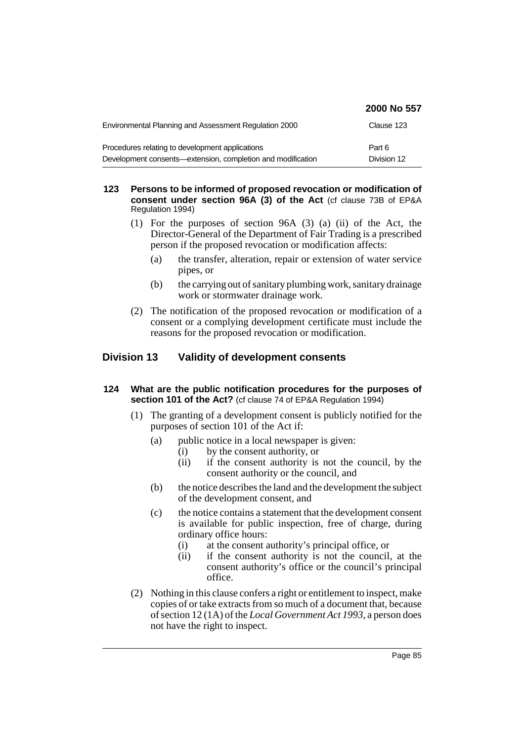|                                                             | <b>2000 No 557</b> |
|-------------------------------------------------------------|--------------------|
| Environmental Planning and Assessment Regulation 2000       | Clause 123         |
| Procedures relating to development applications             | Part 6             |
| Development consents—extension, completion and modification | Division 12        |

## **123 Persons to be informed of proposed revocation or modification of consent under section 96A (3) of the Act** (cf clause 73B of EP&A Regulation 1994)

- (1) For the purposes of section 96A (3) (a) (ii) of the Act, the Director-General of the Department of Fair Trading is a prescribed person if the proposed revocation or modification affects:
	- (a) the transfer, alteration, repair or extension of water service pipes, or
	- (b) the carrying out of sanitary plumbing work, sanitary drainage work or stormwater drainage work.
- (2) The notification of the proposed revocation or modification of a consent or a complying development certificate must include the reasons for the proposed revocation or modification.

## **Division 13 Validity of development consents**

- **124 What are the public notification procedures for the purposes of section 101 of the Act?** (cf clause 74 of EP&A Regulation 1994)
	- (1) The granting of a development consent is publicly notified for the purposes of section 101 of the Act if:
		- (a) public notice in a local newspaper is given:
			- (i) by the consent authority, or
			- (ii) if the consent authority is not the council, by the consent authority or the council, and
		- (b) the notice describes the land and the development the subject of the development consent, and
		- (c) the notice contains a statement that the development consent is available for public inspection, free of charge, during ordinary office hours:
			- (i) at the consent authority's principal office, or
			- (ii) if the consent authority is not the council, at the consent authority's office or the council's principal office.
	- (2) Nothing in this clause confers a right or entitlement to inspect, make copies of or take extracts from so much of a document that, because of section 12 (1A) of the *Local Government Act 1993*, a person does not have the right to inspect.

**2000 No 557**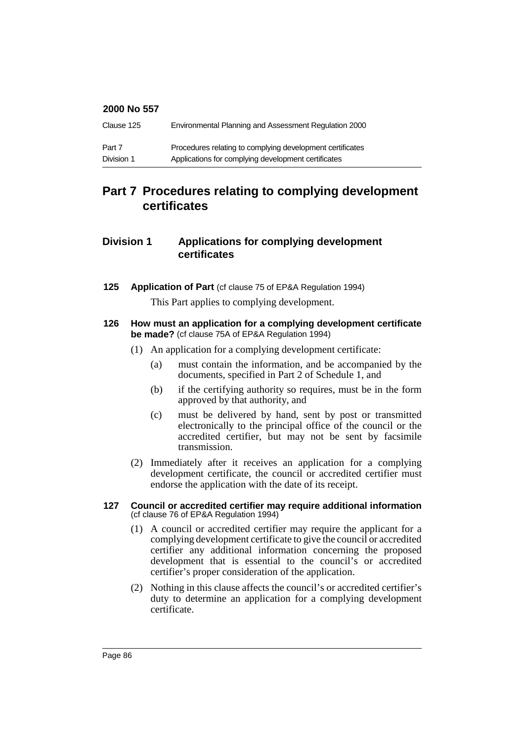| Clause 125 | Environmental Planning and Assessment Regulation 2000     |
|------------|-----------------------------------------------------------|
| Part 7     | Procedures relating to complying development certificates |
| Division 1 | Applications for complying development certificates       |

# **Part 7 Procedures relating to complying development certificates**

# **Division 1 Applications for complying development certificates**

**125 Application of Part** (cf clause 75 of EP&A Regulation 1994)

This Part applies to complying development.

- **126 How must an application for a complying development certificate be made?** (cf clause 75A of EP&A Regulation 1994)
	- (1) An application for a complying development certificate:
		- (a) must contain the information, and be accompanied by the documents, specified in Part 2 of Schedule 1, and
		- (b) if the certifying authority so requires, must be in the form approved by that authority, and
		- (c) must be delivered by hand, sent by post or transmitted electronically to the principal office of the council or the accredited certifier, but may not be sent by facsimile transmission.
	- (2) Immediately after it receives an application for a complying development certificate, the council or accredited certifier must endorse the application with the date of its receipt.

#### **127 Council or accredited certifier may require additional information** (cf clause 76 of EP&A Regulation 1994)

- (1) A council or accredited certifier may require the applicant for a complying development certificate to give the council or accredited certifier any additional information concerning the proposed development that is essential to the council's or accredited certifier's proper consideration of the application.
- (2) Nothing in this clause affects the council's or accredited certifier's duty to determine an application for a complying development certificate.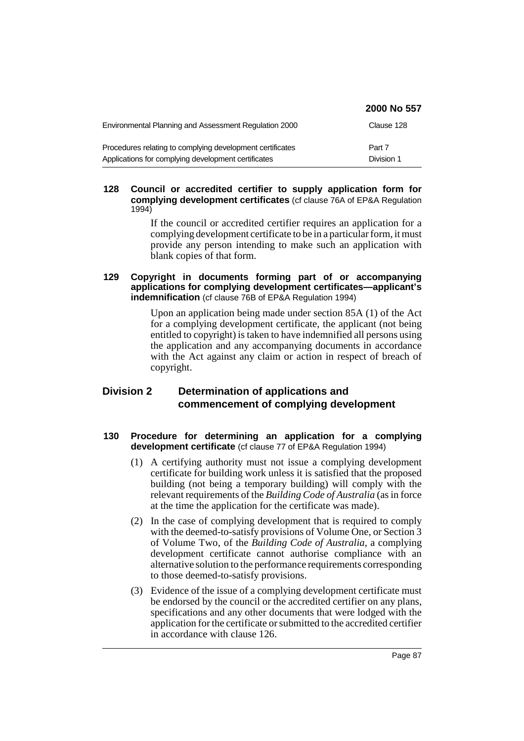|                                                                                                                  | 2000 No 557          |
|------------------------------------------------------------------------------------------------------------------|----------------------|
| Environmental Planning and Assessment Regulation 2000                                                            | Clause 128           |
| Procedures relating to complying development certificates<br>Applications for complying development certificates | Part 7<br>Division 1 |

## **128 Council or accredited certifier to supply application form for complying development certificates** (cf clause 76A of EP&A Regulation 1994)

If the council or accredited certifier requires an application for a complying development certificate to be in a particular form, it must provide any person intending to make such an application with blank copies of that form.

## **129 Copyright in documents forming part of or accompanying applications for complying development certificates—applicant's indemnification** (cf clause 76B of EP&A Regulation 1994)

Upon an application being made under section 85A (1) of the Act for a complying development certificate, the applicant (not being entitled to copyright) is taken to have indemnified all persons using the application and any accompanying documents in accordance with the Act against any claim or action in respect of breach of copyright.

# **Division 2 Determination of applications and commencement of complying development**

## **130 Procedure for determining an application for a complying development certificate** (cf clause 77 of EP&A Regulation 1994)

- (1) A certifying authority must not issue a complying development certificate for building work unless it is satisfied that the proposed building (not being a temporary building) will comply with the relevant requirements of the *Building Code of Australia* (as in force at the time the application for the certificate was made).
- (2) In the case of complying development that is required to comply with the deemed-to-satisfy provisions of Volume One, or Section 3 of Volume Two, of the *Building Code of Australia*, a complying development certificate cannot authorise compliance with an alternative solution to the performance requirements corresponding to those deemed-to-satisfy provisions.
- (3) Evidence of the issue of a complying development certificate must be endorsed by the council or the accredited certifier on any plans, specifications and any other documents that were lodged with the application for the certificate or submitted to the accredited certifier in accordance with clause 126.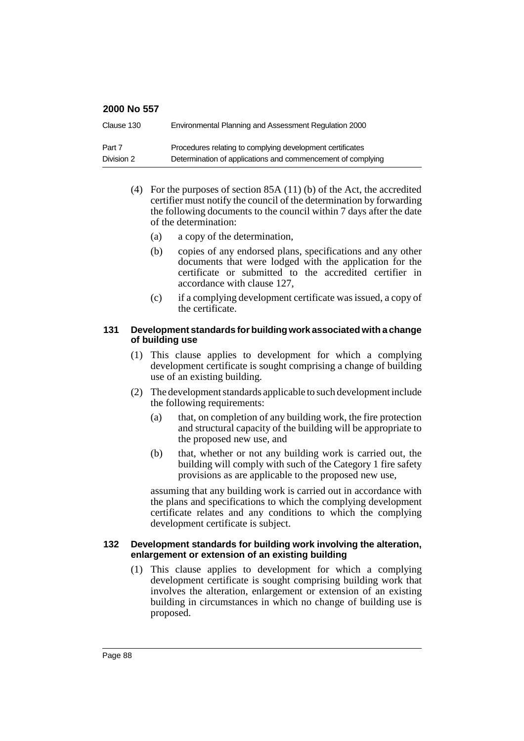| Clause 130 | Environmental Planning and Assessment Regulation 2000       |
|------------|-------------------------------------------------------------|
| Part 7     | Procedures relating to complying development certificates   |
| Division 2 | Determination of applications and commencement of complying |

- (4) For the purposes of section 85A (11) (b) of the Act, the accredited certifier must notify the council of the determination by forwarding the following documents to the council within 7 days after the date of the determination:
	- (a) a copy of the determination,
	- (b) copies of any endorsed plans, specifications and any other documents that were lodged with the application for the certificate or submitted to the accredited certifier in accordance with clause 127,
	- (c) if a complying development certificate was issued, a copy of the certificate.

## **131 Development standards for building work associated with a change of building use**

- (1) This clause applies to development for which a complying development certificate is sought comprising a change of building use of an existing building.
- (2) The development standards applicable to such development include the following requirements:
	- (a) that, on completion of any building work, the fire protection and structural capacity of the building will be appropriate to the proposed new use, and
	- (b) that, whether or not any building work is carried out, the building will comply with such of the Category 1 fire safety provisions as are applicable to the proposed new use,

assuming that any building work is carried out in accordance with the plans and specifications to which the complying development certificate relates and any conditions to which the complying development certificate is subject.

## **132 Development standards for building work involving the alteration, enlargement or extension of an existing building**

(1) This clause applies to development for which a complying development certificate is sought comprising building work that involves the alteration, enlargement or extension of an existing building in circumstances in which no change of building use is proposed.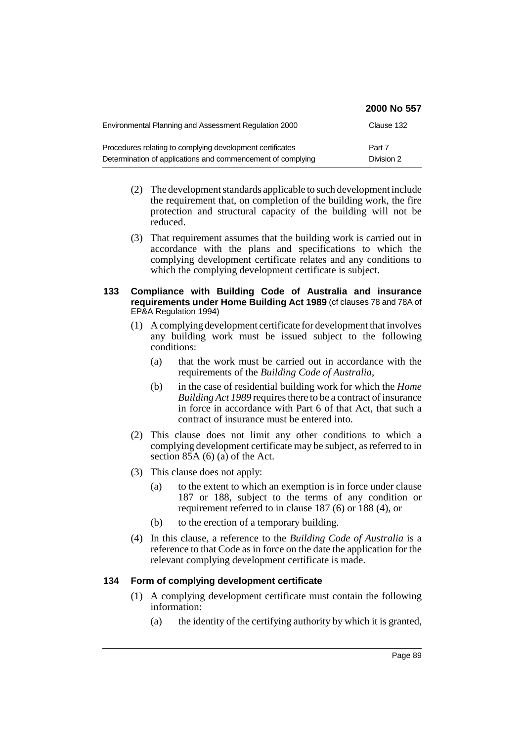|                                                                                                                          | 2000 No 557          |
|--------------------------------------------------------------------------------------------------------------------------|----------------------|
| Environmental Planning and Assessment Regulation 2000                                                                    | Clause 132           |
| Procedures relating to complying development certificates<br>Determination of applications and commencement of complying | Part 7<br>Division 2 |

- (2) The development standards applicable to such development include the requirement that, on completion of the building work, the fire protection and structural capacity of the building will not be reduced.
- (3) That requirement assumes that the building work is carried out in accordance with the plans and specifications to which the complying development certificate relates and any conditions to which the complying development certificate is subject.

#### **133 Compliance with Building Code of Australia and insurance requirements under Home Building Act 1989** (cf clauses 78 and 78A of EP&A Regulation 1994)

- (1) A complying development certificate for development that involves any building work must be issued subject to the following conditions:
	- (a) that the work must be carried out in accordance with the requirements of the *Building Code of Australia*,
	- (b) in the case of residential building work for which the *Home Building Act 1989* requires there to be a contract of insurance in force in accordance with Part 6 of that Act, that such a contract of insurance must be entered into.
- (2) This clause does not limit any other conditions to which a complying development certificate may be subject, as referred to in section 85A (6) (a) of the Act.
- (3) This clause does not apply:
	- (a) to the extent to which an exemption is in force under clause 187 or 188, subject to the terms of any condition or requirement referred to in clause 187 (6) or 188 (4), or
	- (b) to the erection of a temporary building.
- (4) In this clause, a reference to the *Building Code of Australia* is a reference to that Code as in force on the date the application for the relevant complying development certificate is made.

# **134 Form of complying development certificate**

- (1) A complying development certificate must contain the following information:
	- (a) the identity of the certifying authority by which it is granted,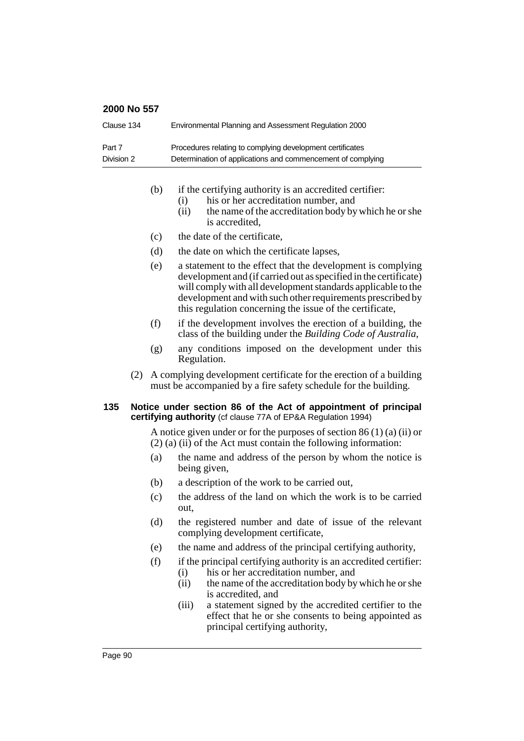| Clause 134 | Environmental Planning and Assessment Regulation 2000       |
|------------|-------------------------------------------------------------|
| Part 7     | Procedures relating to complying development certificates   |
| Division 2 | Determination of applications and commencement of complying |

- (b) if the certifying authority is an accredited certifier:
	- (i) his or her accreditation number, and<br>(ii) the name of the accreditation body by
	- the name of the accreditation body by which he or she is accredited,
- (c) the date of the certificate,
- (d) the date on which the certificate lapses,
- (e) a statement to the effect that the development is complying development and (if carried out as specified in the certificate) will comply with all development standards applicable to the development and with such other requirements prescribed by this regulation concerning the issue of the certificate,
- (f) if the development involves the erection of a building, the class of the building under the *Building Code of Australia*,
- (g) any conditions imposed on the development under this Regulation.
- (2) A complying development certificate for the erection of a building must be accompanied by a fire safety schedule for the building.

## **135 Notice under section 86 of the Act of appointment of principal certifying authority** (cf clause 77A of EP&A Regulation 1994)

A notice given under or for the purposes of section 86 (1) (a) (ii) or (2) (a) (ii) of the Act must contain the following information:

- (a) the name and address of the person by whom the notice is being given,
- (b) a description of the work to be carried out,
- (c) the address of the land on which the work is to be carried out,
- (d) the registered number and date of issue of the relevant complying development certificate,
- (e) the name and address of the principal certifying authority,
- (f) if the principal certifying authority is an accredited certifier:
	- (i) his or her accreditation number, and<br>(ii) the name of the accreditation body by
	- the name of the accreditation body by which he or she is accredited, and
	- (iii) a statement signed by the accredited certifier to the effect that he or she consents to being appointed as principal certifying authority,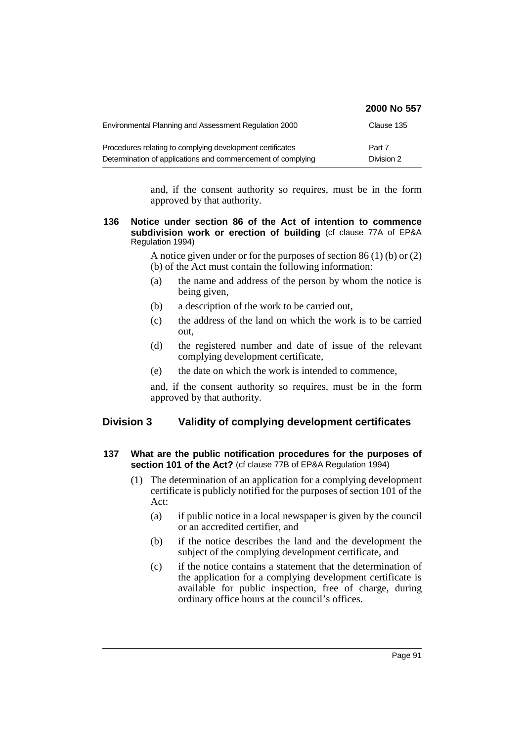|                                                                                                                          | 2000 No 557          |
|--------------------------------------------------------------------------------------------------------------------------|----------------------|
| Environmental Planning and Assessment Regulation 2000                                                                    | Clause 135           |
| Procedures relating to complying development certificates<br>Determination of applications and commencement of complying | Part 7<br>Division 2 |

and, if the consent authority so requires, must be in the form approved by that authority.

## **136 Notice under section 86 of the Act of intention to commence subdivision work or erection of building** (cf clause 77A of EP&A Regulation 1994)

A notice given under or for the purposes of section 86 (1) (b) or (2) (b) of the Act must contain the following information:

- (a) the name and address of the person by whom the notice is being given,
- (b) a description of the work to be carried out,
- (c) the address of the land on which the work is to be carried out,
- (d) the registered number and date of issue of the relevant complying development certificate,
- (e) the date on which the work is intended to commence,

and, if the consent authority so requires, must be in the form approved by that authority.

# **Division 3 Validity of complying development certificates**

## **137 What are the public notification procedures for the purposes of section 101 of the Act?** (cf clause 77B of EP&A Regulation 1994)

- (1) The determination of an application for a complying development certificate is publicly notified for the purposes of section 101 of the Act:
	- (a) if public notice in a local newspaper is given by the council or an accredited certifier, and
	- (b) if the notice describes the land and the development the subject of the complying development certificate, and
	- (c) if the notice contains a statement that the determination of the application for a complying development certificate is available for public inspection, free of charge, during ordinary office hours at the council's offices.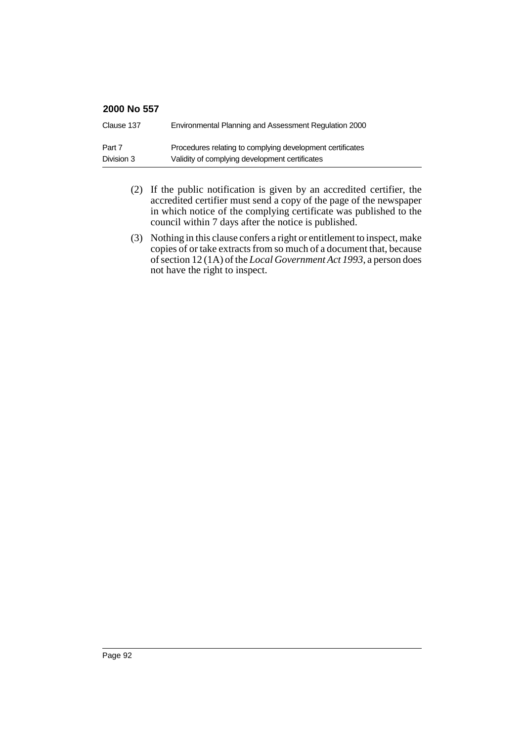| 2000 No 557          |                                                                                                             |
|----------------------|-------------------------------------------------------------------------------------------------------------|
| Clause 137           | Environmental Planning and Assessment Regulation 2000                                                       |
| Part 7<br>Division 3 | Procedures relating to complying development certificates<br>Validity of complying development certificates |

- (2) If the public notification is given by an accredited certifier, the accredited certifier must send a copy of the page of the newspaper in which notice of the complying certificate was published to the council within 7 days after the notice is published.
- (3) Nothing in this clause confers a right or entitlement to inspect, make copies of or take extracts from so much of a document that, because of section 12 (1A) of the *Local Government Act 1993*, a person does not have the right to inspect.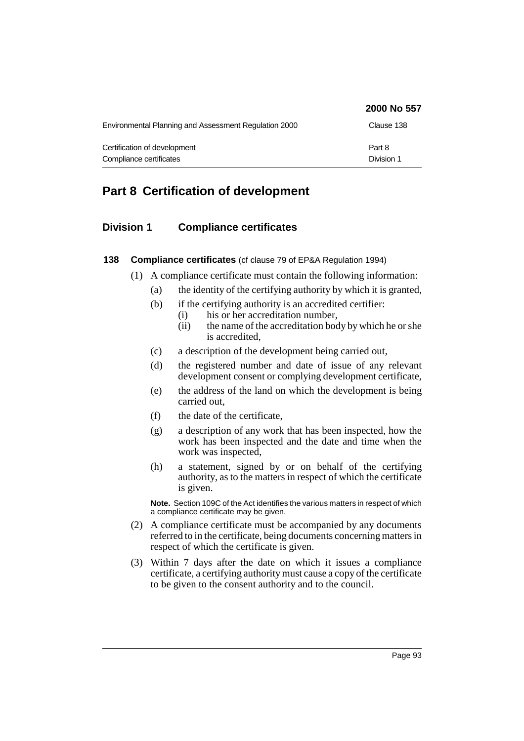|                                                       | 2000 No 557 |
|-------------------------------------------------------|-------------|
| Environmental Planning and Assessment Regulation 2000 | Clause 138  |
| Certification of development                          | Part 8      |
| Compliance certificates                               | Division 1  |

# **Part 8 Certification of development**

# **Division 1 Compliance certificates**

- **138 Compliance certificates** (cf clause 79 of EP&A Regulation 1994)
	- (1) A compliance certificate must contain the following information:
		- (a) the identity of the certifying authority by which it is granted,
		- (b) if the certifying authority is an accredited certifier:
			- (i) his or her accreditation number,
				- (ii) the name of the accreditation body by which he or she is accredited,
		- (c) a description of the development being carried out,
		- (d) the registered number and date of issue of any relevant development consent or complying development certificate,
		- (e) the address of the land on which the development is being carried out,
		- (f) the date of the certificate,
		- (g) a description of any work that has been inspected, how the work has been inspected and the date and time when the work was inspected,
		- (h) a statement, signed by or on behalf of the certifying authority, as to the matters in respect of which the certificate is given.

**Note.** Section 109C of the Act identifies the various matters in respect of which a compliance certificate may be given.

- (2) A compliance certificate must be accompanied by any documents referred to in the certificate, being documents concerning matters in respect of which the certificate is given.
- (3) Within 7 days after the date on which it issues a compliance certificate, a certifying authority must cause a copy of the certificate to be given to the consent authority and to the council.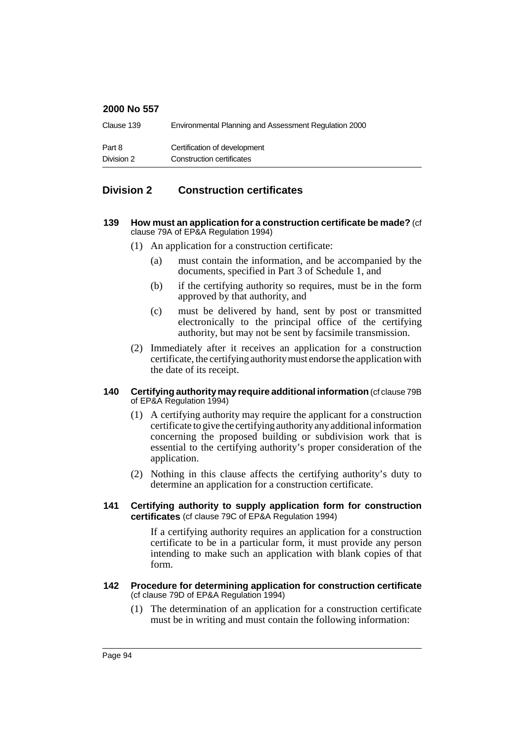| Clause 139 | Environmental Planning and Assessment Regulation 2000 |
|------------|-------------------------------------------------------|
| Part 8     | Certification of development                          |
| Division 2 | Construction certificates                             |

# **Division 2 Construction certificates**

- **139 How must an application for a construction certificate be made?** (cf clause 79A of EP&A Regulation 1994)
	- (1) An application for a construction certificate:
		- (a) must contain the information, and be accompanied by the documents, specified in Part 3 of Schedule 1, and
		- (b) if the certifying authority so requires, must be in the form approved by that authority, and
		- (c) must be delivered by hand, sent by post or transmitted electronically to the principal office of the certifying authority, but may not be sent by facsimile transmission.
	- (2) Immediately after it receives an application for a construction certificate, the certifying authority must endorse the application with the date of its receipt.

#### **140 Certifying authority may require additional information**(cf clause 79B of EP&A Regulation 1994)

- (1) A certifying authority may require the applicant for a construction certificate to give the certifying authority any additional information concerning the proposed building or subdivision work that is essential to the certifying authority's proper consideration of the application.
- (2) Nothing in this clause affects the certifying authority's duty to determine an application for a construction certificate.
- **141 Certifying authority to supply application form for construction certificates** (cf clause 79C of EP&A Regulation 1994)

If a certifying authority requires an application for a construction certificate to be in a particular form, it must provide any person intending to make such an application with blank copies of that form.

- **142 Procedure for determining application for construction certificate** (cf clause 79D of EP&A Regulation 1994)
	- (1) The determination of an application for a construction certificate must be in writing and must contain the following information: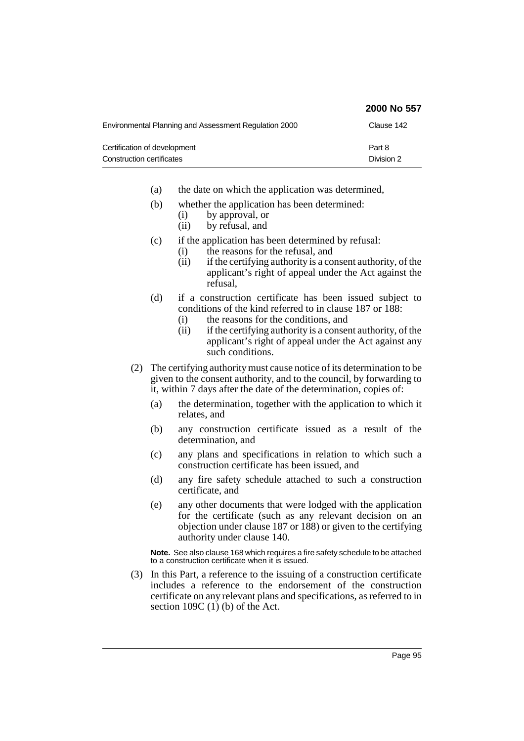|                                                           | 2000 No 557          |
|-----------------------------------------------------------|----------------------|
| Environmental Planning and Assessment Regulation 2000     | Clause 142           |
| Certification of development<br>Construction certificates | Part 8<br>Division 2 |

- (a) the date on which the application was determined,
- (b) whether the application has been determined:
	- (i) by approval, or<br>(ii) by refusal, and
	- by refusal, and
- (c) if the application has been determined by refusal:
	- (i) the reasons for the refusal, and
	- $(ii)$  if the certifying authority is a consent authority, of the applicant's right of appeal under the Act against the refusal,
- (d) if a construction certificate has been issued subject to conditions of the kind referred to in clause 187 or 188:
	- (i) the reasons for the conditions, and
	- $(ii)$  if the certifying authority is a consent authority, of the applicant's right of appeal under the Act against any such conditions.
- (2) The certifying authority must cause notice of its determination to be given to the consent authority, and to the council, by forwarding to it, within 7 days after the date of the determination, copies of:
	- (a) the determination, together with the application to which it relates, and
	- (b) any construction certificate issued as a result of the determination, and
	- (c) any plans and specifications in relation to which such a construction certificate has been issued, and
	- (d) any fire safety schedule attached to such a construction certificate, and
	- (e) any other documents that were lodged with the application for the certificate (such as any relevant decision on an objection under clause 187 or 188) or given to the certifying authority under clause 140.

**Note.** See also clause 168 which requires a fire safety schedule to be attached to a construction certificate when it is issued.

(3) In this Part, a reference to the issuing of a construction certificate includes a reference to the endorsement of the construction certificate on any relevant plans and specifications, as referred to in section  $109C(1)$  (b) of the Act.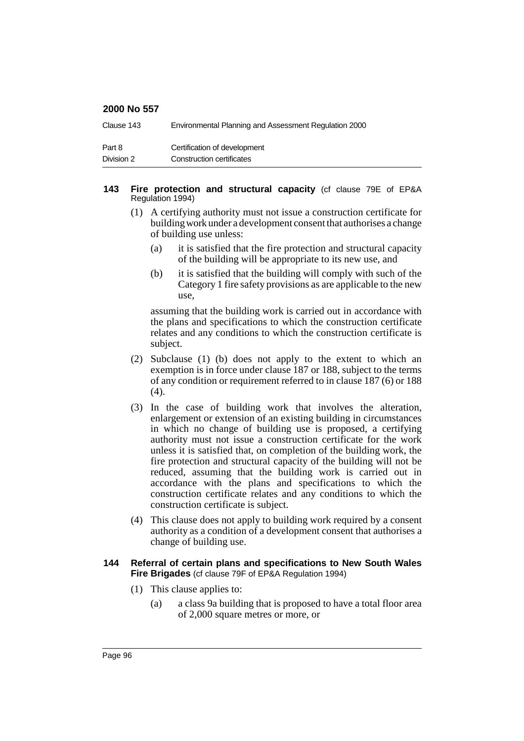| Clause 143 | Environmental Planning and Assessment Regulation 2000 |
|------------|-------------------------------------------------------|
| Part 8     | Certification of development                          |
| Division 2 | Construction certificates                             |

#### **143 Fire protection and structural capacity** (cf clause 79E of EP&A Regulation 1994)

- (1) A certifying authority must not issue a construction certificate for building work under a development consent that authorises a change of building use unless:
	- (a) it is satisfied that the fire protection and structural capacity of the building will be appropriate to its new use, and
	- (b) it is satisfied that the building will comply with such of the Category 1 fire safety provisions as are applicable to the new use,

assuming that the building work is carried out in accordance with the plans and specifications to which the construction certificate relates and any conditions to which the construction certificate is subject.

- (2) Subclause (1) (b) does not apply to the extent to which an exemption is in force under clause 187 or 188, subject to the terms of any condition or requirement referred to in clause 187 (6) or 188  $(4)$ .
- (3) In the case of building work that involves the alteration, enlargement or extension of an existing building in circumstances in which no change of building use is proposed, a certifying authority must not issue a construction certificate for the work unless it is satisfied that, on completion of the building work, the fire protection and structural capacity of the building will not be reduced, assuming that the building work is carried out in accordance with the plans and specifications to which the construction certificate relates and any conditions to which the construction certificate is subject.
- (4) This clause does not apply to building work required by a consent authority as a condition of a development consent that authorises a change of building use.

## **144 Referral of certain plans and specifications to New South Wales Fire Brigades** (cf clause 79F of EP&A Regulation 1994)

- (1) This clause applies to:
	- (a) a class 9a building that is proposed to have a total floor area of 2,000 square metres or more, or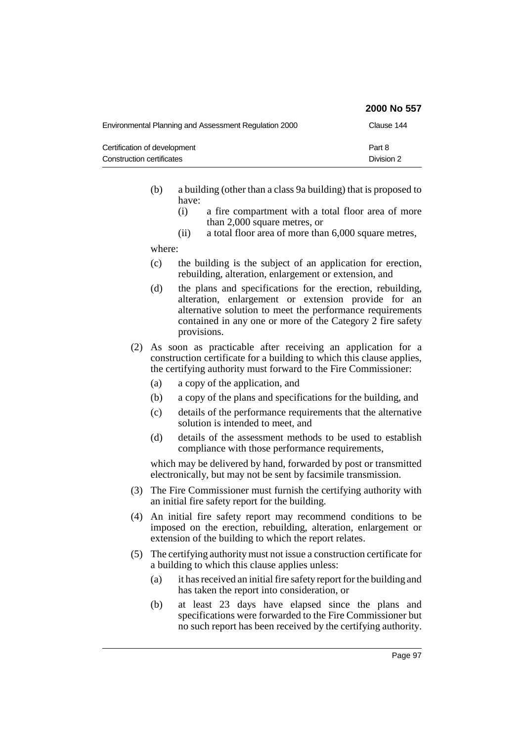|                                                           | 2000 No 557          |
|-----------------------------------------------------------|----------------------|
| Environmental Planning and Assessment Regulation 2000     | Clause 144           |
| Certification of development<br>Construction certificates | Part 8<br>Division 2 |

- (b) a building (other than a class 9a building) that is proposed to have:
	- (i) a fire compartment with a total floor area of more than 2,000 square metres, or
	- (ii) a total floor area of more than 6,000 square metres,

where:

- (c) the building is the subject of an application for erection, rebuilding, alteration, enlargement or extension, and
- (d) the plans and specifications for the erection, rebuilding, alteration, enlargement or extension provide for an alternative solution to meet the performance requirements contained in any one or more of the Category 2 fire safety provisions.
- (2) As soon as practicable after receiving an application for a construction certificate for a building to which this clause applies, the certifying authority must forward to the Fire Commissioner:
	- (a) a copy of the application, and
	- (b) a copy of the plans and specifications for the building, and
	- (c) details of the performance requirements that the alternative solution is intended to meet, and
	- (d) details of the assessment methods to be used to establish compliance with those performance requirements,

which may be delivered by hand, forwarded by post or transmitted electronically, but may not be sent by facsimile transmission.

- (3) The Fire Commissioner must furnish the certifying authority with an initial fire safety report for the building.
- (4) An initial fire safety report may recommend conditions to be imposed on the erection, rebuilding, alteration, enlargement or extension of the building to which the report relates.
- (5) The certifying authority must not issue a construction certificate for a building to which this clause applies unless:
	- (a) it has received an initial fire safety report for the building and has taken the report into consideration, or
	- (b) at least 23 days have elapsed since the plans and specifications were forwarded to the Fire Commissioner but no such report has been received by the certifying authority.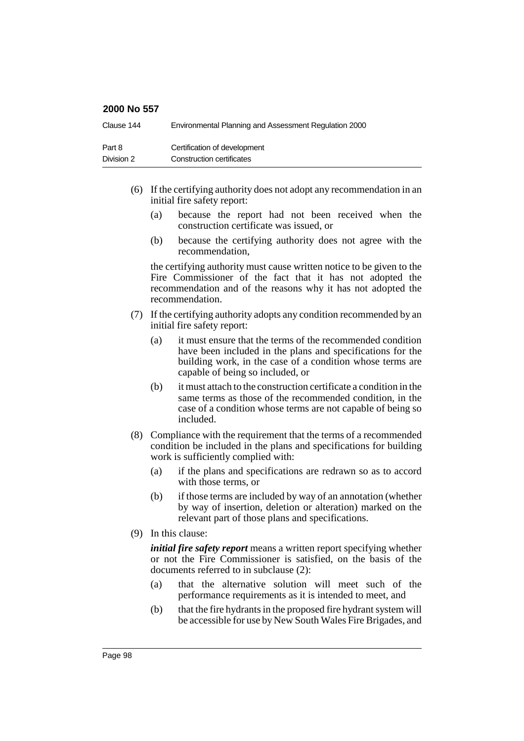| Clause 144 | Environmental Planning and Assessment Regulation 2000 |
|------------|-------------------------------------------------------|
| Part 8     | Certification of development                          |
| Division 2 | Construction certificates                             |

- (6) If the certifying authority does not adopt any recommendation in an initial fire safety report:
	- (a) because the report had not been received when the construction certificate was issued, or
	- (b) because the certifying authority does not agree with the recommendation,

the certifying authority must cause written notice to be given to the Fire Commissioner of the fact that it has not adopted the recommendation and of the reasons why it has not adopted the recommendation.

- (7) If the certifying authority adopts any condition recommended by an initial fire safety report:
	- (a) it must ensure that the terms of the recommended condition have been included in the plans and specifications for the building work, in the case of a condition whose terms are capable of being so included, or
	- (b) it must attach to the construction certificate a condition in the same terms as those of the recommended condition, in the case of a condition whose terms are not capable of being so included.
- (8) Compliance with the requirement that the terms of a recommended condition be included in the plans and specifications for building work is sufficiently complied with:
	- (a) if the plans and specifications are redrawn so as to accord with those terms, or
	- (b) if those terms are included by way of an annotation (whether by way of insertion, deletion or alteration) marked on the relevant part of those plans and specifications.
- (9) In this clause:

*initial fire safety report* means a written report specifying whether or not the Fire Commissioner is satisfied, on the basis of the documents referred to in subclause (2):

- (a) that the alternative solution will meet such of the performance requirements as it is intended to meet, and
- (b) that the fire hydrants in the proposed fire hydrant system will be accessible for use by New South Wales Fire Brigades, and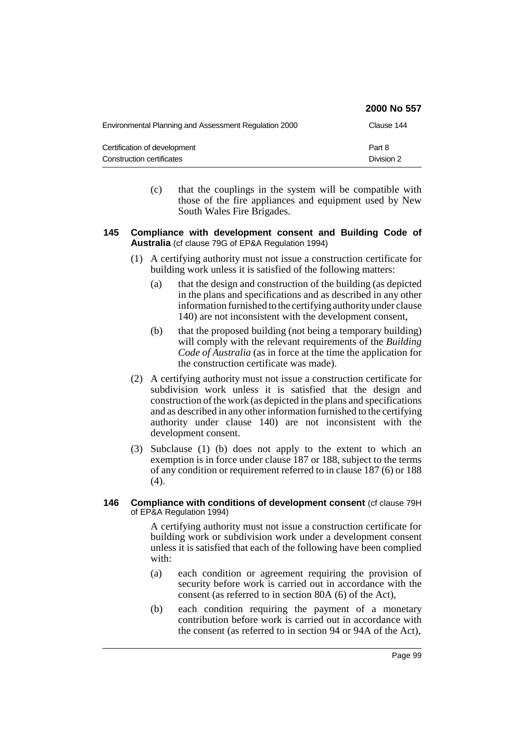|                                                           | 2000 No 557          |
|-----------------------------------------------------------|----------------------|
| Environmental Planning and Assessment Regulation 2000     | Clause 144           |
| Certification of development<br>Construction certificates | Part 8<br>Division 2 |

(c) that the couplings in the system will be compatible with those of the fire appliances and equipment used by New South Wales Fire Brigades.

## **145 Compliance with development consent and Building Code of Australia** (cf clause 79G of EP&A Regulation 1994)

- (1) A certifying authority must not issue a construction certificate for building work unless it is satisfied of the following matters:
	- (a) that the design and construction of the building (as depicted in the plans and specifications and as described in any other information furnished to the certifying authority under clause 140) are not inconsistent with the development consent,
	- (b) that the proposed building (not being a temporary building) will comply with the relevant requirements of the *Building Code of Australia* (as in force at the time the application for the construction certificate was made).
- (2) A certifying authority must not issue a construction certificate for subdivision work unless it is satisfied that the design and construction of the work (as depicted in the plans and specifications and as described in any other information furnished to the certifying authority under clause 140) are not inconsistent with the development consent.
- (3) Subclause (1) (b) does not apply to the extent to which an exemption is in force under clause 187 or 188, subject to the terms of any condition or requirement referred to in clause 187 (6) or 188  $(4).$

## **146 Compliance with conditions of development consent** (cf clause 79H of EP&A Regulation 1994)

A certifying authority must not issue a construction certificate for building work or subdivision work under a development consent unless it is satisfied that each of the following have been complied with:

- (a) each condition or agreement requiring the provision of security before work is carried out in accordance with the consent (as referred to in section 80A (6) of the Act),
- (b) each condition requiring the payment of a monetary contribution before work is carried out in accordance with the consent (as referred to in section 94 or 94A of the Act),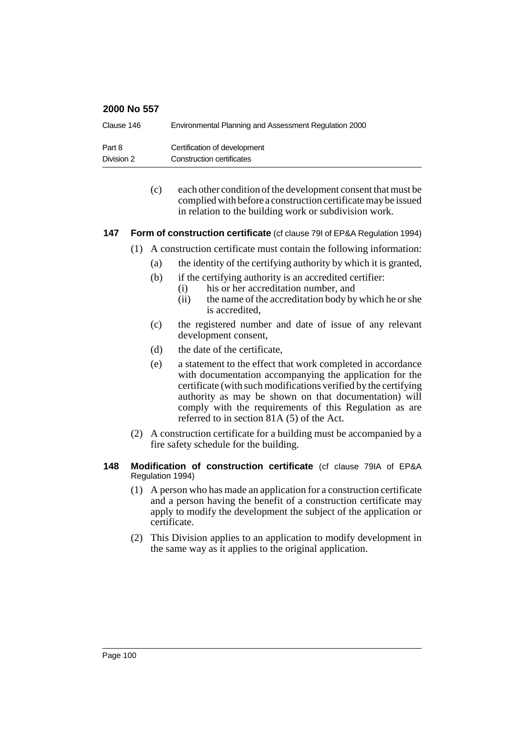| Clause 146 | Environmental Planning and Assessment Regulation 2000 |
|------------|-------------------------------------------------------|
| Part 8     | Certification of development                          |
| Division 2 | Construction certificates                             |

(c) each other condition of the development consent that must be complied with before a construction certificate may be issued in relation to the building work or subdivision work.

## **147 Form of construction certificate** (cf clause 79I of EP&A Regulation 1994)

- (1) A construction certificate must contain the following information:
	- (a) the identity of the certifying authority by which it is granted,
	- (b) if the certifying authority is an accredited certifier:
		- (i) his or her accreditation number, and
		- (ii) the name of the accreditation body by which he or she is accredited,
	- (c) the registered number and date of issue of any relevant development consent,
	- (d) the date of the certificate,
	- (e) a statement to the effect that work completed in accordance with documentation accompanying the application for the certificate (with such modifications verified by the certifying authority as may be shown on that documentation) will comply with the requirements of this Regulation as are referred to in section 81A (5) of the Act.
- (2) A construction certificate for a building must be accompanied by a fire safety schedule for the building.
- **148 Modification of construction certificate** (cf clause 79IA of EP&A Regulation 1994)
	- (1) A person who has made an application for a construction certificate and a person having the benefit of a construction certificate may apply to modify the development the subject of the application or certificate.
	- (2) This Division applies to an application to modify development in the same way as it applies to the original application.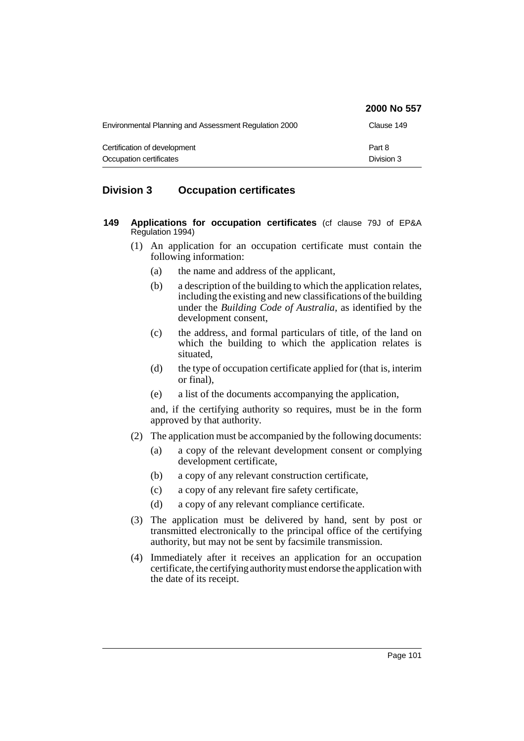| 2000 No 557          |
|----------------------|
| Clause 149           |
| Part 8<br>Division 3 |
|                      |

# **Division 3 Occupation certificates**

- **149 Applications for occupation certificates** (cf clause 79J of EP&A Regulation 1994)
	- (1) An application for an occupation certificate must contain the following information:
		- (a) the name and address of the applicant,
		- (b) a description of the building to which the application relates, including the existing and new classifications of the building under the *Building Code of Australia*, as identified by the development consent,
		- (c) the address, and formal particulars of title, of the land on which the building to which the application relates is situated,
		- (d) the type of occupation certificate applied for (that is, interim or final),
		- (e) a list of the documents accompanying the application,

and, if the certifying authority so requires, must be in the form approved by that authority.

- (2) The application must be accompanied by the following documents:
	- (a) a copy of the relevant development consent or complying development certificate,
	- (b) a copy of any relevant construction certificate,
	- (c) a copy of any relevant fire safety certificate,
	- (d) a copy of any relevant compliance certificate.
- (3) The application must be delivered by hand, sent by post or transmitted electronically to the principal office of the certifying authority, but may not be sent by facsimile transmission.
- (4) Immediately after it receives an application for an occupation certificate, the certifying authority must endorse the application with the date of its receipt.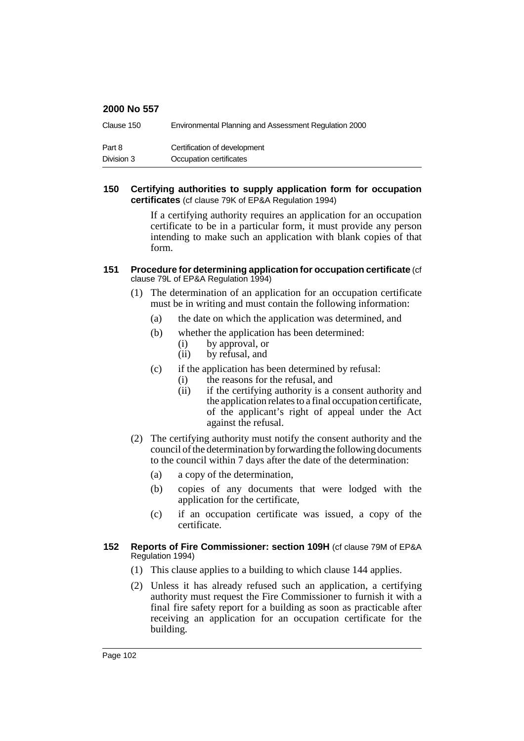| Clause 150 | Environmental Planning and Assessment Regulation 2000 |
|------------|-------------------------------------------------------|
| Part 8     | Certification of development                          |
| Division 3 | Occupation certificates                               |

## **150 Certifying authorities to supply application form for occupation certificates** (cf clause 79K of EP&A Regulation 1994)

If a certifying authority requires an application for an occupation certificate to be in a particular form, it must provide any person intending to make such an application with blank copies of that form.

#### **151 Procedure for determining application for occupation certificate** (cf clause 79L of EP&A Regulation 1994)

- (1) The determination of an application for an occupation certificate must be in writing and must contain the following information:
	- (a) the date on which the application was determined, and
	- (b) whether the application has been determined:
		- (i) by approval, or
		- (ii) by refusal, and
	- (c) if the application has been determined by refusal:
		- (i) the reasons for the refusal, and
			- (ii) if the certifying authority is a consent authority and the application relates to a final occupation certificate, of the applicant's right of appeal under the Act against the refusal.
- (2) The certifying authority must notify the consent authority and the council of the determination by forwarding the following documents to the council within 7 days after the date of the determination:
	- (a) a copy of the determination,
	- (b) copies of any documents that were lodged with the application for the certificate,
	- (c) if an occupation certificate was issued, a copy of the certificate.

#### **152 Reports of Fire Commissioner: section 109H** (cf clause 79M of EP&A Regulation 1994)

- (1) This clause applies to a building to which clause 144 applies.
- (2) Unless it has already refused such an application, a certifying authority must request the Fire Commissioner to furnish it with a final fire safety report for a building as soon as practicable after receiving an application for an occupation certificate for the building.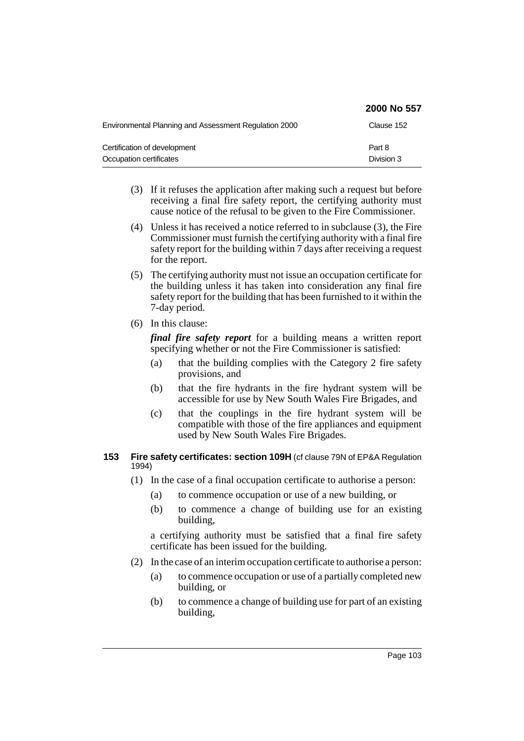|                                                       | 2000 No 557 |
|-------------------------------------------------------|-------------|
| Environmental Planning and Assessment Regulation 2000 | Clause 152  |
| Certification of development                          | Part 8      |
| Occupation certificates                               | Division 3  |

- (3) If it refuses the application after making such a request but before receiving a final fire safety report, the certifying authority must cause notice of the refusal to be given to the Fire Commissioner.
- (4) Unless it has received a notice referred to in subclause (3), the Fire Commissioner must furnish the certifying authority with a final fire safety report for the building within 7 days after receiving a request for the report.
- (5) The certifying authority must not issue an occupation certificate for the building unless it has taken into consideration any final fire safety report for the building that has been furnished to it within the 7-day period.
- (6) In this clause:

*final fire safety report* for a building means a written report specifying whether or not the Fire Commissioner is satisfied:

- (a) that the building complies with the Category 2 fire safety provisions, and
- (b) that the fire hydrants in the fire hydrant system will be accessible for use by New South Wales Fire Brigades, and
- (c) that the couplings in the fire hydrant system will be compatible with those of the fire appliances and equipment used by New South Wales Fire Brigades.

## **153 Fire safety certificates: section 109H** (cf clause 79N of EP&A Regulation 1994)

- (1) In the case of a final occupation certificate to authorise a person:
	- (a) to commence occupation or use of a new building, or
	- (b) to commence a change of building use for an existing building,

a certifying authority must be satisfied that a final fire safety certificate has been issued for the building.

- (2) In the case of an interim occupation certificate to authorise a person:
	- (a) to commence occupation or use of a partially completed new building, or
	- (b) to commence a change of building use for part of an existing building,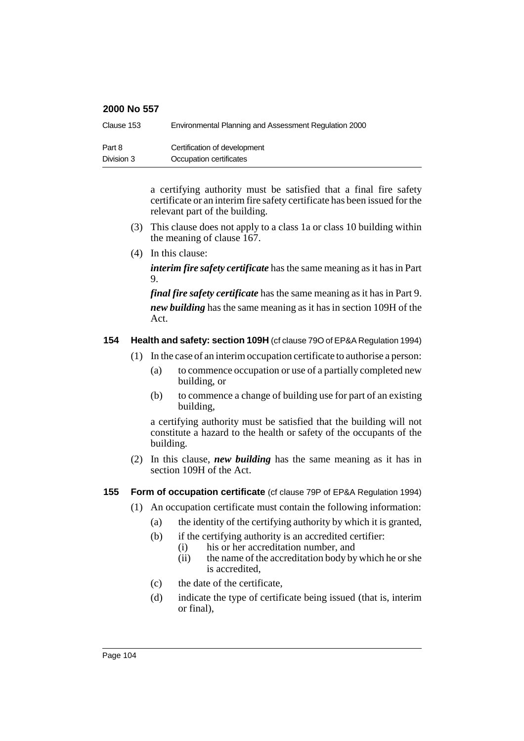| Clause 153 | Environmental Planning and Assessment Regulation 2000 |
|------------|-------------------------------------------------------|
| Part 8     | Certification of development                          |
| Division 3 | Occupation certificates                               |

a certifying authority must be satisfied that a final fire safety certificate or an interim fire safety certificate has been issued for the relevant part of the building.

- (3) This clause does not apply to a class 1a or class 10 building within the meaning of clause 167.
- (4) In this clause:

*interim fire safety certificate* has the same meaning as it has in Part 9.

*final fire safety certificate* has the same meaning as it has in Part 9. *new building* has the same meaning as it has in section 109H of the Act.

## **154 Health and safety: section 109H** (cf clause 79O of EP&A Regulation 1994)

- (1) In the case of an interim occupation certificate to authorise a person:
	- (a) to commence occupation or use of a partially completed new building, or
	- (b) to commence a change of building use for part of an existing building,

a certifying authority must be satisfied that the building will not constitute a hazard to the health or safety of the occupants of the building.

(2) In this clause, *new building* has the same meaning as it has in section 109H of the Act.

## **155 Form of occupation certificate** (cf clause 79P of EP&A Regulation 1994)

- (1) An occupation certificate must contain the following information:
	- (a) the identity of the certifying authority by which it is granted,
	- (b) if the certifying authority is an accredited certifier:
		- (i) his or her accreditation number, and
			- (ii) the name of the accreditation body by which he or she is accredited,
	- (c) the date of the certificate,
	- (d) indicate the type of certificate being issued (that is, interim or final),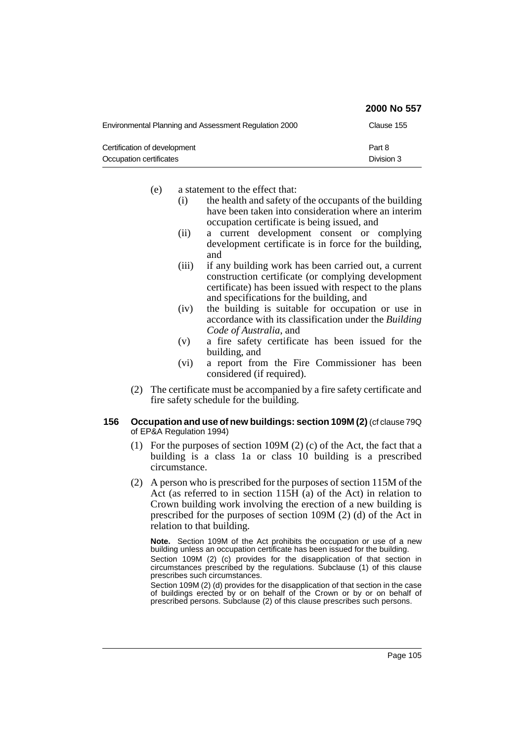| Environmental Planning and Assessment Regulation 2000 | Clause 155 |
|-------------------------------------------------------|------------|
| Certification of development                          | Part 8     |
| Occupation certificates                               | Division 3 |

#### (e) a statement to the effect that:

(i) the health and safety of the occupants of the building have been taken into consideration where an interim occupation certificate is being issued, and

**2000 No 557**

- (ii) a current development consent or complying development certificate is in force for the building, and
- (iii) if any building work has been carried out, a current construction certificate (or complying development certificate) has been issued with respect to the plans and specifications for the building, and
- (iv) the building is suitable for occupation or use in accordance with its classification under the *Building Code of Australia*, and
- (v) a fire safety certificate has been issued for the building, and
- (vi) a report from the Fire Commissioner has been considered (if required).
- (2) The certificate must be accompanied by a fire safety certificate and fire safety schedule for the building.

#### **156 Occupation and use of new buildings: section 109M (2)** (cf clause 79Q of EP&A Regulation 1994)

- (1) For the purposes of section 109M (2) (c) of the Act, the fact that a building is a class 1a or class 10 building is a prescribed circumstance.
- (2) A person who is prescribed for the purposes of section 115M of the Act (as referred to in section 115H (a) of the Act) in relation to Crown building work involving the erection of a new building is prescribed for the purposes of section 109M (2) (d) of the Act in relation to that building.

**Note.** Section 109M of the Act prohibits the occupation or use of a new building unless an occupation certificate has been issued for the building. Section 109M (2) (c) provides for the disapplication of that section in circumstances prescribed by the regulations. Subclause (1) of this clause prescribes such circumstances.

Section 109M (2) (d) provides for the disapplication of that section in the case of buildings erected by or on behalf of the Crown or by or on behalf of prescribed persons. Subclause (2) of this clause prescribes such persons.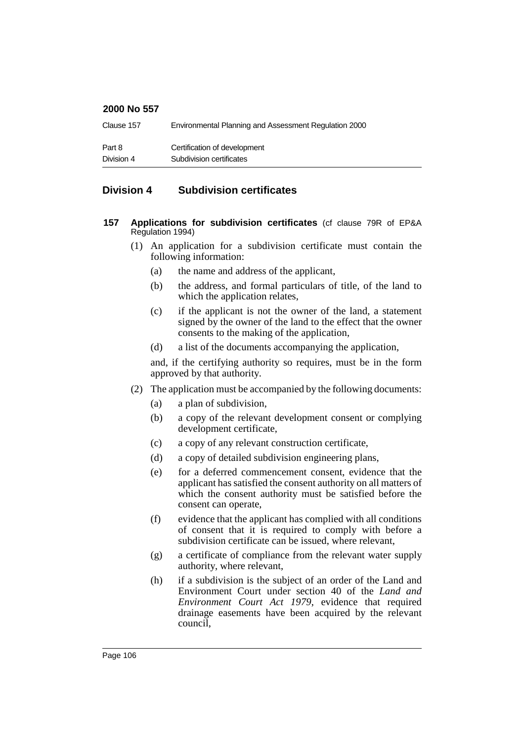| Clause 157 | Environmental Planning and Assessment Regulation 2000 |
|------------|-------------------------------------------------------|
| Part 8     | Certification of development                          |
| Division 4 | Subdivision certificates                              |

## **Division 4 Subdivision certificates**

- **157 Applications for subdivision certificates** (cf clause 79R of EP&A Regulation 1994)
	- (1) An application for a subdivision certificate must contain the following information:
		- (a) the name and address of the applicant,
		- (b) the address, and formal particulars of title, of the land to which the application relates.
		- (c) if the applicant is not the owner of the land, a statement signed by the owner of the land to the effect that the owner consents to the making of the application,
		- (d) a list of the documents accompanying the application,

and, if the certifying authority so requires, must be in the form approved by that authority.

- (2) The application must be accompanied by the following documents:
	- (a) a plan of subdivision,
	- (b) a copy of the relevant development consent or complying development certificate,
	- (c) a copy of any relevant construction certificate,
	- (d) a copy of detailed subdivision engineering plans,
	- (e) for a deferred commencement consent, evidence that the applicant has satisfied the consent authority on all matters of which the consent authority must be satisfied before the consent can operate,
	- (f) evidence that the applicant has complied with all conditions of consent that it is required to comply with before a subdivision certificate can be issued, where relevant,
	- (g) a certificate of compliance from the relevant water supply authority, where relevant,
	- (h) if a subdivision is the subject of an order of the Land and Environment Court under section 40 of the *Land and Environment Court Act 1979*, evidence that required drainage easements have been acquired by the relevant council,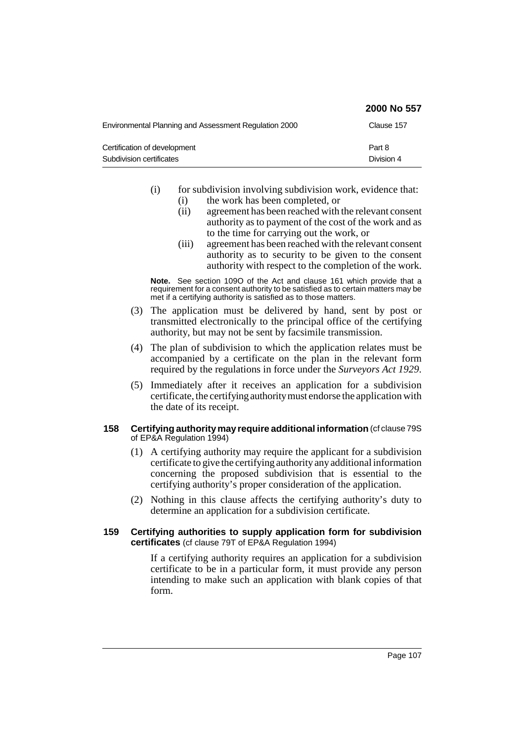|                                                          | 2000 No 557          |
|----------------------------------------------------------|----------------------|
| Environmental Planning and Assessment Regulation 2000    | Clause 157           |
| Certification of development<br>Subdivision certificates | Part 8<br>Division 4 |

- (i) for subdivision involving subdivision work, evidence that:
	- (i) the work has been completed, or<br>(ii) agreement has been reached with agreement has been reached with the relevant consent authority as to payment of the cost of the work and as to the time for carrying out the work, or
	- (iii) agreement has been reached with the relevant consent authority as to security to be given to the consent authority with respect to the completion of the work.

**Note.** See section 109O of the Act and clause 161 which provide that a requirement for a consent authority to be satisfied as to certain matters may be met if a certifying authority is satisfied as to those matters.

- (3) The application must be delivered by hand, sent by post or transmitted electronically to the principal office of the certifying authority, but may not be sent by facsimile transmission.
- (4) The plan of subdivision to which the application relates must be accompanied by a certificate on the plan in the relevant form required by the regulations in force under the *Surveyors Act 1929*.
- (5) Immediately after it receives an application for a subdivision certificate, the certifying authority must endorse the application with the date of its receipt.

#### **158 Certifying authority may require additional information** (cf clause 79S of EP&A Regulation 1994)

- (1) A certifying authority may require the applicant for a subdivision certificate to give the certifying authority any additional information concerning the proposed subdivision that is essential to the certifying authority's proper consideration of the application.
- (2) Nothing in this clause affects the certifying authority's duty to determine an application for a subdivision certificate.

## **159 Certifying authorities to supply application form for subdivision certificates** (cf clause 79T of EP&A Regulation 1994)

If a certifying authority requires an application for a subdivision certificate to be in a particular form, it must provide any person intending to make such an application with blank copies of that form.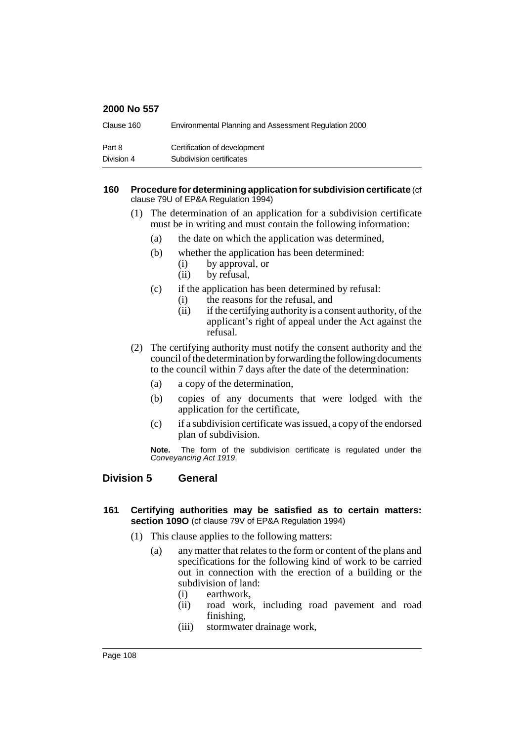| Clause 160 | Environmental Planning and Assessment Regulation 2000 |
|------------|-------------------------------------------------------|
| Part 8     | Certification of development                          |
| Division 4 | Subdivision certificates                              |

#### **160 Procedure for determining application for subdivision certificate** (cf clause 79U of EP&A Regulation 1994)

- (1) The determination of an application for a subdivision certificate must be in writing and must contain the following information:
	- (a) the date on which the application was determined,
	- (b) whether the application has been determined:
		- (i) by approval, or
		- (ii) by refusal,
	- (c) if the application has been determined by refusal:
		- (i) the reasons for the refusal, and
		- (ii) if the certifying authority is a consent authority, of the applicant's right of appeal under the Act against the refusal.
- (2) The certifying authority must notify the consent authority and the council of the determination by forwarding the following documents to the council within 7 days after the date of the determination:
	- (a) a copy of the determination,
	- (b) copies of any documents that were lodged with the application for the certificate,
	- (c) if a subdivision certificate was issued, a copy of the endorsed plan of subdivision.

**Note.** The form of the subdivision certificate is regulated under the Conveyancing Act 1919.

## **Division 5 General**

#### **161 Certifying authorities may be satisfied as to certain matters: section 109O** (cf clause 79V of EP&A Regulation 1994)

- (1) This clause applies to the following matters:
	- (a) any matter that relates to the form or content of the plans and specifications for the following kind of work to be carried out in connection with the erection of a building or the subdivision of land:
		- (i) earthwork,
		- (ii) road work, including road pavement and road finishing,
		- (iii) stormwater drainage work,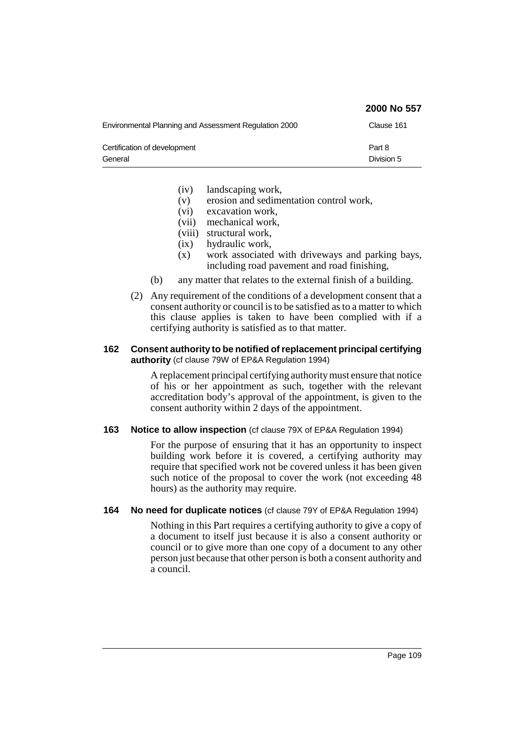|                                                       | <b>ZUUU INU JJI</b> |
|-------------------------------------------------------|---------------------|
| Environmental Planning and Assessment Regulation 2000 | Clause 161          |
| Certification of development                          | Part 8              |
| General                                               | Division 5          |

- (iv) landscaping work,
- (v) erosion and sedimentation control work,
- (vi) excavation work,
- (vii) mechanical work,
- (viii) structural work,
- 
- (ix) hydraulic work,<br>(x) work associated work associated with driveways and parking bays, including road pavement and road finishing,

- (b) any matter that relates to the external finish of a building.
- (2) Any requirement of the conditions of a development consent that a consent authority or council is to be satisfied as to a matter to which this clause applies is taken to have been complied with if a certifying authority is satisfied as to that matter.

## **162 Consent authority to be notified of replacement principal certifying authority** (cf clause 79W of EP&A Regulation 1994)

A replacement principal certifying authority must ensure that notice of his or her appointment as such, together with the relevant accreditation body's approval of the appointment, is given to the consent authority within 2 days of the appointment.

# **163 Notice to allow inspection** (cf clause 79X of EP&A Regulation 1994)

For the purpose of ensuring that it has an opportunity to inspect building work before it is covered, a certifying authority may require that specified work not be covered unless it has been given such notice of the proposal to cover the work (not exceeding 48) hours) as the authority may require.

# **164 No need for duplicate notices** (cf clause 79Y of EP&A Regulation 1994)

Nothing in this Part requires a certifying authority to give a copy of a document to itself just because it is also a consent authority or council or to give more than one copy of a document to any other person just because that other person is both a consent authority and a council.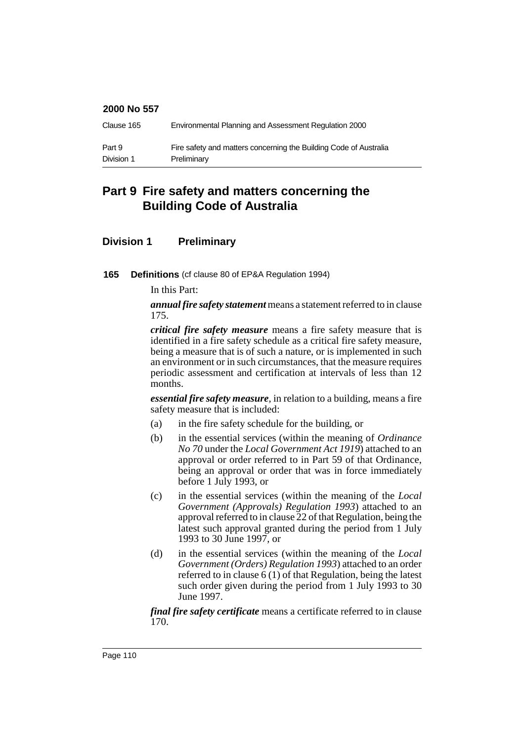| Clause 165 | Environmental Planning and Assessment Regulation 2000             |
|------------|-------------------------------------------------------------------|
| Part 9     | Fire safety and matters concerning the Building Code of Australia |
| Division 1 | Preliminary                                                       |

# **Part 9 Fire safety and matters concerning the Building Code of Australia**

# **Division 1 Preliminary**

#### **165 Definitions** (cf clause 80 of EP&A Regulation 1994)

In this Part:

*annual fire safety statement* means a statement referred to in clause 175.

*critical fire safety measure* means a fire safety measure that is identified in a fire safety schedule as a critical fire safety measure, being a measure that is of such a nature, or is implemented in such an environment or in such circumstances, that the measure requires periodic assessment and certification at intervals of less than 12 months.

*essential fire safety measure*, in relation to a building, means a fire safety measure that is included:

- (a) in the fire safety schedule for the building, or
- (b) in the essential services (within the meaning of *Ordinance No 70* under the *Local Government Act 1919*) attached to an approval or order referred to in Part 59 of that Ordinance, being an approval or order that was in force immediately before 1 July 1993, or
- (c) in the essential services (within the meaning of the *Local Government (Approvals) Regulation 1993*) attached to an approval referred to in clause 22 of that Regulation, being the latest such approval granted during the period from 1 July 1993 to 30 June 1997, or
- (d) in the essential services (within the meaning of the *Local Government (Orders) Regulation 1993*) attached to an order referred to in clause 6 (1) of that Regulation, being the latest such order given during the period from 1 July 1993 to 30 June 1997.

*final fire safety certificate* means a certificate referred to in clause 170.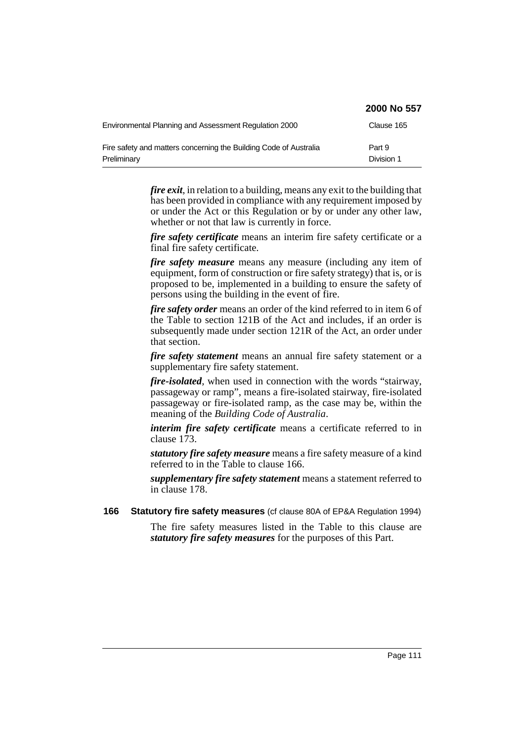|                                                                                  | 2000 No 557          |
|----------------------------------------------------------------------------------|----------------------|
| Environmental Planning and Assessment Regulation 2000                            | Clause 165           |
| Fire safety and matters concerning the Building Code of Australia<br>Preliminary | Part 9<br>Division 1 |

*fire exit*, in relation to a building, means any exit to the building that has been provided in compliance with any requirement imposed by or under the Act or this Regulation or by or under any other law, whether or not that law is currently in force.

*fire safety certificate* means an interim fire safety certificate or a final fire safety certificate.

*fire safety measure* means any measure (including any item of equipment, form of construction or fire safety strategy) that is, or is proposed to be, implemented in a building to ensure the safety of persons using the building in the event of fire.

*fire safety order* means an order of the kind referred to in item 6 of the Table to section 121B of the Act and includes, if an order is subsequently made under section 121R of the Act, an order under that section.

*fire safety statement* means an annual fire safety statement or a supplementary fire safety statement.

*fire-isolated*, when used in connection with the words "stairway, passageway or ramp", means a fire-isolated stairway, fire-isolated passageway or fire-isolated ramp, as the case may be, within the meaning of the *Building Code of Australia*.

*interim fire safety certificate* means a certificate referred to in clause 173.

*statutory fire safety measure* means a fire safety measure of a kind referred to in the Table to clause 166.

*supplementary fire safety statement* means a statement referred to in clause 178.

**166 Statutory fire safety measures** (cf clause 80A of EP&A Regulation 1994)

The fire safety measures listed in the Table to this clause are *statutory fire safety measures* for the purposes of this Part.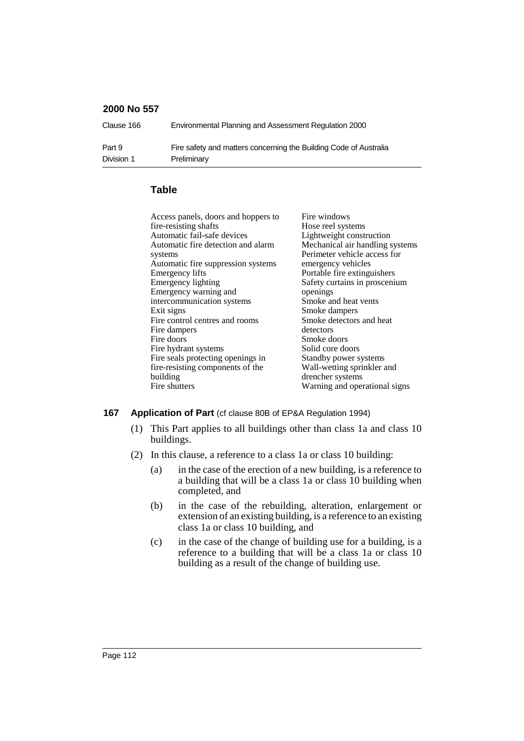| Clause 166 | Environmental Planning and Assessment Regulation 2000             |
|------------|-------------------------------------------------------------------|
| Part 9     | Fire safety and matters concerning the Building Code of Australia |
| Division 1 | Preliminary                                                       |

# **Table**

| Access panels, doors and hoppers to | Fire windows                    |
|-------------------------------------|---------------------------------|
| fire-resisting shafts               | Hose reel systems               |
| Automatic fail-safe devices         | Lightweight construction        |
| Automatic fire detection and alarm  | Mechanical air handling systems |
| systems                             | Perimeter vehicle access for    |
| Automatic fire suppression systems  | emergency vehicles              |
| <b>Emergency lifts</b>              | Portable fire extinguishers     |
| <b>Emergency lighting</b>           | Safety curtains in proscenium   |
| Emergency warning and               | openings                        |
| intercommunication systems          | Smoke and heat vents            |
| Exit signs                          | Smoke dampers                   |
| Fire control centres and rooms      | Smoke detectors and heat        |
| Fire dampers                        | detectors                       |
| Fire doors                          | Smoke doors                     |
| Fire hydrant systems                | Solid core doors                |
| Fire seals protecting openings in   | Standby power systems           |
| fire-resisting components of the    | Wall-wetting sprinkler and      |
| building                            | drencher systems                |
| Fire shutters                       | Warning and operational signs   |
|                                     |                                 |

# **167 Application of Part** (cf clause 80B of EP&A Regulation 1994)

- (1) This Part applies to all buildings other than class 1a and class 10 buildings.
- (2) In this clause, a reference to a class 1a or class 10 building:
	- (a) in the case of the erection of a new building, is a reference to a building that will be a class 1a or class 10 building when completed, and
	- (b) in the case of the rebuilding, alteration, enlargement or extension of an existing building, is a reference to an existing class 1a or class 10 building, and
	- (c) in the case of the change of building use for a building, is a reference to a building that will be a class 1a or class 10 building as a result of the change of building use.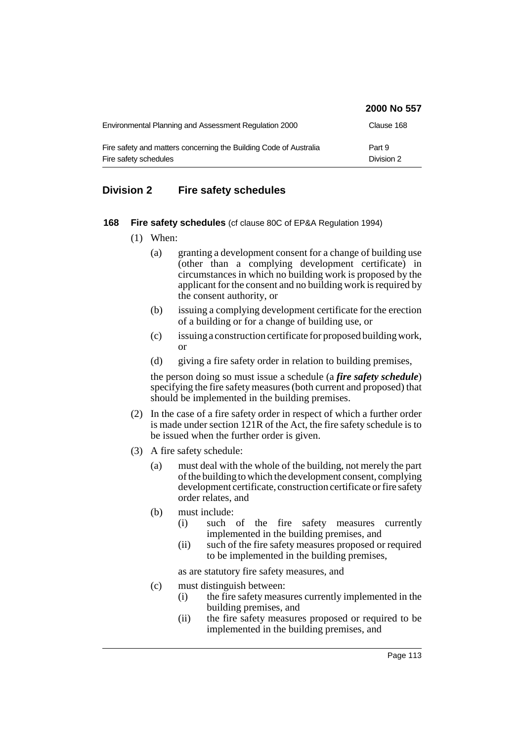|                                                                                            | 2000 No 557          |
|--------------------------------------------------------------------------------------------|----------------------|
| Environmental Planning and Assessment Regulation 2000                                      | Clause 168           |
| Fire safety and matters concerning the Building Code of Australia<br>Fire safety schedules | Part 9<br>Division 2 |

# **Division 2 Fire safety schedules**

- **168 Fire safety schedules** (cf clause 80C of EP&A Regulation 1994)
	- (1) When:
		- (a) granting a development consent for a change of building use (other than a complying development certificate) in circumstances in which no building work is proposed by the applicant for the consent and no building work is required by the consent authority, or
		- (b) issuing a complying development certificate for the erection of a building or for a change of building use, or
		- (c) issuing a construction certificate for proposed building work, or
		- (d) giving a fire safety order in relation to building premises,

the person doing so must issue a schedule (a *fire safety schedule*) specifying the fire safety measures (both current and proposed) that should be implemented in the building premises.

- (2) In the case of a fire safety order in respect of which a further order is made under section 121R of the Act, the fire safety schedule is to be issued when the further order is given.
- (3) A fire safety schedule:
	- (a) must deal with the whole of the building, not merely the part of the building to which the development consent, complying development certificate, construction certificate or fire safety order relates, and
	- (b) must include:
		- (i) such of the fire safety measures currently implemented in the building premises, and
		- (ii) such of the fire safety measures proposed or required to be implemented in the building premises,

as are statutory fire safety measures, and

- (c) must distinguish between:
	- (i) the fire safety measures currently implemented in the building premises, and
	- (ii) the fire safety measures proposed or required to be implemented in the building premises, and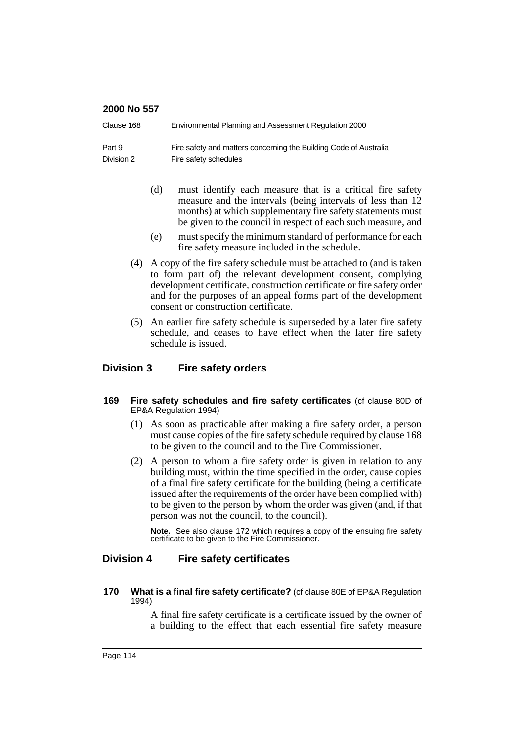| Clause 168 | Environmental Planning and Assessment Regulation 2000             |
|------------|-------------------------------------------------------------------|
| Part 9     | Fire safety and matters concerning the Building Code of Australia |
| Division 2 | Fire safety schedules                                             |

- (d) must identify each measure that is a critical fire safety measure and the intervals (being intervals of less than 12 months) at which supplementary fire safety statements must be given to the council in respect of each such measure, and
- (e) must specify the minimum standard of performance for each fire safety measure included in the schedule.
- (4) A copy of the fire safety schedule must be attached to (and is taken to form part of) the relevant development consent, complying development certificate, construction certificate or fire safety order and for the purposes of an appeal forms part of the development consent or construction certificate.
- (5) An earlier fire safety schedule is superseded by a later fire safety schedule, and ceases to have effect when the later fire safety schedule is issued.

# **Division 3 Fire safety orders**

- **169 Fire safety schedules and fire safety certificates** (cf clause 80D of EP&A Regulation 1994)
	- (1) As soon as practicable after making a fire safety order, a person must cause copies of the fire safety schedule required by clause 168 to be given to the council and to the Fire Commissioner.
	- (2) A person to whom a fire safety order is given in relation to any building must, within the time specified in the order, cause copies of a final fire safety certificate for the building (being a certificate issued after the requirements of the order have been complied with) to be given to the person by whom the order was given (and, if that person was not the council, to the council).

**Note.** See also clause 172 which requires a copy of the ensuing fire safety certificate to be given to the Fire Commissioner.

# **Division 4 Fire safety certificates**

**170 What is a final fire safety certificate?** (cf clause 80E of EP&A Regulation 1994)

> A final fire safety certificate is a certificate issued by the owner of a building to the effect that each essential fire safety measure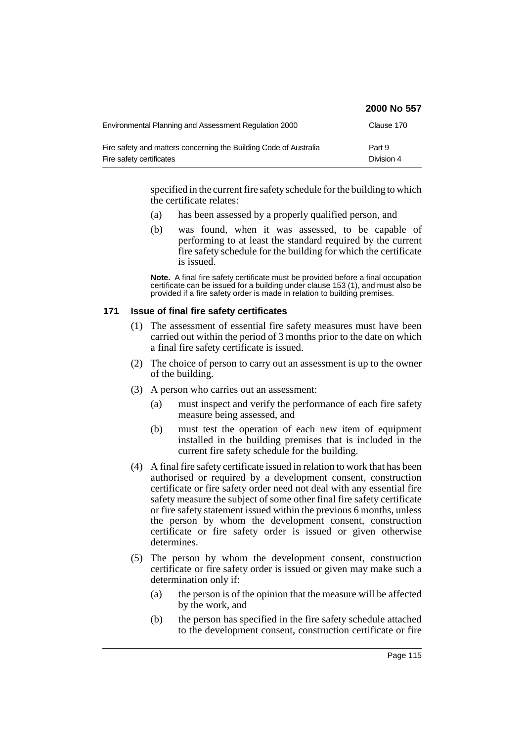|                                                                                               | 2000 No 557          |
|-----------------------------------------------------------------------------------------------|----------------------|
| Environmental Planning and Assessment Regulation 2000                                         | Clause 170           |
| Fire safety and matters concerning the Building Code of Australia<br>Fire safety certificates | Part 9<br>Division 4 |

specified in the current fire safety schedule for the building to which the certificate relates:

- (a) has been assessed by a properly qualified person, and
- (b) was found, when it was assessed, to be capable of performing to at least the standard required by the current fire safety schedule for the building for which the certificate is issued.

**Note.** A final fire safety certificate must be provided before a final occupation certificate can be issued for a building under clause 153 (1), and must also be provided if a fire safety order is made in relation to building premises.

## **171 Issue of final fire safety certificates**

- (1) The assessment of essential fire safety measures must have been carried out within the period of 3 months prior to the date on which a final fire safety certificate is issued.
- (2) The choice of person to carry out an assessment is up to the owner of the building.
- (3) A person who carries out an assessment:
	- (a) must inspect and verify the performance of each fire safety measure being assessed, and
	- (b) must test the operation of each new item of equipment installed in the building premises that is included in the current fire safety schedule for the building.
- (4) A final fire safety certificate issued in relation to work that has been authorised or required by a development consent, construction certificate or fire safety order need not deal with any essential fire safety measure the subject of some other final fire safety certificate or fire safety statement issued within the previous 6 months, unless the person by whom the development consent, construction certificate or fire safety order is issued or given otherwise determines.
- (5) The person by whom the development consent, construction certificate or fire safety order is issued or given may make such a determination only if:
	- (a) the person is of the opinion that the measure will be affected by the work, and
	- (b) the person has specified in the fire safety schedule attached to the development consent, construction certificate or fire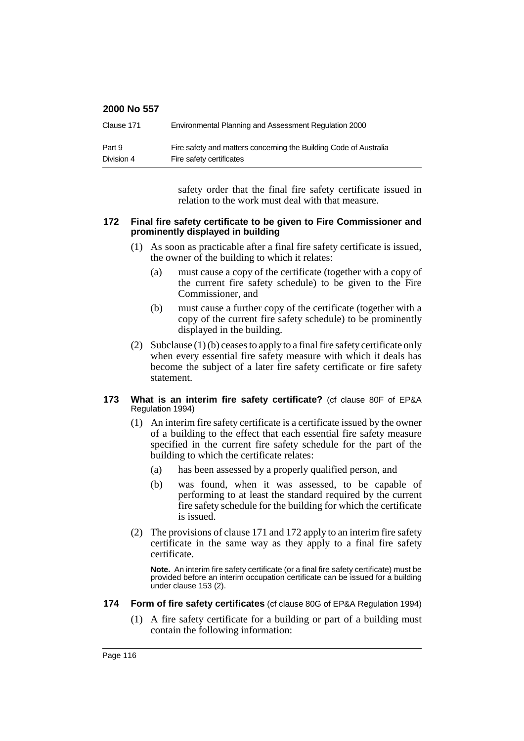| Clause 171 | Environmental Planning and Assessment Regulation 2000             |
|------------|-------------------------------------------------------------------|
| Part 9     | Fire safety and matters concerning the Building Code of Australia |
| Division 4 | Fire safety certificates                                          |

safety order that the final fire safety certificate issued in relation to the work must deal with that measure.

#### **172 Final fire safety certificate to be given to Fire Commissioner and prominently displayed in building**

- (1) As soon as practicable after a final fire safety certificate is issued, the owner of the building to which it relates:
	- (a) must cause a copy of the certificate (together with a copy of the current fire safety schedule) to be given to the Fire Commissioner, and
	- (b) must cause a further copy of the certificate (together with a copy of the current fire safety schedule) to be prominently displayed in the building.
- (2) Subclause  $(1)(b)$  ceases to apply to a final fire safety certificate only when every essential fire safety measure with which it deals has become the subject of a later fire safety certificate or fire safety statement.

#### **173 What is an interim fire safety certificate?** (cf clause 80F of EP&A Regulation 1994)

- (1) An interim fire safety certificate is a certificate issued by the owner of a building to the effect that each essential fire safety measure specified in the current fire safety schedule for the part of the building to which the certificate relates:
	- (a) has been assessed by a properly qualified person, and
	- (b) was found, when it was assessed, to be capable of performing to at least the standard required by the current fire safety schedule for the building for which the certificate is issued.
- (2) The provisions of clause 171 and 172 apply to an interim fire safety certificate in the same way as they apply to a final fire safety certificate.

**Note.** An interim fire safety certificate (or a final fire safety certificate) must be provided before an interim occupation certificate can be issued for a building under clause 153 (2).

- **174 Form of fire safety certificates** (cf clause 80G of EP&A Regulation 1994)
	- (1) A fire safety certificate for a building or part of a building must contain the following information: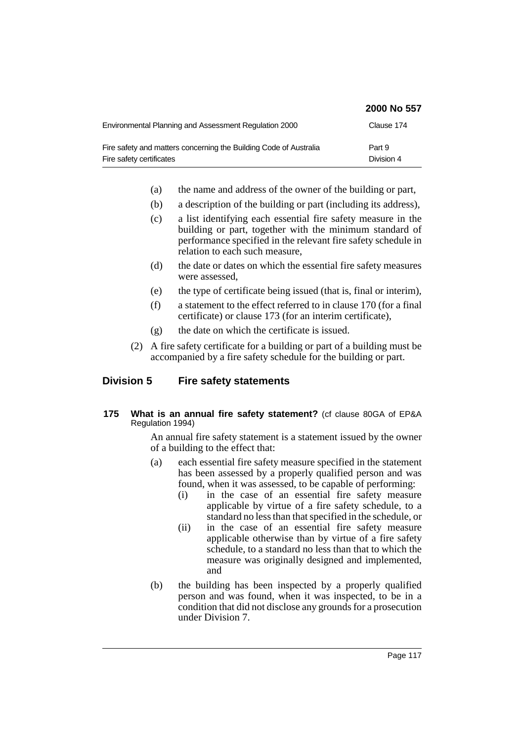|                                                                                               | 2000 No 557          |
|-----------------------------------------------------------------------------------------------|----------------------|
| Environmental Planning and Assessment Regulation 2000                                         | Clause 174           |
| Fire safety and matters concerning the Building Code of Australia<br>Fire safety certificates | Part 9<br>Division 4 |

- (a) the name and address of the owner of the building or part,
- (b) a description of the building or part (including its address),
- (c) a list identifying each essential fire safety measure in the building or part, together with the minimum standard of performance specified in the relevant fire safety schedule in relation to each such measure,
- (d) the date or dates on which the essential fire safety measures were assessed,
- (e) the type of certificate being issued (that is, final or interim),
- (f) a statement to the effect referred to in clause 170 (for a final certificate) or clause 173 (for an interim certificate),
- (g) the date on which the certificate is issued.
- (2) A fire safety certificate for a building or part of a building must be accompanied by a fire safety schedule for the building or part.

# **Division 5 Fire safety statements**

**175 What is an annual fire safety statement?** (cf clause 80GA of EP&A Regulation 1994)

> An annual fire safety statement is a statement issued by the owner of a building to the effect that:

- (a) each essential fire safety measure specified in the statement has been assessed by a properly qualified person and was found, when it was assessed, to be capable of performing:
	- (i) in the case of an essential fire safety measure applicable by virtue of a fire safety schedule, to a standard no less than that specified in the schedule, or
	- (ii) in the case of an essential fire safety measure applicable otherwise than by virtue of a fire safety schedule, to a standard no less than that to which the measure was originally designed and implemented, and
- (b) the building has been inspected by a properly qualified person and was found, when it was inspected, to be in a condition that did not disclose any grounds for a prosecution under Division 7.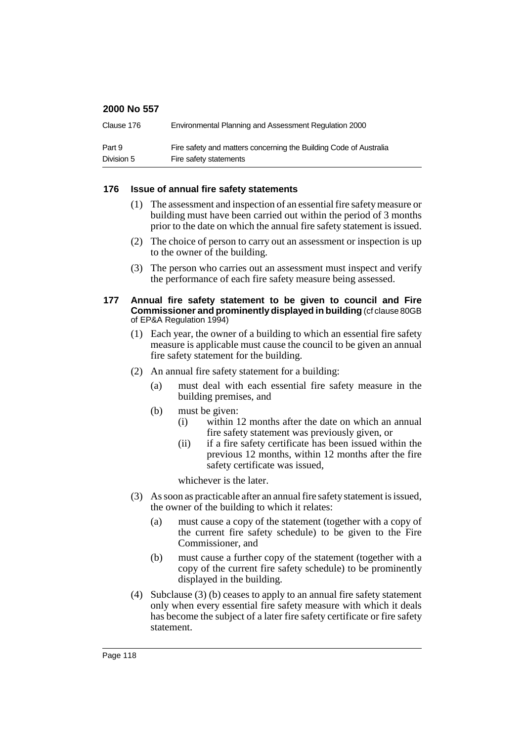| Clause 176 | Environmental Planning and Assessment Regulation 2000             |
|------------|-------------------------------------------------------------------|
| Part 9     | Fire safety and matters concerning the Building Code of Australia |
| Division 5 | Fire safety statements                                            |

## **176 Issue of annual fire safety statements**

- (1) The assessment and inspection of an essential fire safety measure or building must have been carried out within the period of 3 months prior to the date on which the annual fire safety statement is issued.
- (2) The choice of person to carry out an assessment or inspection is up to the owner of the building.
- (3) The person who carries out an assessment must inspect and verify the performance of each fire safety measure being assessed.

#### **177 Annual fire safety statement to be given to council and Fire Commissioner and prominently displayed in building** (cf clause 80GB of EP&A Regulation 1994)

- (1) Each year, the owner of a building to which an essential fire safety measure is applicable must cause the council to be given an annual fire safety statement for the building.
- (2) An annual fire safety statement for a building:
	- (a) must deal with each essential fire safety measure in the building premises, and
	- (b) must be given:
		- (i) within 12 months after the date on which an annual fire safety statement was previously given, or
		- (ii) if a fire safety certificate has been issued within the previous 12 months, within 12 months after the fire safety certificate was issued,

whichever is the later.

- (3) As soon as practicable after an annual fire safety statement is issued, the owner of the building to which it relates:
	- (a) must cause a copy of the statement (together with a copy of the current fire safety schedule) to be given to the Fire Commissioner, and
	- (b) must cause a further copy of the statement (together with a copy of the current fire safety schedule) to be prominently displayed in the building.
- (4) Subclause (3) (b) ceases to apply to an annual fire safety statement only when every essential fire safety measure with which it deals has become the subject of a later fire safety certificate or fire safety statement.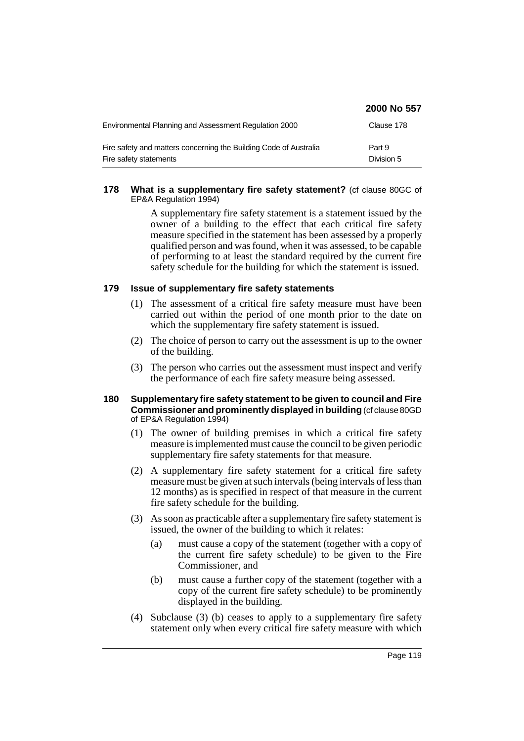|                                                                                             | 2000 No 557          |
|---------------------------------------------------------------------------------------------|----------------------|
| Environmental Planning and Assessment Regulation 2000                                       | Clause 178           |
| Fire safety and matters concerning the Building Code of Australia<br>Fire safety statements | Part 9<br>Division 5 |

#### **178 What is a supplementary fire safety statement?** (cf clause 80GC of EP&A Regulation 1994)

A supplementary fire safety statement is a statement issued by the owner of a building to the effect that each critical fire safety measure specified in the statement has been assessed by a properly qualified person and was found, when it was assessed, to be capable of performing to at least the standard required by the current fire safety schedule for the building for which the statement is issued.

## **179 Issue of supplementary fire safety statements**

- (1) The assessment of a critical fire safety measure must have been carried out within the period of one month prior to the date on which the supplementary fire safety statement is issued.
- (2) The choice of person to carry out the assessment is up to the owner of the building.
- (3) The person who carries out the assessment must inspect and verify the performance of each fire safety measure being assessed.

#### **180 Supplementary fire safety statement to be given to council and Fire Commissioner and prominently displayed in building**(cf clause 80GD of EP&A Regulation 1994)

- (1) The owner of building premises in which a critical fire safety measure is implemented must cause the council to be given periodic supplementary fire safety statements for that measure.
- (2) A supplementary fire safety statement for a critical fire safety measure must be given at such intervals (being intervals of less than 12 months) as is specified in respect of that measure in the current fire safety schedule for the building.
- (3) As soon as practicable after a supplementary fire safety statement is issued, the owner of the building to which it relates:
	- (a) must cause a copy of the statement (together with a copy of the current fire safety schedule) to be given to the Fire Commissioner, and
	- (b) must cause a further copy of the statement (together with a copy of the current fire safety schedule) to be prominently displayed in the building.
- (4) Subclause (3) (b) ceases to apply to a supplementary fire safety statement only when every critical fire safety measure with which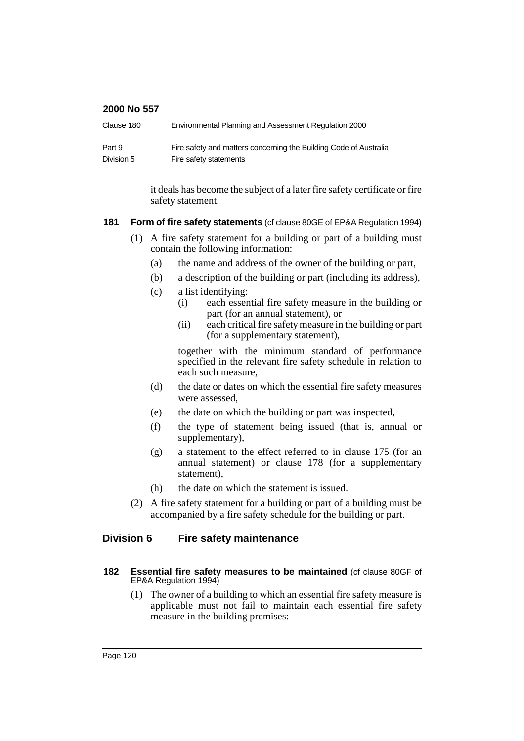| Clause 180 | Environmental Planning and Assessment Regulation 2000             |
|------------|-------------------------------------------------------------------|
| Part 9     | Fire safety and matters concerning the Building Code of Australia |
| Division 5 | Fire safety statements                                            |

it deals has become the subject of a later fire safety certificate or fire safety statement.

#### **181 Form of fire safety statements** (cf clause 80GE of EP&A Regulation 1994)

- (1) A fire safety statement for a building or part of a building must contain the following information:
	- (a) the name and address of the owner of the building or part,
	- (b) a description of the building or part (including its address),
	- (c) a list identifying:
		- (i) each essential fire safety measure in the building or part (for an annual statement), or
			- (ii) each critical fire safety measure in the building or part (for a supplementary statement),

together with the minimum standard of performance specified in the relevant fire safety schedule in relation to each such measure,

- (d) the date or dates on which the essential fire safety measures were assessed,
- (e) the date on which the building or part was inspected,
- (f) the type of statement being issued (that is, annual or supplementary),
- (g) a statement to the effect referred to in clause 175 (for an annual statement) or clause 178 (for a supplementary statement),
- (h) the date on which the statement is issued.
- (2) A fire safety statement for a building or part of a building must be accompanied by a fire safety schedule for the building or part.

# **Division 6 Fire safety maintenance**

- **182 Essential fire safety measures to be maintained** (cf clause 80GF of EP&A Regulation 1994)
	- (1) The owner of a building to which an essential fire safety measure is applicable must not fail to maintain each essential fire safety measure in the building premises: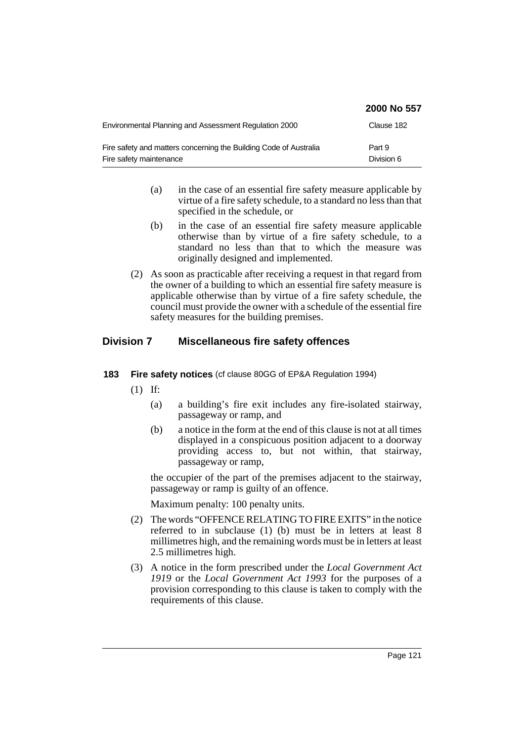|                                                                                              | 2000 No 557          |
|----------------------------------------------------------------------------------------------|----------------------|
| Environmental Planning and Assessment Regulation 2000                                        | Clause 182           |
| Fire safety and matters concerning the Building Code of Australia<br>Fire safety maintenance | Part 9<br>Division 6 |

- (a) in the case of an essential fire safety measure applicable by virtue of a fire safety schedule, to a standard no less than that specified in the schedule, or
- (b) in the case of an essential fire safety measure applicable otherwise than by virtue of a fire safety schedule, to a standard no less than that to which the measure was originally designed and implemented.
- (2) As soon as practicable after receiving a request in that regard from the owner of a building to which an essential fire safety measure is applicable otherwise than by virtue of a fire safety schedule, the council must provide the owner with a schedule of the essential fire safety measures for the building premises.

# **Division 7 Miscellaneous fire safety offences**

# **183 Fire safety notices** (cf clause 80GG of EP&A Regulation 1994)

- (1) If:
	- (a) a building's fire exit includes any fire-isolated stairway, passageway or ramp, and
	- (b) a notice in the form at the end of this clause is not at all times displayed in a conspicuous position adjacent to a doorway providing access to, but not within, that stairway, passageway or ramp,

the occupier of the part of the premises adjacent to the stairway, passageway or ramp is guilty of an offence.

Maximum penalty: 100 penalty units.

- (2) The words "OFFENCE RELATING TO FIRE EXITS" in the notice referred to in subclause (1) (b) must be in letters at least 8 millimetres high, and the remaining words must be in letters at least 2.5 millimetres high.
- (3) A notice in the form prescribed under the *Local Government Act 1919* or the *Local Government Act 1993* for the purposes of a provision corresponding to this clause is taken to comply with the requirements of this clause.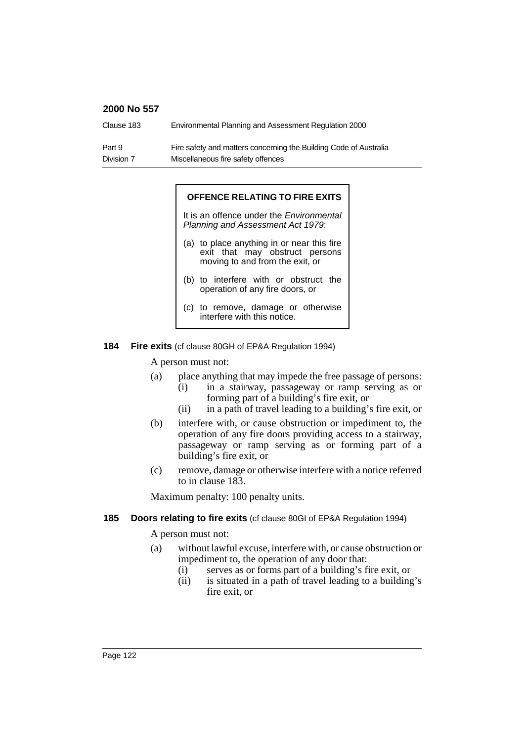| Clause 183 | Environmental Planning and Assessment Regulation 2000             |
|------------|-------------------------------------------------------------------|
| Part 9     | Fire safety and matters concerning the Building Code of Australia |
| Division 7 | Miscellaneous fire safety offences                                |

#### **OFFENCE RELATING TO FIRE EXITS**

It is an offence under the Environmental Planning and Assessment Act 1979:

- (a) to place anything in or near this fire exit that may obstruct persons moving to and from the exit, or
- (b) to interfere with or obstruct the operation of any fire doors, or
- (c) to remove, damage or otherwise interfere with this notice.
- **184 Fire exits** (cf clause 80GH of EP&A Regulation 1994)

A person must not:

- (a) place anything that may impede the free passage of persons:
	- (i) in a stairway, passageway or ramp serving as or forming part of a building's fire exit, or
	- (ii) in a path of travel leading to a building's fire exit, or
- (b) interfere with, or cause obstruction or impediment to, the operation of any fire doors providing access to a stairway, passageway or ramp serving as or forming part of a building's fire exit, or
- (c) remove, damage or otherwise interfere with a notice referred to in clause 183.

Maximum penalty: 100 penalty units.

#### **185 Doors relating to fire exits** (cf clause 80GI of EP&A Regulation 1994)

A person must not:

- (a) without lawful excuse, interfere with, or cause obstruction or impediment to, the operation of any door that:
	- (i) serves as or forms part of a building's fire exit, or
	- (ii) is situated in a path of travel leading to a building's fire exit, or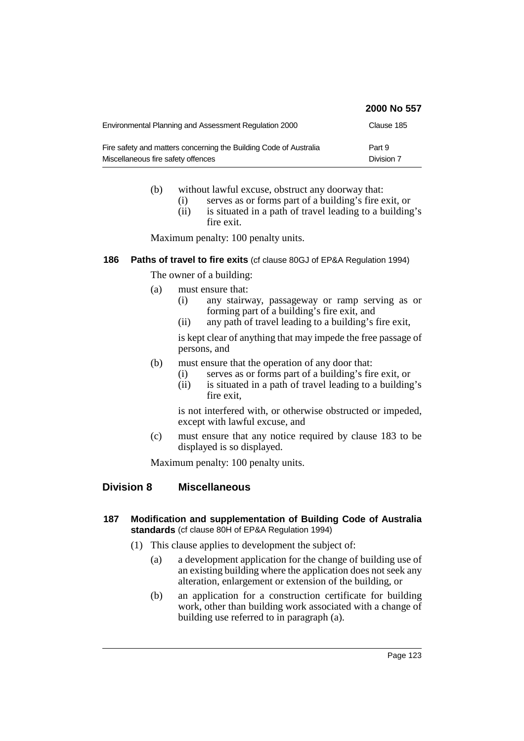|                                                                                                         | 2000 No 557          |
|---------------------------------------------------------------------------------------------------------|----------------------|
| Environmental Planning and Assessment Regulation 2000                                                   | Clause 185           |
| Fire safety and matters concerning the Building Code of Australia<br>Miscellaneous fire safety offences | Part 9<br>Division 7 |

- (b) without lawful excuse, obstruct any doorway that:
	- (i) serves as or forms part of a building's fire exit, or
		- (ii) is situated in a path of travel leading to a building's fire exit.

Maximum penalty: 100 penalty units.

## **186 Paths of travel to fire exits** (cf clause 80GJ of EP&A Regulation 1994)

The owner of a building:

- (a) must ensure that:
	- (i) any stairway, passageway or ramp serving as or forming part of a building's fire exit, and
	- (ii) any path of travel leading to a building's fire exit,

is kept clear of anything that may impede the free passage of persons, and

- (b) must ensure that the operation of any door that:
	- (i) serves as or forms part of a building's fire exit, or
	- (ii) is situated in a path of travel leading to a building's fire exit,

is not interfered with, or otherwise obstructed or impeded, except with lawful excuse, and

(c) must ensure that any notice required by clause 183 to be displayed is so displayed.

Maximum penalty: 100 penalty units.

# **Division 8 Miscellaneous**

- **187 Modification and supplementation of Building Code of Australia standards** (cf clause 80H of EP&A Regulation 1994)
	- (1) This clause applies to development the subject of:
		- (a) a development application for the change of building use of an existing building where the application does not seek any alteration, enlargement or extension of the building, or
		- (b) an application for a construction certificate for building work, other than building work associated with a change of building use referred to in paragraph (a).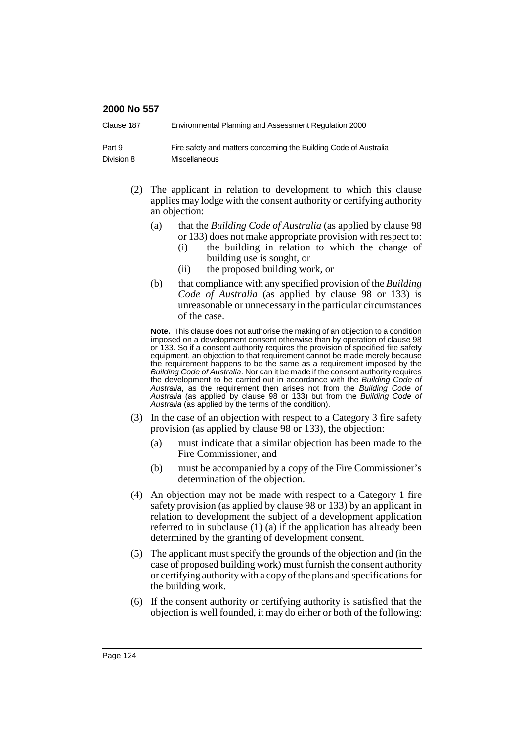| Clause 187 | Environmental Planning and Assessment Regulation 2000             |
|------------|-------------------------------------------------------------------|
| Part 9     | Fire safety and matters concerning the Building Code of Australia |
| Division 8 | <b>Miscellaneous</b>                                              |

- (2) The applicant in relation to development to which this clause applies may lodge with the consent authority or certifying authority an objection:
	- (a) that the *Building Code of Australia* (as applied by clause 98 or 133) does not make appropriate provision with respect to:
		- (i) the building in relation to which the change of building use is sought, or
		- (ii) the proposed building work, or
	- (b) that compliance with any specified provision of the *Building Code of Australia* (as applied by clause 98 or 133) is unreasonable or unnecessary in the particular circumstances of the case.

**Note.** This clause does not authorise the making of an objection to a condition imposed on a development consent otherwise than by operation of clause 98 or 133. So if a consent authority requires the provision of specified fire safety equipment, an objection to that requirement cannot be made merely because the requirement happens to be the same as a requirement imposed by the Building Code of Australia. Nor can it be made if the consent authority requires the development to be carried out in accordance with the Building Code of Australia, as the requirement then arises not from the Building Code of Australia (as applied by clause 98 or 133) but from the Building Code of Australia (as applied by the terms of the condition).

- (3) In the case of an objection with respect to a Category 3 fire safety provision (as applied by clause 98 or 133), the objection:
	- (a) must indicate that a similar objection has been made to the Fire Commissioner, and
	- (b) must be accompanied by a copy of the Fire Commissioner's determination of the objection.
- (4) An objection may not be made with respect to a Category 1 fire safety provision (as applied by clause 98 or 133) by an applicant in relation to development the subject of a development application referred to in subclause (1) (a) if the application has already been determined by the granting of development consent.
- (5) The applicant must specify the grounds of the objection and (in the case of proposed building work) must furnish the consent authority or certifying authority with a copy of the plans and specifications for the building work.
- (6) If the consent authority or certifying authority is satisfied that the objection is well founded, it may do either or both of the following: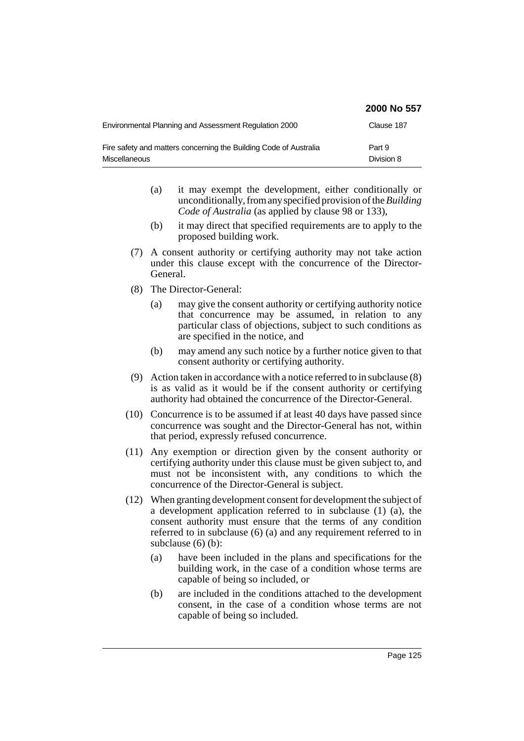|                                                                   | 2000 No 557 |
|-------------------------------------------------------------------|-------------|
| Environmental Planning and Assessment Regulation 2000             | Clause 187  |
| Fire safety and matters concerning the Building Code of Australia | Part 9      |
| <b>Miscellaneous</b>                                              | Division 8  |

- (a) it may exempt the development, either conditionally or unconditionally, from any specified provision of the *Building Code of Australia* (as applied by clause 98 or 133),
- (b) it may direct that specified requirements are to apply to the proposed building work.
- (7) A consent authority or certifying authority may not take action under this clause except with the concurrence of the Director-General.
- (8) The Director-General:
	- (a) may give the consent authority or certifying authority notice that concurrence may be assumed, in relation to any particular class of objections, subject to such conditions as are specified in the notice, and
	- (b) may amend any such notice by a further notice given to that consent authority or certifying authority.
- (9) Action taken in accordance with a notice referred to in subclause (8) is as valid as it would be if the consent authority or certifying authority had obtained the concurrence of the Director-General.
- (10) Concurrence is to be assumed if at least 40 days have passed since concurrence was sought and the Director-General has not, within that period, expressly refused concurrence.
- (11) Any exemption or direction given by the consent authority or certifying authority under this clause must be given subject to, and must not be inconsistent with, any conditions to which the concurrence of the Director-General is subject.
- (12) When granting development consent for development the subject of a development application referred to in subclause (1) (a), the consent authority must ensure that the terms of any condition referred to in subclause (6) (a) and any requirement referred to in subclause (6) (b):
	- (a) have been included in the plans and specifications for the building work, in the case of a condition whose terms are capable of being so included, or
	- (b) are included in the conditions attached to the development consent, in the case of a condition whose terms are not capable of being so included.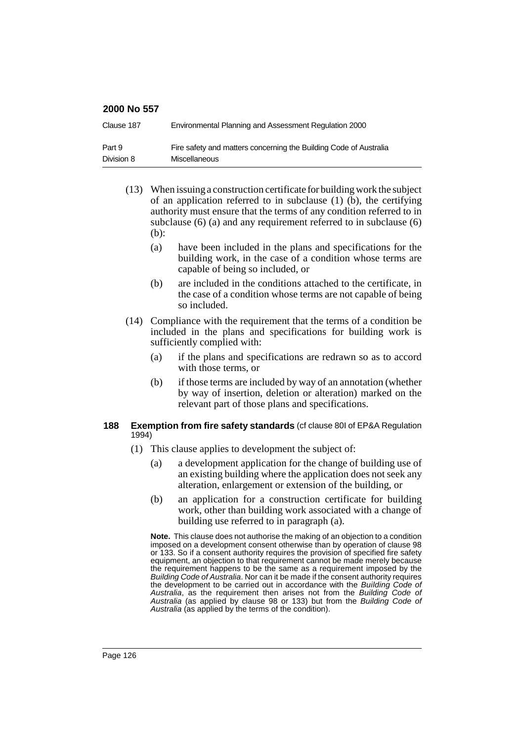| Clause 187 | Environmental Planning and Assessment Regulation 2000             |
|------------|-------------------------------------------------------------------|
| Part 9     | Fire safety and matters concerning the Building Code of Australia |
| Division 8 | <b>Miscellaneous</b>                                              |

- (13) When issuing a construction certificate for building work the subject of an application referred to in subclause (1) (b), the certifying authority must ensure that the terms of any condition referred to in subclause (6) (a) and any requirement referred to in subclause (6) (b):
	- (a) have been included in the plans and specifications for the building work, in the case of a condition whose terms are capable of being so included, or
	- (b) are included in the conditions attached to the certificate, in the case of a condition whose terms are not capable of being so included.
- (14) Compliance with the requirement that the terms of a condition be included in the plans and specifications for building work is sufficiently complied with:
	- (a) if the plans and specifications are redrawn so as to accord with those terms, or
	- (b) if those terms are included by way of an annotation (whether by way of insertion, deletion or alteration) marked on the relevant part of those plans and specifications.

#### **188 Exemption from fire safety standards** (cf clause 80I of EP&A Regulation 1994)

- (1) This clause applies to development the subject of:
	- (a) a development application for the change of building use of an existing building where the application does not seek any alteration, enlargement or extension of the building, or
	- (b) an application for a construction certificate for building work, other than building work associated with a change of building use referred to in paragraph (a).

**Note.** This clause does not authorise the making of an objection to a condition imposed on a development consent otherwise than by operation of clause 98 or 133. So if a consent authority requires the provision of specified fire safety equipment, an objection to that requirement cannot be made merely because the requirement happens to be the same as a requirement imposed by the Building Code of Australia. Nor can it be made if the consent authority requires the development to be carried out in accordance with the Building Code of Australia, as the requirement then arises not from the Building Code of Australia (as applied by clause 98 or 133) but from the Building Code of Australia (as applied by the terms of the condition).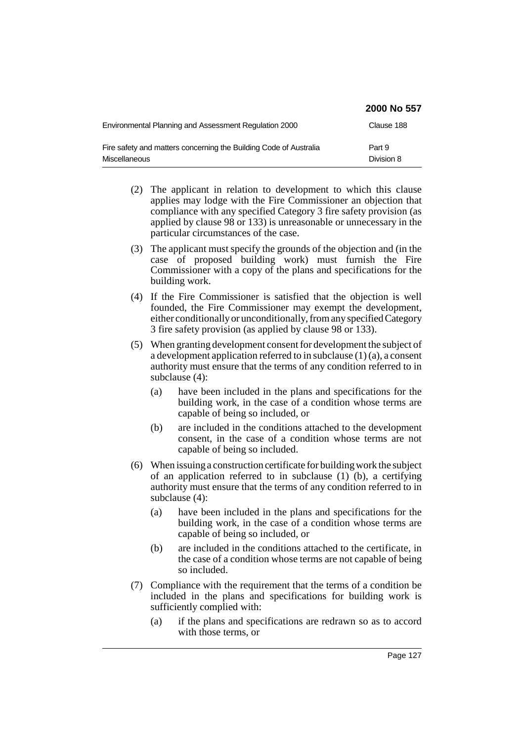|                                                                                           | 2000 No 557          |
|-------------------------------------------------------------------------------------------|----------------------|
| Environmental Planning and Assessment Regulation 2000                                     | Clause 188           |
| Fire safety and matters concerning the Building Code of Australia<br><b>Miscellaneous</b> | Part 9<br>Division 8 |

- (2) The applicant in relation to development to which this clause applies may lodge with the Fire Commissioner an objection that compliance with any specified Category 3 fire safety provision (as applied by clause 98 or 133) is unreasonable or unnecessary in the particular circumstances of the case.
- (3) The applicant must specify the grounds of the objection and (in the case of proposed building work) must furnish the Fire Commissioner with a copy of the plans and specifications for the building work.
- (4) If the Fire Commissioner is satisfied that the objection is well founded, the Fire Commissioner may exempt the development, either conditionally or unconditionally, from any specified Category 3 fire safety provision (as applied by clause 98 or 133).
- (5) When granting development consent for development the subject of a development application referred to in subclause (1) (a), a consent authority must ensure that the terms of any condition referred to in subclause (4):
	- (a) have been included in the plans and specifications for the building work, in the case of a condition whose terms are capable of being so included, or
	- (b) are included in the conditions attached to the development consent, in the case of a condition whose terms are not capable of being so included.
- (6) When issuing a construction certificate for building work the subject of an application referred to in subclause (1) (b), a certifying authority must ensure that the terms of any condition referred to in subclause (4):
	- (a) have been included in the plans and specifications for the building work, in the case of a condition whose terms are capable of being so included, or
	- (b) are included in the conditions attached to the certificate, in the case of a condition whose terms are not capable of being so included.
- (7) Compliance with the requirement that the terms of a condition be included in the plans and specifications for building work is sufficiently complied with:
	- (a) if the plans and specifications are redrawn so as to accord with those terms, or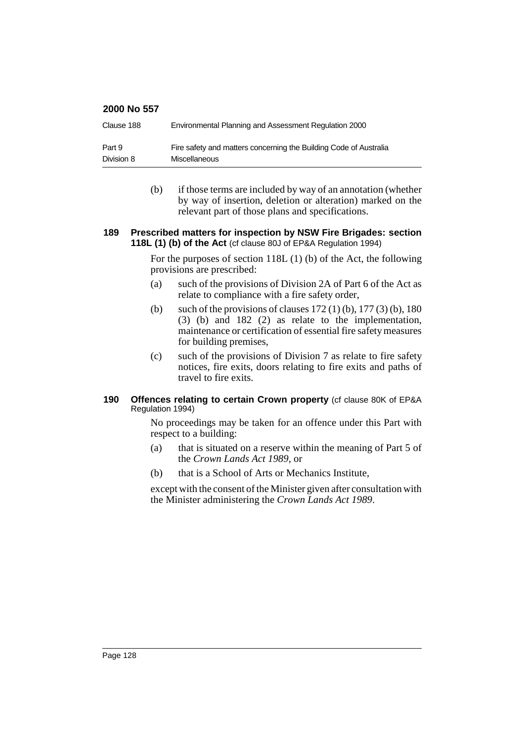| Clause 188 | Environmental Planning and Assessment Regulation 2000             |
|------------|-------------------------------------------------------------------|
| Part 9     | Fire safety and matters concerning the Building Code of Australia |
| Division 8 | <b>Miscellaneous</b>                                              |

(b) if those terms are included by way of an annotation (whether by way of insertion, deletion or alteration) marked on the relevant part of those plans and specifications.

#### **189 Prescribed matters for inspection by NSW Fire Brigades: section 118L (1) (b) of the Act** (cf clause 80J of EP&A Regulation 1994)

For the purposes of section 118L (1) (b) of the Act, the following provisions are prescribed:

- (a) such of the provisions of Division 2A of Part 6 of the Act as relate to compliance with a fire safety order,
- (b) such of the provisions of clauses  $172(1)$  (b),  $177(3)$  (b),  $180$ (3) (b) and 182 (2) as relate to the implementation, maintenance or certification of essential fire safety measures for building premises,
- (c) such of the provisions of Division 7 as relate to fire safety notices, fire exits, doors relating to fire exits and paths of travel to fire exits.

#### **190 Offences relating to certain Crown property** (cf clause 80K of EP&A Regulation 1994)

No proceedings may be taken for an offence under this Part with respect to a building:

- (a) that is situated on a reserve within the meaning of Part 5 of the *Crown Lands Act 1989*, or
- (b) that is a School of Arts or Mechanics Institute,

except with the consent of the Minister given after consultation with the Minister administering the *Crown Lands Act 1989*.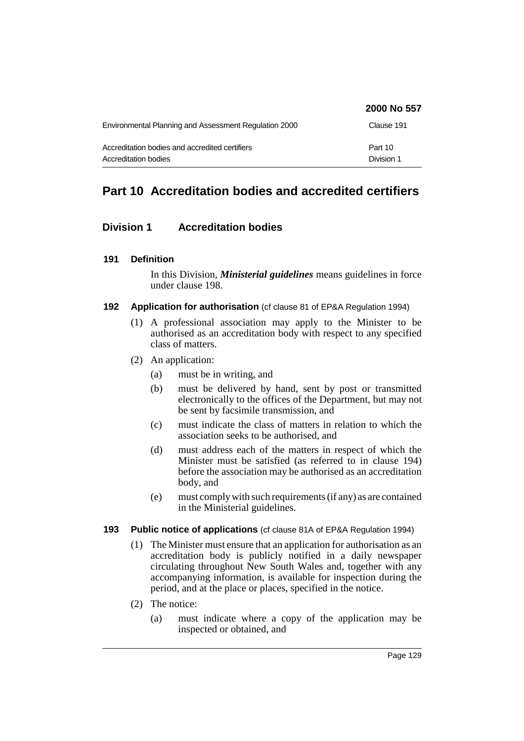|                                                                        | 2000 No 557           |
|------------------------------------------------------------------------|-----------------------|
| Environmental Planning and Assessment Regulation 2000                  | Clause 191            |
| Accreditation bodies and accredited certifiers<br>Accreditation bodies | Part 10<br>Division 1 |

# **Part 10 Accreditation bodies and accredited certifiers**

# **Division 1 Accreditation bodies**

# **191 Definition**

In this Division, *Ministerial guidelines* means guidelines in force under clause 198.

# **192 Application for authorisation** (cf clause 81 of EP&A Regulation 1994)

- (1) A professional association may apply to the Minister to be authorised as an accreditation body with respect to any specified class of matters.
- (2) An application:
	- (a) must be in writing, and
	- (b) must be delivered by hand, sent by post or transmitted electronically to the offices of the Department, but may not be sent by facsimile transmission, and
	- (c) must indicate the class of matters in relation to which the association seeks to be authorised, and
	- (d) must address each of the matters in respect of which the Minister must be satisfied (as referred to in clause 194) before the association may be authorised as an accreditation body, and
	- (e) must comply with such requirements (if any) as are contained in the Ministerial guidelines.

# **193 Public notice of applications** (cf clause 81A of EP&A Regulation 1994)

- (1) The Minister must ensure that an application for authorisation as an accreditation body is publicly notified in a daily newspaper circulating throughout New South Wales and, together with any accompanying information, is available for inspection during the period, and at the place or places, specified in the notice.
- (2) The notice:
	- (a) must indicate where a copy of the application may be inspected or obtained, and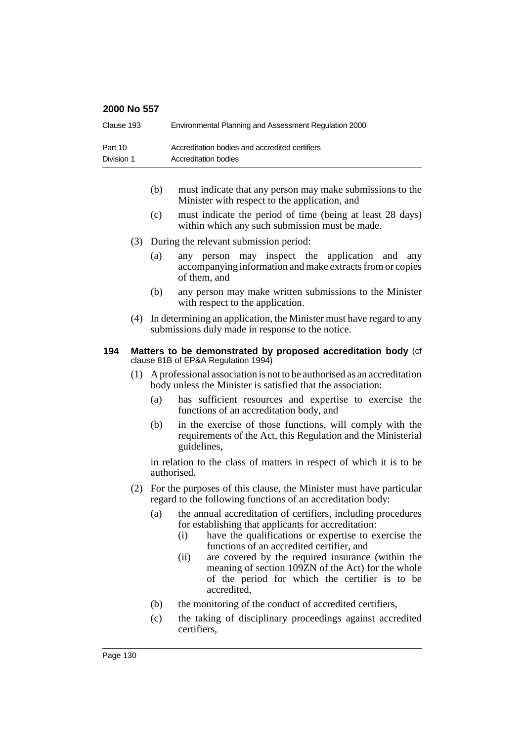| Clause 193 | Environmental Planning and Assessment Regulation 2000 |
|------------|-------------------------------------------------------|
| Part 10    | Accreditation bodies and accredited certifiers        |
| Division 1 | Accreditation bodies                                  |

- (b) must indicate that any person may make submissions to the Minister with respect to the application, and
- (c) must indicate the period of time (being at least 28 days) within which any such submission must be made.
- (3) During the relevant submission period:
	- (a) any person may inspect the application and any accompanying information and make extracts from or copies of them, and
	- (b) any person may make written submissions to the Minister with respect to the application.
- (4) In determining an application, the Minister must have regard to any submissions duly made in response to the notice.

#### **194 Matters to be demonstrated by proposed accreditation body** (cf clause 81B of EP&A Regulation 1994)

- (1) A professional association is not to be authorised as an accreditation body unless the Minister is satisfied that the association:
	- (a) has sufficient resources and expertise to exercise the functions of an accreditation body, and
	- (b) in the exercise of those functions, will comply with the requirements of the Act, this Regulation and the Ministerial guidelines,

in relation to the class of matters in respect of which it is to be authorised.

- (2) For the purposes of this clause, the Minister must have particular regard to the following functions of an accreditation body:
	- (a) the annual accreditation of certifiers, including procedures for establishing that applicants for accreditation:
		- (i) have the qualifications or expertise to exercise the functions of an accredited certifier, and
		- (ii) are covered by the required insurance (within the meaning of section 109ZN of the Act) for the whole of the period for which the certifier is to be accredited,
	- (b) the monitoring of the conduct of accredited certifiers,
	- (c) the taking of disciplinary proceedings against accredited certifiers,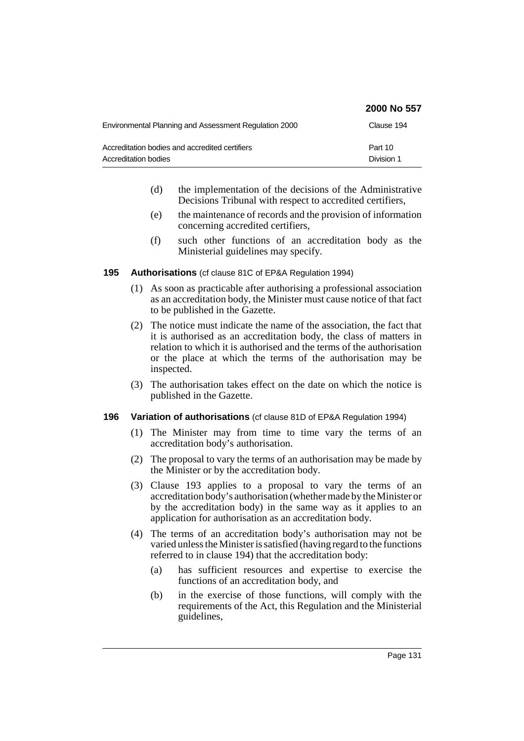|                                                                        | 2000 No 557           |
|------------------------------------------------------------------------|-----------------------|
| Environmental Planning and Assessment Regulation 2000                  | Clause 194            |
| Accreditation bodies and accredited certifiers<br>Accreditation bodies | Part 10<br>Division 1 |

- (d) the implementation of the decisions of the Administrative Decisions Tribunal with respect to accredited certifiers,
- (e) the maintenance of records and the provision of information concerning accredited certifiers,
- (f) such other functions of an accreditation body as the Ministerial guidelines may specify.

## **195 Authorisations** (cf clause 81C of EP&A Regulation 1994)

- (1) As soon as practicable after authorising a professional association as an accreditation body, the Minister must cause notice of that fact to be published in the Gazette.
- (2) The notice must indicate the name of the association, the fact that it is authorised as an accreditation body, the class of matters in relation to which it is authorised and the terms of the authorisation or the place at which the terms of the authorisation may be inspected.
- (3) The authorisation takes effect on the date on which the notice is published in the Gazette.

# **196 Variation of authorisations** (cf clause 81D of EP&A Regulation 1994)

- (1) The Minister may from time to time vary the terms of an accreditation body's authorisation.
- (2) The proposal to vary the terms of an authorisation may be made by the Minister or by the accreditation body.
- (3) Clause 193 applies to a proposal to vary the terms of an accreditation body's authorisation (whether made by the Minister or by the accreditation body) in the same way as it applies to an application for authorisation as an accreditation body.
- (4) The terms of an accreditation body's authorisation may not be varied unless the Minister is satisfied (having regard to the functions referred to in clause 194) that the accreditation body:
	- (a) has sufficient resources and expertise to exercise the functions of an accreditation body, and
	- (b) in the exercise of those functions, will comply with the requirements of the Act, this Regulation and the Ministerial guidelines,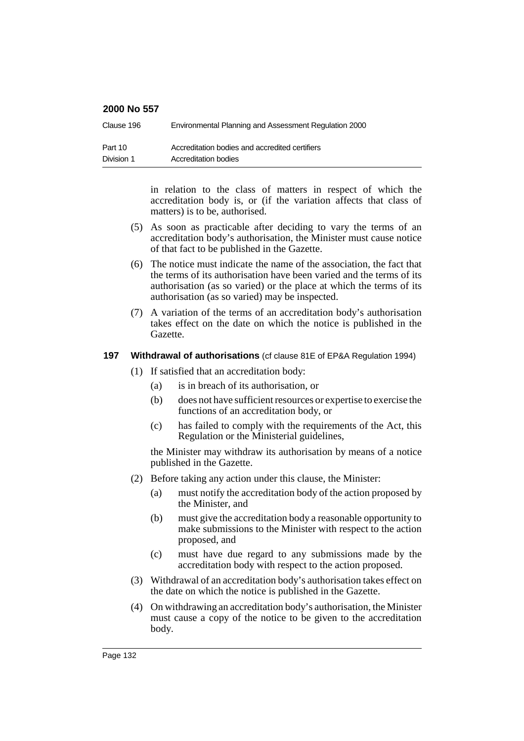| Clause 196 | Environmental Planning and Assessment Regulation 2000 |
|------------|-------------------------------------------------------|
| Part 10    | Accreditation bodies and accredited certifiers        |
| Division 1 | Accreditation bodies                                  |

in relation to the class of matters in respect of which the accreditation body is, or (if the variation affects that class of matters) is to be, authorised.

- (5) As soon as practicable after deciding to vary the terms of an accreditation body's authorisation, the Minister must cause notice of that fact to be published in the Gazette.
- (6) The notice must indicate the name of the association, the fact that the terms of its authorisation have been varied and the terms of its authorisation (as so varied) or the place at which the terms of its authorisation (as so varied) may be inspected.
- (7) A variation of the terms of an accreditation body's authorisation takes effect on the date on which the notice is published in the Gazette.

## **197 Withdrawal of authorisations** (cf clause 81E of EP&A Regulation 1994)

- (1) If satisfied that an accreditation body:
	- (a) is in breach of its authorisation, or
	- (b) does not have sufficient resources or expertise to exercise the functions of an accreditation body, or
	- (c) has failed to comply with the requirements of the Act, this Regulation or the Ministerial guidelines,

the Minister may withdraw its authorisation by means of a notice published in the Gazette.

- (2) Before taking any action under this clause, the Minister:
	- (a) must notify the accreditation body of the action proposed by the Minister, and
	- (b) must give the accreditation body a reasonable opportunity to make submissions to the Minister with respect to the action proposed, and
	- (c) must have due regard to any submissions made by the accreditation body with respect to the action proposed.
- (3) Withdrawal of an accreditation body's authorisation takes effect on the date on which the notice is published in the Gazette.
- (4) On withdrawing an accreditation body's authorisation, the Minister must cause a copy of the notice to be given to the accreditation body.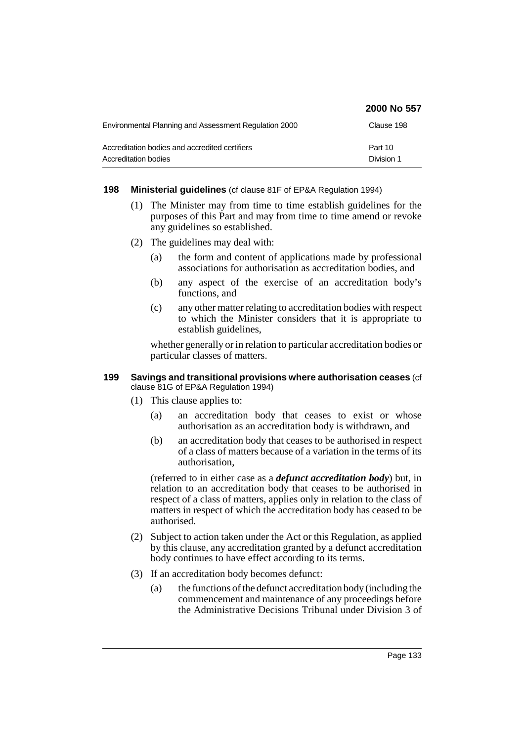|                                                                        | <b>2000 No 557</b>    |
|------------------------------------------------------------------------|-----------------------|
| Environmental Planning and Assessment Regulation 2000                  | Clause 198            |
| Accreditation bodies and accredited certifiers<br>Accreditation bodies | Part 10<br>Division 1 |

## **198 Ministerial guidelines** (cf clause 81F of EP&A Regulation 1994)

- (1) The Minister may from time to time establish guidelines for the purposes of this Part and may from time to time amend or revoke any guidelines so established.
- (2) The guidelines may deal with:
	- (a) the form and content of applications made by professional associations for authorisation as accreditation bodies, and
	- (b) any aspect of the exercise of an accreditation body's functions, and
	- (c) any other matter relating to accreditation bodies with respect to which the Minister considers that it is appropriate to establish guidelines,

whether generally or in relation to particular accreditation bodies or particular classes of matters.

#### **199 Savings and transitional provisions where authorisation ceases** (cf clause 81G of EP&A Regulation 1994)

- (1) This clause applies to:
	- (a) an accreditation body that ceases to exist or whose authorisation as an accreditation body is withdrawn, and
	- (b) an accreditation body that ceases to be authorised in respect of a class of matters because of a variation in the terms of its authorisation,

(referred to in either case as a *defunct accreditation body*) but, in relation to an accreditation body that ceases to be authorised in respect of a class of matters, applies only in relation to the class of matters in respect of which the accreditation body has ceased to be authorised.

- (2) Subject to action taken under the Act or this Regulation, as applied by this clause, any accreditation granted by a defunct accreditation body continues to have effect according to its terms.
- (3) If an accreditation body becomes defunct:
	- (a) the functions of the defunct accreditation body (including the commencement and maintenance of any proceedings before the Administrative Decisions Tribunal under Division 3 of

**2000 No 557**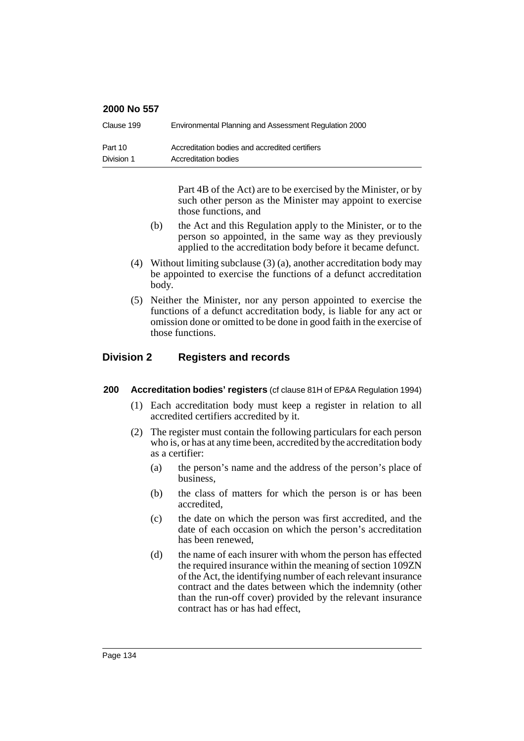| Clause 199 | Environmental Planning and Assessment Regulation 2000 |
|------------|-------------------------------------------------------|
| Part 10    | Accreditation bodies and accredited certifiers        |
| Division 1 | Accreditation bodies                                  |

Part 4B of the Act) are to be exercised by the Minister, or by such other person as the Minister may appoint to exercise those functions, and

- (b) the Act and this Regulation apply to the Minister, or to the person so appointed, in the same way as they previously applied to the accreditation body before it became defunct.
- (4) Without limiting subclause (3) (a), another accreditation body may be appointed to exercise the functions of a defunct accreditation body.
- (5) Neither the Minister, nor any person appointed to exercise the functions of a defunct accreditation body, is liable for any act or omission done or omitted to be done in good faith in the exercise of those functions.

# **Division 2 Registers and records**

#### **200 Accreditation bodies' registers** (cf clause 81H of EP&A Regulation 1994)

- (1) Each accreditation body must keep a register in relation to all accredited certifiers accredited by it.
- (2) The register must contain the following particulars for each person who is, or has at any time been, accredited by the accreditation body as a certifier:
	- (a) the person's name and the address of the person's place of business,
	- (b) the class of matters for which the person is or has been accredited,
	- (c) the date on which the person was first accredited, and the date of each occasion on which the person's accreditation has been renewed,
	- (d) the name of each insurer with whom the person has effected the required insurance within the meaning of section 109ZN of the Act, the identifying number of each relevant insurance contract and the dates between which the indemnity (other than the run-off cover) provided by the relevant insurance contract has or has had effect,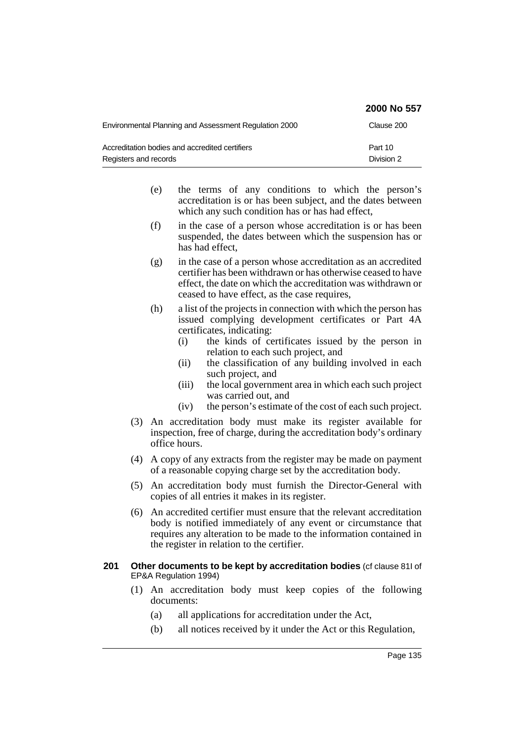|                                                                         | 2000 No 557           |
|-------------------------------------------------------------------------|-----------------------|
| Environmental Planning and Assessment Regulation 2000                   | Clause 200            |
| Accreditation bodies and accredited certifiers<br>Registers and records | Part 10<br>Division 2 |

- (e) the terms of any conditions to which the person's accreditation is or has been subject, and the dates between which any such condition has or has had effect,
- (f) in the case of a person whose accreditation is or has been suspended, the dates between which the suspension has or has had effect,
- (g) in the case of a person whose accreditation as an accredited certifier has been withdrawn or has otherwise ceased to have effect, the date on which the accreditation was withdrawn or ceased to have effect, as the case requires,
- (h) a list of the projects in connection with which the person has issued complying development certificates or Part 4A certificates, indicating:
	- (i) the kinds of certificates issued by the person in relation to each such project, and
	- (ii) the classification of any building involved in each such project, and
	- (iii) the local government area in which each such project was carried out, and
	- (iv) the person's estimate of the cost of each such project.
- (3) An accreditation body must make its register available for inspection, free of charge, during the accreditation body's ordinary office hours.
- (4) A copy of any extracts from the register may be made on payment of a reasonable copying charge set by the accreditation body.
- (5) An accreditation body must furnish the Director-General with copies of all entries it makes in its register.
- (6) An accredited certifier must ensure that the relevant accreditation body is notified immediately of any event or circumstance that requires any alteration to be made to the information contained in the register in relation to the certifier.

#### **201 Other documents to be kept by accreditation bodies** (cf clause 81I of EP&A Regulation 1994)

- (1) An accreditation body must keep copies of the following documents:
	- (a) all applications for accreditation under the Act,
	- (b) all notices received by it under the Act or this Regulation,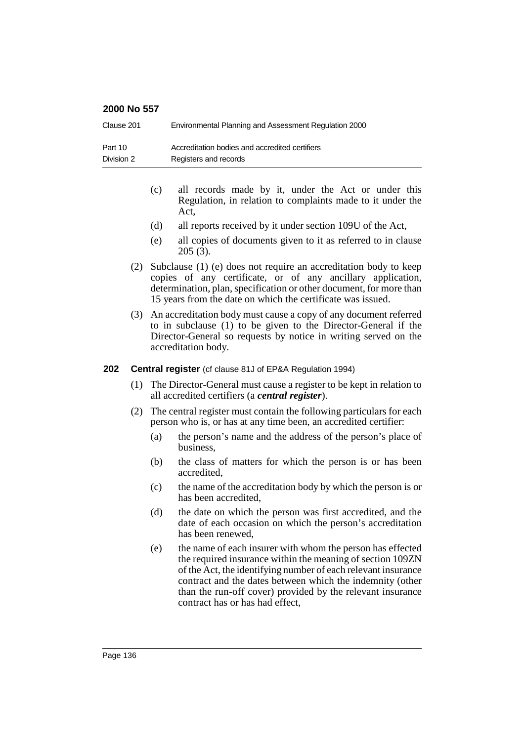| Clause 201 | Environmental Planning and Assessment Regulation 2000 |
|------------|-------------------------------------------------------|
| Part 10    | Accreditation bodies and accredited certifiers        |
| Division 2 | Registers and records                                 |

- (c) all records made by it, under the Act or under this Regulation, in relation to complaints made to it under the Act,
- (d) all reports received by it under section 109U of the Act,
- (e) all copies of documents given to it as referred to in clause 205 (3).
- (2) Subclause (1) (e) does not require an accreditation body to keep copies of any certificate, or of any ancillary application, determination, plan, specification or other document, for more than 15 years from the date on which the certificate was issued.
- (3) An accreditation body must cause a copy of any document referred to in subclause (1) to be given to the Director-General if the Director-General so requests by notice in writing served on the accreditation body.

## **202 Central register** (cf clause 81J of EP&A Regulation 1994)

- (1) The Director-General must cause a register to be kept in relation to all accredited certifiers (a *central register*).
- (2) The central register must contain the following particulars for each person who is, or has at any time been, an accredited certifier:
	- (a) the person's name and the address of the person's place of business,
	- (b) the class of matters for which the person is or has been accredited,
	- (c) the name of the accreditation body by which the person is or has been accredited,
	- (d) the date on which the person was first accredited, and the date of each occasion on which the person's accreditation has been renewed,
	- (e) the name of each insurer with whom the person has effected the required insurance within the meaning of section 109ZN of the Act, the identifying number of each relevant insurance contract and the dates between which the indemnity (other than the run-off cover) provided by the relevant insurance contract has or has had effect,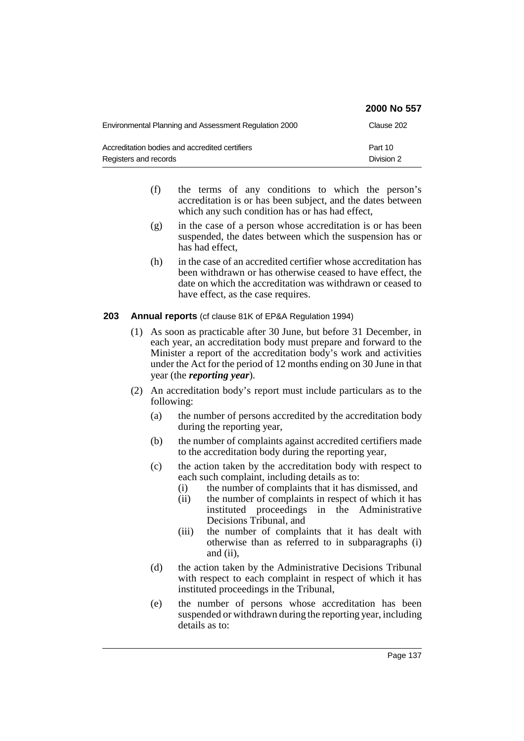|                                                                         | <b>2000 No 557</b>    |
|-------------------------------------------------------------------------|-----------------------|
| Environmental Planning and Assessment Regulation 2000                   | Clause 202            |
| Accreditation bodies and accredited certifiers<br>Registers and records | Part 10<br>Division 2 |

- (f) the terms of any conditions to which the person's accreditation is or has been subject, and the dates between which any such condition has or has had effect,
- (g) in the case of a person whose accreditation is or has been suspended, the dates between which the suspension has or has had effect,
- (h) in the case of an accredited certifier whose accreditation has been withdrawn or has otherwise ceased to have effect, the date on which the accreditation was withdrawn or ceased to have effect, as the case requires.

## **203 Annual reports** (cf clause 81K of EP&A Regulation 1994)

- (1) As soon as practicable after 30 June, but before 31 December, in each year, an accreditation body must prepare and forward to the Minister a report of the accreditation body's work and activities under the Act for the period of 12 months ending on 30 June in that year (the *reporting year*).
- (2) An accreditation body's report must include particulars as to the following:
	- (a) the number of persons accredited by the accreditation body during the reporting year,
	- (b) the number of complaints against accredited certifiers made to the accreditation body during the reporting year,
	- (c) the action taken by the accreditation body with respect to each such complaint, including details as to:
		- (i) the number of complaints that it has dismissed, and
		- (ii) the number of complaints in respect of which it has instituted proceedings in the Administrative Decisions Tribunal, and
		- (iii) the number of complaints that it has dealt with otherwise than as referred to in subparagraphs (i) and (ii),
	- (d) the action taken by the Administrative Decisions Tribunal with respect to each complaint in respect of which it has instituted proceedings in the Tribunal,
	- (e) the number of persons whose accreditation has been suspended or withdrawn during the reporting year, including details as to:

**2000 No 557**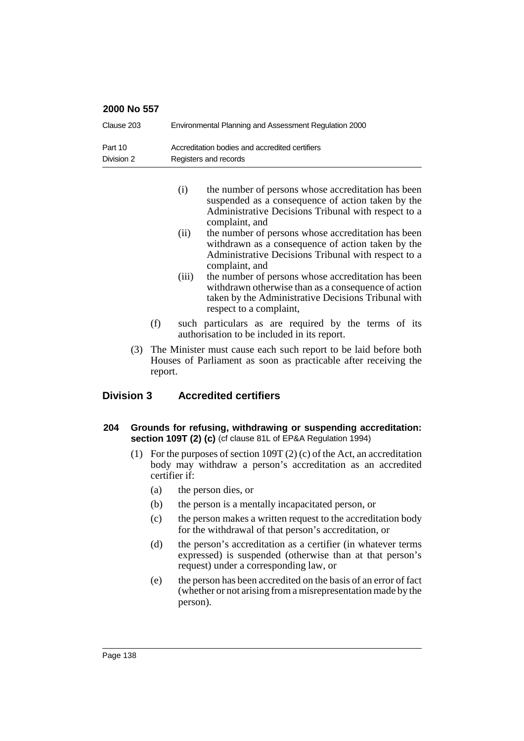| Clause 203 | Environmental Planning and Assessment Regulation 2000 |
|------------|-------------------------------------------------------|
| Part 10    | Accreditation bodies and accredited certifiers        |
| Division 2 | Registers and records                                 |

- (i) the number of persons whose accreditation has been suspended as a consequence of action taken by the Administrative Decisions Tribunal with respect to a complaint, and
- (ii) the number of persons whose accreditation has been withdrawn as a consequence of action taken by the Administrative Decisions Tribunal with respect to a complaint, and
- (iii) the number of persons whose accreditation has been withdrawn otherwise than as a consequence of action taken by the Administrative Decisions Tribunal with respect to a complaint,
- (f) such particulars as are required by the terms of its authorisation to be included in its report.
- (3) The Minister must cause each such report to be laid before both Houses of Parliament as soon as practicable after receiving the report.

# **Division 3 Accredited certifiers**

#### **204 Grounds for refusing, withdrawing or suspending accreditation: section 109T (2) (c)** (cf clause 81L of EP&A Regulation 1994)

- (1) For the purposes of section  $109T(2)$  (c) of the Act, an accreditation body may withdraw a person's accreditation as an accredited certifier if:
	- (a) the person dies, or
	- (b) the person is a mentally incapacitated person, or
	- (c) the person makes a written request to the accreditation body for the withdrawal of that person's accreditation, or
	- (d) the person's accreditation as a certifier (in whatever terms expressed) is suspended (otherwise than at that person's request) under a corresponding law, or
	- (e) the person has been accredited on the basis of an error of fact (whether or not arising from a misrepresentation made by the person).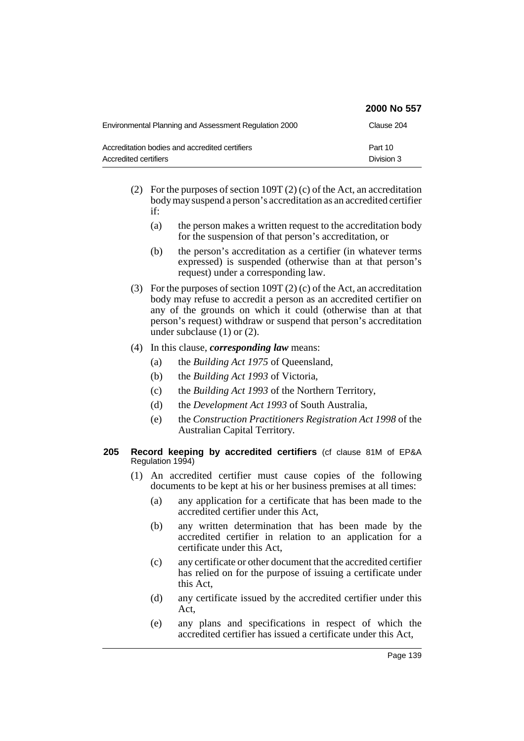|                                                                         | <b>2000 No 557</b>    |
|-------------------------------------------------------------------------|-----------------------|
| Environmental Planning and Assessment Regulation 2000                   | Clause 204            |
| Accreditation bodies and accredited certifiers<br>Accredited certifiers | Part 10<br>Division 3 |

- (2) For the purposes of section 109T (2) (c) of the Act, an accreditation body may suspend a person's accreditation as an accredited certifier if:
	- (a) the person makes a written request to the accreditation body for the suspension of that person's accreditation, or
	- (b) the person's accreditation as a certifier (in whatever terms expressed) is suspended (otherwise than at that person's request) under a corresponding law.
- (3) For the purposes of section 109T (2) (c) of the Act, an accreditation body may refuse to accredit a person as an accredited certifier on any of the grounds on which it could (otherwise than at that person's request) withdraw or suspend that person's accreditation under subclause (1) or (2).
- (4) In this clause, *corresponding law* means:
	- (a) the *Building Act 1975* of Queensland,
	- (b) the *Building Act 1993* of Victoria,
	- (c) the *Building Act 1993* of the Northern Territory,
	- (d) the *Development Act 1993* of South Australia,
	- (e) the *Construction Practitioners Registration Act 1998* of the Australian Capital Territory.

#### **205 Record keeping by accredited certifiers** (cf clause 81M of EP&A Regulation 1994)

- (1) An accredited certifier must cause copies of the following documents to be kept at his or her business premises at all times:
	- (a) any application for a certificate that has been made to the accredited certifier under this Act,
	- (b) any written determination that has been made by the accredited certifier in relation to an application for a certificate under this Act,
	- (c) any certificate or other document that the accredited certifier has relied on for the purpose of issuing a certificate under this Act,
	- (d) any certificate issued by the accredited certifier under this Act,
	- (e) any plans and specifications in respect of which the accredited certifier has issued a certificate under this Act,

**2000 No 557**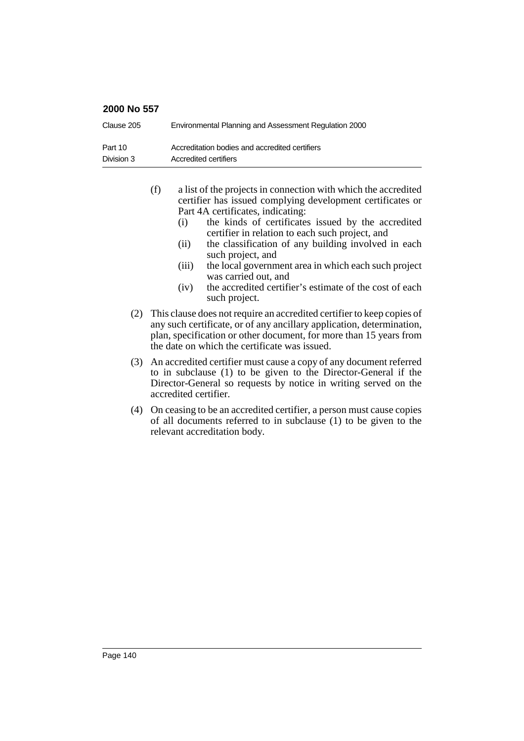| Clause 205 | Environmental Planning and Assessment Regulation 2000 |
|------------|-------------------------------------------------------|
| Part 10    | Accreditation bodies and accredited certifiers        |
| Division 3 | Accredited certifiers                                 |

- (f) a list of the projects in connection with which the accredited certifier has issued complying development certificates or Part 4A certificates, indicating:
	- (i) the kinds of certificates issued by the accredited certifier in relation to each such project, and
	- (ii) the classification of any building involved in each such project, and
	- (iii) the local government area in which each such project was carried out, and
	- (iv) the accredited certifier's estimate of the cost of each such project.
- (2) This clause does not require an accredited certifier to keep copies of any such certificate, or of any ancillary application, determination, plan, specification or other document, for more than 15 years from the date on which the certificate was issued.
- (3) An accredited certifier must cause a copy of any document referred to in subclause (1) to be given to the Director-General if the Director-General so requests by notice in writing served on the accredited certifier.
- (4) On ceasing to be an accredited certifier, a person must cause copies of all documents referred to in subclause (1) to be given to the relevant accreditation body.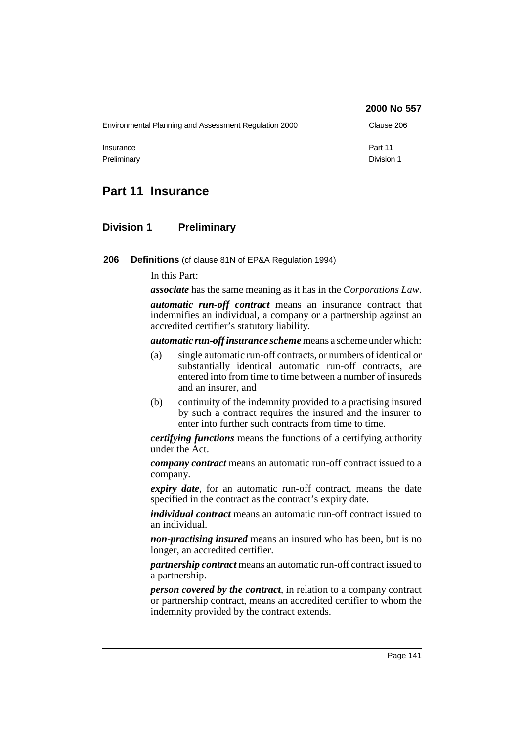|                                                       | 2000 No 557           |
|-------------------------------------------------------|-----------------------|
| Environmental Planning and Assessment Regulation 2000 | Clause 206            |
| Insurance<br>Preliminary                              | Part 11<br>Division 1 |

# **Part 11 Insurance**

# **Division 1 Preliminary**

**206 Definitions** (cf clause 81N of EP&A Regulation 1994)

In this Part:

*associate* has the same meaning as it has in the *Corporations Law*. *automatic run-off contract* means an insurance contract that indemnifies an individual, a company or a partnership against an accredited certifier's statutory liability.

*automatic run-off insurance scheme* means a scheme under which:

- (a) single automatic run-off contracts, or numbers of identical or substantially identical automatic run-off contracts, are entered into from time to time between a number of insureds and an insurer, and
- (b) continuity of the indemnity provided to a practising insured by such a contract requires the insured and the insurer to enter into further such contracts from time to time.

*certifying functions* means the functions of a certifying authority under the Act.

*company contract* means an automatic run-off contract issued to a company.

*expiry date*, for an automatic run-off contract, means the date specified in the contract as the contract's expiry date.

*individual contract* means an automatic run-off contract issued to an individual.

*non-practising insured* means an insured who has been, but is no longer, an accredited certifier.

*partnership contract* means an automatic run-off contract issued to a partnership.

*person covered by the contract*, in relation to a company contract or partnership contract, means an accredited certifier to whom the indemnity provided by the contract extends.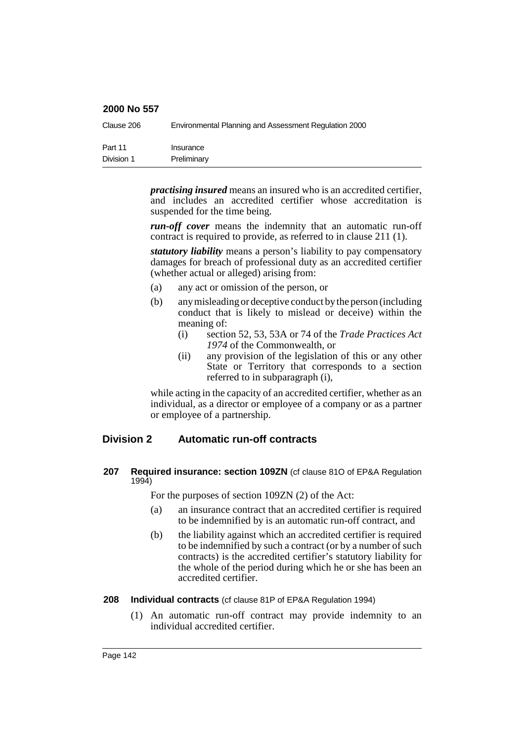| Clause 206 | Environmental Planning and Assessment Regulation 2000 |
|------------|-------------------------------------------------------|
| Part 11    | Insurance                                             |
| Division 1 | Preliminary                                           |

*practising insured* means an insured who is an accredited certifier, and includes an accredited certifier whose accreditation is suspended for the time being.

*run-off cover* means the indemnity that an automatic run-off contract is required to provide, as referred to in clause 211 (1).

*statutory liability* means a person's liability to pay compensatory damages for breach of professional duty as an accredited certifier (whether actual or alleged) arising from:

- (a) any act or omission of the person, or
- (b) any misleading or deceptive conduct by the person (including conduct that is likely to mislead or deceive) within the meaning of:
	- (i) section 52, 53, 53A or 74 of the *Trade Practices Act 1974* of the Commonwealth, or
	- (ii) any provision of the legislation of this or any other State or Territory that corresponds to a section referred to in subparagraph (i),

while acting in the capacity of an accredited certifier, whether as an individual, as a director or employee of a company or as a partner or employee of a partnership.

# **Division 2 Automatic run-off contracts**

**207 Required insurance: section 109ZN** (cf clause 81O of EP&A Regulation 1994)

For the purposes of section 109ZN (2) of the Act:

- (a) an insurance contract that an accredited certifier is required to be indemnified by is an automatic run-off contract, and
- (b) the liability against which an accredited certifier is required to be indemnified by such a contract (or by a number of such contracts) is the accredited certifier's statutory liability for the whole of the period during which he or she has been an accredited certifier.

#### **208 Individual contracts** (cf clause 81P of EP&A Regulation 1994)

(1) An automatic run-off contract may provide indemnity to an individual accredited certifier.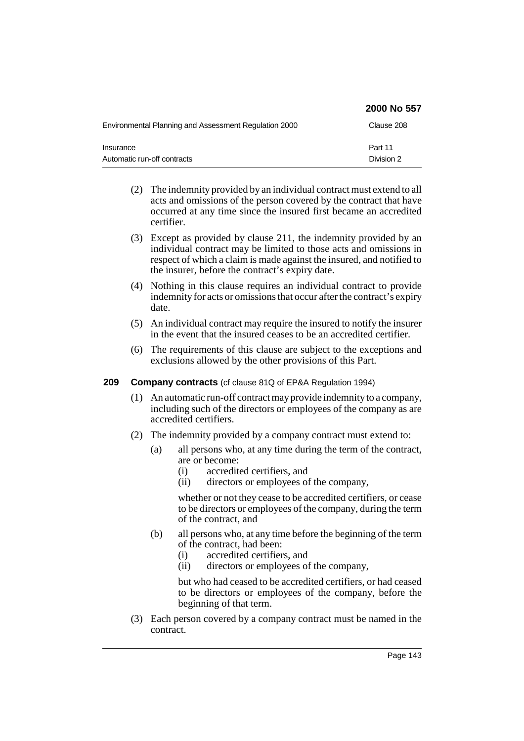|                                                       | <b>2000 No 557</b> |
|-------------------------------------------------------|--------------------|
| Environmental Planning and Assessment Regulation 2000 | Clause 208         |
| Insurance                                             | Part 11            |
| Automatic run-off contracts                           | Division 2         |

- (2) The indemnity provided by an individual contract must extend to all acts and omissions of the person covered by the contract that have occurred at any time since the insured first became an accredited certifier.
- (3) Except as provided by clause 211, the indemnity provided by an individual contract may be limited to those acts and omissions in respect of which a claim is made against the insured, and notified to the insurer, before the contract's expiry date.
- (4) Nothing in this clause requires an individual contract to provide indemnity for acts or omissions that occur after the contract's expiry date.
- (5) An individual contract may require the insured to notify the insurer in the event that the insured ceases to be an accredited certifier.
- (6) The requirements of this clause are subject to the exceptions and exclusions allowed by the other provisions of this Part.
- **209 Company contracts** (cf clause 81Q of EP&A Regulation 1994)
	- (1) An automatic run-off contract may provide indemnity to a company, including such of the directors or employees of the company as are accredited certifiers.
	- (2) The indemnity provided by a company contract must extend to:
		- (a) all persons who, at any time during the term of the contract, are or become:
			- (i) accredited certifiers, and
			- (ii) directors or employees of the company,

whether or not they cease to be accredited certifiers, or cease to be directors or employees of the company, during the term of the contract, and

- (b) all persons who, at any time before the beginning of the term of the contract, had been:
	- (i) accredited certifiers, and
	- (ii) directors or employees of the company,

but who had ceased to be accredited certifiers, or had ceased to be directors or employees of the company, before the beginning of that term.

(3) Each person covered by a company contract must be named in the contract.

**2000 No 557**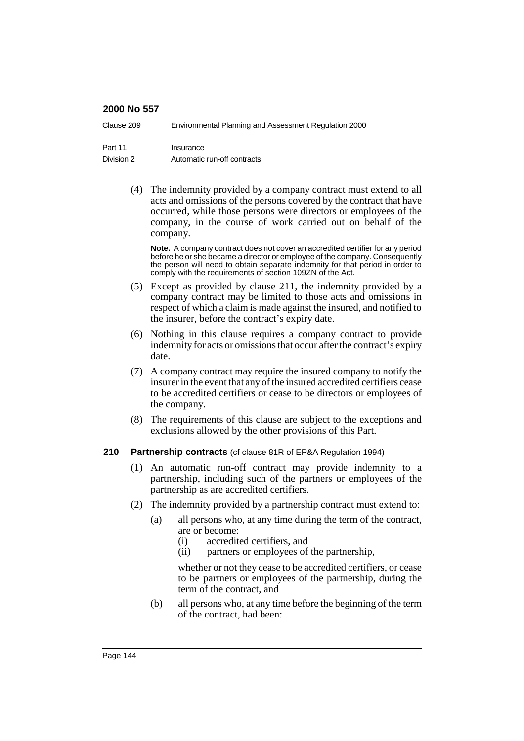| Clause 209 | Environmental Planning and Assessment Regulation 2000 |
|------------|-------------------------------------------------------|
| Part 11    | Insurance                                             |
| Division 2 | Automatic run-off contracts                           |

(4) The indemnity provided by a company contract must extend to all acts and omissions of the persons covered by the contract that have occurred, while those persons were directors or employees of the company, in the course of work carried out on behalf of the company.

**Note.** A company contract does not cover an accredited certifier for any period before he or she became a director or employee of the company. Consequently the person will need to obtain separate indemnity for that period in order to comply with the requirements of section 109ZN of the Act.

- (5) Except as provided by clause 211, the indemnity provided by a company contract may be limited to those acts and omissions in respect of which a claim is made against the insured, and notified to the insurer, before the contract's expiry date.
- (6) Nothing in this clause requires a company contract to provide indemnity for acts or omissions that occur after the contract's expiry date.
- (7) A company contract may require the insured company to notify the insurer in the event that any of the insured accredited certifiers cease to be accredited certifiers or cease to be directors or employees of the company.
- (8) The requirements of this clause are subject to the exceptions and exclusions allowed by the other provisions of this Part.

#### **210 Partnership contracts** (cf clause 81R of EP&A Regulation 1994)

- (1) An automatic run-off contract may provide indemnity to a partnership, including such of the partners or employees of the partnership as are accredited certifiers.
- (2) The indemnity provided by a partnership contract must extend to:
	- (a) all persons who, at any time during the term of the contract, are or become:
		- (i) accredited certifiers, and
		- (ii) partners or employees of the partnership,

whether or not they cease to be accredited certifiers, or cease to be partners or employees of the partnership, during the term of the contract, and

(b) all persons who, at any time before the beginning of the term of the contract, had been: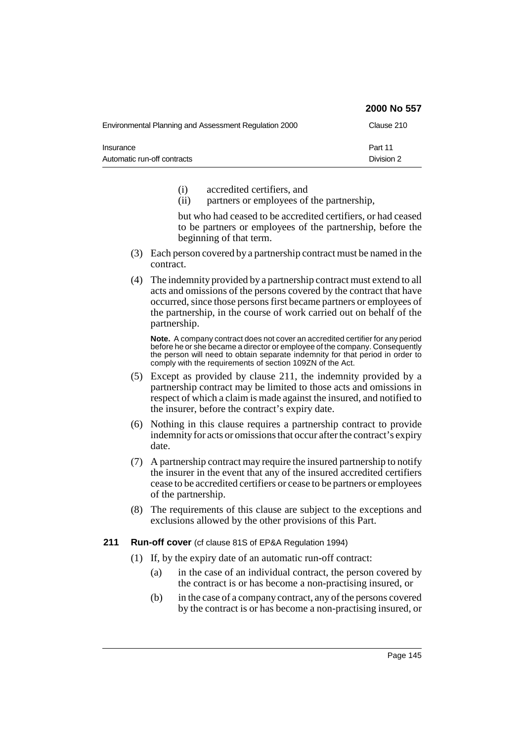|                                                       | 2000 No 557           |
|-------------------------------------------------------|-----------------------|
| Environmental Planning and Assessment Regulation 2000 | Clause 210            |
| Insurance<br>Automatic run-off contracts              | Part 11<br>Division 2 |

- (i) accredited certifiers, and
- (ii) partners or employees of the partnership,

but who had ceased to be accredited certifiers, or had ceased to be partners or employees of the partnership, before the beginning of that term.

- (3) Each person covered by a partnership contract must be named in the contract.
- (4) The indemnity provided by a partnership contract must extend to all acts and omissions of the persons covered by the contract that have occurred, since those persons first became partners or employees of the partnership, in the course of work carried out on behalf of the partnership.

**Note.** A company contract does not cover an accredited certifier for any period before he or she became a director or employee of the company. Consequently the person will need to obtain separate indemnity for that period in order to comply with the requirements of section 109ZN of the Act.

- (5) Except as provided by clause 211, the indemnity provided by a partnership contract may be limited to those acts and omissions in respect of which a claim is made against the insured, and notified to the insurer, before the contract's expiry date.
- (6) Nothing in this clause requires a partnership contract to provide indemnity for acts or omissions that occur after the contract's expiry date.
- (7) A partnership contract may require the insured partnership to notify the insurer in the event that any of the insured accredited certifiers cease to be accredited certifiers or cease to be partners or employees of the partnership.
- (8) The requirements of this clause are subject to the exceptions and exclusions allowed by the other provisions of this Part.
- **211 Run-off cover** (cf clause 81S of EP&A Regulation 1994)
	- (1) If, by the expiry date of an automatic run-off contract:
		- (a) in the case of an individual contract, the person covered by the contract is or has become a non-practising insured, or
		- (b) in the case of a company contract, any of the persons covered by the contract is or has become a non-practising insured, or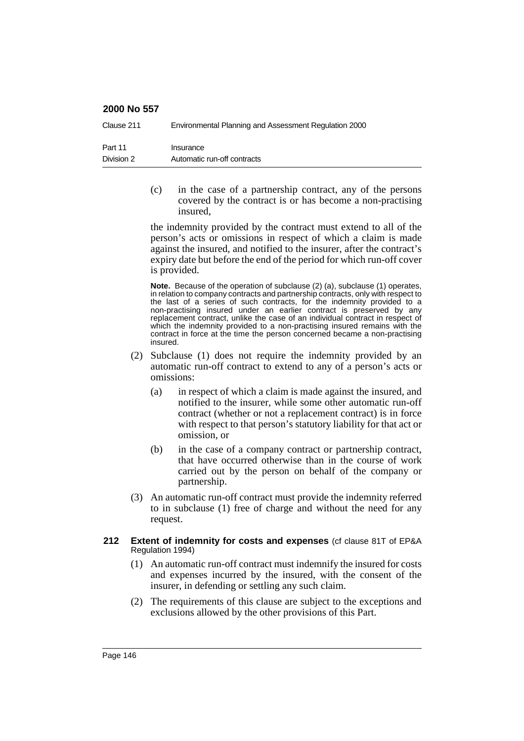| Clause 211 | Environmental Planning and Assessment Regulation 2000 |
|------------|-------------------------------------------------------|
| Part 11    | Insurance                                             |
| Division 2 | Automatic run-off contracts                           |

(c) in the case of a partnership contract, any of the persons covered by the contract is or has become a non-practising insured,

the indemnity provided by the contract must extend to all of the person's acts or omissions in respect of which a claim is made against the insured, and notified to the insurer, after the contract's expiry date but before the end of the period for which run-off cover is provided.

**Note.** Because of the operation of subclause (2) (a), subclause (1) operates, in relation to company contracts and partnership contracts, only with respect to the last of a series of such contracts, for the indemnity provided to a non-practising insured under an earlier contract is preserved by any replacement contract, unlike the case of an individual contract in respect of which the indemnity provided to a non-practising insured remains with the contract in force at the time the person concerned became a non-practising insured.

- (2) Subclause (1) does not require the indemnity provided by an automatic run-off contract to extend to any of a person's acts or omissions:
	- (a) in respect of which a claim is made against the insured, and notified to the insurer, while some other automatic run-off contract (whether or not a replacement contract) is in force with respect to that person's statutory liability for that act or omission, or
	- (b) in the case of a company contract or partnership contract, that have occurred otherwise than in the course of work carried out by the person on behalf of the company or partnership.
- (3) An automatic run-off contract must provide the indemnity referred to in subclause (1) free of charge and without the need for any request.
- **212 Extent of indemnity for costs and expenses** (cf clause 81T of EP&A Regulation 1994)
	- (1) An automatic run-off contract must indemnify the insured for costs and expenses incurred by the insured, with the consent of the insurer, in defending or settling any such claim.
	- (2) The requirements of this clause are subject to the exceptions and exclusions allowed by the other provisions of this Part.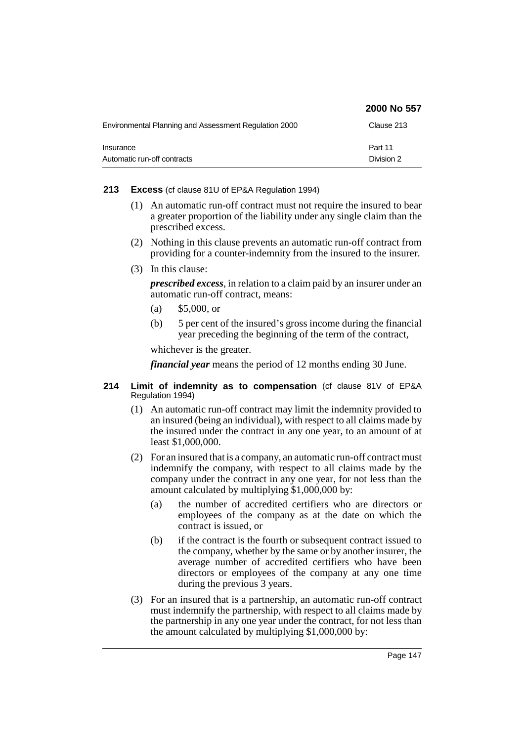|                                                       | 2000 No 557 |
|-------------------------------------------------------|-------------|
| Environmental Planning and Assessment Regulation 2000 | Clause 213  |
| Insurance                                             | Part 11     |
| Automatic run-off contracts                           | Division 2  |

**213 Excess** (cf clause 81U of EP&A Regulation 1994)

- (1) An automatic run-off contract must not require the insured to bear a greater proportion of the liability under any single claim than the prescribed excess.
- (2) Nothing in this clause prevents an automatic run-off contract from providing for a counter-indemnity from the insured to the insurer.
- (3) In this clause:

*prescribed excess*, in relation to a claim paid by an insurer under an automatic run-off contract, means:

- (a) \$5,000, or
- (b) 5 per cent of the insured's gross income during the financial year preceding the beginning of the term of the contract,

whichever is the greater.

*financial year* means the period of 12 months ending 30 June.

## **214 Limit of indemnity as to compensation** (cf clause 81V of EP&A Regulation 1994)

- (1) An automatic run-off contract may limit the indemnity provided to an insured (being an individual), with respect to all claims made by the insured under the contract in any one year, to an amount of at least \$1,000,000.
- (2) For an insured that is a company, an automatic run-off contract must indemnify the company, with respect to all claims made by the company under the contract in any one year, for not less than the amount calculated by multiplying \$1,000,000 by:
	- (a) the number of accredited certifiers who are directors or employees of the company as at the date on which the contract is issued, or
	- (b) if the contract is the fourth or subsequent contract issued to the company, whether by the same or by another insurer, the average number of accredited certifiers who have been directors or employees of the company at any one time during the previous 3 years.
- (3) For an insured that is a partnership, an automatic run-off contract must indemnify the partnership, with respect to all claims made by the partnership in any one year under the contract, for not less than the amount calculated by multiplying \$1,000,000 by: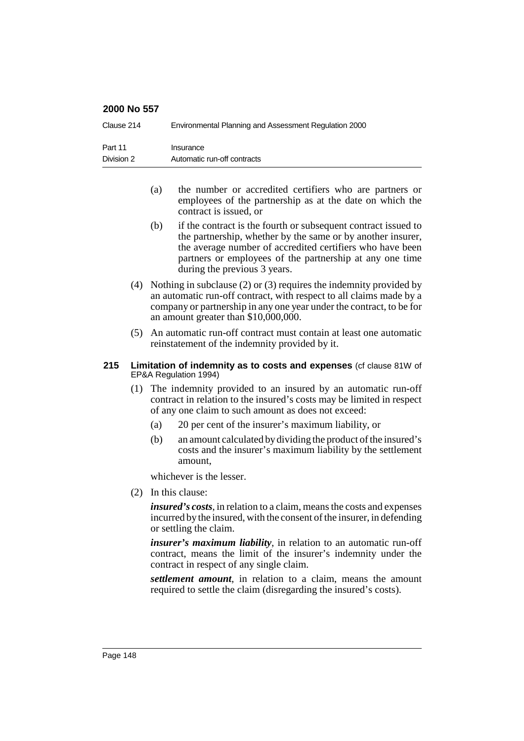| Clause 214 | Environmental Planning and Assessment Regulation 2000 |
|------------|-------------------------------------------------------|
| Part 11    | Insurance                                             |
| Division 2 | Automatic run-off contracts                           |

- (a) the number or accredited certifiers who are partners or employees of the partnership as at the date on which the contract is issued, or
- (b) if the contract is the fourth or subsequent contract issued to the partnership, whether by the same or by another insurer, the average number of accredited certifiers who have been partners or employees of the partnership at any one time during the previous 3 years.
- (4) Nothing in subclause (2) or (3) requires the indemnity provided by an automatic run-off contract, with respect to all claims made by a company or partnership in any one year under the contract, to be for an amount greater than \$10,000,000.
- (5) An automatic run-off contract must contain at least one automatic reinstatement of the indemnity provided by it.

#### **215 Limitation of indemnity as to costs and expenses** (cf clause 81W of EP&A Regulation 1994)

- (1) The indemnity provided to an insured by an automatic run-off contract in relation to the insured's costs may be limited in respect of any one claim to such amount as does not exceed:
	- (a) 20 per cent of the insurer's maximum liability, or
	- (b) an amount calculated by dividing the product of the insured's costs and the insurer's maximum liability by the settlement amount,

whichever is the lesser.

(2) In this clause:

*insured's costs*, in relation to a claim, means the costs and expenses incurred by the insured, with the consent of the insurer, in defending or settling the claim.

*insurer's maximum liability*, in relation to an automatic run-off contract, means the limit of the insurer's indemnity under the contract in respect of any single claim.

*settlement amount*, in relation to a claim, means the amount required to settle the claim (disregarding the insured's costs).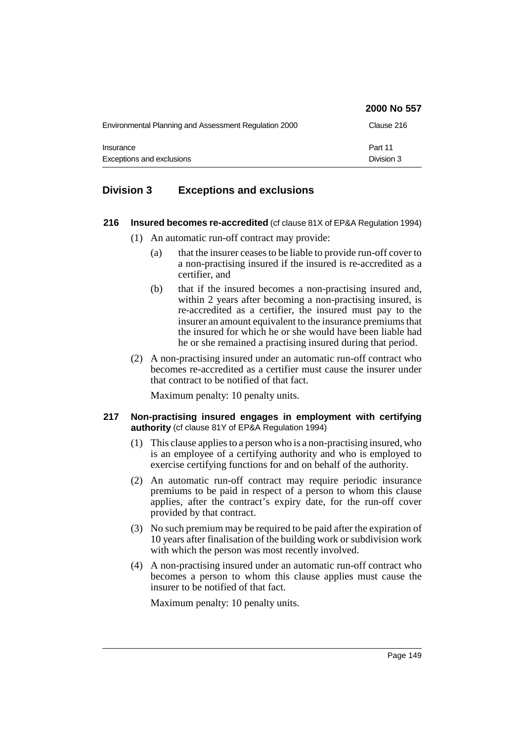|                                                       | 2000 No 557           |
|-------------------------------------------------------|-----------------------|
| Environmental Planning and Assessment Regulation 2000 | Clause 216            |
| Insurance<br>Exceptions and exclusions                | Part 11<br>Division 3 |

# **Division 3 Exceptions and exclusions**

- **216 Insured becomes re-accredited** (cf clause 81X of EP&A Regulation 1994)
	- (1) An automatic run-off contract may provide:
		- (a) that the insurer ceases to be liable to provide run-off cover to a non-practising insured if the insured is re-accredited as a certifier, and
		- (b) that if the insured becomes a non-practising insured and, within 2 years after becoming a non-practising insured, is re-accredited as a certifier, the insured must pay to the insurer an amount equivalent to the insurance premiums that the insured for which he or she would have been liable had he or she remained a practising insured during that period.
	- (2) A non-practising insured under an automatic run-off contract who becomes re-accredited as a certifier must cause the insurer under that contract to be notified of that fact.

Maximum penalty: 10 penalty units.

- **217 Non-practising insured engages in employment with certifying authority** (cf clause 81Y of EP&A Regulation 1994)
	- (1) This clause applies to a person who is a non-practising insured, who is an employee of a certifying authority and who is employed to exercise certifying functions for and on behalf of the authority.
	- (2) An automatic run-off contract may require periodic insurance premiums to be paid in respect of a person to whom this clause applies, after the contract's expiry date, for the run-off cover provided by that contract.
	- (3) No such premium may be required to be paid after the expiration of 10 years after finalisation of the building work or subdivision work with which the person was most recently involved.
	- (4) A non-practising insured under an automatic run-off contract who becomes a person to whom this clause applies must cause the insurer to be notified of that fact.

Maximum penalty: 10 penalty units.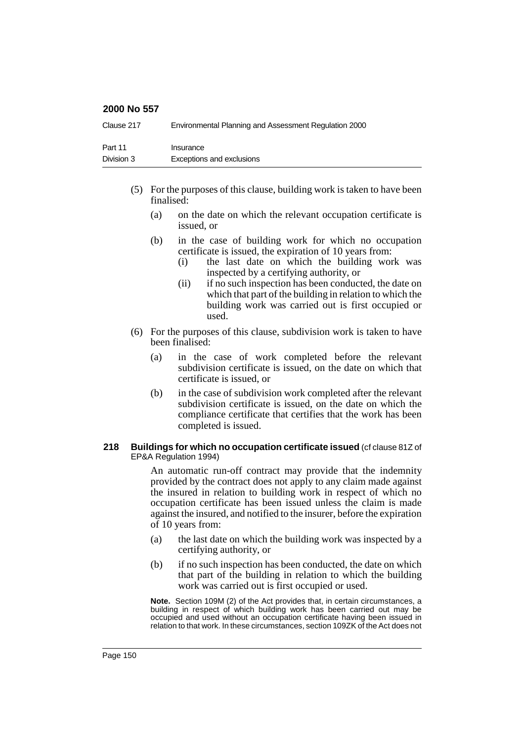| Clause 217 | Environmental Planning and Assessment Regulation 2000 |
|------------|-------------------------------------------------------|
| Part 11    | Insurance                                             |
| Division 3 | Exceptions and exclusions                             |

- (5) For the purposes of this clause, building work is taken to have been finalised:
	- (a) on the date on which the relevant occupation certificate is issued, or
	- (b) in the case of building work for which no occupation certificate is issued, the expiration of 10 years from:
		- (i) the last date on which the building work was inspected by a certifying authority, or
		- (ii) if no such inspection has been conducted, the date on which that part of the building in relation to which the building work was carried out is first occupied or used.
- (6) For the purposes of this clause, subdivision work is taken to have been finalised:
	- (a) in the case of work completed before the relevant subdivision certificate is issued, on the date on which that certificate is issued, or
	- (b) in the case of subdivision work completed after the relevant subdivision certificate is issued, on the date on which the compliance certificate that certifies that the work has been completed is issued.

#### **218 Buildings for which no occupation certificate issued** (cf clause 81Z of EP&A Regulation 1994)

An automatic run-off contract may provide that the indemnity provided by the contract does not apply to any claim made against the insured in relation to building work in respect of which no occupation certificate has been issued unless the claim is made against the insured, and notified to the insurer, before the expiration of 10 years from:

- (a) the last date on which the building work was inspected by a certifying authority, or
- (b) if no such inspection has been conducted, the date on which that part of the building in relation to which the building work was carried out is first occupied or used.

**Note.** Section 109M (2) of the Act provides that, in certain circumstances, a building in respect of which building work has been carried out may be occupied and used without an occupation certificate having been issued in relation to that work. In these circumstances, section 109ZK of the Act does not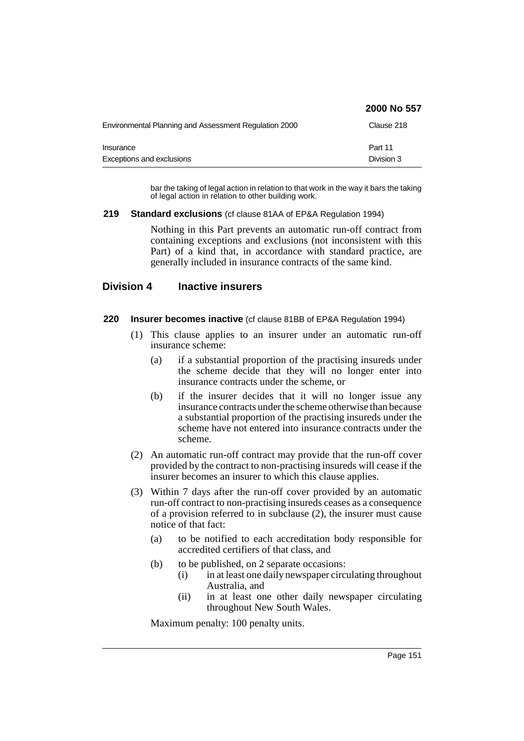|                                                       | 2000 No 557           |
|-------------------------------------------------------|-----------------------|
| Environmental Planning and Assessment Regulation 2000 | Clause 218            |
| Insurance<br>Exceptions and exclusions                | Part 11<br>Division 3 |

bar the taking of legal action in relation to that work in the way it bars the taking of legal action in relation to other building work.

### **219 Standard exclusions** (cf clause 81AA of EP&A Regulation 1994)

Nothing in this Part prevents an automatic run-off contract from containing exceptions and exclusions (not inconsistent with this Part) of a kind that, in accordance with standard practice, are generally included in insurance contracts of the same kind.

## **Division 4 Inactive insurers**

## **220 Insurer becomes inactive** (cf clause 81BB of EP&A Regulation 1994)

- (1) This clause applies to an insurer under an automatic run-off insurance scheme:
	- (a) if a substantial proportion of the practising insureds under the scheme decide that they will no longer enter into insurance contracts under the scheme, or
	- (b) if the insurer decides that it will no longer issue any insurance contracts under the scheme otherwise than because a substantial proportion of the practising insureds under the scheme have not entered into insurance contracts under the scheme.
- (2) An automatic run-off contract may provide that the run-off cover provided by the contract to non-practising insureds will cease if the insurer becomes an insurer to which this clause applies.
- (3) Within 7 days after the run-off cover provided by an automatic run-off contract to non-practising insureds ceases as a consequence of a provision referred to in subclause (2), the insurer must cause notice of that fact:
	- (a) to be notified to each accreditation body responsible for accredited certifiers of that class, and
	- (b) to be published, on 2 separate occasions:
		- (i) in at least one daily newspaper circulating throughout Australia, and
		- (ii) in at least one other daily newspaper circulating throughout New South Wales.

Maximum penalty: 100 penalty units.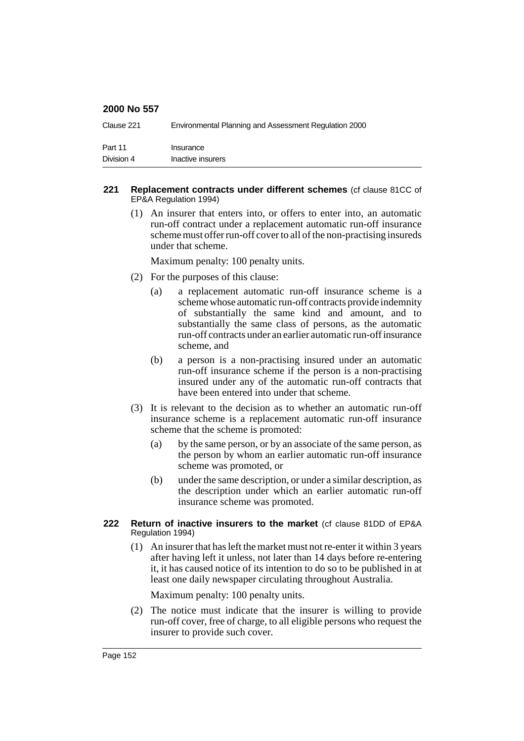| Clause 221 | Environmental Planning and Assessment Regulation 2000 |
|------------|-------------------------------------------------------|
| Part 11    | Insurance                                             |
| Division 4 | Inactive insurers                                     |

#### **221 Replacement contracts under different schemes** (cf clause 81CC of EP&A Regulation 1994)

(1) An insurer that enters into, or offers to enter into, an automatic run-off contract under a replacement automatic run-off insurance scheme must offer run-off cover to all of the non-practising insureds under that scheme.

Maximum penalty: 100 penalty units.

- (2) For the purposes of this clause:
	- (a) a replacement automatic run-off insurance scheme is a scheme whose automatic run-off contracts provide indemnity of substantially the same kind and amount, and to substantially the same class of persons, as the automatic run-off contracts under an earlier automatic run-off insurance scheme, and
	- (b) a person is a non-practising insured under an automatic run-off insurance scheme if the person is a non-practising insured under any of the automatic run-off contracts that have been entered into under that scheme.
- (3) It is relevant to the decision as to whether an automatic run-off insurance scheme is a replacement automatic run-off insurance scheme that the scheme is promoted:
	- (a) by the same person, or by an associate of the same person, as the person by whom an earlier automatic run-off insurance scheme was promoted, or
	- (b) under the same description, or under a similar description, as the description under which an earlier automatic run-off insurance scheme was promoted.

#### **222 Return of inactive insurers to the market** (cf clause 81DD of EP&A Regulation 1994)

(1) An insurer that has left the market must not re-enter it within 3 years after having left it unless, not later than 14 days before re-entering it, it has caused notice of its intention to do so to be published in at least one daily newspaper circulating throughout Australia.

Maximum penalty: 100 penalty units.

(2) The notice must indicate that the insurer is willing to provide run-off cover, free of charge, to all eligible persons who request the insurer to provide such cover.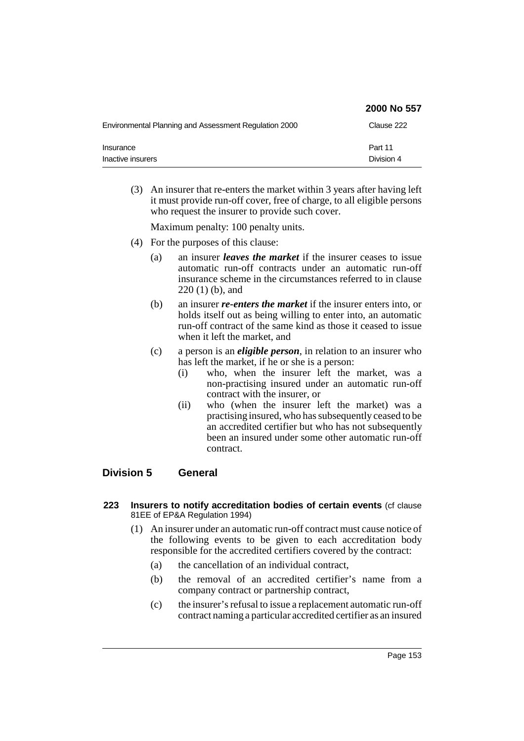|                                                       | 2000 No 557           |
|-------------------------------------------------------|-----------------------|
| Environmental Planning and Assessment Regulation 2000 | Clause 222            |
| Insurance<br>Inactive insurers                        | Part 11<br>Division 4 |

(3) An insurer that re-enters the market within 3 years after having left it must provide run-off cover, free of charge, to all eligible persons who request the insurer to provide such cover.

Maximum penalty: 100 penalty units.

- (4) For the purposes of this clause:
	- (a) an insurer *leaves the market* if the insurer ceases to issue automatic run-off contracts under an automatic run-off insurance scheme in the circumstances referred to in clause 220 (1) (b), and
	- (b) an insurer *re-enters the market* if the insurer enters into, or holds itself out as being willing to enter into, an automatic run-off contract of the same kind as those it ceased to issue when it left the market, and
	- (c) a person is an *eligible person*, in relation to an insurer who has left the market, if he or she is a person:
		- (i) who, when the insurer left the market, was a non-practising insured under an automatic run-off contract with the insurer, or
		- (ii) who (when the insurer left the market) was a practising insured, who has subsequently ceased to be an accredited certifier but who has not subsequently been an insured under some other automatic run-off contract.

# **Division 5 General**

- **223 Insurers to notify accreditation bodies of certain events** (cf clause 81EE of EP&A Regulation 1994)
	- (1) An insurer under an automatic run-off contract must cause notice of the following events to be given to each accreditation body responsible for the accredited certifiers covered by the contract:
		- (a) the cancellation of an individual contract,
		- (b) the removal of an accredited certifier's name from a company contract or partnership contract,
		- (c) the insurer's refusal to issue a replacement automatic run-off contract naming a particular accredited certifier as an insured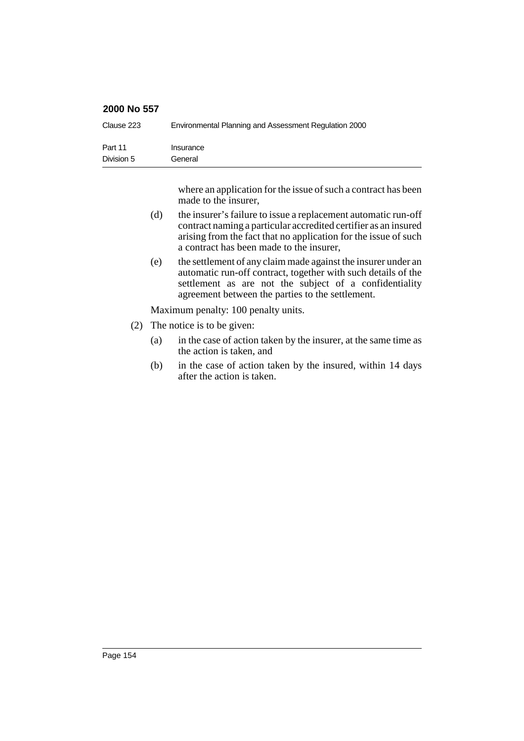| Clause 223 | Environmental Planning and Assessment Regulation 2000 |
|------------|-------------------------------------------------------|
| Part 11    | Insurance                                             |
| Division 5 | General                                               |

where an application for the issue of such a contract has been made to the insurer,

- (d) the insurer's failure to issue a replacement automatic run-off contract naming a particular accredited certifier as an insured arising from the fact that no application for the issue of such a contract has been made to the insurer,
- (e) the settlement of any claim made against the insurer under an automatic run-off contract, together with such details of the settlement as are not the subject of a confidentiality agreement between the parties to the settlement.

Maximum penalty: 100 penalty units.

- (2) The notice is to be given:
	- (a) in the case of action taken by the insurer, at the same time as the action is taken, and
	- (b) in the case of action taken by the insured, within 14 days after the action is taken.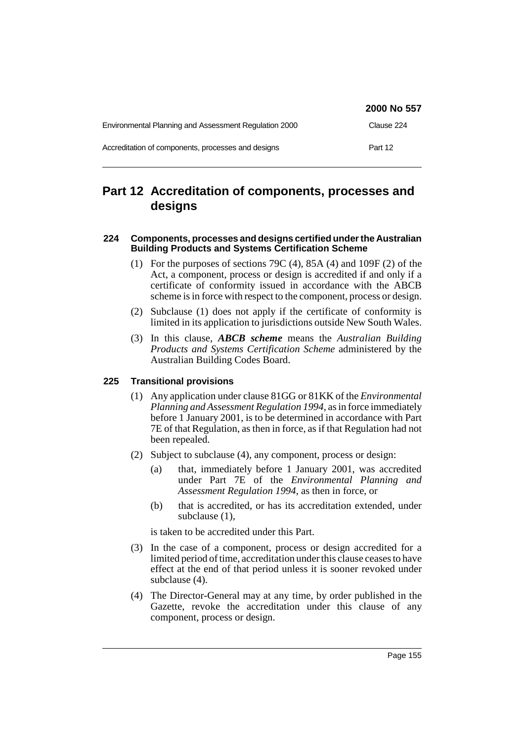|                                                       | 2000 No 557 |
|-------------------------------------------------------|-------------|
| Environmental Planning and Assessment Regulation 2000 | Clause 224  |
| Accreditation of components, processes and designs    | Part 12     |

# **Part 12 Accreditation of components, processes and designs**

## **224 Components, processes and designs certified under the Australian Building Products and Systems Certification Scheme**

- (1) For the purposes of sections 79C (4), 85A (4) and 109F (2) of the Act, a component, process or design is accredited if and only if a certificate of conformity issued in accordance with the ABCB scheme is in force with respect to the component, process or design.
- (2) Subclause (1) does not apply if the certificate of conformity is limited in its application to jurisdictions outside New South Wales.
- (3) In this clause, *ABCB scheme* means the *Australian Building Products and Systems Certification Scheme* administered by the Australian Building Codes Board.

# **225 Transitional provisions**

- (1) Any application under clause 81GG or 81KK of the *Environmental Planning and Assessment Regulation 1994*, as in force immediately before 1 January 2001, is to be determined in accordance with Part 7E of that Regulation, as then in force, as if that Regulation had not been repealed.
- (2) Subject to subclause (4), any component, process or design:
	- (a) that, immediately before 1 January 2001, was accredited under Part 7E of the *Environmental Planning and Assessment Regulation 1994*, as then in force, or
	- (b) that is accredited, or has its accreditation extended, under subclause (1),

is taken to be accredited under this Part.

- (3) In the case of a component, process or design accredited for a limited period of time, accreditation under this clause ceases to have effect at the end of that period unless it is sooner revoked under subclause (4).
- (4) The Director-General may at any time, by order published in the Gazette, revoke the accreditation under this clause of any component, process or design.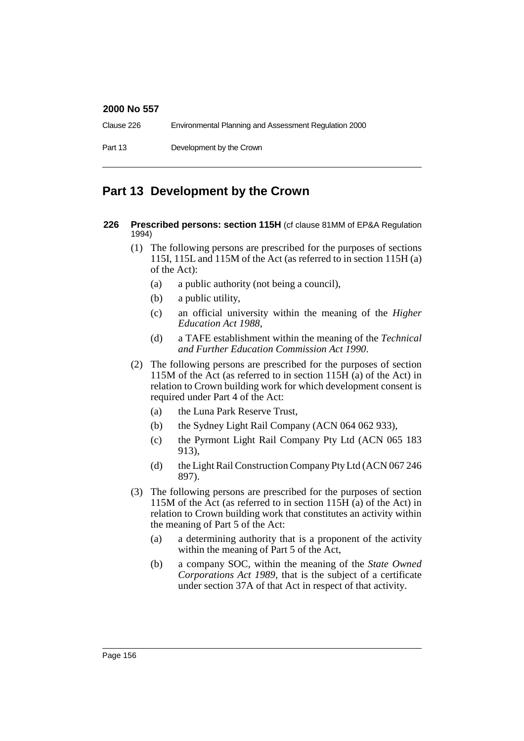| Clause 226 | Environmental Planning and Assessment Regulation 2000 |
|------------|-------------------------------------------------------|
| Part 13    | Development by the Crown                              |

# **Part 13 Development by the Crown**

- **226 Prescribed persons: section 115H** (cf clause 81MM of EP&A Regulation 1994)
	- (1) The following persons are prescribed for the purposes of sections 115I, 115L and 115M of the Act (as referred to in section 115H (a) of the Act):
		- (a) a public authority (not being a council),
		- (b) a public utility,
		- (c) an official university within the meaning of the *Higher Education Act 1988*,
		- (d) a TAFE establishment within the meaning of the *Technical and Further Education Commission Act 1990*.
	- (2) The following persons are prescribed for the purposes of section 115M of the Act (as referred to in section 115H (a) of the Act) in relation to Crown building work for which development consent is required under Part 4 of the Act:
		- (a) the Luna Park Reserve Trust,
		- (b) the Sydney Light Rail Company (ACN 064 062 933),
		- (c) the Pyrmont Light Rail Company Pty Ltd (ACN 065 183 913),
		- (d) the Light Rail Construction Company Pty Ltd (ACN 067 246 897).
	- (3) The following persons are prescribed for the purposes of section 115M of the Act (as referred to in section 115H (a) of the Act) in relation to Crown building work that constitutes an activity within the meaning of Part 5 of the Act:
		- (a) a determining authority that is a proponent of the activity within the meaning of Part 5 of the Act,
		- (b) a company SOC, within the meaning of the *State Owned Corporations Act 1989*, that is the subject of a certificate under section 37A of that Act in respect of that activity.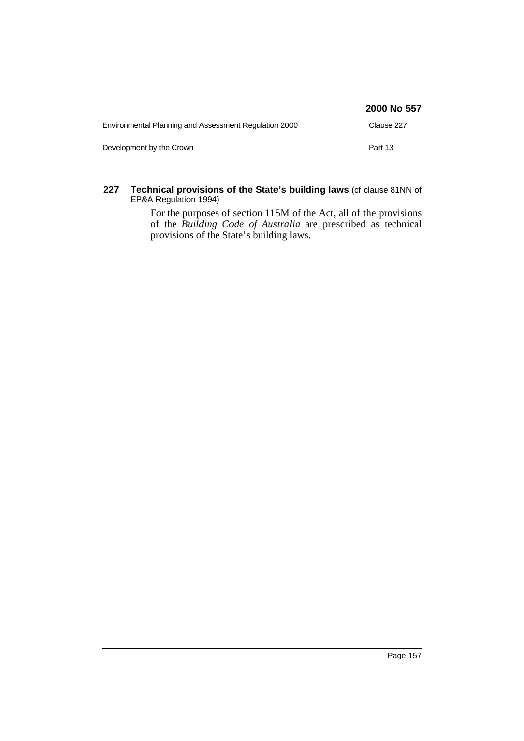|                                                       | 2000 No 557 |
|-------------------------------------------------------|-------------|
| Environmental Planning and Assessment Regulation 2000 | Clause 227  |
| Development by the Crown                              | Part 13     |

#### **227 Technical provisions of the State's building laws** (cf clause 81NN of EP&A Regulation 1994)

For the purposes of section 115M of the Act, all of the provisions of the *Building Code of Australia* are prescribed as technical provisions of the State's building laws.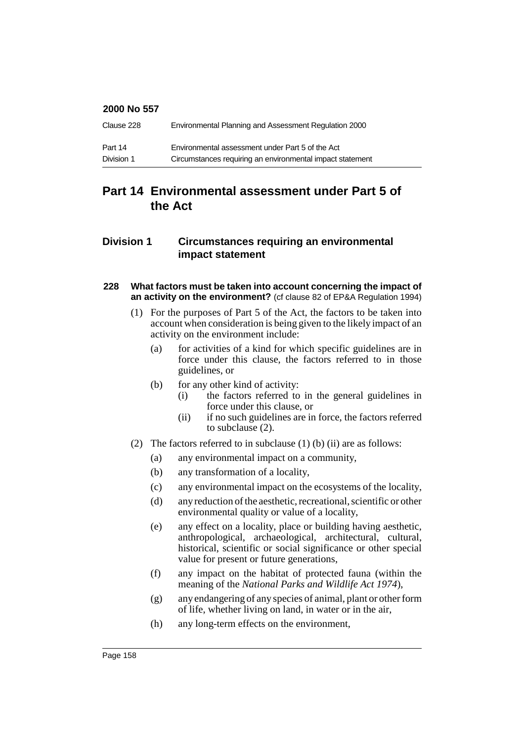| Clause 228 | Environmental Planning and Assessment Regulation 2000     |
|------------|-----------------------------------------------------------|
| Part 14    | Environmental assessment under Part 5 of the Act          |
| Division 1 | Circumstances requiring an environmental impact statement |

# **Part 14 Environmental assessment under Part 5 of the Act**

# **Division 1 Circumstances requiring an environmental impact statement**

### **228 What factors must be taken into account concerning the impact of an activity on the environment?** (cf clause 82 of EP&A Regulation 1994)

- (1) For the purposes of Part 5 of the Act, the factors to be taken into account when consideration is being given to the likely impact of an activity on the environment include:
	- (a) for activities of a kind for which specific guidelines are in force under this clause, the factors referred to in those guidelines, or
	- (b) for any other kind of activity:
		- (i) the factors referred to in the general guidelines in force under this clause, or
		- (ii) if no such guidelines are in force, the factors referred to subclause (2).
- (2) The factors referred to in subclause (1) (b) (ii) are as follows:
	- (a) any environmental impact on a community,
	- (b) any transformation of a locality,
	- (c) any environmental impact on the ecosystems of the locality,
	- (d) any reduction of the aesthetic, recreational, scientific or other environmental quality or value of a locality,
	- (e) any effect on a locality, place or building having aesthetic, anthropological, archaeological, architectural, cultural, historical, scientific or social significance or other special value for present or future generations,
	- (f) any impact on the habitat of protected fauna (within the meaning of the *National Parks and Wildlife Act 1974*),
	- (g) any endangering of any species of animal, plant or other form of life, whether living on land, in water or in the air,
	- (h) any long-term effects on the environment,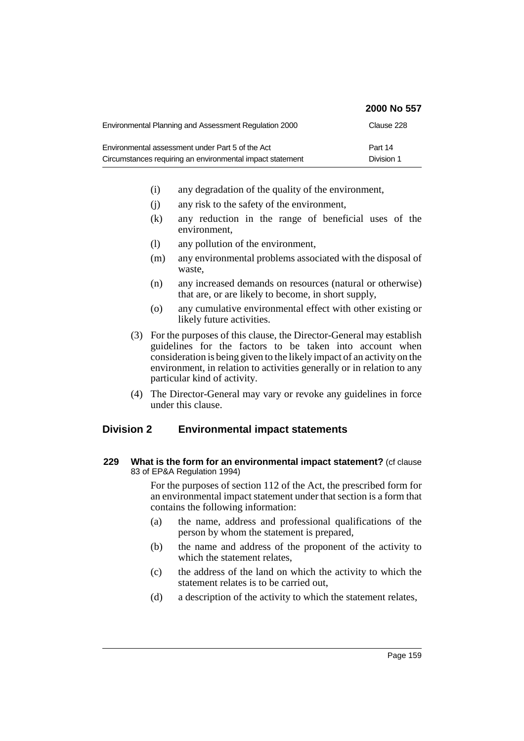|                                                           | 2000 No 557 |
|-----------------------------------------------------------|-------------|
| Environmental Planning and Assessment Regulation 2000     | Clause 228  |
| Environmental assessment under Part 5 of the Act          | Part 14     |
| Circumstances requiring an environmental impact statement | Division 1  |

- (i) any degradation of the quality of the environment,
- (j) any risk to the safety of the environment,
- (k) any reduction in the range of beneficial uses of the environment,
- (l) any pollution of the environment,
- (m) any environmental problems associated with the disposal of waste,
- (n) any increased demands on resources (natural or otherwise) that are, or are likely to become, in short supply,
- (o) any cumulative environmental effect with other existing or likely future activities.
- (3) For the purposes of this clause, the Director-General may establish guidelines for the factors to be taken into account when consideration is being given to the likely impact of an activity on the environment, in relation to activities generally or in relation to any particular kind of activity.
- (4) The Director-General may vary or revoke any guidelines in force under this clause.

# **Division 2 Environmental impact statements**

#### **229 What is the form for an environmental impact statement?** (cf clause 83 of EP&A Regulation 1994)

For the purposes of section 112 of the Act, the prescribed form for an environmental impact statement under that section is a form that contains the following information:

- (a) the name, address and professional qualifications of the person by whom the statement is prepared,
- (b) the name and address of the proponent of the activity to which the statement relates,
- (c) the address of the land on which the activity to which the statement relates is to be carried out,
- (d) a description of the activity to which the statement relates,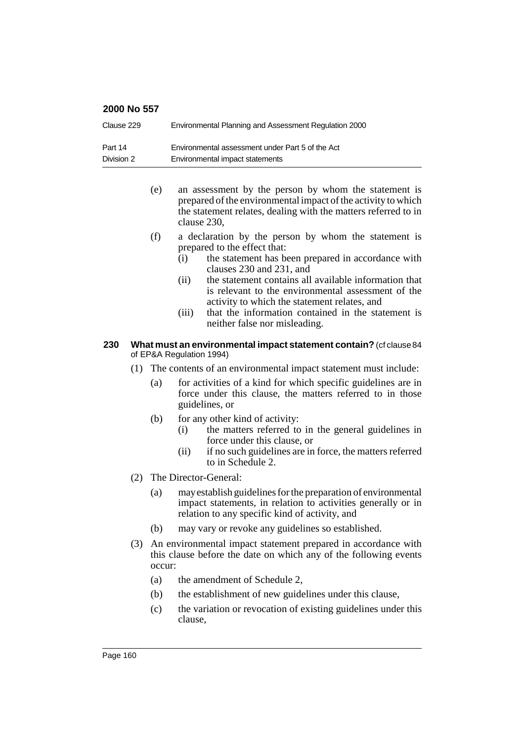| Clause 229 | Environmental Planning and Assessment Regulation 2000 |
|------------|-------------------------------------------------------|
| Part 14    | Environmental assessment under Part 5 of the Act      |
| Division 2 | Environmental impact statements                       |

- (e) an assessment by the person by whom the statement is prepared of the environmental impact of the activity to which the statement relates, dealing with the matters referred to in clause 230,
- (f) a declaration by the person by whom the statement is prepared to the effect that:
	- (i) the statement has been prepared in accordance with clauses 230 and 231, and
	- (ii) the statement contains all available information that is relevant to the environmental assessment of the activity to which the statement relates, and
	- (iii) that the information contained in the statement is neither false nor misleading.

#### **230 What must an environmental impact statement contain?** (cf clause 84 of EP&A Regulation 1994)

- (1) The contents of an environmental impact statement must include:
	- (a) for activities of a kind for which specific guidelines are in force under this clause, the matters referred to in those guidelines, or
	- (b) for any other kind of activity:
		- (i) the matters referred to in the general guidelines in force under this clause, or
		- (ii) if no such guidelines are in force, the matters referred to in Schedule 2.
- (2) The Director-General:
	- (a) may establish guidelines for the preparation of environmental impact statements, in relation to activities generally or in relation to any specific kind of activity, and
	- (b) may vary or revoke any guidelines so established.
- (3) An environmental impact statement prepared in accordance with this clause before the date on which any of the following events occur:
	- (a) the amendment of Schedule 2,
	- (b) the establishment of new guidelines under this clause,
	- (c) the variation or revocation of existing guidelines under this clause,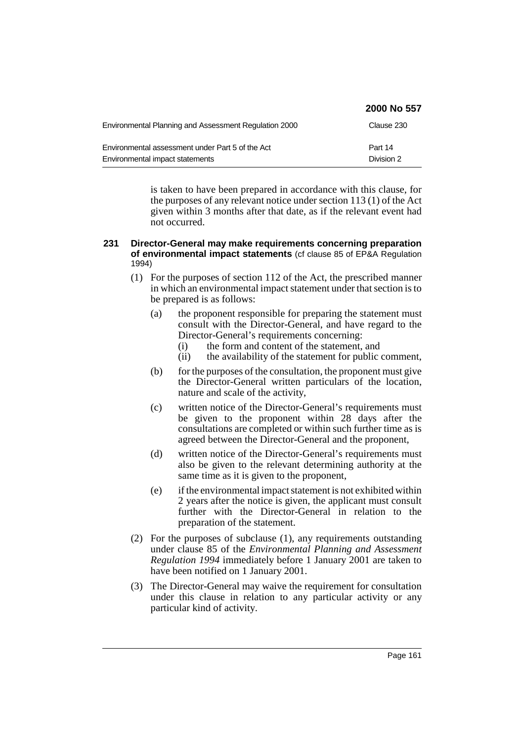|                                                       | 2000 No 557 |
|-------------------------------------------------------|-------------|
| Environmental Planning and Assessment Regulation 2000 | Clause 230  |
| Environmental assessment under Part 5 of the Act      | Part 14     |
| Environmental impact statements                       | Division 2  |

is taken to have been prepared in accordance with this clause, for the purposes of any relevant notice under section 113 (1) of the Act given within 3 months after that date, as if the relevant event had not occurred.

- **231 Director-General may make requirements concerning preparation of environmental impact statements** (cf clause 85 of EP&A Regulation 1994)
	- (1) For the purposes of section 112 of the Act, the prescribed manner in which an environmental impact statement under that section is to be prepared is as follows:
		- (a) the proponent responsible for preparing the statement must consult with the Director-General, and have regard to the Director-General's requirements concerning:
			- (i) the form and content of the statement, and
			- (ii) the availability of the statement for public comment,
		- (b) for the purposes of the consultation, the proponent must give the Director-General written particulars of the location, nature and scale of the activity,
		- (c) written notice of the Director-General's requirements must be given to the proponent within 28 days after the consultations are completed or within such further time as is agreed between the Director-General and the proponent,
		- (d) written notice of the Director-General's requirements must also be given to the relevant determining authority at the same time as it is given to the proponent,
		- (e) if the environmental impact statement is not exhibited within 2 years after the notice is given, the applicant must consult further with the Director-General in relation to the preparation of the statement.
	- (2) For the purposes of subclause (1), any requirements outstanding under clause 85 of the *Environmental Planning and Assessment Regulation 1994* immediately before 1 January 2001 are taken to have been notified on 1 January 2001.
	- (3) The Director-General may waive the requirement for consultation under this clause in relation to any particular activity or any particular kind of activity.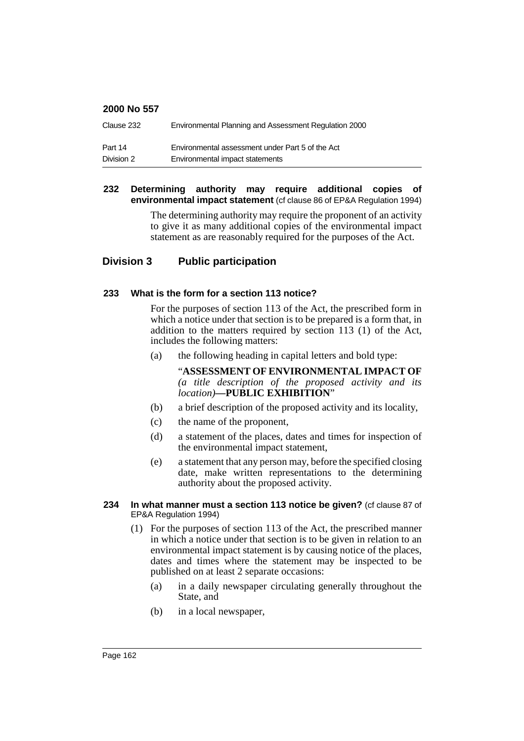| Clause 232 | Environmental Planning and Assessment Regulation 2000 |
|------------|-------------------------------------------------------|
| Part 14    | Environmental assessment under Part 5 of the Act      |
| Division 2 | Environmental impact statements                       |

### **232 Determining authority may require additional copies of environmental impact statement** (cf clause 86 of EP&A Regulation 1994)

The determining authority may require the proponent of an activity to give it as many additional copies of the environmental impact statement as are reasonably required for the purposes of the Act.

## **Division 3 Public participation**

## **233 What is the form for a section 113 notice?**

For the purposes of section 113 of the Act, the prescribed form in which a notice under that section is to be prepared is a form that, in addition to the matters required by section 113 (1) of the Act, includes the following matters:

(a) the following heading in capital letters and bold type:

"**ASSESSMENT OF ENVIRONMENTAL IMPACT OF** *(a title description of the proposed activity and its location)***—PUBLIC EXHIBITION**"

- (b) a brief description of the proposed activity and its locality,
- (c) the name of the proponent,
- (d) a statement of the places, dates and times for inspection of the environmental impact statement,
- (e) a statement that any person may, before the specified closing date, make written representations to the determining authority about the proposed activity.

#### **234 In what manner must a section 113 notice be given?** (cf clause 87 of EP&A Regulation 1994)

- (1) For the purposes of section 113 of the Act, the prescribed manner in which a notice under that section is to be given in relation to an environmental impact statement is by causing notice of the places, dates and times where the statement may be inspected to be published on at least 2 separate occasions:
	- (a) in a daily newspaper circulating generally throughout the State, and
	- (b) in a local newspaper,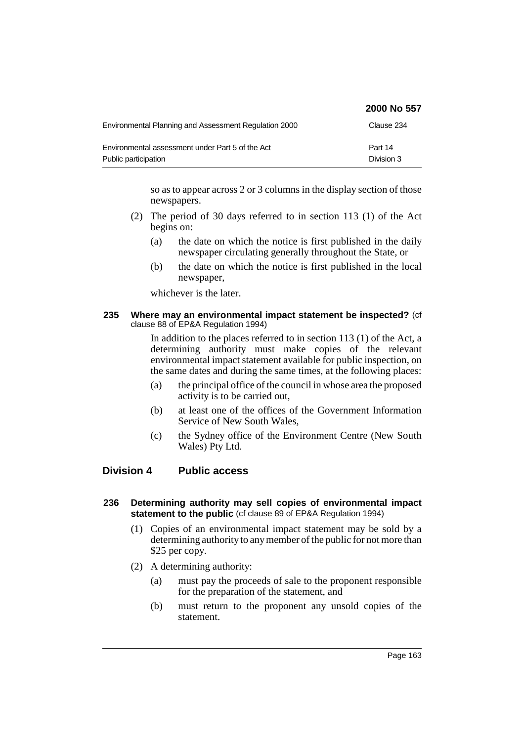|                                                                          | 2000 No 557           |
|--------------------------------------------------------------------------|-----------------------|
| Environmental Planning and Assessment Regulation 2000                    | Clause 234            |
| Environmental assessment under Part 5 of the Act<br>Public participation | Part 14<br>Division 3 |

so as to appear across 2 or 3 columns in the display section of those newspapers.

- (2) The period of 30 days referred to in section 113 (1) of the Act begins on:
	- (a) the date on which the notice is first published in the daily newspaper circulating generally throughout the State, or
	- (b) the date on which the notice is first published in the local newspaper,

whichever is the later.

#### **235 Where may an environmental impact statement be inspected?** (cf clause 88 of EP&A Regulation 1994)

In addition to the places referred to in section 113 (1) of the Act, a determining authority must make copies of the relevant environmental impact statement available for public inspection, on the same dates and during the same times, at the following places:

- (a) the principal office of the council in whose area the proposed activity is to be carried out,
- (b) at least one of the offices of the Government Information Service of New South Wales,
- (c) the Sydney office of the Environment Centre (New South Wales) Pty Ltd.

# **Division 4 Public access**

## **236 Determining authority may sell copies of environmental impact statement to the public** (cf clause 89 of EP&A Regulation 1994)

- (1) Copies of an environmental impact statement may be sold by a determining authority to any member of the public for not more than \$25 per copy.
- (2) A determining authority:
	- (a) must pay the proceeds of sale to the proponent responsible for the preparation of the statement, and
	- (b) must return to the proponent any unsold copies of the statement.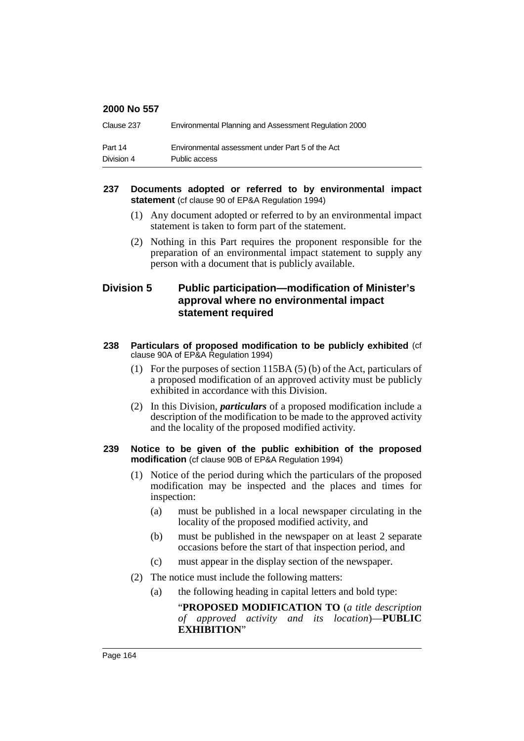| Clause 237 | Environmental Planning and Assessment Regulation 2000 |
|------------|-------------------------------------------------------|
| Part 14    | Environmental assessment under Part 5 of the Act      |
| Division 4 | Public access                                         |

### **237 Documents adopted or referred to by environmental impact statement** (cf clause 90 of EP&A Regulation 1994)

- (1) Any document adopted or referred to by an environmental impact statement is taken to form part of the statement.
- (2) Nothing in this Part requires the proponent responsible for the preparation of an environmental impact statement to supply any person with a document that is publicly available.

# **Division 5 Public participation—modification of Minister's approval where no environmental impact statement required**

- **238 Particulars of proposed modification to be publicly exhibited** (cf clause 90A of EP&A Regulation 1994)
	- (1) For the purposes of section  $115BA(5)(b)$  of the Act, particulars of a proposed modification of an approved activity must be publicly exhibited in accordance with this Division.
	- (2) In this Division, *particulars* of a proposed modification include a description of the modification to be made to the approved activity and the locality of the proposed modified activity.

#### **239 Notice to be given of the public exhibition of the proposed modification** (cf clause 90B of EP&A Regulation 1994)

- (1) Notice of the period during which the particulars of the proposed modification may be inspected and the places and times for inspection:
	- (a) must be published in a local newspaper circulating in the locality of the proposed modified activity, and
	- (b) must be published in the newspaper on at least 2 separate occasions before the start of that inspection period, and
	- (c) must appear in the display section of the newspaper.
- (2) The notice must include the following matters:
	- (a) the following heading in capital letters and bold type:

"**PROPOSED MODIFICATION TO** (*a title description of approved activity and its location*)—**PUBLIC EXHIBITION**"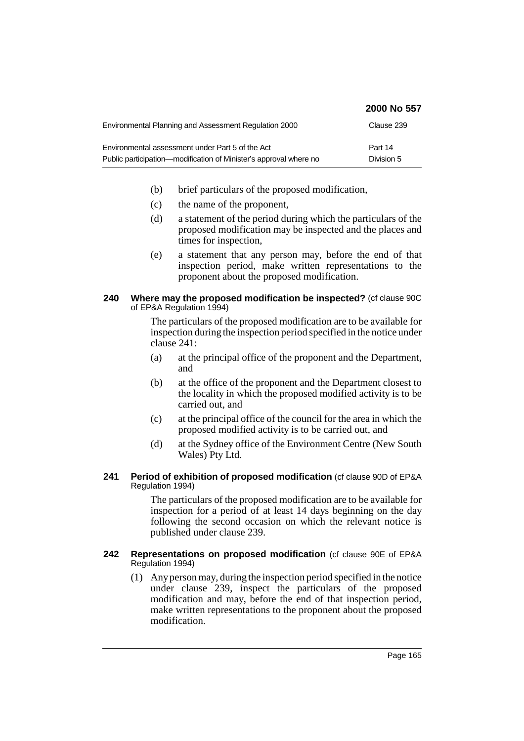|                                                                   | 2000 No 557 |
|-------------------------------------------------------------------|-------------|
| Environmental Planning and Assessment Regulation 2000             | Clause 239  |
| Environmental assessment under Part 5 of the Act                  | Part 14     |
| Public participation—modification of Minister's approval where no | Division 5  |

- (b) brief particulars of the proposed modification,
- (c) the name of the proponent,
- (d) a statement of the period during which the particulars of the proposed modification may be inspected and the places and times for inspection,
- (e) a statement that any person may, before the end of that inspection period, make written representations to the proponent about the proposed modification.

## **240** Where may the proposed modification be inspected? (cf clause 90C of EP&A Regulation 1994)

The particulars of the proposed modification are to be available for inspection during the inspection period specified in the notice under clause 241:

- (a) at the principal office of the proponent and the Department, and
- (b) at the office of the proponent and the Department closest to the locality in which the proposed modified activity is to be carried out, and
- (c) at the principal office of the council for the area in which the proposed modified activity is to be carried out, and
- (d) at the Sydney office of the Environment Centre (New South Wales) Pty Ltd.

## **241 Period of exhibition of proposed modification** (cf clause 90D of EP&A Regulation 1994)

The particulars of the proposed modification are to be available for inspection for a period of at least 14 days beginning on the day following the second occasion on which the relevant notice is published under clause 239.

## **242 Representations on proposed modification** (cf clause 90E of EP&A Regulation 1994)

(1) Any person may, during the inspection period specified in the notice under clause 239, inspect the particulars of the proposed modification and may, before the end of that inspection period, make written representations to the proponent about the proposed modification.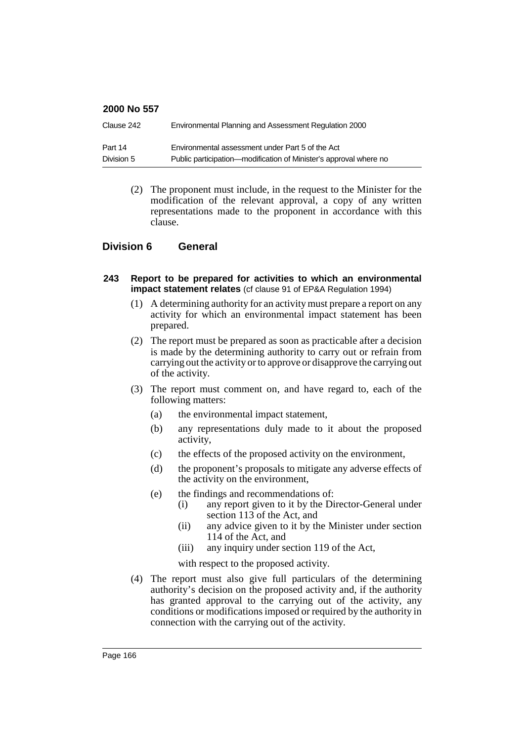| Clause 242 | Environmental Planning and Assessment Regulation 2000             |
|------------|-------------------------------------------------------------------|
| Part 14    | Environmental assessment under Part 5 of the Act                  |
| Division 5 | Public participation—modification of Minister's approval where no |

(2) The proponent must include, in the request to the Minister for the modification of the relevant approval, a copy of any written representations made to the proponent in accordance with this clause.

## **Division 6 General**

#### **243 Report to be prepared for activities to which an environmental impact statement relates** (cf clause 91 of EP&A Regulation 1994)

- (1) A determining authority for an activity must prepare a report on any activity for which an environmental impact statement has been prepared.
- (2) The report must be prepared as soon as practicable after a decision is made by the determining authority to carry out or refrain from carrying out the activity or to approve or disapprove the carrying out of the activity.
- (3) The report must comment on, and have regard to, each of the following matters:
	- (a) the environmental impact statement,
	- (b) any representations duly made to it about the proposed activity,
	- (c) the effects of the proposed activity on the environment,
	- (d) the proponent's proposals to mitigate any adverse effects of the activity on the environment,
	- (e) the findings and recommendations of:
		- (i) any report given to it by the Director-General under section 113 of the Act, and
		- (ii) any advice given to it by the Minister under section 114 of the Act, and
		- (iii) any inquiry under section 119 of the Act,

with respect to the proposed activity.

(4) The report must also give full particulars of the determining authority's decision on the proposed activity and, if the authority has granted approval to the carrying out of the activity, any conditions or modifications imposed or required by the authority in connection with the carrying out of the activity.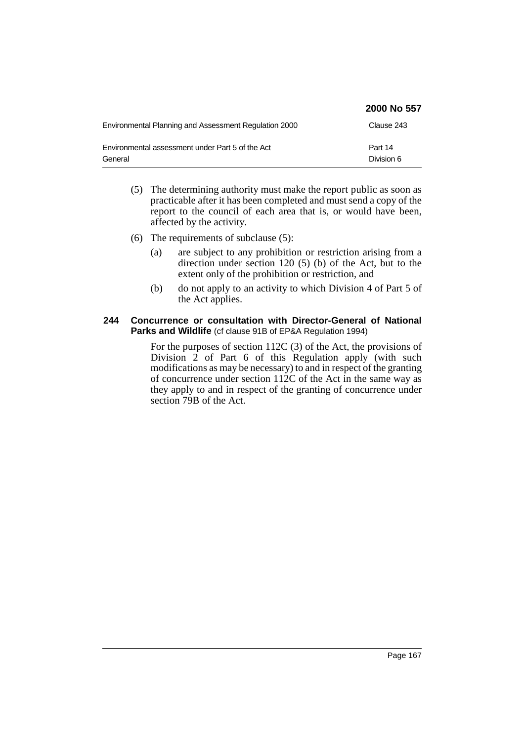|                                                       | 2000 No 557 |
|-------------------------------------------------------|-------------|
| Environmental Planning and Assessment Regulation 2000 | Clause 243  |
| Environmental assessment under Part 5 of the Act      | Part 14     |
| General                                               | Division 6  |

- (5) The determining authority must make the report public as soon as practicable after it has been completed and must send a copy of the report to the council of each area that is, or would have been, affected by the activity.
- (6) The requirements of subclause (5):
	- (a) are subject to any prohibition or restriction arising from a direction under section 120 (5) (b) of the Act, but to the extent only of the prohibition or restriction, and
	- (b) do not apply to an activity to which Division 4 of Part 5 of the Act applies.

## **244 Concurrence or consultation with Director-General of National Parks and Wildlife** (cf clause 91B of EP&A Regulation 1994)

For the purposes of section 112C (3) of the Act, the provisions of Division 2 of Part 6 of this Regulation apply (with such modifications as may be necessary) to and in respect of the granting of concurrence under section 112C of the Act in the same way as they apply to and in respect of the granting of concurrence under section 79B of the Act.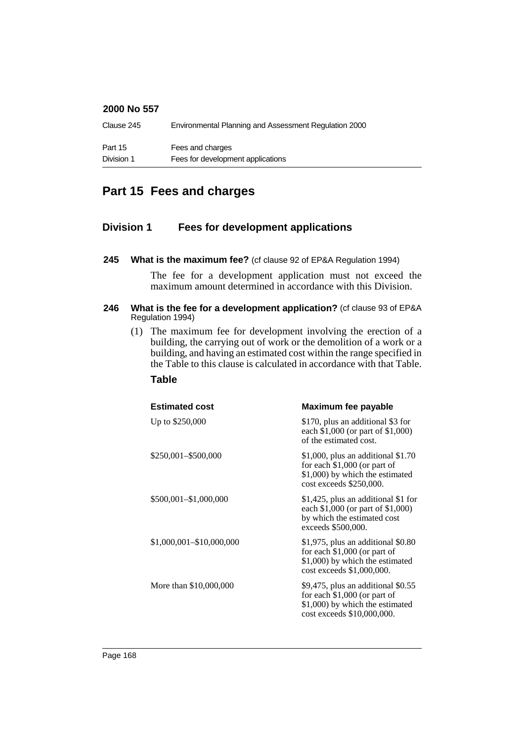| Clause 245 | Environmental Planning and Assessment Regulation 2000 |
|------------|-------------------------------------------------------|
| Part 15    | Fees and charges                                      |
| Division 1 | Fees for development applications                     |

# **Part 15 Fees and charges**

## **Division 1 Fees for development applications**

**245 What is the maximum fee?** (cf clause 92 of EP&A Regulation 1994)

The fee for a development application must not exceed the maximum amount determined in accordance with this Division.

#### **246 What is the fee for a development application?** (cf clause 93 of EP&A Regulation 1994)

(1) The maximum fee for development involving the erection of a building, the carrying out of work or the demolition of a work or a building, and having an estimated cost within the range specified in the Table to this clause is calculated in accordance with that Table.

## **Table**

| <b>Estimated cost</b>    | Maximum fee payable                                                                                                                    |
|--------------------------|----------------------------------------------------------------------------------------------------------------------------------------|
| Up to \$250,000          | \$170, plus an additional \$3 for<br>each \$1,000 (or part of \$1,000)<br>of the estimated cost.                                       |
| \$250,001-\$500,000      | \$1,000, plus an additional $$1.70$<br>for each $$1,000$ (or part of<br>\$1,000) by which the estimated<br>cost exceeds \$250,000.     |
| \$500,001-\$1,000,000    | \$1,425, plus an additional \$1 for<br>each \$1,000 (or part of \$1,000)<br>by which the estimated cost<br>exceeds \$500,000.          |
| \$1,000,001-\$10,000,000 | $$1,975$ , plus an additional $$0.80$<br>for each $$1,000$ (or part of<br>\$1,000) by which the estimated<br>cost exceeds \$1,000,000. |
| More than \$10,000,000   | \$9,475, plus an additional \$0.55<br>for each $$1,000$ (or part of<br>\$1,000) by which the estimated<br>cost exceeds \$10,000,000.   |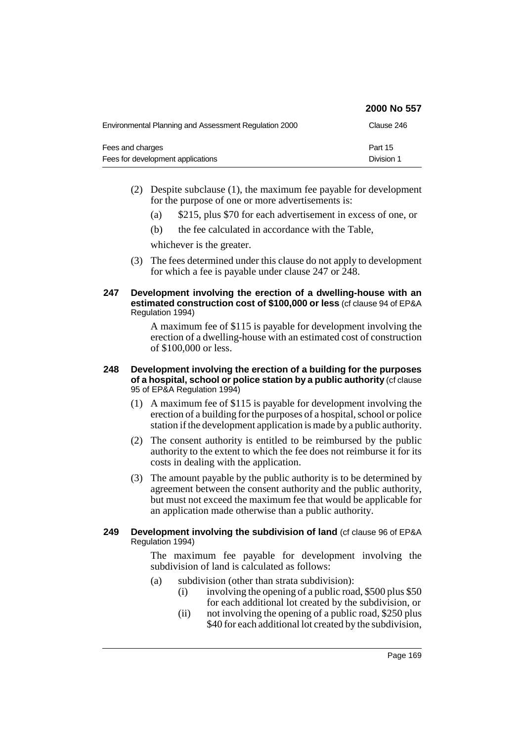|                                                       | 2000 No 557           |
|-------------------------------------------------------|-----------------------|
| Environmental Planning and Assessment Regulation 2000 | Clause 246            |
| Fees and charges<br>Fees for development applications | Part 15<br>Division 1 |

- (2) Despite subclause (1), the maximum fee payable for development for the purpose of one or more advertisements is:
	- (a) \$215, plus \$70 for each advertisement in excess of one, or
	- (b) the fee calculated in accordance with the Table,

whichever is the greater.

- (3) The fees determined under this clause do not apply to development for which a fee is payable under clause 247 or 248.
- **247 Development involving the erection of a dwelling-house with an estimated construction cost of \$100,000 or less** (cf clause 94 of EP&A Regulation 1994)

A maximum fee of \$115 is payable for development involving the erection of a dwelling-house with an estimated cost of construction of \$100,000 or less.

#### **248 Development involving the erection of a building for the purposes of a hospital, school or police station by a public authority** (cf clause 95 of EP&A Regulation 1994)

- (1) A maximum fee of \$115 is payable for development involving the erection of a building for the purposes of a hospital, school or police station if the development application is made by a public authority.
- (2) The consent authority is entitled to be reimbursed by the public authority to the extent to which the fee does not reimburse it for its costs in dealing with the application.
- (3) The amount payable by the public authority is to be determined by agreement between the consent authority and the public authority, but must not exceed the maximum fee that would be applicable for an application made otherwise than a public authority.

### **249 Development involving the subdivision of land** (cf clause 96 of EP&A Regulation 1994)

The maximum fee payable for development involving the subdivision of land is calculated as follows:

- (a) subdivision (other than strata subdivision):
	- (i) involving the opening of a public road, \$500 plus \$50 for each additional lot created by the subdivision, or
	- (ii) not involving the opening of a public road, \$250 plus \$40 for each additional lot created by the subdivision,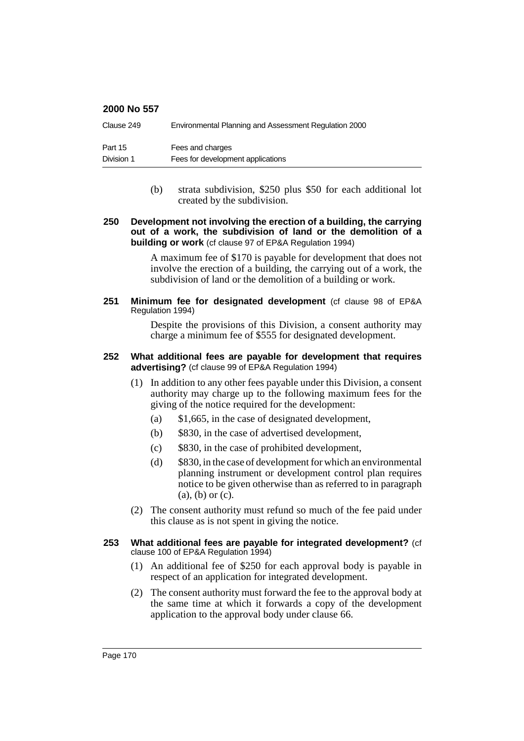| Clause 249 | Environmental Planning and Assessment Regulation 2000 |
|------------|-------------------------------------------------------|
| Part 15    | Fees and charges                                      |
| Division 1 | Fees for development applications                     |

(b) strata subdivision, \$250 plus \$50 for each additional lot created by the subdivision.

#### **250 Development not involving the erection of a building, the carrying out of a work, the subdivision of land or the demolition of a building or work** (cf clause 97 of EP&A Regulation 1994)

A maximum fee of \$170 is payable for development that does not involve the erection of a building, the carrying out of a work, the subdivision of land or the demolition of a building or work.

#### **251 Minimum fee for designated development** (cf clause 98 of EP&A Regulation 1994)

Despite the provisions of this Division, a consent authority may charge a minimum fee of \$555 for designated development.

#### **252 What additional fees are payable for development that requires advertising?** (cf clause 99 of EP&A Regulation 1994)

- (1) In addition to any other fees payable under this Division, a consent authority may charge up to the following maximum fees for the giving of the notice required for the development:
	- (a) \$1,665, in the case of designated development,
	- (b) \$830, in the case of advertised development,
	- (c) \$830, in the case of prohibited development,
	- (d) \$830, in the case of development for which an environmental planning instrument or development control plan requires notice to be given otherwise than as referred to in paragraph (a), (b) or (c).
- (2) The consent authority must refund so much of the fee paid under this clause as is not spent in giving the notice.
- **253 What additional fees are payable for integrated development?** (cf clause 100 of EP&A Regulation 1994)
	- (1) An additional fee of \$250 for each approval body is payable in respect of an application for integrated development.
	- (2) The consent authority must forward the fee to the approval body at the same time at which it forwards a copy of the development application to the approval body under clause 66.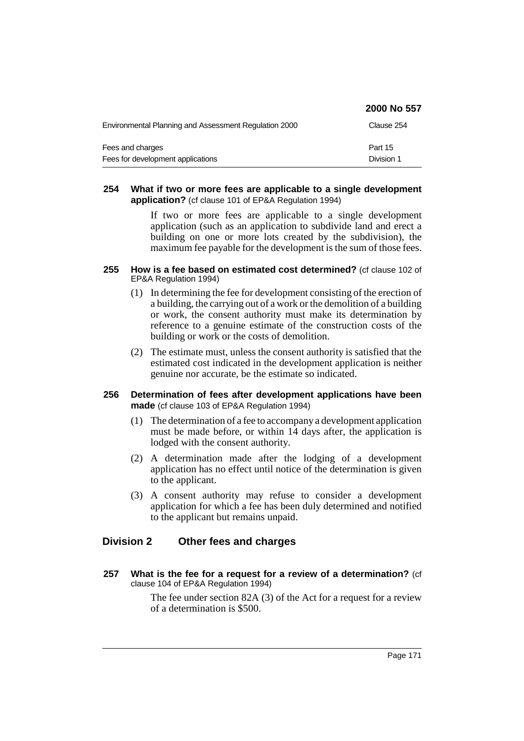|                                                       | 2000 No 557           |
|-------------------------------------------------------|-----------------------|
| Environmental Planning and Assessment Regulation 2000 | Clause 254            |
| Fees and charges<br>Fees for development applications | Part 15<br>Division 1 |

#### **254 What if two or more fees are applicable to a single development application?** (cf clause 101 of EP&A Regulation 1994)

If two or more fees are applicable to a single development application (such as an application to subdivide land and erect a building on one or more lots created by the subdivision), the maximum fee payable for the development is the sum of those fees.

#### **255 How is a fee based on estimated cost determined?** (cf clause 102 of EP&A Regulation 1994)

- (1) In determining the fee for development consisting of the erection of a building, the carrying out of a work or the demolition of a building or work, the consent authority must make its determination by reference to a genuine estimate of the construction costs of the building or work or the costs of demolition.
- (2) The estimate must, unless the consent authority is satisfied that the estimated cost indicated in the development application is neither genuine nor accurate, be the estimate so indicated.

### **256 Determination of fees after development applications have been made** (cf clause 103 of EP&A Regulation 1994)

- (1) The determination of a fee to accompany a development application must be made before, or within  $14$  days after, the application is lodged with the consent authority.
- (2) A determination made after the lodging of a development application has no effect until notice of the determination is given to the applicant.
- (3) A consent authority may refuse to consider a development application for which a fee has been duly determined and notified to the applicant but remains unpaid.

# **Division 2 Other fees and charges**

**257 What is the fee for a request for a review of a determination?** (cf clause 104 of EP&A Regulation 1994)

> The fee under section 82A (3) of the Act for a request for a review of a determination is \$500.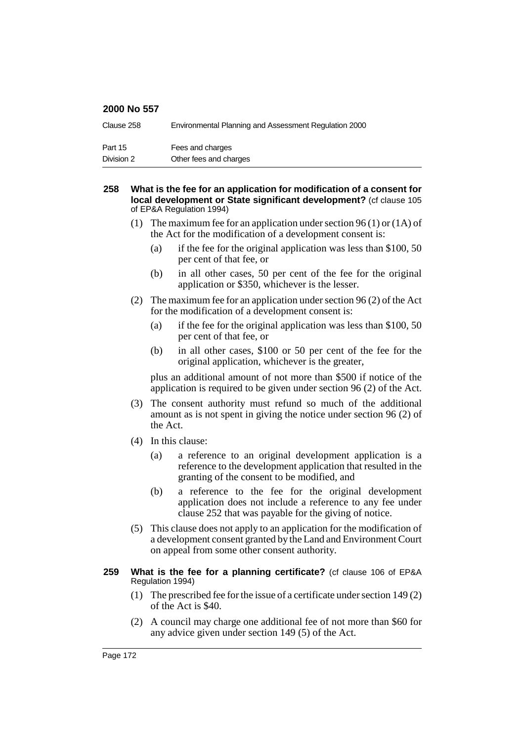| Clause 258 | Environmental Planning and Assessment Regulation 2000 |
|------------|-------------------------------------------------------|
| Part 15    | Fees and charges                                      |
| Division 2 | Other fees and charges                                |

#### **258 What is the fee for an application for modification of a consent for local development or State significant development?** (cf clause 105 of EP&A Regulation 1994)

- (1) The maximum fee for an application under section 96 (1) or (1A) of the Act for the modification of a development consent is:
	- (a) if the fee for the original application was less than \$100, 50 per cent of that fee, or
	- (b) in all other cases, 50 per cent of the fee for the original application or \$350, whichever is the lesser.
- (2) The maximum fee for an application under section 96 (2) of the Act for the modification of a development consent is:
	- (a) if the fee for the original application was less than \$100, 50 per cent of that fee, or
	- (b) in all other cases, \$100 or 50 per cent of the fee for the original application, whichever is the greater,

plus an additional amount of not more than \$500 if notice of the application is required to be given under section 96 (2) of the Act.

- (3) The consent authority must refund so much of the additional amount as is not spent in giving the notice under section 96 (2) of the Act.
- (4) In this clause:
	- (a) a reference to an original development application is a reference to the development application that resulted in the granting of the consent to be modified, and
	- (b) a reference to the fee for the original development application does not include a reference to any fee under clause 252 that was payable for the giving of notice.
- (5) This clause does not apply to an application for the modification of a development consent granted by the Land and Environment Court on appeal from some other consent authority.
- **259 What is the fee for a planning certificate?** (cf clause 106 of EP&A Regulation 1994)
	- (1) The prescribed fee for the issue of a certificate under section 149 (2) of the Act is \$40.
	- (2) A council may charge one additional fee of not more than \$60 for any advice given under section 149 (5) of the Act.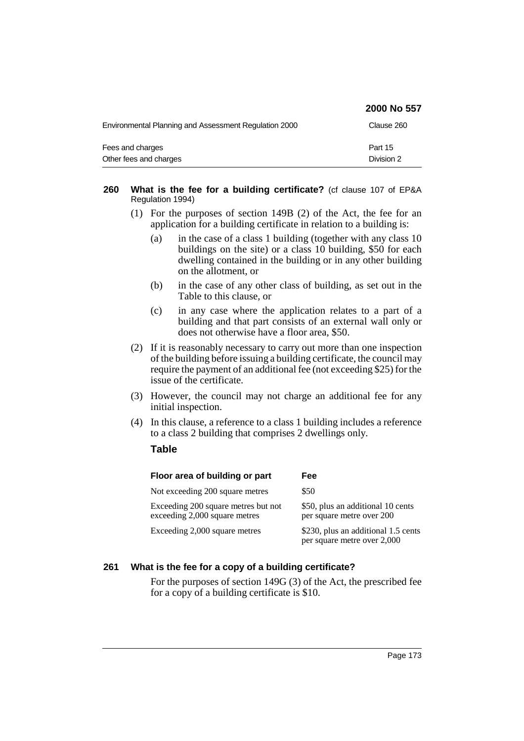|                                                       | 2000 No 557           |
|-------------------------------------------------------|-----------------------|
| Environmental Planning and Assessment Regulation 2000 | Clause 260            |
| Fees and charges<br>Other fees and charges            | Part 15<br>Division 2 |

#### **260 What is the fee for a building certificate?** (cf clause 107 of EP&A Regulation 1994)

- (1) For the purposes of section 149B (2) of the Act, the fee for an application for a building certificate in relation to a building is:
	- (a) in the case of a class 1 building (together with any class 10 buildings on the site) or a class 10 building, \$50 for each dwelling contained in the building or in any other building on the allotment, or
	- (b) in the case of any other class of building, as set out in the Table to this clause, or
	- (c) in any case where the application relates to a part of a building and that part consists of an external wall only or does not otherwise have a floor area, \$50.
- (2) If it is reasonably necessary to carry out more than one inspection of the building before issuing a building certificate, the council may require the payment of an additional fee (not exceeding \$25) for the issue of the certificate.
- (3) However, the council may not charge an additional fee for any initial inspection.
- (4) In this clause, a reference to a class 1 building includes a reference to a class 2 building that comprises 2 dwellings only.

## **Table**

| Floor area of building or part                                       | Fee                                                                |
|----------------------------------------------------------------------|--------------------------------------------------------------------|
| Not exceeding 200 square metres                                      | \$50                                                               |
| Exceeding 200 square metres but not<br>exceeding 2,000 square metres | \$50, plus an additional 10 cents<br>per square metre over 200     |
| Exceeding 2,000 square metres                                        | \$230, plus an additional 1.5 cents<br>per square metre over 2,000 |

## **261 What is the fee for a copy of a building certificate?**

For the purposes of section 149G (3) of the Act, the prescribed fee for a copy of a building certificate is \$10.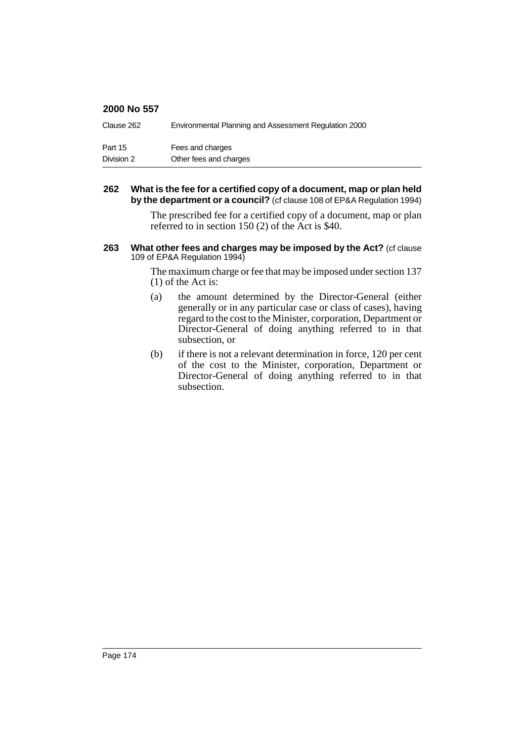| Clause 262 | Environmental Planning and Assessment Regulation 2000 |
|------------|-------------------------------------------------------|
| Part 15    | Fees and charges                                      |
| Division 2 | Other fees and charges                                |

#### **262 What is the fee for a certified copy of a document, map or plan held by the department or a council?** (cf clause 108 of EP&A Regulation 1994)

The prescribed fee for a certified copy of a document, map or plan referred to in section 150 (2) of the Act is \$40.

#### **263** What other fees and charges may be imposed by the Act? (cf clause 109 of EP&A Regulation 1994)

The maximum charge or fee that may be imposed under section 137 (1) of the Act is:

- (a) the amount determined by the Director-General (either generally or in any particular case or class of cases), having regard to the cost to the Minister, corporation, Department or Director-General of doing anything referred to in that subsection, or
- (b) if there is not a relevant determination in force, 120 per cent of the cost to the Minister, corporation, Department or Director-General of doing anything referred to in that subsection.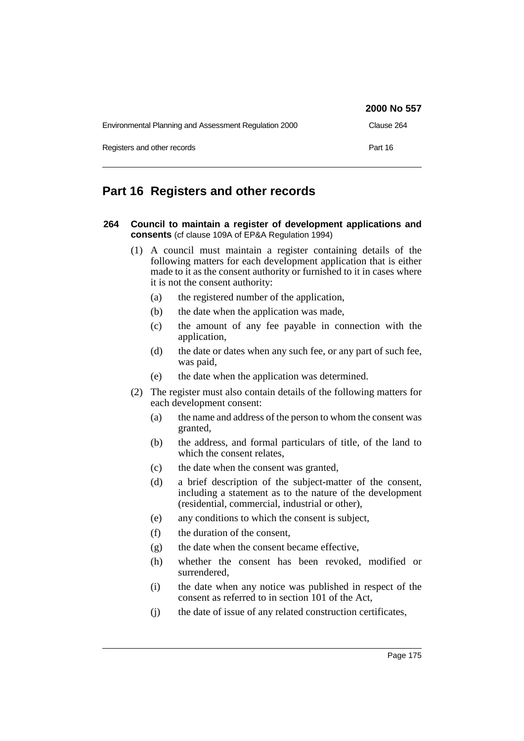|                                                       | 2000 No 557 |
|-------------------------------------------------------|-------------|
| Environmental Planning and Assessment Regulation 2000 | Clause 264  |
| Registers and other records                           | Part 16     |

# **Part 16 Registers and other records**

### **264 Council to maintain a register of development applications and consents** (cf clause 109A of EP&A Regulation 1994)

- (1) A council must maintain a register containing details of the following matters for each development application that is either made to it as the consent authority or furnished to it in cases where it is not the consent authority:
	- (a) the registered number of the application,
	- (b) the date when the application was made,
	- (c) the amount of any fee payable in connection with the application,
	- (d) the date or dates when any such fee, or any part of such fee, was paid,
	- (e) the date when the application was determined.
- (2) The register must also contain details of the following matters for each development consent:
	- (a) the name and address of the person to whom the consent was granted,
	- (b) the address, and formal particulars of title, of the land to which the consent relates,
	- (c) the date when the consent was granted,
	- (d) a brief description of the subject-matter of the consent, including a statement as to the nature of the development (residential, commercial, industrial or other),
	- (e) any conditions to which the consent is subject,
	- (f) the duration of the consent,
	- (g) the date when the consent became effective,
	- (h) whether the consent has been revoked, modified or surrendered,
	- (i) the date when any notice was published in respect of the consent as referred to in section 101 of the Act,
	- (j) the date of issue of any related construction certificates,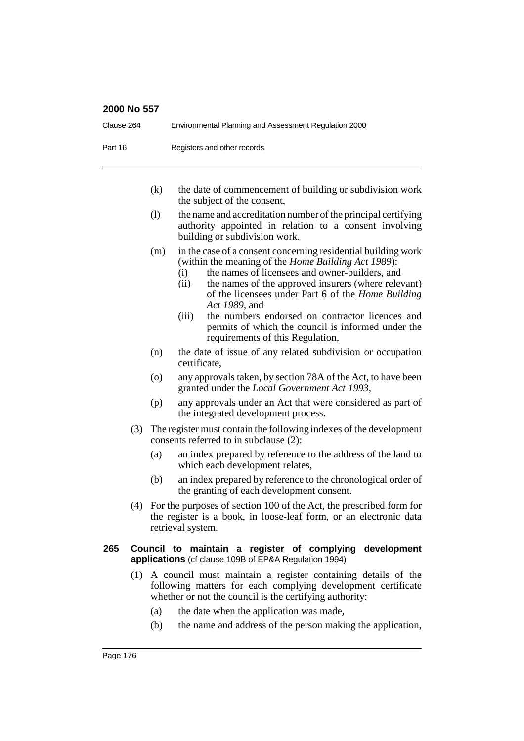| Clause 264 | Environmental Planning and Assessment Regulation 2000 |
|------------|-------------------------------------------------------|
| Part 16    | Registers and other records                           |

- (k) the date of commencement of building or subdivision work the subject of the consent,
- (l) the name and accreditation number of the principal certifying authority appointed in relation to a consent involving building or subdivision work,
- (m) in the case of a consent concerning residential building work (within the meaning of the *Home Building Act 1989*):
	- (i) the names of licensees and owner-builders, and
	- (ii) the names of the approved insurers (where relevant) of the licensees under Part 6 of the *Home Building Act 1989*, and
	- (iii) the numbers endorsed on contractor licences and permits of which the council is informed under the requirements of this Regulation,
- (n) the date of issue of any related subdivision or occupation certificate,
- (o) any approvals taken, by section 78A of the Act, to have been granted under the *Local Government Act 1993*,
- (p) any approvals under an Act that were considered as part of the integrated development process.
- (3) The register must contain the following indexes of the development consents referred to in subclause (2):
	- (a) an index prepared by reference to the address of the land to which each development relates,
	- (b) an index prepared by reference to the chronological order of the granting of each development consent.
- (4) For the purposes of section 100 of the Act, the prescribed form for the register is a book, in loose-leaf form, or an electronic data retrieval system.
- **265 Council to maintain a register of complying development applications** (cf clause 109B of EP&A Regulation 1994)
	- (1) A council must maintain a register containing details of the following matters for each complying development certificate whether or not the council is the certifying authority:
		- (a) the date when the application was made,
		- (b) the name and address of the person making the application,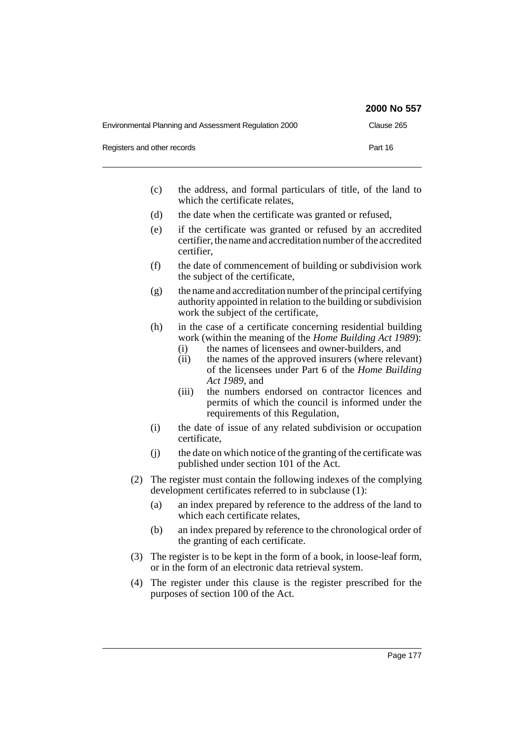|                                                       | 2000 No 557 |
|-------------------------------------------------------|-------------|
| Environmental Planning and Assessment Regulation 2000 | Clause 265  |
| Registers and other records                           | Part 16     |

- (c) the address, and formal particulars of title, of the land to which the certificate relates.
- (d) the date when the certificate was granted or refused,
- (e) if the certificate was granted or refused by an accredited certifier, the name and accreditation number of the accredited certifier,
- (f) the date of commencement of building or subdivision work the subject of the certificate,
- (g) the name and accreditation number of the principal certifying authority appointed in relation to the building or subdivision work the subject of the certificate,
- (h) in the case of a certificate concerning residential building work (within the meaning of the *Home Building Act 1989*):
	- (i) the names of licensees and owner-builders, and
	- (ii) the names of the approved insurers (where relevant) of the licensees under Part 6 of the *Home Building Act 1989*, and
	- (iii) the numbers endorsed on contractor licences and permits of which the council is informed under the requirements of this Regulation,
- (i) the date of issue of any related subdivision or occupation certificate,
- (j) the date on which notice of the granting of the certificate was published under section 101 of the Act.
- (2) The register must contain the following indexes of the complying development certificates referred to in subclause (1):
	- (a) an index prepared by reference to the address of the land to which each certificate relates.
	- (b) an index prepared by reference to the chronological order of the granting of each certificate.
- (3) The register is to be kept in the form of a book, in loose-leaf form, or in the form of an electronic data retrieval system.
- (4) The register under this clause is the register prescribed for the purposes of section 100 of the Act.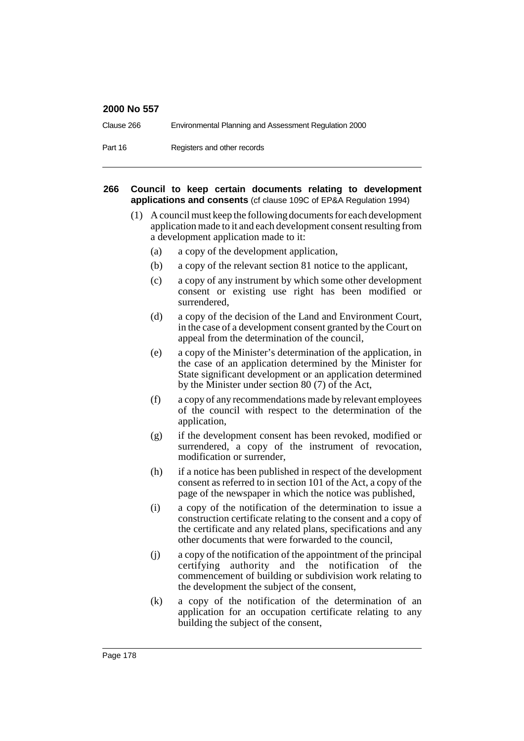| Clause 266 | Environmental Planning and Assessment Regulation 2000 |
|------------|-------------------------------------------------------|
| Part 16    | Registers and other records                           |

#### **266 Council to keep certain documents relating to development applications and consents** (cf clause 109C of EP&A Regulation 1994)

- (1) A council must keep the following documents for each development application made to it and each development consent resulting from a development application made to it:
	- (a) a copy of the development application,
	- (b) a copy of the relevant section 81 notice to the applicant,
	- (c) a copy of any instrument by which some other development consent or existing use right has been modified or surrendered,
	- (d) a copy of the decision of the Land and Environment Court, in the case of a development consent granted by the Court on appeal from the determination of the council,
	- (e) a copy of the Minister's determination of the application, in the case of an application determined by the Minister for State significant development or an application determined by the Minister under section 80 (7) of the Act,
	- (f) a copy of any recommendations made by relevant employees of the council with respect to the determination of the application,
	- (g) if the development consent has been revoked, modified or surrendered, a copy of the instrument of revocation, modification or surrender,
	- (h) if a notice has been published in respect of the development consent as referred to in section 101 of the Act, a copy of the page of the newspaper in which the notice was published,
	- (i) a copy of the notification of the determination to issue a construction certificate relating to the consent and a copy of the certificate and any related plans, specifications and any other documents that were forwarded to the council,
	- (j) a copy of the notification of the appointment of the principal certifying authority and the notification of the commencement of building or subdivision work relating to the development the subject of the consent,
	- (k) a copy of the notification of the determination of an application for an occupation certificate relating to any building the subject of the consent,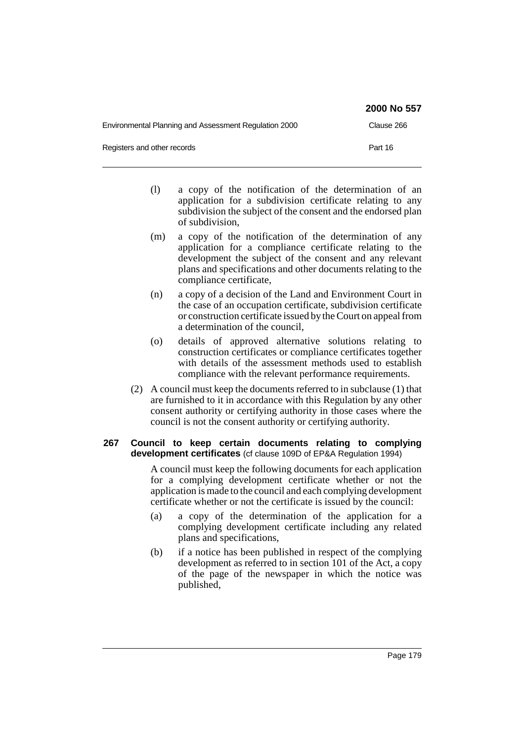|                                                       | 2000 No 557 |
|-------------------------------------------------------|-------------|
| Environmental Planning and Assessment Regulation 2000 | Clause 266  |
| Registers and other records                           | Part 16     |

- (l) a copy of the notification of the determination of an application for a subdivision certificate relating to any subdivision the subject of the consent and the endorsed plan of subdivision,
- (m) a copy of the notification of the determination of any application for a compliance certificate relating to the development the subject of the consent and any relevant plans and specifications and other documents relating to the compliance certificate,
- (n) a copy of a decision of the Land and Environment Court in the case of an occupation certificate, subdivision certificate or construction certificate issued by the Court on appeal from a determination of the council,
- (o) details of approved alternative solutions relating to construction certificates or compliance certificates together with details of the assessment methods used to establish compliance with the relevant performance requirements.
- (2) A council must keep the documents referred to in subclause (1) that are furnished to it in accordance with this Regulation by any other consent authority or certifying authority in those cases where the council is not the consent authority or certifying authority.

## **267 Council to keep certain documents relating to complying development certificates** (cf clause 109D of EP&A Regulation 1994)

A council must keep the following documents for each application for a complying development certificate whether or not the application is made to the council and each complying development certificate whether or not the certificate is issued by the council:

- (a) a copy of the determination of the application for a complying development certificate including any related plans and specifications,
- (b) if a notice has been published in respect of the complying development as referred to in section 101 of the Act, a copy of the page of the newspaper in which the notice was published,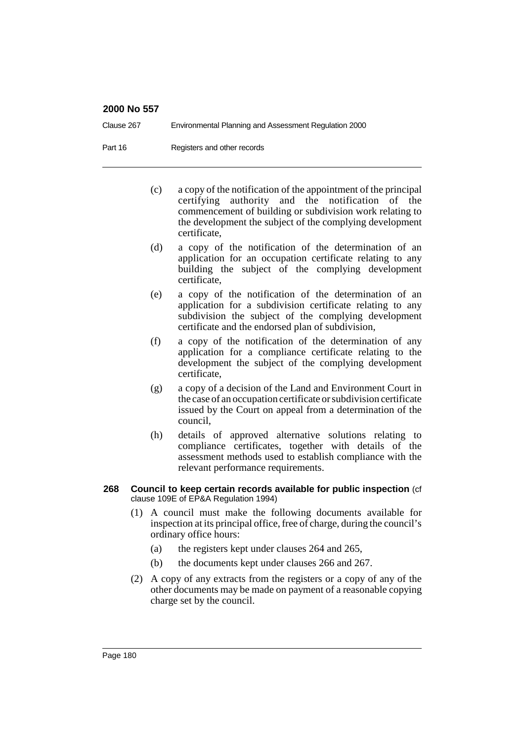| Clause 267 | Environmental Planning and Assessment Regulation 2000 |
|------------|-------------------------------------------------------|
| Part 16    | Registers and other records                           |

- (c) a copy of the notification of the appointment of the principal certifying authority and the notification of the commencement of building or subdivision work relating to the development the subject of the complying development certificate,
- (d) a copy of the notification of the determination of an application for an occupation certificate relating to any building the subject of the complying development certificate,
- (e) a copy of the notification of the determination of an application for a subdivision certificate relating to any subdivision the subject of the complying development certificate and the endorsed plan of subdivision,
- (f) a copy of the notification of the determination of any application for a compliance certificate relating to the development the subject of the complying development certificate,
- (g) a copy of a decision of the Land and Environment Court in the case of an occupation certificate or subdivision certificate issued by the Court on appeal from a determination of the council,
- (h) details of approved alternative solutions relating to compliance certificates, together with details of the assessment methods used to establish compliance with the relevant performance requirements.
- **268 Council to keep certain records available for public inspection** (cf clause 109E of EP&A Regulation 1994)
	- (1) A council must make the following documents available for inspection at its principal office, free of charge, during the council's ordinary office hours:
		- (a) the registers kept under clauses 264 and 265,
		- (b) the documents kept under clauses 266 and 267.
	- (2) A copy of any extracts from the registers or a copy of any of the other documents may be made on payment of a reasonable copying charge set by the council.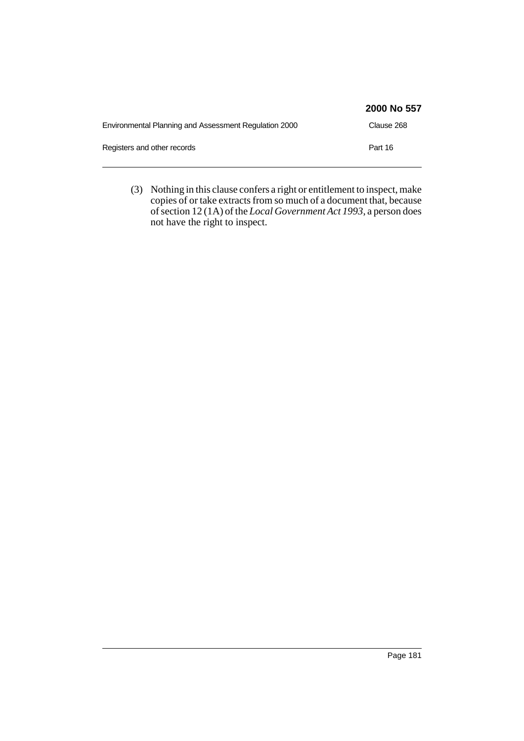|                                                       | 2000 No 557 |
|-------------------------------------------------------|-------------|
| Environmental Planning and Assessment Regulation 2000 | Clause 268  |
| Registers and other records                           | Part 16     |

(3) Nothing in this clause confers a right or entitlement to inspect, make copies of or take extracts from so much of a document that, because of section 12 (1A) of the *Local Government Act 1993*, a person does not have the right to inspect.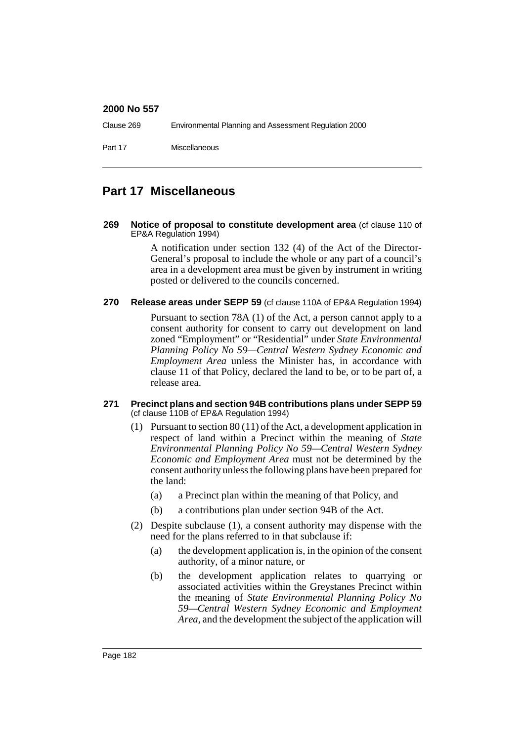| Clause 269 | Environmental Planning and Assessment Regulation 2000 |
|------------|-------------------------------------------------------|
| Part 17    | <b>Miscellaneous</b>                                  |

# **Part 17 Miscellaneous**

**269 Notice of proposal to constitute development area** (cf clause 110 of EP&A Regulation 1994)

> A notification under section 132 (4) of the Act of the Director-General's proposal to include the whole or any part of a council's area in a development area must be given by instrument in writing posted or delivered to the councils concerned.

**270 Release areas under SEPP 59** (cf clause 110A of EP&A Regulation 1994)

Pursuant to section 78A (1) of the Act, a person cannot apply to a consent authority for consent to carry out development on land zoned "Employment" or "Residential" under *State Environmental Planning Policy No 59—Central Western Sydney Economic and Employment Area* unless the Minister has, in accordance with clause 11 of that Policy, declared the land to be, or to be part of, a release area.

#### **271 Precinct plans and section 94B contributions plans under SEPP 59** (cf clause 110B of EP&A Regulation 1994)

- (1) Pursuant to section 80 (11) of the Act, a development application in respect of land within a Precinct within the meaning of *State Environmental Planning Policy No 59—Central Western Sydney Economic and Employment Area* must not be determined by the consent authority unless the following plans have been prepared for the land:
	- (a) a Precinct plan within the meaning of that Policy, and
	- (b) a contributions plan under section 94B of the Act.
- (2) Despite subclause (1), a consent authority may dispense with the need for the plans referred to in that subclause if:
	- (a) the development application is, in the opinion of the consent authority, of a minor nature, or
	- (b) the development application relates to quarrying or associated activities within the Greystanes Precinct within the meaning of *State Environmental Planning Policy No 59—Central Western Sydney Economic and Employment Area*, and the development the subject of the application will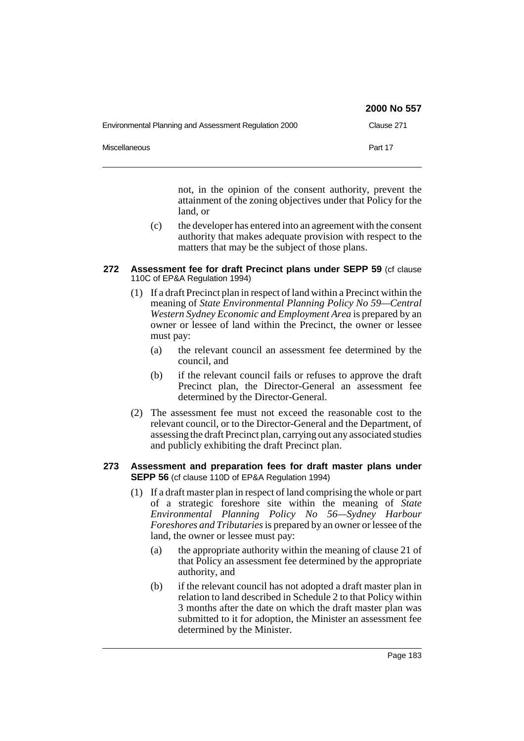|                                                       | 2000 No 557 |
|-------------------------------------------------------|-------------|
| Environmental Planning and Assessment Regulation 2000 | Clause 271  |
| <b>Miscellaneous</b>                                  | Part 17     |

not, in the opinion of the consent authority, prevent the attainment of the zoning objectives under that Policy for the land, or

- (c) the developer has entered into an agreement with the consent authority that makes adequate provision with respect to the matters that may be the subject of those plans.
- **272 Assessment fee for draft Precinct plans under SEPP 59** (cf clause 110C of EP&A Regulation 1994)
	- (1) If a draft Precinct plan in respect of land within a Precinct within the meaning of *State Environmental Planning Policy No 59—Central Western Sydney Economic and Employment Area* is prepared by an owner or lessee of land within the Precinct, the owner or lessee must pay:
		- (a) the relevant council an assessment fee determined by the council, and
		- (b) if the relevant council fails or refuses to approve the draft Precinct plan, the Director-General an assessment fee determined by the Director-General.
	- (2) The assessment fee must not exceed the reasonable cost to the relevant council, or to the Director-General and the Department, of assessing the draft Precinct plan, carrying out any associated studies and publicly exhibiting the draft Precinct plan.

# **273 Assessment and preparation fees for draft master plans under SEPP 56** (cf clause 110D of EP&A Regulation 1994)

- (1) If a draft master plan in respect of land comprising the whole or part of a strategic foreshore site within the meaning of *State Environmental Planning Policy No 56—Sydney Harbour Foreshores and Tributaries* is prepared by an owner or lessee of the land, the owner or lessee must pay:
	- (a) the appropriate authority within the meaning of clause 21 of that Policy an assessment fee determined by the appropriate authority, and
	- (b) if the relevant council has not adopted a draft master plan in relation to land described in Schedule 2 to that Policy within 3 months after the date on which the draft master plan was submitted to it for adoption, the Minister an assessment fee determined by the Minister.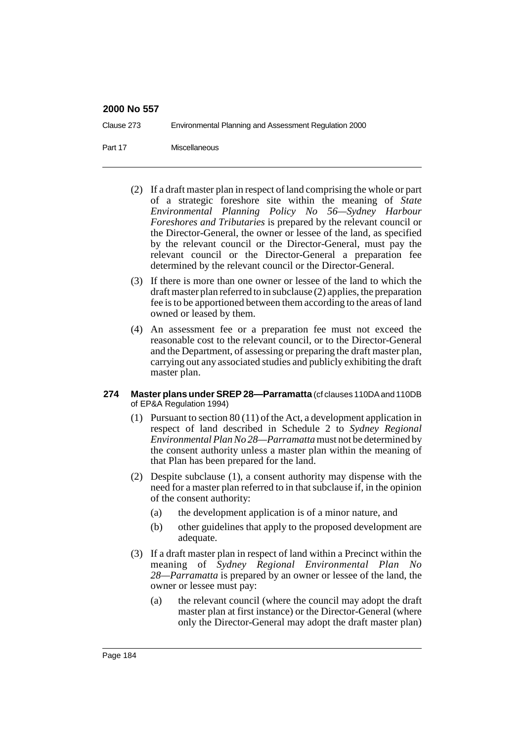| Clause 273 | Environmental Planning and Assessment Regulation 2000 |
|------------|-------------------------------------------------------|
| Part 17    | <b>Miscellaneous</b>                                  |

- (2) If a draft master plan in respect of land comprising the whole or part of a strategic foreshore site within the meaning of *State Environmental Planning Policy No 56—Sydney Harbour Foreshores and Tributaries* is prepared by the relevant council or the Director-General, the owner or lessee of the land, as specified by the relevant council or the Director-General, must pay the relevant council or the Director-General a preparation fee determined by the relevant council or the Director-General.
- (3) If there is more than one owner or lessee of the land to which the draft master plan referred to in subclause (2) applies, the preparation fee is to be apportioned between them according to the areas of land owned or leased by them.
- (4) An assessment fee or a preparation fee must not exceed the reasonable cost to the relevant council, or to the Director-General and the Department, of assessing or preparing the draft master plan, carrying out any associated studies and publicly exhibiting the draft master plan.

#### **274 Master plans under SREP 28—Parramatta** (cf clauses 110DA and 110DB of EP&A Regulation 1994)

- (1) Pursuant to section 80 (11) of the Act, a development application in respect of land described in Schedule 2 to *Sydney Regional Environmental Plan No 28—Parramatta* must not be determined by the consent authority unless a master plan within the meaning of that Plan has been prepared for the land.
- (2) Despite subclause (1), a consent authority may dispense with the need for a master plan referred to in that subclause if, in the opinion of the consent authority:
	- (a) the development application is of a minor nature, and
	- (b) other guidelines that apply to the proposed development are adequate.
- (3) If a draft master plan in respect of land within a Precinct within the meaning of *Sydney Regional Environmental Plan No 28—Parramatta* is prepared by an owner or lessee of the land, the owner or lessee must pay:
	- (a) the relevant council (where the council may adopt the draft master plan at first instance) or the Director-General (where only the Director-General may adopt the draft master plan)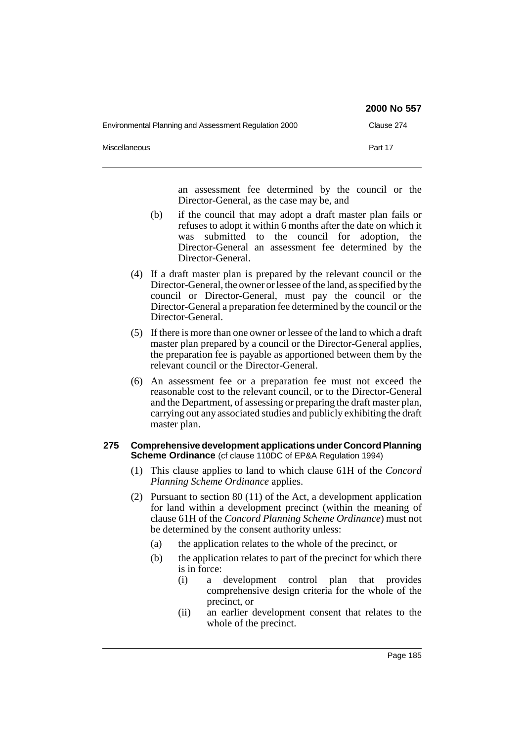|                                                       | 2000 No 557 |
|-------------------------------------------------------|-------------|
| Environmental Planning and Assessment Regulation 2000 | Clause 274  |
| Miscellaneous                                         | Part 17     |

an assessment fee determined by the council or the Director-General, as the case may be, and

- (b) if the council that may adopt a draft master plan fails or refuses to adopt it within 6 months after the date on which it was submitted to the council for adoption, the Director-General an assessment fee determined by the Director-General.
- (4) If a draft master plan is prepared by the relevant council or the Director-General, the owner or lessee of the land, as specified by the council or Director-General, must pay the council or the Director-General a preparation fee determined by the council or the Director-General.
- (5) If there is more than one owner or lessee of the land to which a draft master plan prepared by a council or the Director-General applies, the preparation fee is payable as apportioned between them by the relevant council or the Director-General.
- (6) An assessment fee or a preparation fee must not exceed the reasonable cost to the relevant council, or to the Director-General and the Department, of assessing or preparing the draft master plan, carrying out any associated studies and publicly exhibiting the draft master plan.

## **275 Comprehensive development applications under Concord Planning Scheme Ordinance** (cf clause 110DC of EP&A Regulation 1994)

- (1) This clause applies to land to which clause 61H of the *Concord Planning Scheme Ordinance* applies.
- (2) Pursuant to section 80 (11) of the Act, a development application for land within a development precinct (within the meaning of clause 61H of the *Concord Planning Scheme Ordinance*) must not be determined by the consent authority unless:
	- (a) the application relates to the whole of the precinct, or
	- (b) the application relates to part of the precinct for which there is in force:
		- (i) a development control plan that provides comprehensive design criteria for the whole of the precinct, or
		- (ii) an earlier development consent that relates to the whole of the precinct.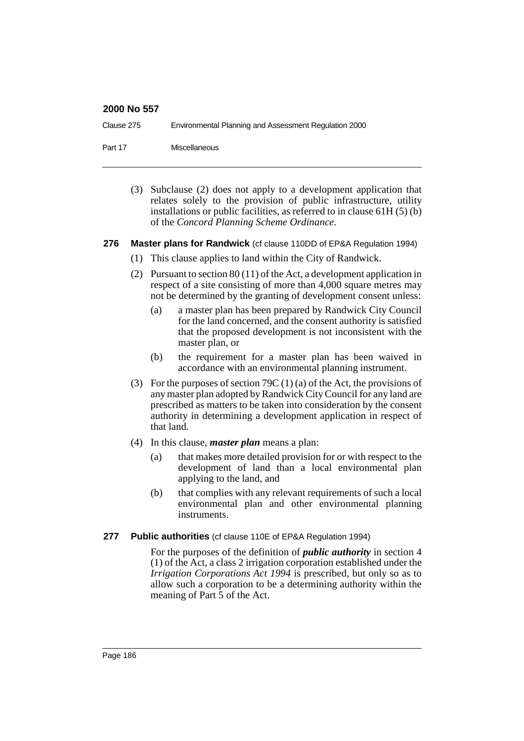| Clause 275 | Environmental Planning and Assessment Regulation 2000 |
|------------|-------------------------------------------------------|
| Part 17    | Miscellaneous                                         |

(3) Subclause (2) does not apply to a development application that relates solely to the provision of public infrastructure, utility installations or public facilities, as referred to in clause 61H (5) (b) of the *Concord Planning Scheme Ordinance*.

# **276 Master plans for Randwick** (cf clause 110DD of EP&A Regulation 1994)

- (1) This clause applies to land within the City of Randwick.
- (2) Pursuant to section 80 (11) of the Act, a development application in respect of a site consisting of more than 4,000 square metres may not be determined by the granting of development consent unless:
	- (a) a master plan has been prepared by Randwick City Council for the land concerned, and the consent authority is satisfied that the proposed development is not inconsistent with the master plan, or
	- (b) the requirement for a master plan has been waived in accordance with an environmental planning instrument.
- (3) For the purposes of section 79C (1) (a) of the Act, the provisions of any master plan adopted by Randwick City Council for any land are prescribed as matters to be taken into consideration by the consent authority in determining a development application in respect of that land.
- (4) In this clause, *master plan* means a plan:
	- (a) that makes more detailed provision for or with respect to the development of land than a local environmental plan applying to the land, and
	- (b) that complies with any relevant requirements of such a local environmental plan and other environmental planning instruments.
- **277 Public authorities** (cf clause 110E of EP&A Regulation 1994)

For the purposes of the definition of *public authority* in section 4 (1) of the Act, a class 2 irrigation corporation established under the *Irrigation Corporations Act 1994* is prescribed, but only so as to allow such a corporation to be a determining authority within the meaning of Part 5 of the Act.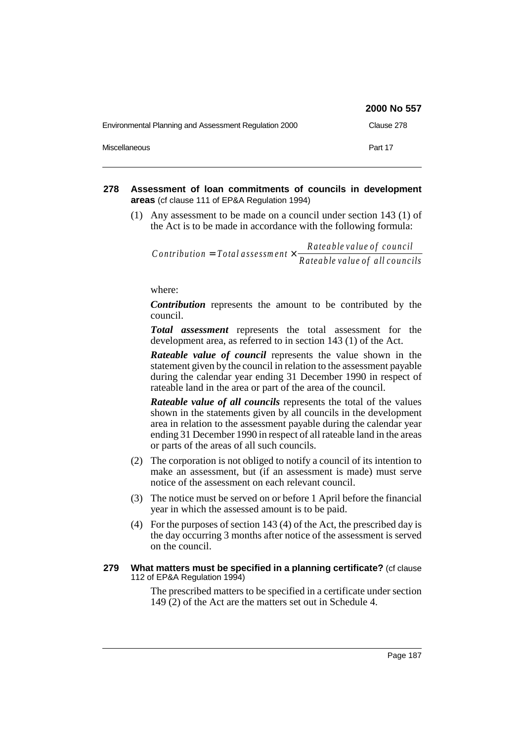|                                                       | 2000 No 557 |
|-------------------------------------------------------|-------------|
| Environmental Planning and Assessment Regulation 2000 | Clause 278  |
| Miscellaneous                                         | Part 17     |

- **278 Assessment of loan commitments of councils in development areas** (cf clause 111 of EP&A Regulation 1994)
	- (1) Any assessment to be made on a council under section 143 (1) of the Act is to be made in accordance with the following formula:

*Contribution = Total assessment*  $\times$  *Rateable value of council*<br>*Rateable value of all councils* 

where:

*Contribution* represents the amount to be contributed by the council.

*Total assessment* represents the total assessment for the development area, as referred to in section 143 (1) of the Act.

*Rateable value of council* represents the value shown in the statement given by the council in relation to the assessment payable during the calendar year ending 31 December 1990 in respect of rateable land in the area or part of the area of the council.

*Rateable value of all councils* represents the total of the values shown in the statements given by all councils in the development area in relation to the assessment payable during the calendar year ending 31 December 1990 in respect of all rateable land in the areas or parts of the areas of all such councils.

- (2) The corporation is not obliged to notify a council of its intention to make an assessment, but (if an assessment is made) must serve notice of the assessment on each relevant council.
- (3) The notice must be served on or before 1 April before the financial year in which the assessed amount is to be paid.
- (4) For the purposes of section 143 (4) of the Act, the prescribed day is the day occurring 3 months after notice of the assessment is served on the council.
- **279 What matters must be specified in a planning certificate?** (cf clause 112 of EP&A Regulation 1994)

The prescribed matters to be specified in a certificate under section 149 (2) of the Act are the matters set out in Schedule 4.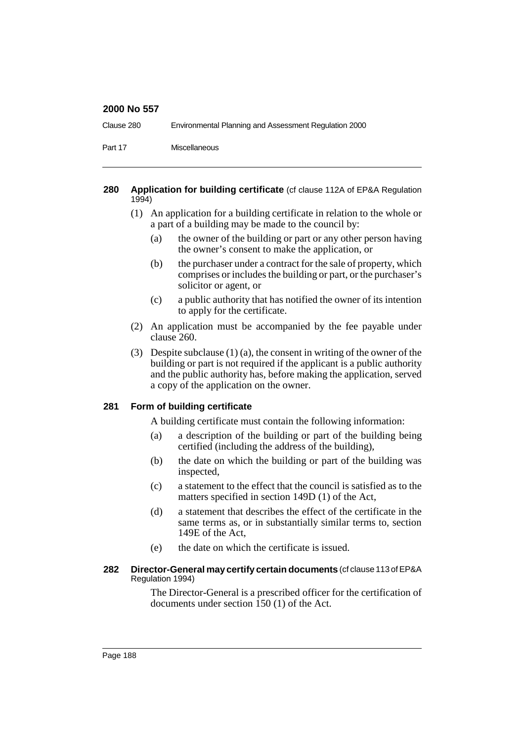| Clause 280 | Environmental Planning and Assessment Regulation 2000 |
|------------|-------------------------------------------------------|
| Part 17    | Miscellaneous                                         |

#### **280 Application for building certificate** (cf clause 112A of EP&A Regulation 1994)

- (1) An application for a building certificate in relation to the whole or a part of a building may be made to the council by:
	- (a) the owner of the building or part or any other person having the owner's consent to make the application, or
	- (b) the purchaser under a contract for the sale of property, which comprises or includes the building or part, or the purchaser's solicitor or agent, or
	- (c) a public authority that has notified the owner of its intention to apply for the certificate.
- (2) An application must be accompanied by the fee payable under clause 260.
- (3) Despite subclause (1) (a), the consent in writing of the owner of the building or part is not required if the applicant is a public authority and the public authority has, before making the application, served a copy of the application on the owner.

## **281 Form of building certificate**

A building certificate must contain the following information:

- (a) a description of the building or part of the building being certified (including the address of the building),
- (b) the date on which the building or part of the building was inspected,
- (c) a statement to the effect that the council is satisfied as to the matters specified in section 149D (1) of the Act,
- (d) a statement that describes the effect of the certificate in the same terms as, or in substantially similar terms to, section 149E of the Act,
- (e) the date on which the certificate is issued.

#### **282 Director-General may certify certain documents** (cf clause 113 of EP&A Regulation 1994)

The Director-General is a prescribed officer for the certification of documents under section 150 (1) of the Act.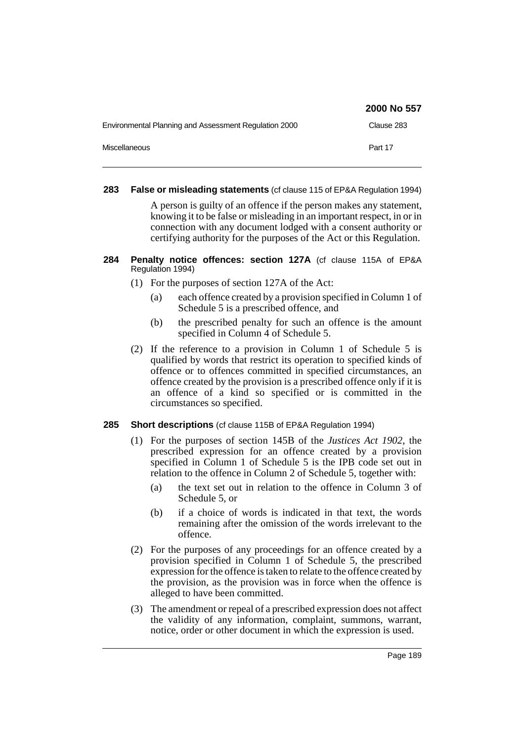|                                                       | 2000 No 557 |
|-------------------------------------------------------|-------------|
| Environmental Planning and Assessment Regulation 2000 | Clause 283  |
| <b>Miscellaneous</b>                                  | Part 17     |

## **283 False or misleading statements** (cf clause 115 of EP&A Regulation 1994)

A person is guilty of an offence if the person makes any statement, knowing it to be false or misleading in an important respect, in or in connection with any document lodged with a consent authority or certifying authority for the purposes of the Act or this Regulation.

#### **284 Penalty notice offences: section 127A** (cf clause 115A of EP&A Regulation 1994)

- (1) For the purposes of section 127A of the Act:
	- (a) each offence created by a provision specified in Column 1 of Schedule 5 is a prescribed offence, and
	- (b) the prescribed penalty for such an offence is the amount specified in Column 4 of Schedule 5.
- (2) If the reference to a provision in Column 1 of Schedule 5 is qualified by words that restrict its operation to specified kinds of offence or to offences committed in specified circumstances, an offence created by the provision is a prescribed offence only if it is an offence of a kind so specified or is committed in the circumstances so specified.

## **285 Short descriptions** (cf clause 115B of EP&A Regulation 1994)

- (1) For the purposes of section 145B of the *Justices Act 1902*, the prescribed expression for an offence created by a provision specified in Column 1 of Schedule 5 is the IPB code set out in relation to the offence in Column 2 of Schedule 5, together with:
	- (a) the text set out in relation to the offence in Column 3 of Schedule 5, or
	- (b) if a choice of words is indicated in that text, the words remaining after the omission of the words irrelevant to the offence.
- (2) For the purposes of any proceedings for an offence created by a provision specified in Column 1 of Schedule 5, the prescribed expression for the offence is taken to relate to the offence created by the provision, as the provision was in force when the offence is alleged to have been committed.
- (3) The amendment or repeal of a prescribed expression does not affect the validity of any information, complaint, summons, warrant, notice, order or other document in which the expression is used.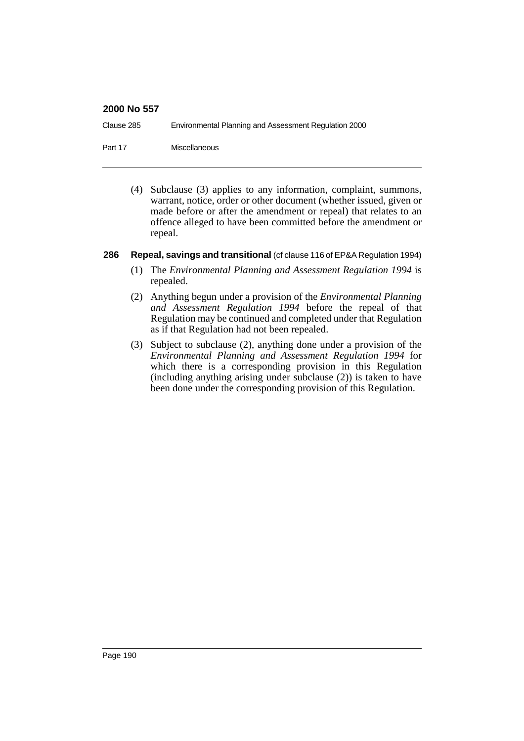| Clause 285 | Environmental Planning and Assessment Regulation 2000 |
|------------|-------------------------------------------------------|
| Part 17    | Miscellaneous                                         |

(4) Subclause (3) applies to any information, complaint, summons, warrant, notice, order or other document (whether issued, given or made before or after the amendment or repeal) that relates to an offence alleged to have been committed before the amendment or repeal.

# **286 Repeal, savings and transitional** (cf clause 116 of EP&A Regulation 1994)

- (1) The *Environmental Planning and Assessment Regulation 1994* is repealed.
- (2) Anything begun under a provision of the *Environmental Planning and Assessment Regulation 1994* before the repeal of that Regulation may be continued and completed under that Regulation as if that Regulation had not been repealed.
- (3) Subject to subclause (2), anything done under a provision of the *Environmental Planning and Assessment Regulation 1994* for which there is a corresponding provision in this Regulation (including anything arising under subclause (2)) is taken to have been done under the corresponding provision of this Regulation.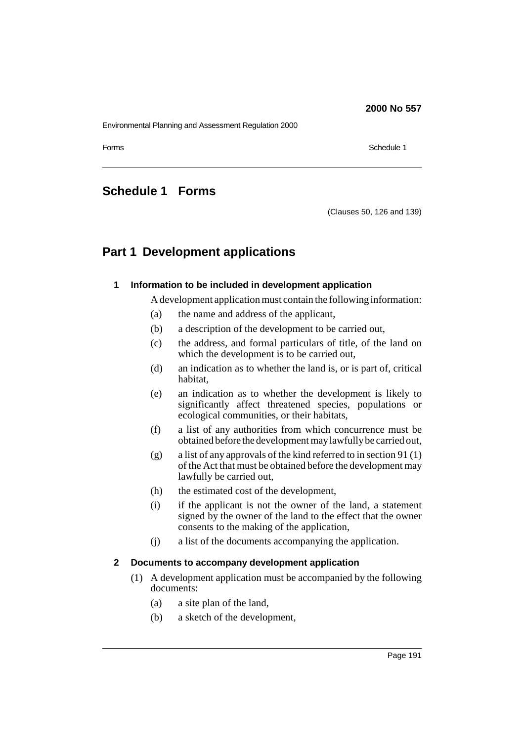Environmental Planning and Assessment Regulation 2000

Forms Schedule 1 and 1999 and 1999 and 1999 and 1999 and 1999 and 1999 and 1999 and 1999 and 1999 and 1999 and 1999 and 1999 and 1999 and 1999 and 1999 and 1999 and 1999 and 1999 and 1999 and 1999 and 1999 and 1999 and 199

# **Schedule 1 Forms**

(Clauses 50, 126 and 139)

# **Part 1 Development applications**

# **1 Information to be included in development application**

A development application must contain the following information:

- (a) the name and address of the applicant,
- (b) a description of the development to be carried out,
- (c) the address, and formal particulars of title, of the land on which the development is to be carried out,
- (d) an indication as to whether the land is, or is part of, critical habitat,
- (e) an indication as to whether the development is likely to significantly affect threatened species, populations or ecological communities, or their habitats,
- (f) a list of any authorities from which concurrence must be obtained before the development may lawfully be carried out,
- (g) a list of any approvals of the kind referred to in section 91 (1) of the Act that must be obtained before the development may lawfully be carried out,
- (h) the estimated cost of the development,
- (i) if the applicant is not the owner of the land, a statement signed by the owner of the land to the effect that the owner consents to the making of the application,
- (j) a list of the documents accompanying the application.

# **2 Documents to accompany development application**

- (1) A development application must be accompanied by the following documents:
	- (a) a site plan of the land,
	- (b) a sketch of the development,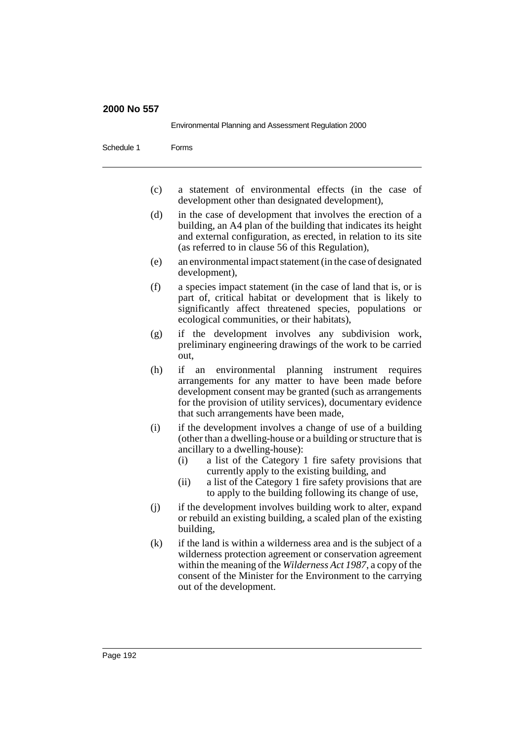|            | Environmental Planning and Assessment Regulation 2000                                                                                                                                                                                                                                                                                                                                                               |  |  |
|------------|---------------------------------------------------------------------------------------------------------------------------------------------------------------------------------------------------------------------------------------------------------------------------------------------------------------------------------------------------------------------------------------------------------------------|--|--|
| Schedule 1 | Forms                                                                                                                                                                                                                                                                                                                                                                                                               |  |  |
|            | (c)<br>a statement of environmental effects (in the case of<br>development other than designated development),                                                                                                                                                                                                                                                                                                      |  |  |
|            | (d)<br>in the case of development that involves the erection of a<br>building, an A4 plan of the building that indicates its height<br>and external configuration, as erected, in relation to its site<br>(as referred to in clause 56 of this Regulation),                                                                                                                                                         |  |  |
|            | (e)<br>an environmental impact statement (in the case of designated<br>development),                                                                                                                                                                                                                                                                                                                                |  |  |
|            | (f)<br>a species impact statement (in the case of land that is, or is<br>part of, critical habitat or development that is likely to<br>significantly affect threatened species, populations or<br>ecological communities, or their habitats),                                                                                                                                                                       |  |  |
|            | if the development involves any subdivision work,<br>(g)<br>preliminary engineering drawings of the work to be carried<br>out.                                                                                                                                                                                                                                                                                      |  |  |
|            | if<br>(h)<br>environmental<br>planning instrument<br>an<br>requires<br>arrangements for any matter to have been made before<br>development consent may be granted (such as arrangements<br>for the provision of utility services), documentary evidence<br>that such arrangements have been made,                                                                                                                   |  |  |
|            | (i)<br>if the development involves a change of use of a building<br>(other than a dwelling-house or a building or structure that is<br>ancillary to a dwelling-house):<br>a list of the Category 1 fire safety provisions that<br>(i)<br>currently apply to the existing building, and<br>a list of the Category 1 fire safety provisions that are<br>(ii)<br>to apply to the building following its change of use, |  |  |
|            | if the development involves building work to alter, expand<br>(i)<br>or rebuild an existing building, a scaled plan of the existing<br>building,                                                                                                                                                                                                                                                                    |  |  |
|            | if the land is within a wilderness area and is the subject of a<br>(k)<br>wilderness protection agreement or conservation agreement<br>within the meaning of the Wilderness Act 1987, a copy of the<br>consent of the Minister for the Environment to the carrying<br>out of the development.                                                                                                                       |  |  |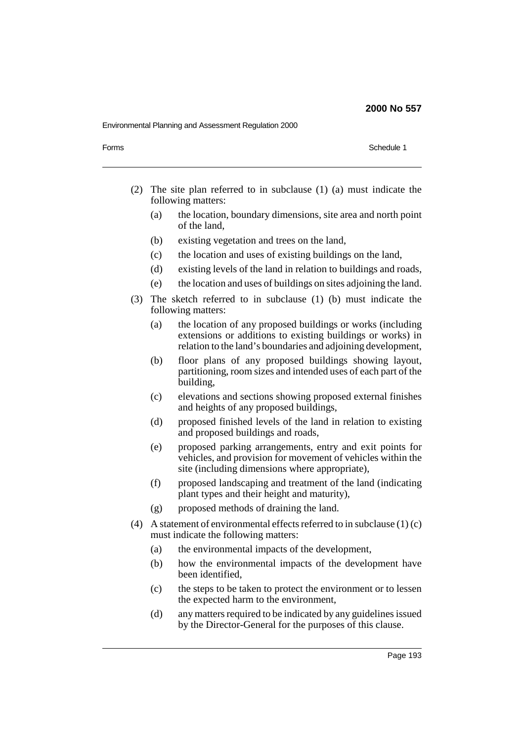Environmental Planning and Assessment Regulation 2000

Forms Schedule 1 and 1999 and 1999 and 1999 and 1999 and 1999 and 1999 and 1999 and 1999 and 1999 and 1999 and 1999 and 1999 and 1999 and 1999 and 1999 and 1999 and 1999 and 1999 and 1999 and 1999 and 1999 and 1999 and 199

- (2) The site plan referred to in subclause (1) (a) must indicate the following matters:
	- (a) the location, boundary dimensions, site area and north point of the land,
	- (b) existing vegetation and trees on the land,
	- (c) the location and uses of existing buildings on the land,
	- (d) existing levels of the land in relation to buildings and roads,
	- (e) the location and uses of buildings on sites adjoining the land.
- (3) The sketch referred to in subclause (1) (b) must indicate the following matters:
	- (a) the location of any proposed buildings or works (including extensions or additions to existing buildings or works) in relation to the land's boundaries and adjoining development,
	- (b) floor plans of any proposed buildings showing layout, partitioning, room sizes and intended uses of each part of the building,
	- (c) elevations and sections showing proposed external finishes and heights of any proposed buildings,
	- (d) proposed finished levels of the land in relation to existing and proposed buildings and roads,
	- (e) proposed parking arrangements, entry and exit points for vehicles, and provision for movement of vehicles within the site (including dimensions where appropriate),
	- (f) proposed landscaping and treatment of the land (indicating plant types and their height and maturity),
	- (g) proposed methods of draining the land.
- (4) A statement of environmental effects referred to in subclause  $(1)(c)$ must indicate the following matters:
	- (a) the environmental impacts of the development,
	- (b) how the environmental impacts of the development have been identified,
	- (c) the steps to be taken to protect the environment or to lessen the expected harm to the environment,
	- (d) any matters required to be indicated by any guidelines issued by the Director-General for the purposes of this clause.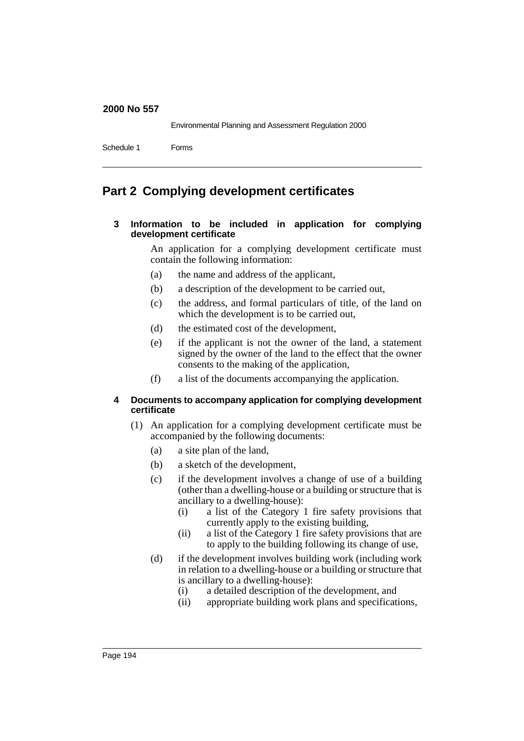Environmental Planning and Assessment Regulation 2000

Schedule 1 Forms

# **Part 2 Complying development certificates**

# **3 Information to be included in application for complying development certificate**

An application for a complying development certificate must contain the following information:

- (a) the name and address of the applicant,
- (b) a description of the development to be carried out,
- (c) the address, and formal particulars of title, of the land on which the development is to be carried out,
- (d) the estimated cost of the development,
- (e) if the applicant is not the owner of the land, a statement signed by the owner of the land to the effect that the owner consents to the making of the application,
- (f) a list of the documents accompanying the application.

# **4 Documents to accompany application for complying development certificate**

- (1) An application for a complying development certificate must be accompanied by the following documents:
	- (a) a site plan of the land,
	- (b) a sketch of the development,
	- (c) if the development involves a change of use of a building (other than a dwelling-house or a building or structure that is ancillary to a dwelling-house):
		- (i) a list of the Category 1 fire safety provisions that currently apply to the existing building,
		- (ii) a list of the Category 1 fire safety provisions that are to apply to the building following its change of use,
	- (d) if the development involves building work (including work in relation to a dwelling-house or a building or structure that is ancillary to a dwelling-house):
		- (i) a detailed description of the development, and
		- (ii) appropriate building work plans and specifications,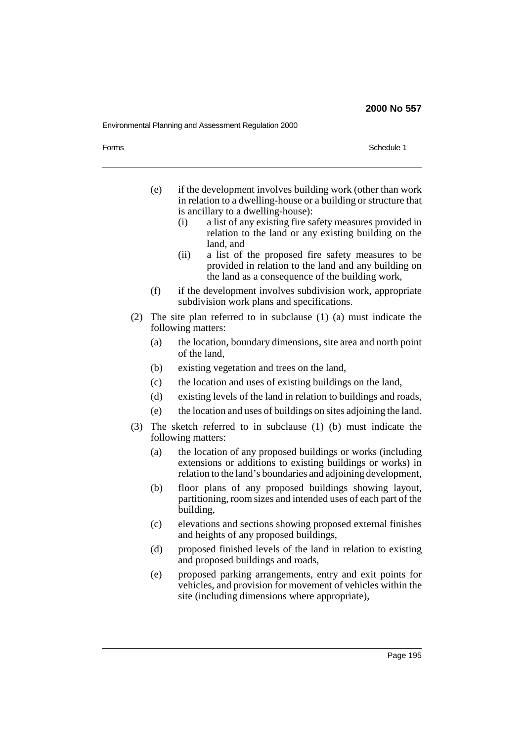Environmental Planning and Assessment Regulation 2000

| Forms |  | Schedule 1 |
|-------|--|------------|
|       |  |            |

- (e) if the development involves building work (other than work in relation to a dwelling-house or a building or structure that is ancillary to a dwelling-house):
	- (i) a list of any existing fire safety measures provided in relation to the land or any existing building on the land, and
	- (ii) a list of the proposed fire safety measures to be provided in relation to the land and any building on the land as a consequence of the building work,
- (f) if the development involves subdivision work, appropriate subdivision work plans and specifications.
- (2) The site plan referred to in subclause (1) (a) must indicate the following matters:
	- (a) the location, boundary dimensions, site area and north point of the land,
	- (b) existing vegetation and trees on the land,
	- (c) the location and uses of existing buildings on the land,
	- (d) existing levels of the land in relation to buildings and roads,
	- (e) the location and uses of buildings on sites adjoining the land.
- (3) The sketch referred to in subclause (1) (b) must indicate the following matters:
	- (a) the location of any proposed buildings or works (including extensions or additions to existing buildings or works) in relation to the land's boundaries and adjoining development,
	- (b) floor plans of any proposed buildings showing layout, partitioning, room sizes and intended uses of each part of the building,
	- (c) elevations and sections showing proposed external finishes and heights of any proposed buildings,
	- (d) proposed finished levels of the land in relation to existing and proposed buildings and roads,
	- (e) proposed parking arrangements, entry and exit points for vehicles, and provision for movement of vehicles within the site (including dimensions where appropriate),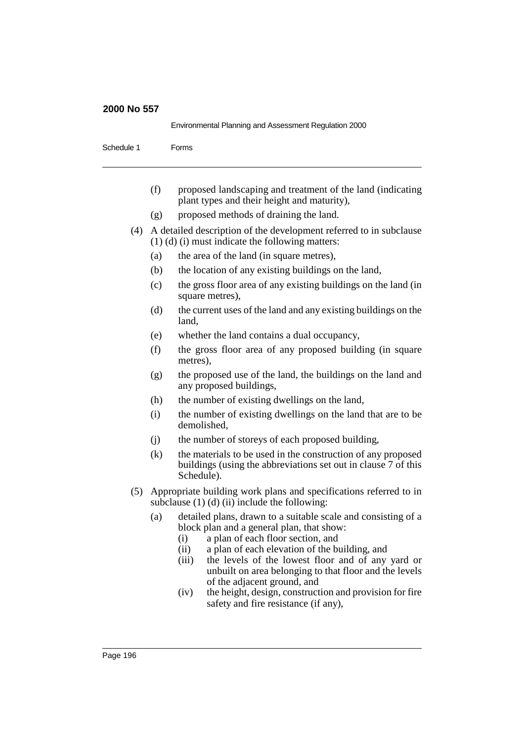Environmental Planning and Assessment Regulation 2000

Schedule 1 Forms

- (f) proposed landscaping and treatment of the land (indicating plant types and their height and maturity),
- (g) proposed methods of draining the land.
- (4) A detailed description of the development referred to in subclause (1) (d) (i) must indicate the following matters:
	- (a) the area of the land (in square metres),
	- (b) the location of any existing buildings on the land,
	- (c) the gross floor area of any existing buildings on the land (in square metres),
	- (d) the current uses of the land and any existing buildings on the land,
	- (e) whether the land contains a dual occupancy,
	- (f) the gross floor area of any proposed building (in square metres),
	- (g) the proposed use of the land, the buildings on the land and any proposed buildings,
	- (h) the number of existing dwellings on the land,
	- (i) the number of existing dwellings on the land that are to be demolished,
	- (j) the number of storeys of each proposed building,
	- (k) the materials to be used in the construction of any proposed buildings (using the abbreviations set out in clause 7 of this Schedule).
- (5) Appropriate building work plans and specifications referred to in subclause  $(1)$   $(d)$   $(ii)$  include the following:
	- (a) detailed plans, drawn to a suitable scale and consisting of a block plan and a general plan, that show:
		- (i) a plan of each floor section, and
		- (ii) a plan of each elevation of the building, and
		- (iii) the levels of the lowest floor and of any yard or unbuilt on area belonging to that floor and the levels of the adjacent ground, and
		- (iv) the height, design, construction and provision for fire safety and fire resistance (if any),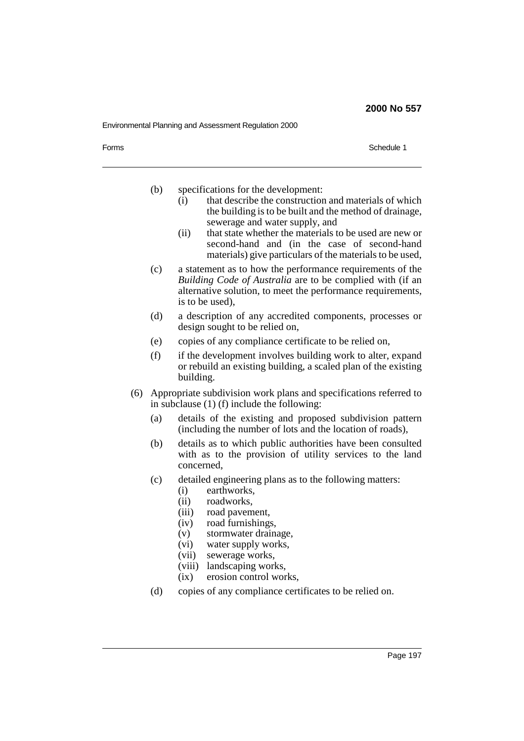| Forms |     | Schedule 1                                                                                                                                                                                                                                                                                                                                                                    |
|-------|-----|-------------------------------------------------------------------------------------------------------------------------------------------------------------------------------------------------------------------------------------------------------------------------------------------------------------------------------------------------------------------------------|
|       | (b) | specifications for the development:<br>that describe the construction and materials of which<br>(i)<br>the building is to be built and the method of drainage,<br>sewerage and water supply, and<br>that state whether the materials to be used are new or<br>(ii)<br>second-hand and (in the case of second-hand<br>materials) give particulars of the materials to be used, |
|       | (c) | a statement as to how the performance requirements of the<br>Building Code of Australia are to be complied with (if an<br>alternative solution, to meet the performance requirements,<br>is to be used),                                                                                                                                                                      |
|       | (d) | a description of any accredited components, processes or<br>design sought to be relied on,                                                                                                                                                                                                                                                                                    |
|       | (e) | copies of any compliance certificate to be relied on,                                                                                                                                                                                                                                                                                                                         |
|       | (f) | if the development involves building work to alter, expand<br>or rebuild an existing building, a scaled plan of the existing<br>building.                                                                                                                                                                                                                                     |
| (6)   |     | Appropriate subdivision work plans and specifications referred to<br>in subclause $(1)$ (f) include the following:                                                                                                                                                                                                                                                            |
|       | (a) | details of the existing and proposed subdivision pattern<br>(including the number of lots and the location of roads),                                                                                                                                                                                                                                                         |
|       | (b) | details as to which public authorities have been consulted<br>with as to the provision of utility services to the land<br>concerned,                                                                                                                                                                                                                                          |
|       | (c) | detailed engineering plans as to the following matters:<br>earthworks,<br>(i)<br>(ii)<br>roadworks,<br>(iii)<br>road pavement,<br>road furnishings,<br>(iv)<br>stormwater drainage,<br>(v)<br>water supply works,<br>(vi)<br>sewerage works,<br>(vii)<br>landscaping works,<br>(viii)<br>erosion control works,<br>(ix)                                                       |
|       | (d) | copies of any compliance certificates to be relied on.                                                                                                                                                                                                                                                                                                                        |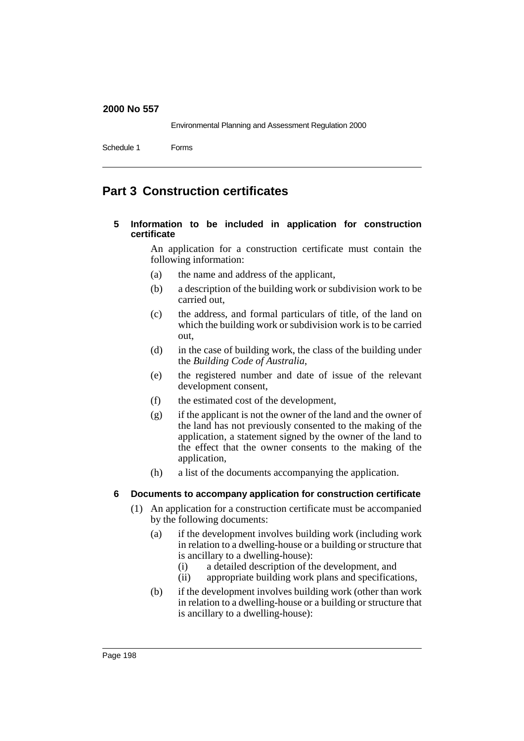Environmental Planning and Assessment Regulation 2000

Schedule 1 Forms

# **Part 3 Construction certificates**

# **5 Information to be included in application for construction certificate**

An application for a construction certificate must contain the following information:

- (a) the name and address of the applicant,
- (b) a description of the building work or subdivision work to be carried out,
- (c) the address, and formal particulars of title, of the land on which the building work or subdivision work is to be carried out,
- (d) in the case of building work, the class of the building under the *Building Code of Australia*,
- (e) the registered number and date of issue of the relevant development consent,
- (f) the estimated cost of the development,
- (g) if the applicant is not the owner of the land and the owner of the land has not previously consented to the making of the application, a statement signed by the owner of the land to the effect that the owner consents to the making of the application,
- (h) a list of the documents accompanying the application.

# **6 Documents to accompany application for construction certificate**

- (1) An application for a construction certificate must be accompanied by the following documents:
	- (a) if the development involves building work (including work in relation to a dwelling-house or a building or structure that is ancillary to a dwelling-house):
		- (i) a detailed description of the development, and
		- (ii) appropriate building work plans and specifications,
	- (b) if the development involves building work (other than work in relation to a dwelling-house or a building or structure that is ancillary to a dwelling-house):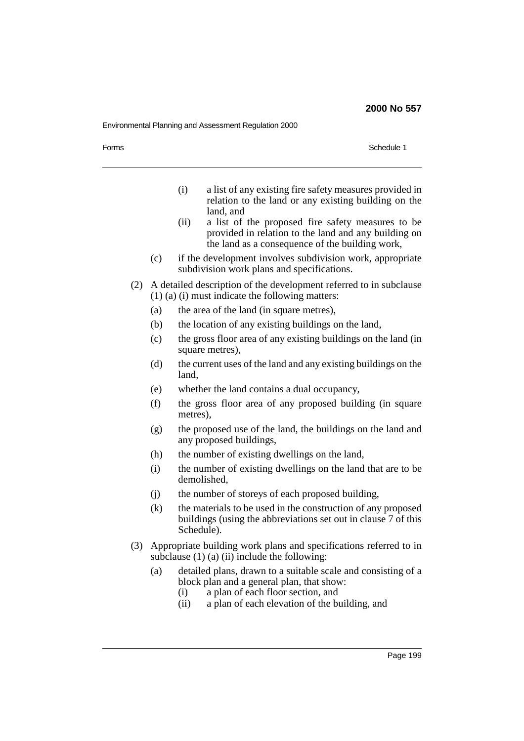Environmental Planning and Assessment Regulation 2000

Forms Schedule 1 and 1999 and 1999 and 1999 and 1999 and 1999 and 1999 and 1999 and 1999 and 1999 and 1999 and 1999 and 1999 and 1999 and 1999 and 1999 and 1999 and 1999 and 1999 and 1999 and 1999 and 1999 and 1999 and 199

- (i) a list of any existing fire safety measures provided in relation to the land or any existing building on the land, and
- (ii) a list of the proposed fire safety measures to be provided in relation to the land and any building on the land as a consequence of the building work,
- (c) if the development involves subdivision work, appropriate subdivision work plans and specifications.
- (2) A detailed description of the development referred to in subclause (1) (a) (i) must indicate the following matters:
	- (a) the area of the land (in square metres),
	- (b) the location of any existing buildings on the land,
	- (c) the gross floor area of any existing buildings on the land (in square metres),
	- (d) the current uses of the land and any existing buildings on the land,
	- (e) whether the land contains a dual occupancy,
	- (f) the gross floor area of any proposed building (in square metres),
	- (g) the proposed use of the land, the buildings on the land and any proposed buildings,
	- (h) the number of existing dwellings on the land,
	- (i) the number of existing dwellings on the land that are to be demolished,
	- (j) the number of storeys of each proposed building,
	- $(k)$  the materials to be used in the construction of any proposed buildings (using the abbreviations set out in clause 7 of this Schedule).
- (3) Appropriate building work plans and specifications referred to in subclause  $(1)$   $(a)$   $(ii)$  include the following:
	- (a) detailed plans, drawn to a suitable scale and consisting of a block plan and a general plan, that show:
		- (i) a plan of each floor section, and<br>(ii) a plan of each elevation of the bu
		- a plan of each elevation of the building, and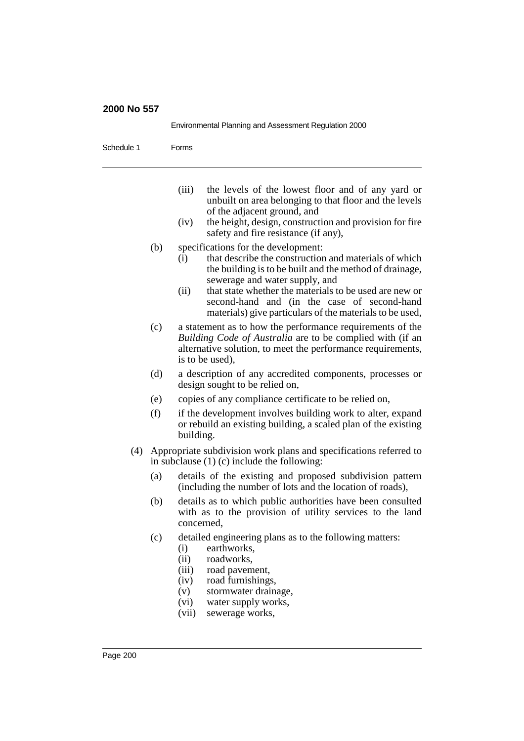|            |     | Environmental Planning and Assessment Regulation 2000                                                                                                                                                                                                                                                                                                                         |
|------------|-----|-------------------------------------------------------------------------------------------------------------------------------------------------------------------------------------------------------------------------------------------------------------------------------------------------------------------------------------------------------------------------------|
| Schedule 1 |     | Forms                                                                                                                                                                                                                                                                                                                                                                         |
|            |     | (iii)<br>the levels of the lowest floor and of any yard or<br>unbuilt on area belonging to that floor and the levels<br>of the adjacent ground, and<br>the height, design, construction and provision for fire<br>(iv)<br>safety and fire resistance (if any),                                                                                                                |
|            | (b) | specifications for the development:<br>that describe the construction and materials of which<br>(i)<br>the building is to be built and the method of drainage,<br>sewerage and water supply, and<br>that state whether the materials to be used are new or<br>(ii)<br>second-hand and (in the case of second-hand<br>materials) give particulars of the materials to be used, |
|            | (c) | a statement as to how the performance requirements of the<br>Building Code of Australia are to be complied with (if an<br>alternative solution, to meet the performance requirements,<br>is to be used),                                                                                                                                                                      |
|            | (d) | a description of any accredited components, processes or<br>design sought to be relied on,                                                                                                                                                                                                                                                                                    |
|            | (e) | copies of any compliance certificate to be relied on,                                                                                                                                                                                                                                                                                                                         |
|            | (f) | if the development involves building work to alter, expand<br>or rebuild an existing building, a scaled plan of the existing<br>building.                                                                                                                                                                                                                                     |
| (4)        |     | Appropriate subdivision work plans and specifications referred to<br>in subclause $(1)$ (c) include the following:                                                                                                                                                                                                                                                            |
|            | (a) | details of the existing and proposed subdivision pattern<br>(including the number of lots and the location of roads),                                                                                                                                                                                                                                                         |
|            | (b) | details as to which public authorities have been consulted<br>with as to the provision of utility services to the land<br>concerned,                                                                                                                                                                                                                                          |
|            | (c) | detailed engineering plans as to the following matters:<br>earthworks,<br>(i)<br>(ii)<br>roadworks,<br>road pavement,<br>(iii)<br>road furnishings,<br>(iv)<br>(v)<br>stormwater drainage,<br>water supply works,<br>(vi)<br>(vii)<br>sewerage works,                                                                                                                         |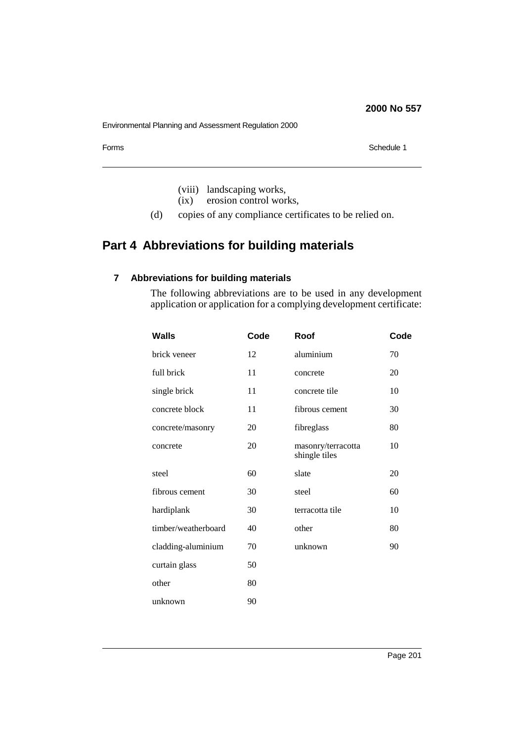Environmental Planning and Assessment Regulation 2000

Forms Schedule 1

- (viii) landscaping works,<br>(ix) erosion control wor
- erosion control works,
- (d) copies of any compliance certificates to be relied on.

# **Part 4 Abbreviations for building materials**

# **7 Abbreviations for building materials**

The following abbreviations are to be used in any development application or application for a complying development certificate:

| <b>Walls</b>        | Code | Roof                                | Code |
|---------------------|------|-------------------------------------|------|
| brick veneer        | 12   | aluminium                           | 70   |
| full brick          | 11   | concrete                            | 20   |
| single brick        | 11   | concrete tile                       | 10   |
| concrete block      | 11   | fibrous cement                      | 30   |
| concrete/masonry    | 20   | fibreglass                          | 80   |
| concrete            | 20   | masonry/terracotta<br>shingle tiles | 10   |
| steel               | 60   | slate                               | 20   |
| fibrous cement      | 30   | steel                               | 60   |
| hardiplank          | 30   | terracotta tile                     | 10   |
| timber/weatherboard | 40   | other                               | 80   |
| cladding-aluminium  | 70   | unknown                             | 90   |
| curtain glass       | 50   |                                     |      |
| other               | 80   |                                     |      |
| unknown             | 90   |                                     |      |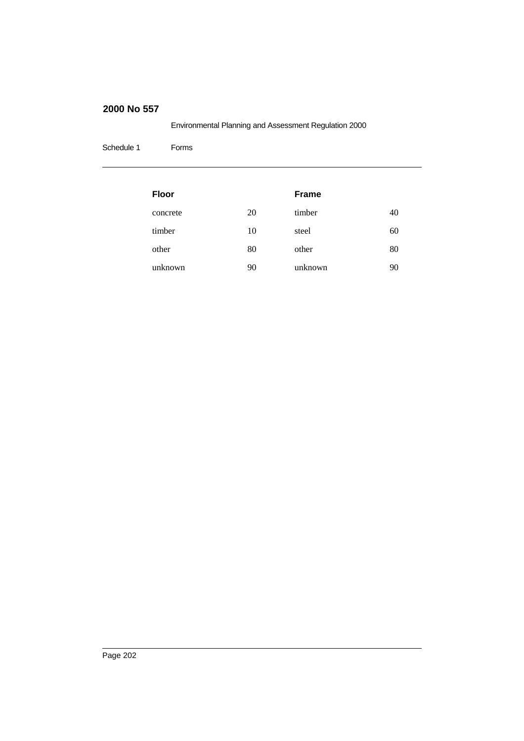Environmental Planning and Assessment Regulation 2000

Schedule 1 Forms

| <b>Floor</b> |    | <b>Frame</b> |    |
|--------------|----|--------------|----|
| concrete     | 20 | timber       | 40 |
| timber       | 10 | steel        | 60 |
| other        | 80 | other        | 80 |
| unknown      | 90 | unknown      | 90 |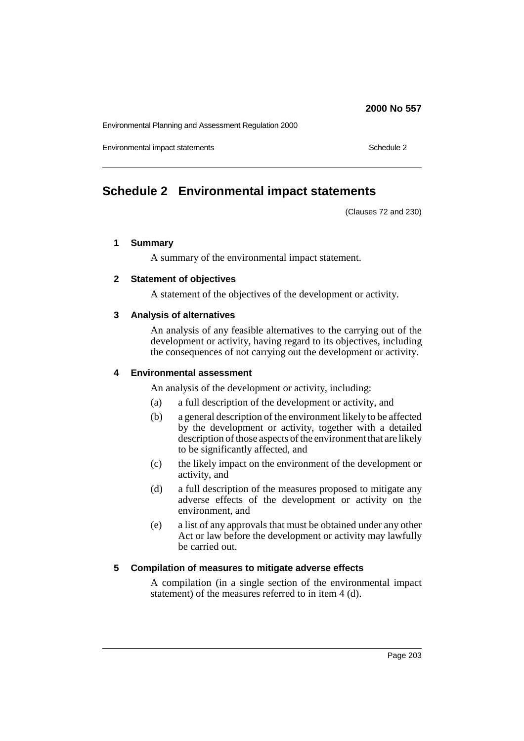Environmental Planning and Assessment Regulation 2000

Environmental impact statements Schedule 2

# **Schedule 2 Environmental impact statements**

(Clauses 72 and 230)

## **1 Summary**

A summary of the environmental impact statement.

#### **2 Statement of objectives**

A statement of the objectives of the development or activity.

#### **3 Analysis of alternatives**

An analysis of any feasible alternatives to the carrying out of the development or activity, having regard to its objectives, including the consequences of not carrying out the development or activity.

#### **4 Environmental assessment**

An analysis of the development or activity, including:

- (a) a full description of the development or activity, and
- (b) a general description of the environment likely to be affected by the development or activity, together with a detailed description of those aspects of the environment that are likely to be significantly affected, and
- (c) the likely impact on the environment of the development or activity, and
- (d) a full description of the measures proposed to mitigate any adverse effects of the development or activity on the environment, and
- (e) a list of any approvals that must be obtained under any other Act or law before the development or activity may lawfully be carried out.

## **5 Compilation of measures to mitigate adverse effects**

A compilation (in a single section of the environmental impact statement) of the measures referred to in item 4 (d).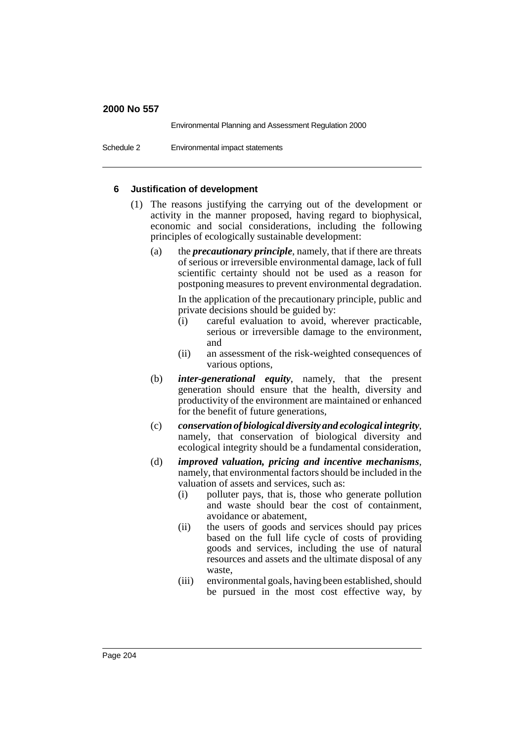Environmental Planning and Assessment Regulation 2000

Schedule 2 Environmental impact statements

## **6 Justification of development**

- (1) The reasons justifying the carrying out of the development or activity in the manner proposed, having regard to biophysical, economic and social considerations, including the following principles of ecologically sustainable development:
	- (a) the *precautionary principle*, namely, that if there are threats of serious or irreversible environmental damage, lack of full scientific certainty should not be used as a reason for postponing measures to prevent environmental degradation.

In the application of the precautionary principle, public and private decisions should be guided by:

- (i) careful evaluation to avoid, wherever practicable, serious or irreversible damage to the environment, and
- (ii) an assessment of the risk-weighted consequences of various options,
- (b) *inter-generational equity*, namely, that the present generation should ensure that the health, diversity and productivity of the environment are maintained or enhanced for the benefit of future generations,
- (c) *conservation of biological diversity and ecological integrity*, namely, that conservation of biological diversity and ecological integrity should be a fundamental consideration,
- (d) *improved valuation, pricing and incentive mechanisms*, namely, that environmental factors should be included in the valuation of assets and services, such as:
	- (i) polluter pays, that is, those who generate pollution and waste should bear the cost of containment, avoidance or abatement,
	- (ii) the users of goods and services should pay prices based on the full life cycle of costs of providing goods and services, including the use of natural resources and assets and the ultimate disposal of any waste,
	- (iii) environmental goals, having been established, should be pursued in the most cost effective way, by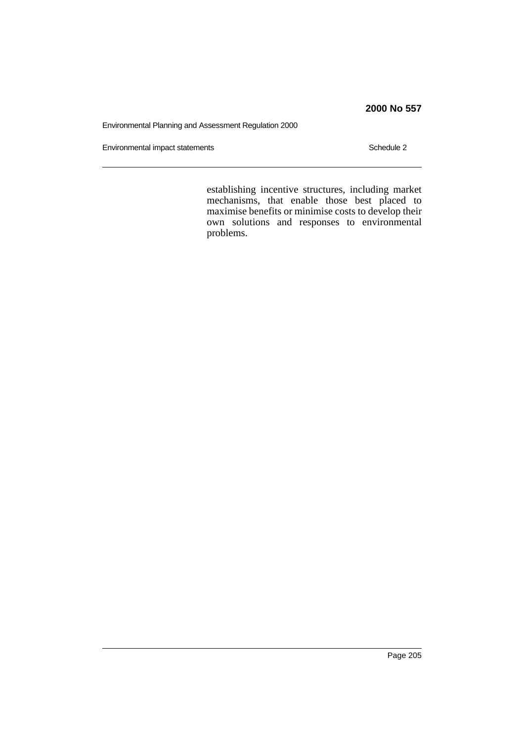Environmental Planning and Assessment Regulation 2000

Environmental impact statements Schedule 2

establishing incentive structures, including market mechanisms, that enable those best placed to maximise benefits or minimise costs to develop their own solutions and responses to environmental problems.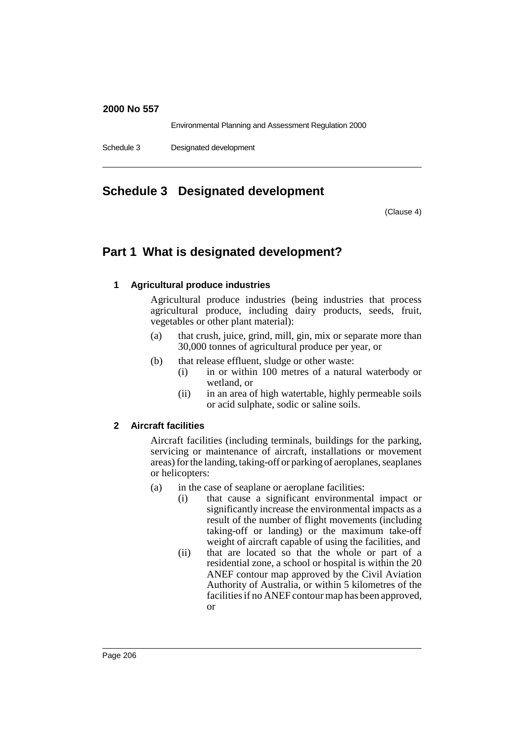Environmental Planning and Assessment Regulation 2000

Schedule 3 Designated development

# **Schedule 3 Designated development**

(Clause 4)

# **Part 1 What is designated development?**

# **1 Agricultural produce industries**

Agricultural produce industries (being industries that process agricultural produce, including dairy products, seeds, fruit, vegetables or other plant material):

- (a) that crush, juice, grind, mill, gin, mix or separate more than 30,000 tonnes of agricultural produce per year, or
- (b) that release effluent, sludge or other waste:
	- (i) in or within 100 metres of a natural waterbody or wetland, or
	- (ii) in an area of high watertable, highly permeable soils or acid sulphate, sodic or saline soils.

# **2 Aircraft facilities**

Aircraft facilities (including terminals, buildings for the parking, servicing or maintenance of aircraft, installations or movement areas) for the landing, taking-off or parking of aeroplanes, seaplanes or helicopters:

- (a) in the case of seaplane or aeroplane facilities:
	- (i) that cause a significant environmental impact or significantly increase the environmental impacts as a result of the number of flight movements (including taking-off or landing) or the maximum take-off weight of aircraft capable of using the facilities, and
	- (ii) that are located so that the whole or part of a residential zone, a school or hospital is within the 20 ANEF contour map approved by the Civil Aviation Authority of Australia, or within 5 kilometres of the facilities if no ANEF contour map has been approved, or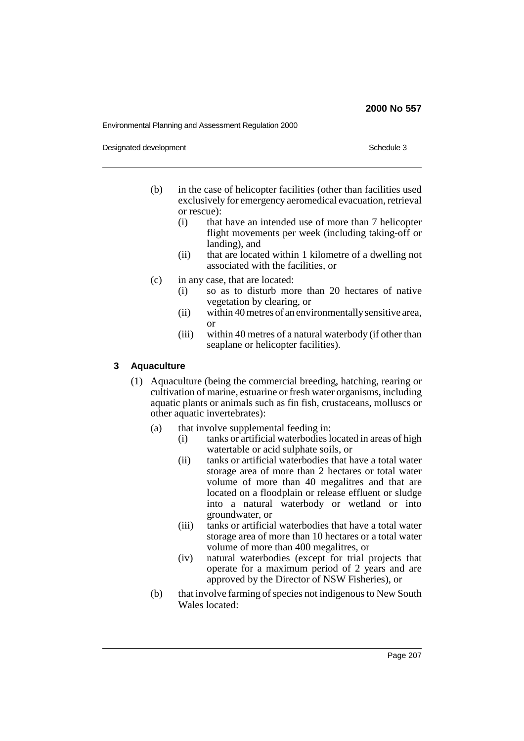Environmental Planning and Assessment Regulation 2000

Designated development **Schedule 3** Schedule 3

- (b) in the case of helicopter facilities (other than facilities used exclusively for emergency aeromedical evacuation, retrieval or rescue):
	- (i) that have an intended use of more than 7 helicopter flight movements per week (including taking-off or landing), and
	- (ii) that are located within 1 kilometre of a dwelling not associated with the facilities, or
- (c) in any case, that are located:
	- (i) so as to disturb more than 20 hectares of native vegetation by clearing, or
	- (ii) within 40 metres of an environmentally sensitive area, or
	- (iii) within 40 metres of a natural waterbody (if other than seaplane or helicopter facilities).

# **3 Aquaculture**

- (1) Aquaculture (being the commercial breeding, hatching, rearing or cultivation of marine, estuarine or fresh water organisms, including aquatic plants or animals such as fin fish, crustaceans, molluscs or other aquatic invertebrates):
	- (a) that involve supplemental feeding in:
		- (i) tanks or artificial waterbodies located in areas of high watertable or acid sulphate soils, or
		- (ii) tanks or artificial waterbodies that have a total water storage area of more than 2 hectares or total water volume of more than 40 megalitres and that are located on a floodplain or release effluent or sludge into a natural waterbody or wetland or into groundwater, or
		- (iii) tanks or artificial waterbodies that have a total water storage area of more than 10 hectares or a total water volume of more than 400 megalitres, or
		- (iv) natural waterbodies (except for trial projects that operate for a maximum period of 2 years and are approved by the Director of NSW Fisheries), or
	- (b) that involve farming of species not indigenous to New South Wales located: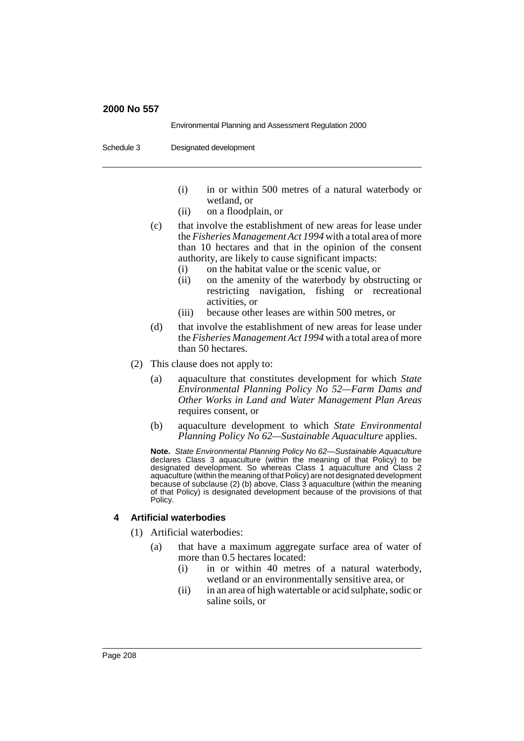|            | Environmental Planning and Assessment Regulation 2000 |
|------------|-------------------------------------------------------|
| Schedule 3 | Designated development                                |
|            |                                                       |

- (i) in or within 500 metres of a natural waterbody or wetland, or
- (ii) on a floodplain, or
- (c) that involve the establishment of new areas for lease under the *Fisheries Management Act 1994* with a total area of more than 10 hectares and that in the opinion of the consent authority, are likely to cause significant impacts:
	- (i) on the habitat value or the scenic value, or
	- (ii) on the amenity of the waterbody by obstructing or restricting navigation, fishing or recreational activities, or
	- (iii) because other leases are within 500 metres, or
- (d) that involve the establishment of new areas for lease under the *Fisheries Management Act 1994* with a total area of more than 50 hectares.
- (2) This clause does not apply to:
	- (a) aquaculture that constitutes development for which *State Environmental Planning Policy No 52—Farm Dams and Other Works in Land and Water Management Plan Areas* requires consent, or
	- (b) aquaculture development to which *State Environmental Planning Policy No 62—Sustainable Aquaculture* applies.

**Note.** State Environmental Planning Policy No 62—Sustainable Aquaculture declares Class 3 aquaculture (within the meaning of that Policy) to be designated development. So whereas Class 1 aquaculture and Class 2 aquaculture (within the meaning of that Policy) are not designated development because of subclause (2) (b) above, Class 3 aquaculture (within the meaning of that Policy) is designated development because of the provisions of that Policy.

## **4 Artificial waterbodies**

- (1) Artificial waterbodies:
	- (a) that have a maximum aggregate surface area of water of more than 0.5 hectares located:
		- (i) in or within 40 metres of a natural waterbody, wetland or an environmentally sensitive area, or
		- (ii) in an area of high watertable or acid sulphate, sodic or saline soils, or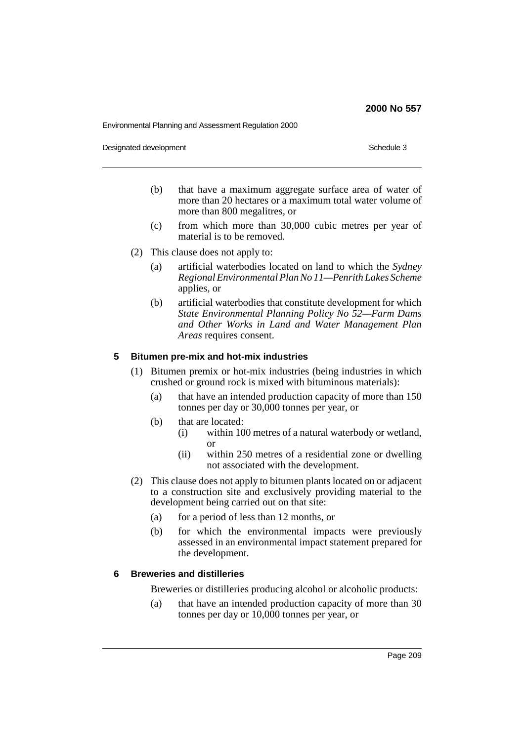Environmental Planning and Assessment Regulation 2000

Designated development **Schedule 3** Schedule 3

- (b) that have a maximum aggregate surface area of water of more than 20 hectares or a maximum total water volume of more than 800 megalitres, or
- (c) from which more than 30,000 cubic metres per year of material is to be removed.
- (2) This clause does not apply to:
	- (a) artificial waterbodies located on land to which the *Sydney Regional Environmental Plan No 11—Penrith Lakes Scheme* applies, or
	- (b) artificial waterbodies that constitute development for which *State Environmental Planning Policy No 52—Farm Dams and Other Works in Land and Water Management Plan Areas* requires consent.

# **5 Bitumen pre-mix and hot-mix industries**

- (1) Bitumen premix or hot-mix industries (being industries in which crushed or ground rock is mixed with bituminous materials):
	- (a) that have an intended production capacity of more than 150 tonnes per day or 30,000 tonnes per year, or
	- (b) that are located:
		- (i) within 100 metres of a natural waterbody or wetland, or
		- (ii) within 250 metres of a residential zone or dwelling not associated with the development.
- (2) This clause does not apply to bitumen plants located on or adjacent to a construction site and exclusively providing material to the development being carried out on that site:
	- (a) for a period of less than 12 months, or
	- (b) for which the environmental impacts were previously assessed in an environmental impact statement prepared for the development.

# **6 Breweries and distilleries**

Breweries or distilleries producing alcohol or alcoholic products:

(a) that have an intended production capacity of more than 30 tonnes per day or 10,000 tonnes per year, or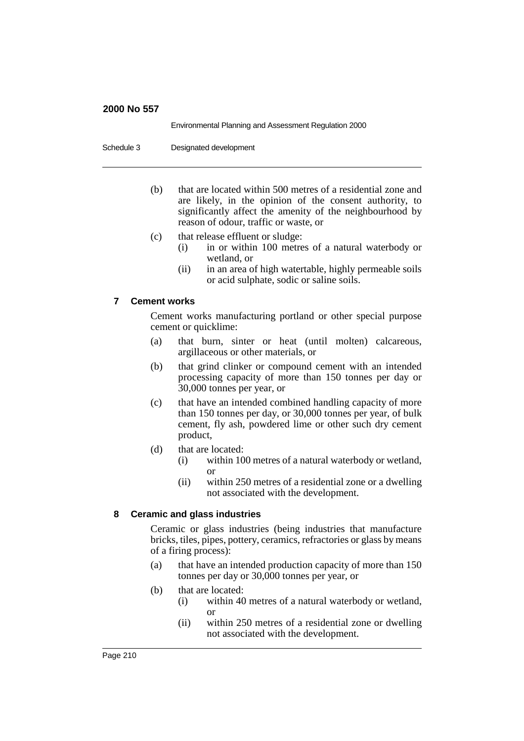|            | Environmental Planning and Assessment Regulation 2000 |
|------------|-------------------------------------------------------|
| Schedule 3 | Designated development                                |

- (b) that are located within 500 metres of a residential zone and are likely, in the opinion of the consent authority, to significantly affect the amenity of the neighbourhood by reason of odour, traffic or waste, or
- (c) that release effluent or sludge:
	- (i) in or within 100 metres of a natural waterbody or wetland, or
	- (ii) in an area of high watertable, highly permeable soils or acid sulphate, sodic or saline soils.

# **7 Cement works**

Cement works manufacturing portland or other special purpose cement or quicklime:

- (a) that burn, sinter or heat (until molten) calcareous, argillaceous or other materials, or
- (b) that grind clinker or compound cement with an intended processing capacity of more than 150 tonnes per day or 30,000 tonnes per year, or
- (c) that have an intended combined handling capacity of more than 150 tonnes per day, or 30,000 tonnes per year, of bulk cement, fly ash, powdered lime or other such dry cement product,
- (d) that are located:
	- (i) within 100 metres of a natural waterbody or wetland, or
	- (ii) within 250 metres of a residential zone or a dwelling not associated with the development.

# **8 Ceramic and glass industries**

Ceramic or glass industries (being industries that manufacture bricks, tiles, pipes, pottery, ceramics, refractories or glass by means of a firing process):

- (a) that have an intended production capacity of more than 150 tonnes per day or 30,000 tonnes per year, or
- (b) that are located:
	- (i) within 40 metres of a natural waterbody or wetland, or
	- (ii) within 250 metres of a residential zone or dwelling not associated with the development.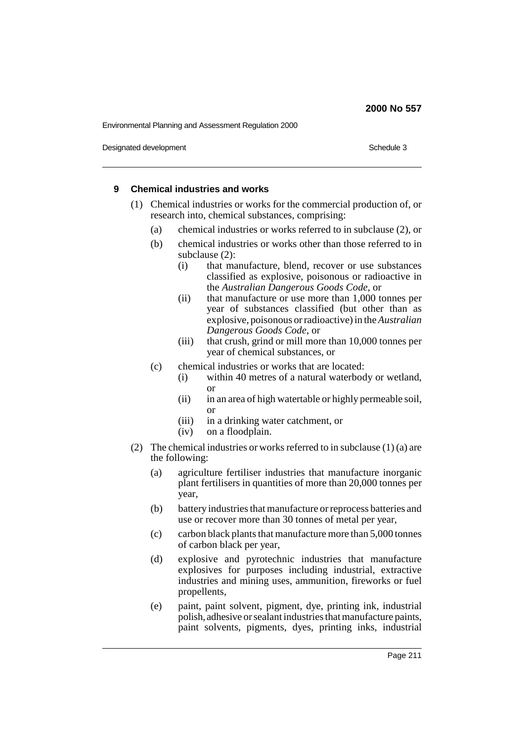Environmental Planning and Assessment Regulation 2000

Designated development **Schedule 3** Schedule 3

# **9 Chemical industries and works**

- (1) Chemical industries or works for the commercial production of, or research into, chemical substances, comprising:
	- (a) chemical industries or works referred to in subclause (2), or
	- (b) chemical industries or works other than those referred to in subclause (2):
		- (i) that manufacture, blend, recover or use substances classified as explosive, poisonous or radioactive in the *Australian Dangerous Goods Code*, or
		- (ii) that manufacture or use more than 1,000 tonnes per year of substances classified (but other than as explosive, poisonous or radioactive) in the *Australian Dangerous Goods Code*, or
		- (iii) that crush, grind or mill more than 10,000 tonnes per year of chemical substances, or
	- (c) chemical industries or works that are located:
		- (i) within 40 metres of a natural waterbody or wetland, or
		- (ii) in an area of high watertable or highly permeable soil, or
		- (iii) in a drinking water catchment, or
		- (iv) on a floodplain.
- (2) The chemical industries or works referred to in subclause  $(1)$  (a) are the following:
	- (a) agriculture fertiliser industries that manufacture inorganic plant fertilisers in quantities of more than 20,000 tonnes per year,
	- (b) battery industries that manufacture or reprocess batteries and use or recover more than 30 tonnes of metal per year,
	- (c) carbon black plants that manufacture more than 5,000 tonnes of carbon black per year,
	- (d) explosive and pyrotechnic industries that manufacture explosives for purposes including industrial, extractive industries and mining uses, ammunition, fireworks or fuel propellents,
	- (e) paint, paint solvent, pigment, dye, printing ink, industrial polish, adhesive or sealant industries that manufacture paints, paint solvents, pigments, dyes, printing inks, industrial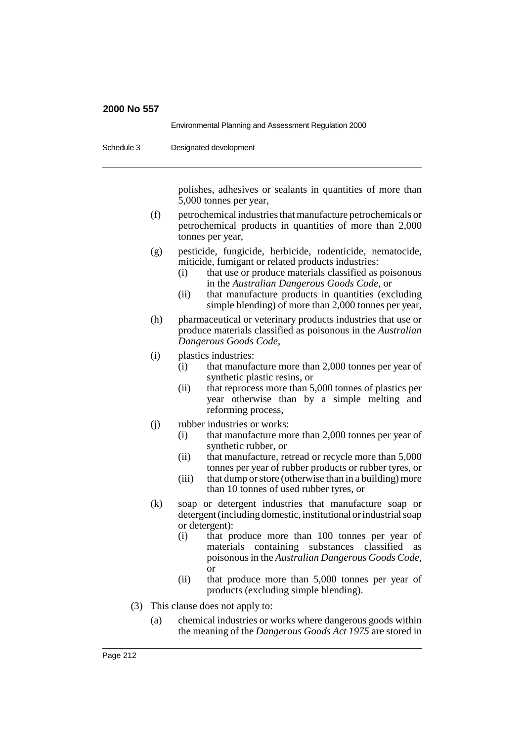|            | Environmental Planning and Assessment Regulation 2000 |
|------------|-------------------------------------------------------|
| Schedule 3 | Designated development                                |

polishes, adhesives or sealants in quantities of more than 5,000 tonnes per year,

- (f) petrochemical industries that manufacture petrochemicals or petrochemical products in quantities of more than 2,000 tonnes per year,
- (g) pesticide, fungicide, herbicide, rodenticide, nematocide, miticide, fumigant or related products industries:
	- (i) that use or produce materials classified as poisonous in the *Australian Dangerous Goods Code*, or
	- (ii) that manufacture products in quantities (excluding simple blending) of more than 2,000 tonnes per year,
- (h) pharmaceutical or veterinary products industries that use or produce materials classified as poisonous in the *Australian Dangerous Goods Code*,
- (i) plastics industries:
	- (i) that manufacture more than 2,000 tonnes per year of synthetic plastic resins, or
	- (ii) that reprocess more than 5,000 tonnes of plastics per year otherwise than by a simple melting and reforming process,
- (j) rubber industries or works:
	- (i) that manufacture more than 2,000 tonnes per year of synthetic rubber, or
	- (ii) that manufacture, retread or recycle more than 5,000 tonnes per year of rubber products or rubber tyres, or
	- (iii) that dump or store (otherwise than in a building) more than 10 tonnes of used rubber tyres, or
- (k) soap or detergent industries that manufacture soap or detergent (including domestic, institutional or industrial soap or detergent):
	- (i) that produce more than 100 tonnes per year of materials containing substances classified as poisonous in the *Australian Dangerous Goods Code*, or
	- (ii) that produce more than 5,000 tonnes per year of products (excluding simple blending).
- (3) This clause does not apply to:
	- (a) chemical industries or works where dangerous goods within the meaning of the *Dangerous Goods Act 1975* are stored in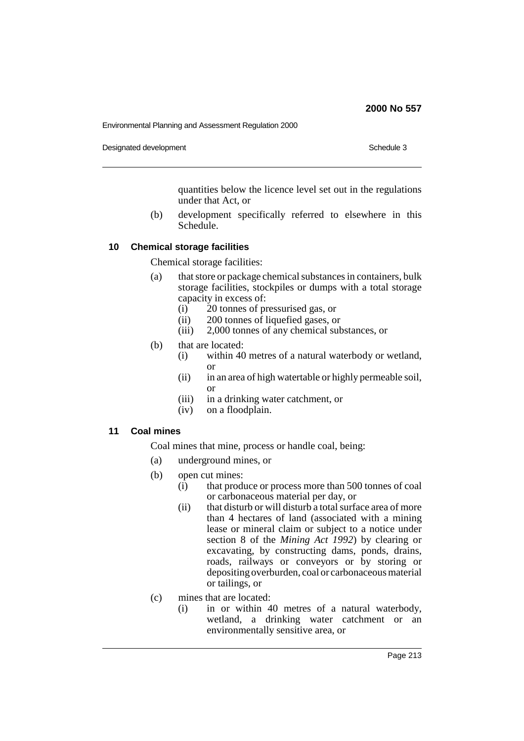Environmental Planning and Assessment Regulation 2000

Designated development **Schedule 3** Schedule 3

quantities below the licence level set out in the regulations under that Act, or

(b) development specifically referred to elsewhere in this Schedule.

## **10 Chemical storage facilities**

Chemical storage facilities:

- (a) that store or package chemical substances in containers, bulk storage facilities, stockpiles or dumps with a total storage capacity in excess of:
	- (i) 20 tonnes of pressurised gas, or
	- (ii) 200 tonnes of liquefied gases, or
	- (iii) 2,000 tonnes of any chemical substances, or
- (b) that are located:
	- (i) within 40 metres of a natural waterbody or wetland, or
	- (ii) in an area of high watertable or highly permeable soil, or
	- (iii) in a drinking water catchment, or
	- (iv) on a floodplain.

# **11 Coal mines**

Coal mines that mine, process or handle coal, being:

- (a) underground mines, or
- (b) open cut mines:
	- (i) that produce or process more than 500 tonnes of coal or carbonaceous material per day, or
	- (ii) that disturb or will disturb a total surface area of more than 4 hectares of land (associated with a mining lease or mineral claim or subject to a notice under section 8 of the *Mining Act 1992*) by clearing or excavating, by constructing dams, ponds, drains, roads, railways or conveyors or by storing or depositing overburden, coal or carbonaceous material or tailings, or
- (c) mines that are located:
	- (i) in or within 40 metres of a natural waterbody, wetland, a drinking water catchment or an environmentally sensitive area, or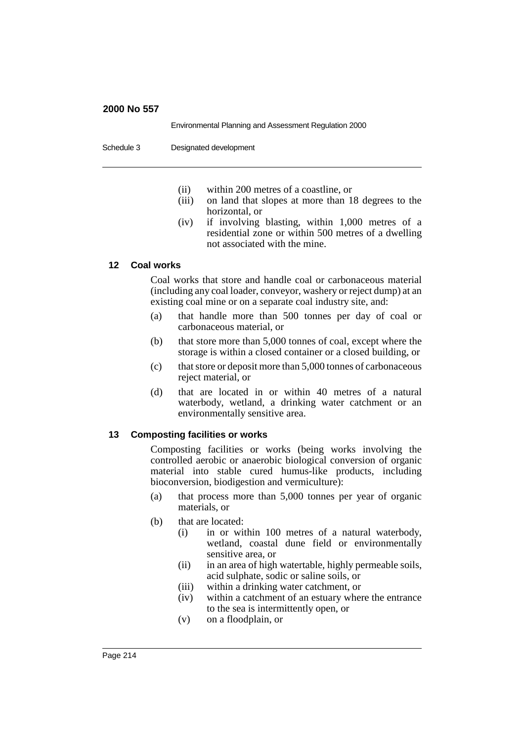|            | Environmental Planning and Assessment Regulation 2000 |
|------------|-------------------------------------------------------|
| Schedule 3 | Designated development                                |

- (ii) within 200 metres of a coastline, or
- (iii) on land that slopes at more than 18 degrees to the horizontal, or
- (iv) if involving blasting, within 1,000 metres of a residential zone or within 500 metres of a dwelling not associated with the mine.

## **12 Coal works**

Coal works that store and handle coal or carbonaceous material (including any coal loader, conveyor, washery or reject dump) at an existing coal mine or on a separate coal industry site, and:

- (a) that handle more than 500 tonnes per day of coal or carbonaceous material, or
- (b) that store more than 5,000 tonnes of coal, except where the storage is within a closed container or a closed building, or
- (c) that store or deposit more than 5,000 tonnes of carbonaceous reject material, or
- (d) that are located in or within 40 metres of a natural waterbody, wetland, a drinking water catchment or an environmentally sensitive area.

## **13 Composting facilities or works**

Composting facilities or works (being works involving the controlled aerobic or anaerobic biological conversion of organic material into stable cured humus-like products, including bioconversion, biodigestion and vermiculture):

- (a) that process more than 5,000 tonnes per year of organic materials, or
- (b) that are located:
	- (i) in or within 100 metres of a natural waterbody, wetland, coastal dune field or environmentally sensitive area, or
	- (ii) in an area of high watertable, highly permeable soils, acid sulphate, sodic or saline soils, or
	- (iii) within a drinking water catchment, or
	- (iv) within a catchment of an estuary where the entrance to the sea is intermittently open, or
	- (v) on a floodplain, or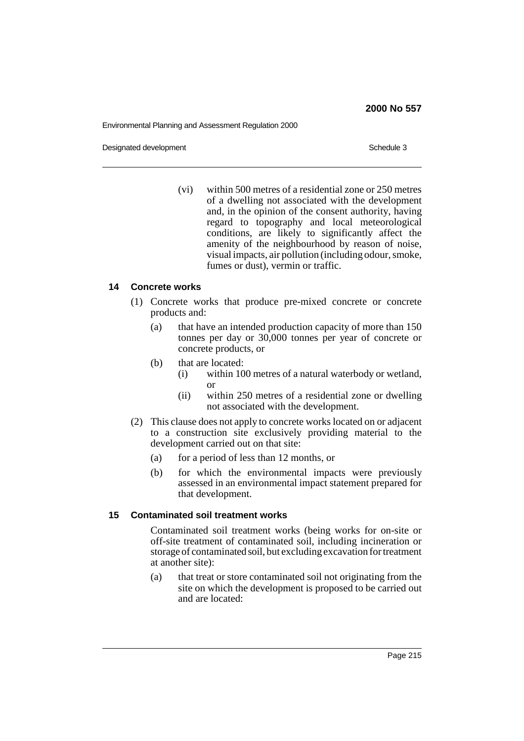Environmental Planning and Assessment Regulation 2000

Designated development **Schedule 3** Schedule 3

(vi) within 500 metres of a residential zone or 250 metres of a dwelling not associated with the development and, in the opinion of the consent authority, having regard to topography and local meteorological conditions, are likely to significantly affect the amenity of the neighbourhood by reason of noise, visual impacts, air pollution (including odour, smoke, fumes or dust), vermin or traffic.

## **14 Concrete works**

- (1) Concrete works that produce pre-mixed concrete or concrete products and:
	- (a) that have an intended production capacity of more than 150 tonnes per day or 30,000 tonnes per year of concrete or concrete products, or
	- (b) that are located:
		- (i) within 100 metres of a natural waterbody or wetland, or
		- (ii) within 250 metres of a residential zone or dwelling not associated with the development.
- (2) This clause does not apply to concrete works located on or adjacent to a construction site exclusively providing material to the development carried out on that site:
	- (a) for a period of less than 12 months, or
	- (b) for which the environmental impacts were previously assessed in an environmental impact statement prepared for that development.

# **15 Contaminated soil treatment works**

Contaminated soil treatment works (being works for on-site or off-site treatment of contaminated soil, including incineration or storage of contaminated soil, but excluding excavation for treatment at another site):

(a) that treat or store contaminated soil not originating from the site on which the development is proposed to be carried out and are located: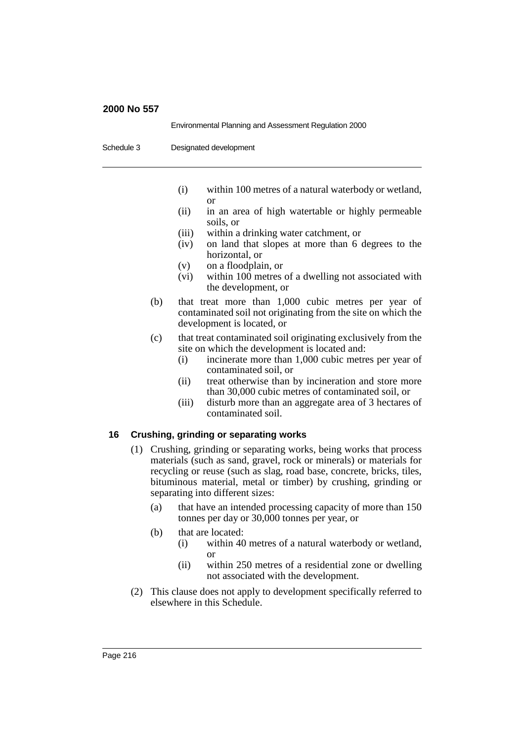|            | Environmental Planning and Assessment Regulation 2000                                                                                                                                                                                                                                                                                                                                                       |
|------------|-------------------------------------------------------------------------------------------------------------------------------------------------------------------------------------------------------------------------------------------------------------------------------------------------------------------------------------------------------------------------------------------------------------|
| Schedule 3 | Designated development                                                                                                                                                                                                                                                                                                                                                                                      |
|            | (i)<br>within 100 metres of a natural waterbody or wetland,<br><sub>or</sub><br>in an area of high watertable or highly permeable<br>(ii)<br>soils, or<br>(iii)<br>within a drinking water catchment, or<br>(iv)<br>on land that slopes at more than 6 degrees to the<br>horizontal, or<br>on a floodplain, or<br>(v)<br>within 100 metres of a dwelling not associated with<br>(vi)<br>the development, or |
| (b)        | that treat more than 1,000 cubic metres per year of<br>contaminated soil not originating from the site on which the<br>development is located, or                                                                                                                                                                                                                                                           |

- (c) that treat contaminated soil originating exclusively from the site on which the development is located and:
	- (i) incinerate more than 1,000 cubic metres per year of contaminated soil, or
	- (ii) treat otherwise than by incineration and store more than 30,000 cubic metres of contaminated soil, or
	- (iii) disturb more than an aggregate area of 3 hectares of contaminated soil.

## **16 Crushing, grinding or separating works**

- (1) Crushing, grinding or separating works, being works that process materials (such as sand, gravel, rock or minerals) or materials for recycling or reuse (such as slag, road base, concrete, bricks, tiles, bituminous material, metal or timber) by crushing, grinding or separating into different sizes:
	- (a) that have an intended processing capacity of more than 150 tonnes per day or 30,000 tonnes per year, or
	- (b) that are located:
		- (i) within 40 metres of a natural waterbody or wetland, or
		- (ii) within 250 metres of a residential zone or dwelling not associated with the development.
- (2) This clause does not apply to development specifically referred to elsewhere in this Schedule.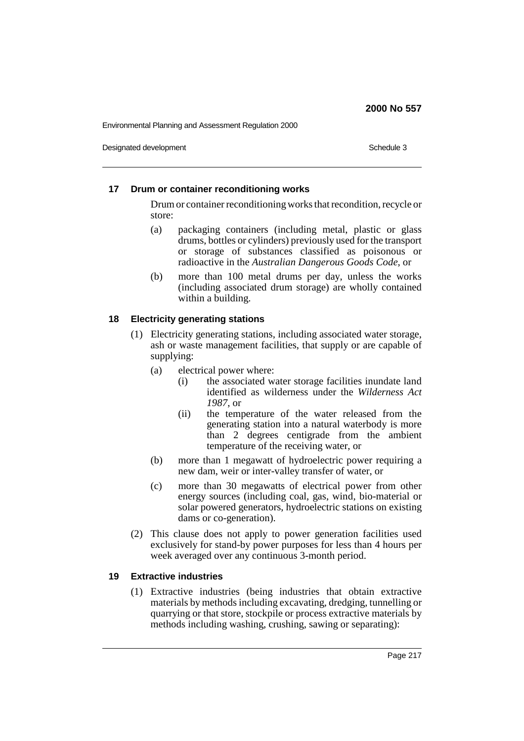Environmental Planning and Assessment Regulation 2000

Designated development **Schedule 3** Schedule 3

### **17 Drum or container reconditioning works**

Drum or container reconditioning works that recondition, recycle or store:

- (a) packaging containers (including metal, plastic or glass drums, bottles or cylinders) previously used for the transport or storage of substances classified as poisonous or radioactive in the *Australian Dangerous Goods Code*, or
- (b) more than 100 metal drums per day, unless the works (including associated drum storage) are wholly contained within a building.

# **18 Electricity generating stations**

- (1) Electricity generating stations, including associated water storage, ash or waste management facilities, that supply or are capable of supplying:
	- (a) electrical power where:
		- (i) the associated water storage facilities inundate land identified as wilderness under the *Wilderness Act 1987*, or
		- (ii) the temperature of the water released from the generating station into a natural waterbody is more than 2 degrees centigrade from the ambient temperature of the receiving water, or
	- (b) more than 1 megawatt of hydroelectric power requiring a new dam, weir or inter-valley transfer of water, or
	- (c) more than 30 megawatts of electrical power from other energy sources (including coal, gas, wind, bio-material or solar powered generators, hydroelectric stations on existing dams or co-generation).
- (2) This clause does not apply to power generation facilities used exclusively for stand-by power purposes for less than 4 hours per week averaged over any continuous 3-month period.

# **19 Extractive industries**

(1) Extractive industries (being industries that obtain extractive materials by methods including excavating, dredging, tunnelling or quarrying or that store, stockpile or process extractive materials by methods including washing, crushing, sawing or separating):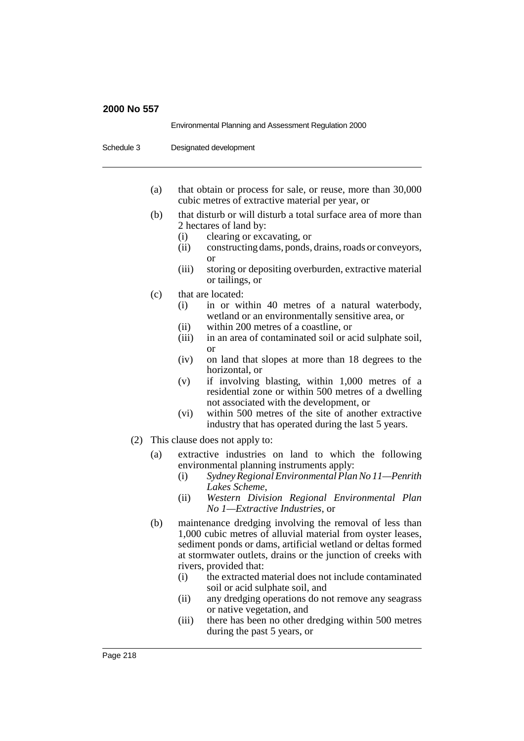|            |     | Environmental Planning and Assessment Regulation 2000                                                                                                                                                                                                                                                                                                                                                                                                                                                                                                                                                                            |
|------------|-----|----------------------------------------------------------------------------------------------------------------------------------------------------------------------------------------------------------------------------------------------------------------------------------------------------------------------------------------------------------------------------------------------------------------------------------------------------------------------------------------------------------------------------------------------------------------------------------------------------------------------------------|
| Schedule 3 |     | Designated development                                                                                                                                                                                                                                                                                                                                                                                                                                                                                                                                                                                                           |
|            | (a) | that obtain or process for sale, or reuse, more than 30,000<br>cubic metres of extractive material per year, or                                                                                                                                                                                                                                                                                                                                                                                                                                                                                                                  |
|            | (b) | that disturb or will disturb a total surface area of more than<br>2 hectares of land by:<br>clearing or excavating, or<br>(i)<br>constructing dams, ponds, drains, roads or conveyors,<br>(ii)<br><b>or</b><br>storing or depositing overburden, extractive material<br>(iii)<br>or tailings, or                                                                                                                                                                                                                                                                                                                                 |
|            | (c) | that are located:<br>in or within 40 metres of a natural waterbody,<br>(i)<br>wetland or an environmentally sensitive area, or<br>within 200 metres of a coastline, or<br>(ii)<br>in an area of contaminated soil or acid sulphate soil,<br>(iii)<br><b>or</b><br>on land that slopes at more than 18 degrees to the<br>(iv)<br>horizontal, or<br>if involving blasting, within 1,000 metres of a<br>(v)<br>residential zone or within 500 metres of a dwelling<br>not associated with the development, or<br>within 500 metres of the site of another extractive<br>(vi)<br>industry that has operated during the last 5 years. |
| (2)        |     | This clause does not apply to:                                                                                                                                                                                                                                                                                                                                                                                                                                                                                                                                                                                                   |
|            | (a) | extractive industries on land to which the following<br>environmental planning instruments apply:<br>Sydney Regional Environmental Plan No 11-Penrith<br>(i)<br>Lakes Scheme,<br>Western Division Regional Environmental Plan<br>(ii)<br>No 1-Extractive Industries, or                                                                                                                                                                                                                                                                                                                                                          |
|            | (b) | maintenance dredging involving the removal of less than<br>1,000 cubic metres of alluvial material from oyster leases,<br>sediment ponds or dams, artificial wetland or deltas formed<br>at stormwater outlets, drains or the junction of creeks with<br>rivers, provided that:<br>the extracted material does not include contaminated<br>(i)<br>soil or acid sulphate soil, and<br>(i)<br>any dredging operations do not remove any seggrass                                                                                                                                                                                   |

- (ii) any dredging operations do not remove any seagrass or native vegetation, and
- (iii) there has been no other dredging within 500 metres during the past 5 years, or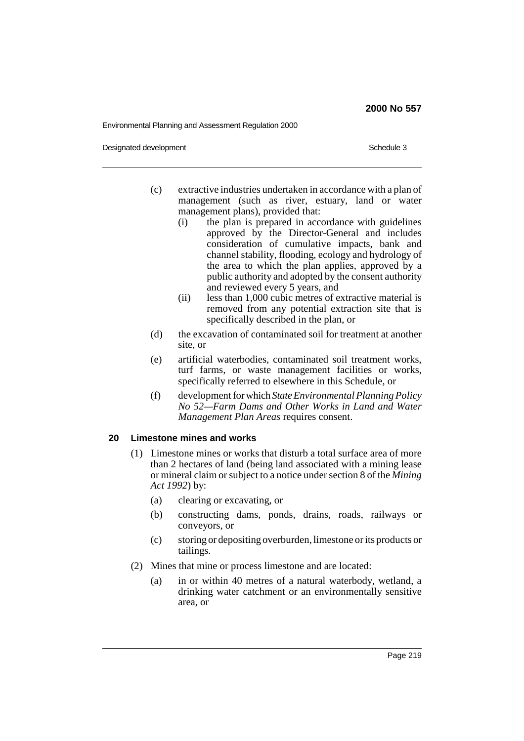Environmental Planning and Assessment Regulation 2000

Designated development **Schedule 3** Schedule 3

- (c) extractive industries undertaken in accordance with a plan of management (such as river, estuary, land or water management plans), provided that:
	- (i) the plan is prepared in accordance with guidelines approved by the Director-General and includes consideration of cumulative impacts, bank and channel stability, flooding, ecology and hydrology of the area to which the plan applies, approved by a public authority and adopted by the consent authority and reviewed every 5 years, and
	- (ii) less than 1,000 cubic metres of extractive material is removed from any potential extraction site that is specifically described in the plan, or
- (d) the excavation of contaminated soil for treatment at another site, or
- (e) artificial waterbodies, contaminated soil treatment works, turf farms, or waste management facilities or works, specifically referred to elsewhere in this Schedule, or
- (f) development for which *State Environmental Planning Policy No 52—Farm Dams and Other Works in Land and Water Management Plan Areas* requires consent.

### **20 Limestone mines and works**

- (1) Limestone mines or works that disturb a total surface area of more than 2 hectares of land (being land associated with a mining lease or mineral claim or subject to a notice under section 8 of the *Mining Act 1992*) by:
	- (a) clearing or excavating, or
	- (b) constructing dams, ponds, drains, roads, railways or conveyors, or
	- (c) storing or depositing overburden, limestone or its products or tailings.
- (2) Mines that mine or process limestone and are located:
	- (a) in or within 40 metres of a natural waterbody, wetland, a drinking water catchment or an environmentally sensitive area, or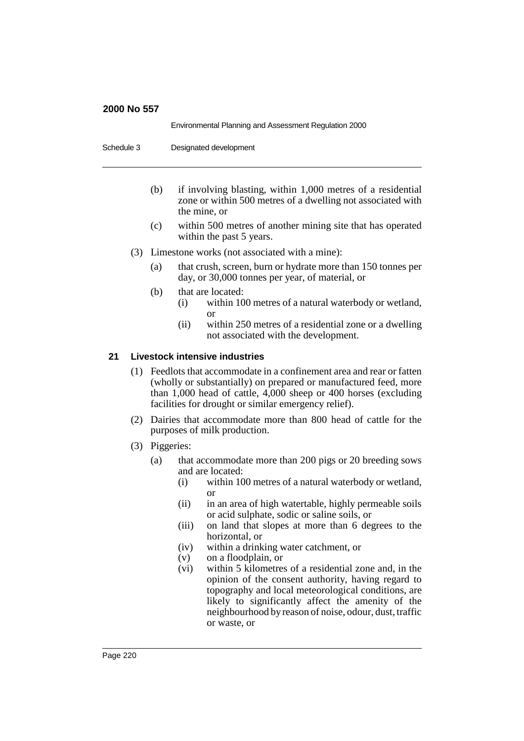|            | Environmental Planning and Assessment Regulation 2000 |
|------------|-------------------------------------------------------|
| Schedule 3 | Designated development                                |

- (b) if involving blasting, within 1,000 metres of a residential zone or within 500 metres of a dwelling not associated with the mine, or
- (c) within 500 metres of another mining site that has operated within the past 5 years.
- (3) Limestone works (not associated with a mine):
	- (a) that crush, screen, burn or hydrate more than 150 tonnes per day, or 30,000 tonnes per year, of material, or
	- (b) that are located:
		- (i) within 100 metres of a natural waterbody or wetland, or
			- (ii) within 250 metres of a residential zone or a dwelling not associated with the development.

### **21 Livestock intensive industries**

- (1) Feedlots that accommodate in a confinement area and rear or fatten (wholly or substantially) on prepared or manufactured feed, more than 1,000 head of cattle, 4,000 sheep or 400 horses (excluding facilities for drought or similar emergency relief).
- (2) Dairies that accommodate more than 800 head of cattle for the purposes of milk production.
- (3) Piggeries:
	- (a) that accommodate more than 200 pigs or 20 breeding sows and are located:
		- (i) within 100 metres of a natural waterbody or wetland, or
		- (ii) in an area of high watertable, highly permeable soils or acid sulphate, sodic or saline soils, or
		- (iii) on land that slopes at more than 6 degrees to the horizontal, or
		- (iv) within a drinking water catchment, or
		- (v) on a floodplain, or
		- (vi) within 5 kilometres of a residential zone and, in the opinion of the consent authority, having regard to topography and local meteorological conditions, are likely to significantly affect the amenity of the neighbourhood by reason of noise, odour, dust, traffic or waste, or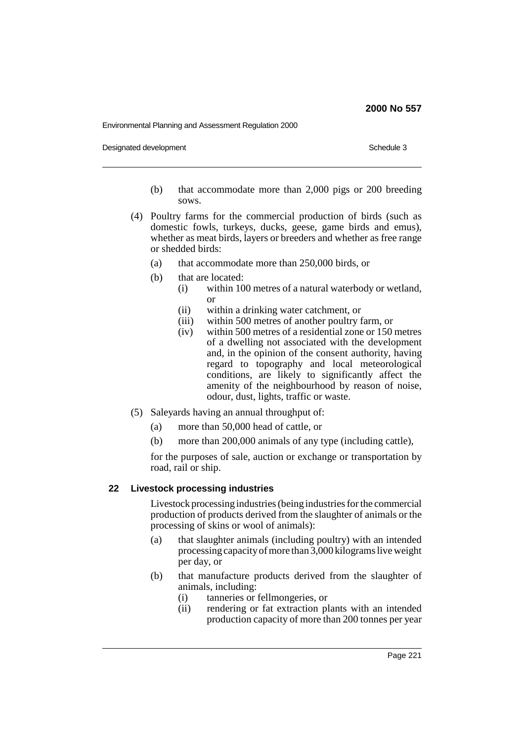Environmental Planning and Assessment Regulation 2000

Designated development **Schedule 3** Schedule 3

- (b) that accommodate more than 2,000 pigs or 200 breeding sows.
- (4) Poultry farms for the commercial production of birds (such as domestic fowls, turkeys, ducks, geese, game birds and emus), whether as meat birds, layers or breeders and whether as free range or shedded birds:
	- (a) that accommodate more than 250,000 birds, or
	- (b) that are located:
		- (i) within 100 metres of a natural waterbody or wetland, or
		- (ii) within a drinking water catchment, or
		- (iii) within 500 metres of another poultry farm, or
		- (iv) within 500 metres of a residential zone or 150 metres of a dwelling not associated with the development and, in the opinion of the consent authority, having regard to topography and local meteorological conditions, are likely to significantly affect the amenity of the neighbourhood by reason of noise, odour, dust, lights, traffic or waste.
- (5) Saleyards having an annual throughput of:
	- (a) more than 50,000 head of cattle, or
	- (b) more than 200,000 animals of any type (including cattle),

for the purposes of sale, auction or exchange or transportation by road, rail or ship.

### **22 Livestock processing industries**

Livestock processing industries (being industries for the commercial production of products derived from the slaughter of animals or the processing of skins or wool of animals):

- (a) that slaughter animals (including poultry) with an intended processing capacity of more than 3,000 kilograms live weight per day, or
- (b) that manufacture products derived from the slaughter of animals, including:
	- (i) tanneries or fellmongeries, or
	- (ii) rendering or fat extraction plants with an intended production capacity of more than 200 tonnes per year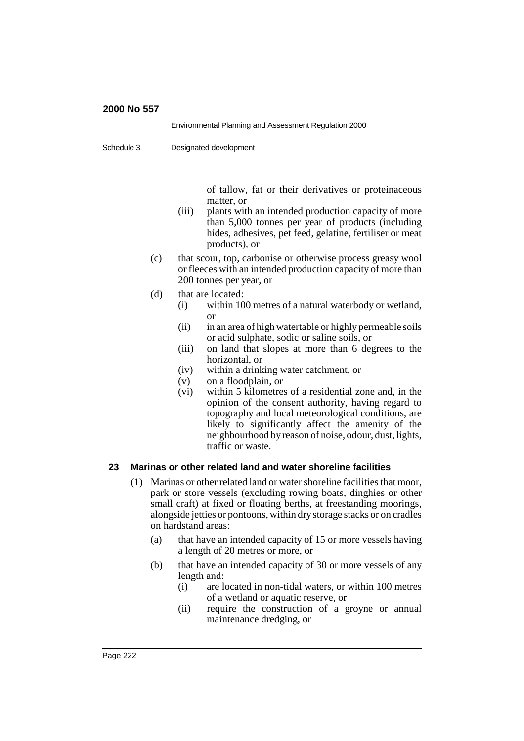|            | Environmental Planning and Assessment Regulation 2000 |
|------------|-------------------------------------------------------|
| Schedule 3 | Designated development                                |

of tallow, fat or their derivatives or proteinaceous matter, or

- (iii) plants with an intended production capacity of more than 5,000 tonnes per year of products (including hides, adhesives, pet feed, gelatine, fertiliser or meat products), or
- (c) that scour, top, carbonise or otherwise process greasy wool or fleeces with an intended production capacity of more than 200 tonnes per year, or
- (d) that are located:
	- (i) within 100 metres of a natural waterbody or wetland, or
	- (ii) in an area of high watertable or highly permeable soils or acid sulphate, sodic or saline soils, or
	- (iii) on land that slopes at more than 6 degrees to the horizontal, or
	- (iv) within a drinking water catchment, or
	- (v) on a floodplain, or
	- (vi) within 5 kilometres of a residential zone and, in the opinion of the consent authority, having regard to topography and local meteorological conditions, are likely to significantly affect the amenity of the neighbourhood by reason of noise, odour, dust, lights, traffic or waste.

# **23 Marinas or other related land and water shoreline facilities**

- (1) Marinas or other related land or water shoreline facilities that moor, park or store vessels (excluding rowing boats, dinghies or other small craft) at fixed or floating berths, at freestanding moorings, alongside jetties or pontoons, within dry storage stacks or on cradles on hardstand areas:
	- (a) that have an intended capacity of 15 or more vessels having a length of 20 metres or more, or
	- (b) that have an intended capacity of 30 or more vessels of any length and:
		- (i) are located in non-tidal waters, or within 100 metres of a wetland or aquatic reserve, or
		- (ii) require the construction of a groyne or annual maintenance dredging, or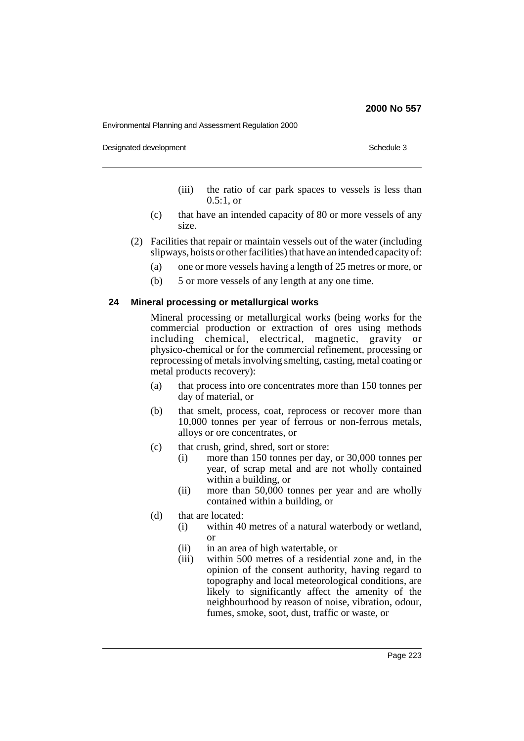Environmental Planning and Assessment Regulation 2000

Designated development **Schedule 3** Schedule 3

- (iii) the ratio of car park spaces to vessels is less than  $0.5:1$  or
- (c) that have an intended capacity of 80 or more vessels of any size.
- (2) Facilities that repair or maintain vessels out of the water (including slipways, hoists or other facilities) that have an intended capacity of:
	- (a) one or more vessels having a length of 25 metres or more, or
	- (b) 5 or more vessels of any length at any one time.

#### **24 Mineral processing or metallurgical works**

Mineral processing or metallurgical works (being works for the commercial production or extraction of ores using methods including chemical, electrical, magnetic, gravity or physico-chemical or for the commercial refinement, processing or reprocessing of metals involving smelting, casting, metal coating or metal products recovery):

- (a) that process into ore concentrates more than 150 tonnes per day of material, or
- (b) that smelt, process, coat, reprocess or recover more than 10,000 tonnes per year of ferrous or non-ferrous metals, alloys or ore concentrates, or
- (c) that crush, grind, shred, sort or store:
	- (i) more than 150 tonnes per day, or 30,000 tonnes per year, of scrap metal and are not wholly contained within a building, or
	- (ii) more than 50,000 tonnes per year and are wholly contained within a building, or
- (d) that are located:
	- (i) within 40 metres of a natural waterbody or wetland, or
	- (ii) in an area of high watertable, or
	- (iii) within 500 metres of a residential zone and, in the opinion of the consent authority, having regard to topography and local meteorological conditions, are likely to significantly affect the amenity of the neighbourhood by reason of noise, vibration, odour, fumes, smoke, soot, dust, traffic or waste, or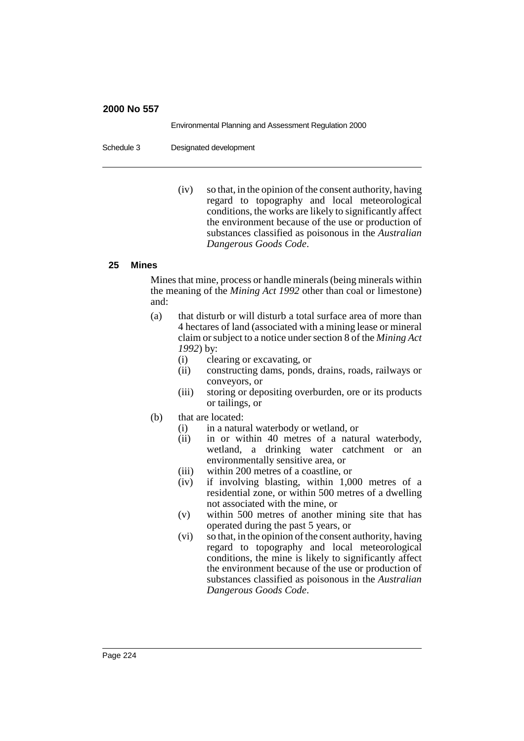Environmental Planning and Assessment Regulation 2000

Schedule 3 Designated development

(iv) so that, in the opinion of the consent authority, having regard to topography and local meteorological conditions, the works are likely to significantly affect the environment because of the use or production of substances classified as poisonous in the *Australian Dangerous Goods Code*.

### **25 Mines**

Mines that mine, process or handle minerals (being minerals within the meaning of the *Mining Act 1992* other than coal or limestone) and:

- (a) that disturb or will disturb a total surface area of more than 4 hectares of land (associated with a mining lease or mineral claim or subject to a notice under section 8 of the *Mining Act 1992*) by:
	- (i) clearing or excavating, or
	- (ii) constructing dams, ponds, drains, roads, railways or conveyors, or
	- (iii) storing or depositing overburden, ore or its products or tailings, or
- (b) that are located:
	- (i) in a natural waterbody or wetland, or
	- (ii) in or within 40 metres of a natural waterbody, wetland, a drinking water catchment or an environmentally sensitive area, or
	- (iii) within 200 metres of a coastline, or
	- (iv) if involving blasting, within 1,000 metres of a residential zone, or within 500 metres of a dwelling not associated with the mine, or
	- (v) within 500 metres of another mining site that has operated during the past 5 years, or
	- (vi) so that, in the opinion of the consent authority, having regard to topography and local meteorological conditions, the mine is likely to significantly affect the environment because of the use or production of substances classified as poisonous in the *Australian Dangerous Goods Code*.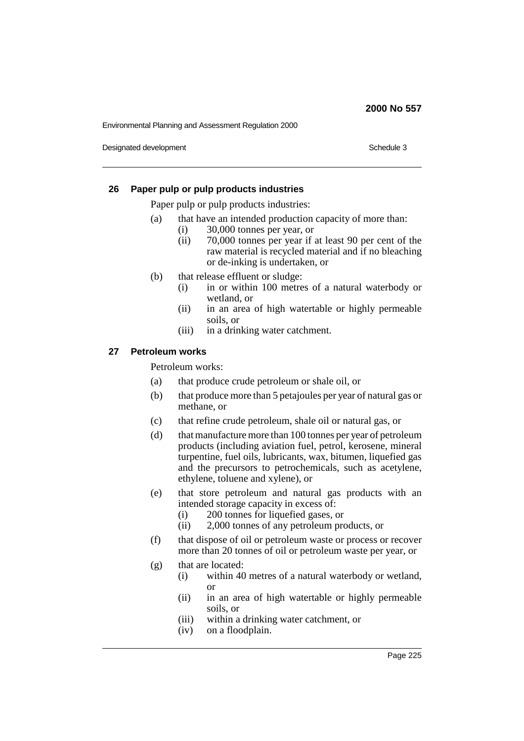Environmental Planning and Assessment Regulation 2000

Designated development **Schedule 3** Schedule 3

### **26 Paper pulp or pulp products industries**

Paper pulp or pulp products industries:

- (a) that have an intended production capacity of more than:
	- (i) 30,000 tonnes per year, or
	- (ii) 70,000 tonnes per year if at least 90 per cent of the raw material is recycled material and if no bleaching or de-inking is undertaken, or
- (b) that release effluent or sludge:
	- (i) in or within 100 metres of a natural waterbody or wetland, or
	- (ii) in an area of high watertable or highly permeable soils, or
	- (iii) in a drinking water catchment.

### **27 Petroleum works**

Petroleum works:

- (a) that produce crude petroleum or shale oil, or
- (b) that produce more than 5 petajoules per year of natural gas or methane, or
- (c) that refine crude petroleum, shale oil or natural gas, or
- (d) that manufacture more than 100 tonnes per year of petroleum products (including aviation fuel, petrol, kerosene, mineral turpentine, fuel oils, lubricants, wax, bitumen, liquefied gas and the precursors to petrochemicals, such as acetylene, ethylene, toluene and xylene), or
- (e) that store petroleum and natural gas products with an intended storage capacity in excess of:
	- (i) 200 tonnes for liquefied gases, or
	- (ii) 2,000 tonnes of any petroleum products, or
- (f) that dispose of oil or petroleum waste or process or recover more than 20 tonnes of oil or petroleum waste per year, or
- (g) that are located:
	- (i) within 40 metres of a natural waterbody or wetland, or
	- (ii) in an area of high watertable or highly permeable soils, or
	- (iii) within a drinking water catchment, or
	- (iv) on a floodplain.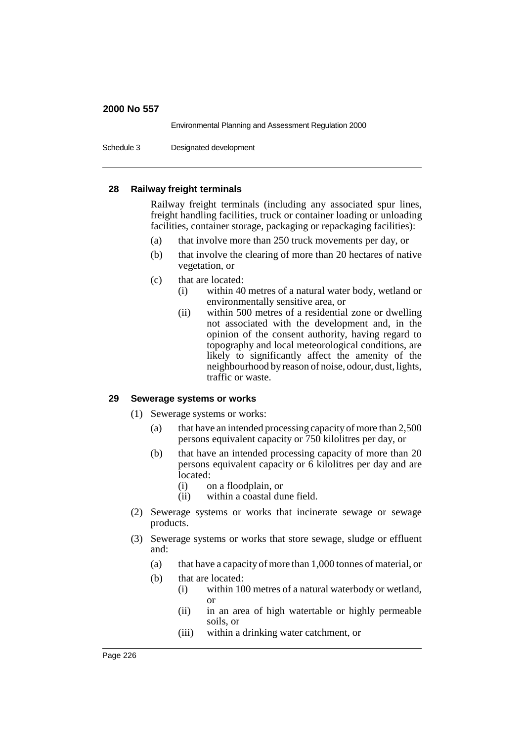Environmental Planning and Assessment Regulation 2000

Schedule 3 Designated development

### **28 Railway freight terminals**

Railway freight terminals (including any associated spur lines, freight handling facilities, truck or container loading or unloading facilities, container storage, packaging or repackaging facilities):

- (a) that involve more than 250 truck movements per day, or
- (b) that involve the clearing of more than 20 hectares of native vegetation, or
- (c) that are located:
	- (i) within 40 metres of a natural water body, wetland or environmentally sensitive area, or
	- (ii) within 500 metres of a residential zone or dwelling not associated with the development and, in the opinion of the consent authority, having regard to topography and local meteorological conditions, are likely to significantly affect the amenity of the neighbourhood by reason of noise, odour, dust, lights, traffic or waste.

# **29 Sewerage systems or works**

- (1) Sewerage systems or works:
	- (a) that have an intended processing capacity of more than 2,500 persons equivalent capacity or 750 kilolitres per day, or
	- (b) that have an intended processing capacity of more than 20 persons equivalent capacity or 6 kilolitres per day and are located:
		- (i) on a floodplain, or
		- (ii) within a coastal dune field.
- (2) Sewerage systems or works that incinerate sewage or sewage products.
- (3) Sewerage systems or works that store sewage, sludge or effluent and:
	- (a) that have a capacity of more than 1,000 tonnes of material, or
	- (b) that are located:
		- (i) within 100 metres of a natural waterbody or wetland, or
		- (ii) in an area of high watertable or highly permeable soils, or
		- (iii) within a drinking water catchment, or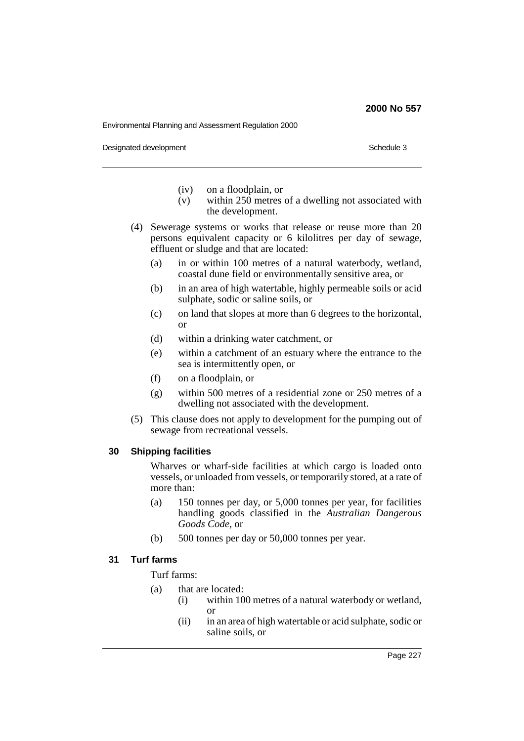Environmental Planning and Assessment Regulation 2000

Designated development **Schedule 3** Schedule 3

- (iv) on a floodplain, or
- (v) within 250 metres of a dwelling not associated with the development.
- (4) Sewerage systems or works that release or reuse more than 20 persons equivalent capacity or 6 kilolitres per day of sewage, effluent or sludge and that are located:
	- (a) in or within 100 metres of a natural waterbody, wetland, coastal dune field or environmentally sensitive area, or
	- (b) in an area of high watertable, highly permeable soils or acid sulphate, sodic or saline soils, or
	- (c) on land that slopes at more than 6 degrees to the horizontal, or
	- (d) within a drinking water catchment, or
	- (e) within a catchment of an estuary where the entrance to the sea is intermittently open, or
	- (f) on a floodplain, or
	- (g) within 500 metres of a residential zone or 250 metres of a dwelling not associated with the development.
- (5) This clause does not apply to development for the pumping out of sewage from recreational vessels.

### **30 Shipping facilities**

Wharves or wharf-side facilities at which cargo is loaded onto vessels, or unloaded from vessels, or temporarily stored, at a rate of more than:

- (a) 150 tonnes per day, or 5,000 tonnes per year, for facilities handling goods classified in the *Australian Dangerous Goods Code*, or
- (b) 500 tonnes per day or 50,000 tonnes per year.

### **31 Turf farms**

Turf farms:

- (a) that are located:
	- (i) within 100 metres of a natural waterbody or wetland, or
	- (ii) in an area of high watertable or acid sulphate, sodic or saline soils, or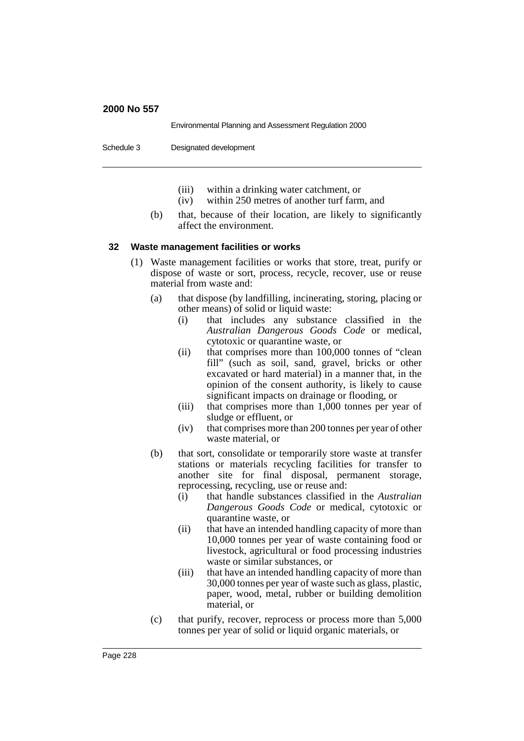|            | Environmental Planning and Assessment Regulation 2000 |
|------------|-------------------------------------------------------|
| Schedule 3 | Designated development                                |

- (iii) within a drinking water catchment, or
- (iv) within 250 metres of another turf farm, and
- (b) that, because of their location, are likely to significantly affect the environment.

#### **32 Waste management facilities or works**

- (1) Waste management facilities or works that store, treat, purify or dispose of waste or sort, process, recycle, recover, use or reuse material from waste and:
	- (a) that dispose (by landfilling, incinerating, storing, placing or other means) of solid or liquid waste:
		- (i) that includes any substance classified in the *Australian Dangerous Goods Code* or medical, cytotoxic or quarantine waste, or
		- (ii) that comprises more than 100,000 tonnes of "clean fill" (such as soil, sand, gravel, bricks or other excavated or hard material) in a manner that, in the opinion of the consent authority, is likely to cause significant impacts on drainage or flooding, or
		- (iii) that comprises more than 1,000 tonnes per year of sludge or effluent, or
		- (iv) that comprises more than 200 tonnes per year of other waste material, or
	- (b) that sort, consolidate or temporarily store waste at transfer stations or materials recycling facilities for transfer to another site for final disposal, permanent storage, reprocessing, recycling, use or reuse and:
		- (i) that handle substances classified in the *Australian Dangerous Goods Code* or medical, cytotoxic or quarantine waste, or
		- (ii) that have an intended handling capacity of more than 10,000 tonnes per year of waste containing food or livestock, agricultural or food processing industries waste or similar substances, or
		- (iii) that have an intended handling capacity of more than 30,000 tonnes per year of waste such as glass, plastic, paper, wood, metal, rubber or building demolition material, or
	- (c) that purify, recover, reprocess or process more than 5,000 tonnes per year of solid or liquid organic materials, or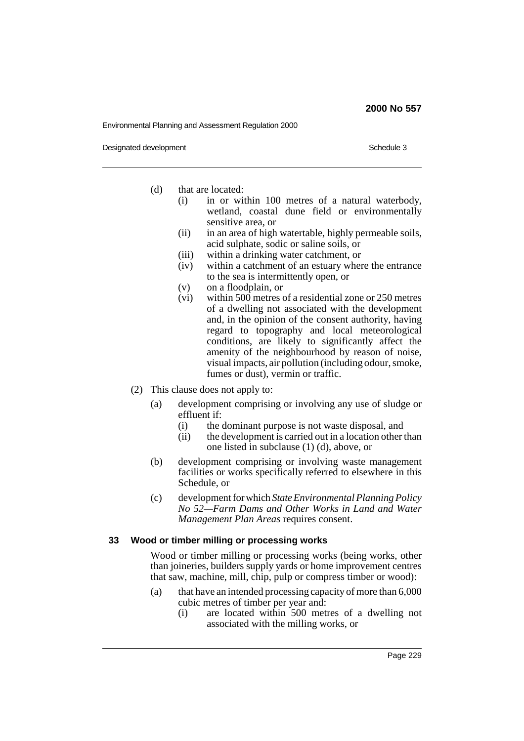Environmental Planning and Assessment Regulation 2000

Designated development **Schedule 3** Schedule 3

- (d) that are located:
	- (i) in or within 100 metres of a natural waterbody, wetland, coastal dune field or environmentally sensitive area, or
	- (ii) in an area of high watertable, highly permeable soils, acid sulphate, sodic or saline soils, or
	- (iii) within a drinking water catchment, or
	- (iv) within a catchment of an estuary where the entrance to the sea is intermittently open, or
	- (v) on a floodplain, or
	- (vi) within 500 metres of a residential zone or 250 metres of a dwelling not associated with the development and, in the opinion of the consent authority, having regard to topography and local meteorological conditions, are likely to significantly affect the amenity of the neighbourhood by reason of noise, visual impacts, air pollution (including odour, smoke, fumes or dust), vermin or traffic.
- (2) This clause does not apply to:
	- (a) development comprising or involving any use of sludge or effluent if:
		- (i) the dominant purpose is not waste disposal, and
		- (ii) the development is carried out in a location other than one listed in subclause (1) (d), above, or
	- (b) development comprising or involving waste management facilities or works specifically referred to elsewhere in this Schedule, or
	- (c) development for which *State Environmental Planning Policy No 52—Farm Dams and Other Works in Land and Water Management Plan Areas* requires consent.

### **33 Wood or timber milling or processing works**

Wood or timber milling or processing works (being works, other than joineries, builders supply yards or home improvement centres that saw, machine, mill, chip, pulp or compress timber or wood):

- (a) that have an intended processing capacity of more than 6,000 cubic metres of timber per year and:
	- (i) are located within 500 metres of a dwelling not associated with the milling works, or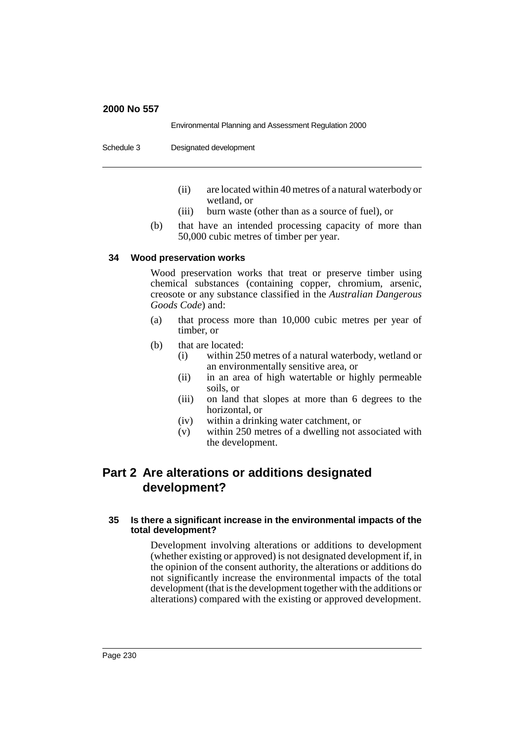|            | Environmental Planning and Assessment Regulation 2000 |
|------------|-------------------------------------------------------|
| Schedule 3 | Designated development                                |
|            |                                                       |

- (ii) are located within 40 metres of a natural waterbody or wetland, or
- (iii) burn waste (other than as a source of fuel), or
- (b) that have an intended processing capacity of more than 50,000 cubic metres of timber per year.

# **34 Wood preservation works**

Wood preservation works that treat or preserve timber using chemical substances (containing copper, chromium, arsenic, creosote or any substance classified in the *Australian Dangerous Goods Code*) and:

- (a) that process more than 10,000 cubic metres per year of timber, or
- (b) that are located:
	- (i) within 250 metres of a natural waterbody, wetland or an environmentally sensitive area, or
	- (ii) in an area of high watertable or highly permeable soils, or
	- (iii) on land that slopes at more than 6 degrees to the horizontal, or
	- (iv) within a drinking water catchment, or
	- (v) within 250 metres of a dwelling not associated with the development.

# **Part 2 Are alterations or additions designated development?**

# **35 Is there a significant increase in the environmental impacts of the total development?**

Development involving alterations or additions to development (whether existing or approved) is not designated development if, in the opinion of the consent authority, the alterations or additions do not significantly increase the environmental impacts of the total development (that is the development together with the additions or alterations) compared with the existing or approved development.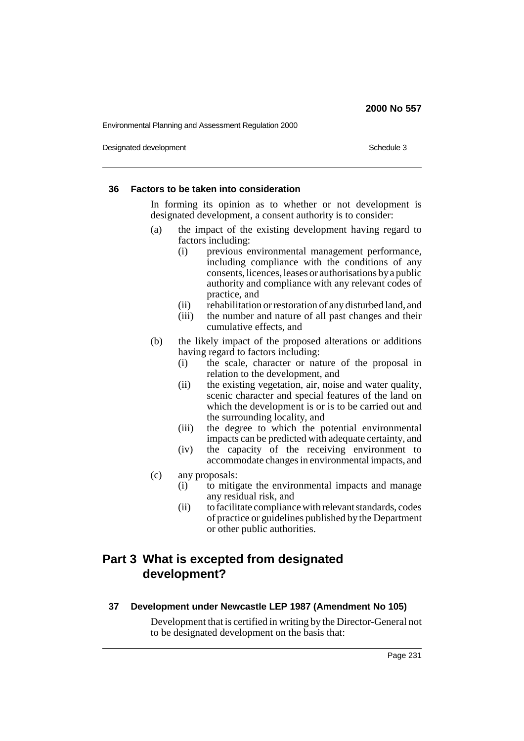Environmental Planning and Assessment Regulation 2000

Designated development **Schedule 3** Schedule 3

### **36 Factors to be taken into consideration**

In forming its opinion as to whether or not development is designated development, a consent authority is to consider:

- (a) the impact of the existing development having regard to factors including:
	- (i) previous environmental management performance, including compliance with the conditions of any consents, licences, leases or authorisations by a public authority and compliance with any relevant codes of practice, and
	- (ii) rehabilitation or restoration of any disturbed land, and
	- (iii) the number and nature of all past changes and their cumulative effects, and
- (b) the likely impact of the proposed alterations or additions having regard to factors including:
	- (i) the scale, character or nature of the proposal in relation to the development, and
	- (ii) the existing vegetation, air, noise and water quality, scenic character and special features of the land on which the development is or is to be carried out and the surrounding locality, and
	- (iii) the degree to which the potential environmental impacts can be predicted with adequate certainty, and
	- (iv) the capacity of the receiving environment to accommodate changes in environmental impacts, and
- (c) any proposals:
	- (i) to mitigate the environmental impacts and manage any residual risk, and
	- (ii) to facilitate compliance with relevant standards, codes of practice or guidelines published by the Department or other public authorities.

# **Part 3 What is excepted from designated development?**

### **37 Development under Newcastle LEP 1987 (Amendment No 105)**

Development that is certified in writing by the Director-General not to be designated development on the basis that: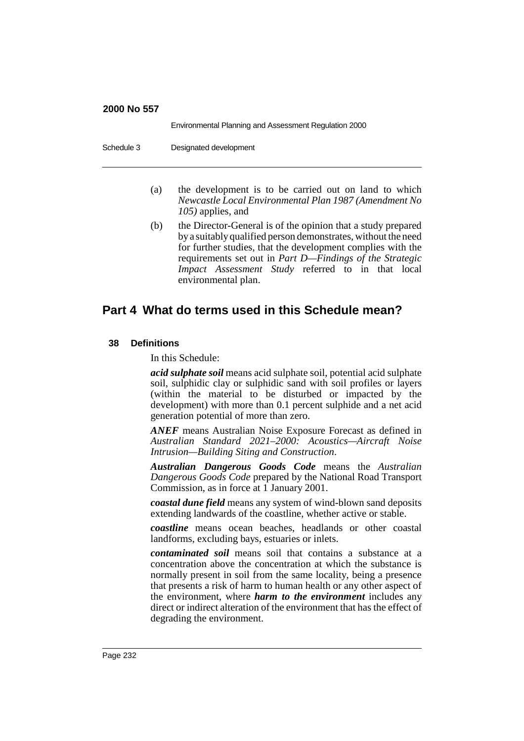|            | Environmental Planning and Assessment Regulation 2000 |
|------------|-------------------------------------------------------|
| Schedule 3 | Designated development                                |

- (a) the development is to be carried out on land to which *Newcastle Local Environmental Plan 1987 (Amendment No 105)* applies, and
- (b) the Director-General is of the opinion that a study prepared by a suitably qualified person demonstrates, without the need for further studies, that the development complies with the requirements set out in *Part D—Findings of the Strategic Impact Assessment Study* referred to in that local environmental plan.

# **Part 4 What do terms used in this Schedule mean?**

# **38 Definitions**

In this Schedule:

*acid sulphate soil* means acid sulphate soil, potential acid sulphate soil, sulphidic clay or sulphidic sand with soil profiles or layers (within the material to be disturbed or impacted by the development) with more than 0.1 percent sulphide and a net acid generation potential of more than zero.

*ANEF* means Australian Noise Exposure Forecast as defined in *Australian Standard 2021–2000: Acoustics—Aircraft Noise Intrusion—Building Siting and Construction*.

*Australian Dangerous Goods Code* means the *Australian Dangerous Goods Code* prepared by the National Road Transport Commission, as in force at 1 January 2001.

*coastal dune field* means any system of wind-blown sand deposits extending landwards of the coastline, whether active or stable.

*coastline* means ocean beaches, headlands or other coastal landforms, excluding bays, estuaries or inlets.

*contaminated soil* means soil that contains a substance at a concentration above the concentration at which the substance is normally present in soil from the same locality, being a presence that presents a risk of harm to human health or any other aspect of the environment, where *harm to the environment* includes any direct or indirect alteration of the environment that has the effect of degrading the environment.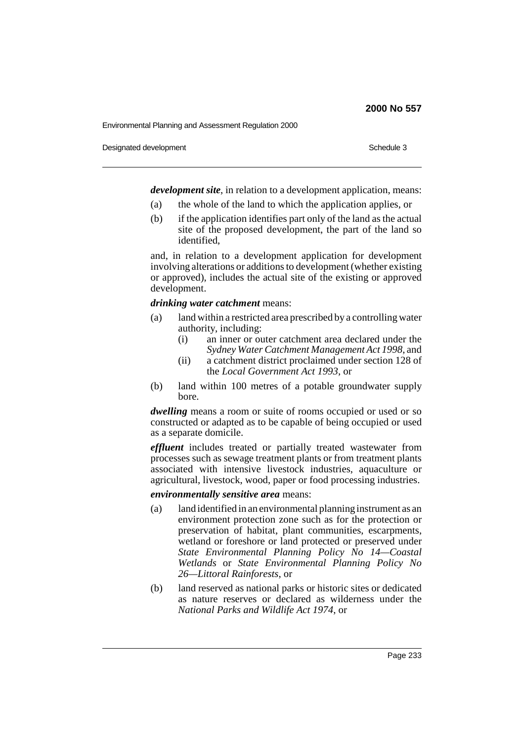Environmental Planning and Assessment Regulation 2000

Designated development **Schedule 3** Schedule 3

*development site*, in relation to a development application, means:

- (a) the whole of the land to which the application applies, or
- (b) if the application identifies part only of the land as the actual site of the proposed development, the part of the land so identified,

and, in relation to a development application for development involving alterations or additions to development (whether existing or approved), includes the actual site of the existing or approved development.

### *drinking water catchment* means:

- (a) land within a restricted area prescribed by a controlling water authority, including:
	- (i) an inner or outer catchment area declared under the *Sydney Water Catchment Management Act 1998*, and
	- (ii) a catchment district proclaimed under section 128 of the *Local Government Act 1993*, or
- (b) land within 100 metres of a potable groundwater supply bore.

*dwelling* means a room or suite of rooms occupied or used or so constructed or adapted as to be capable of being occupied or used as a separate domicile.

*effluent* includes treated or partially treated wastewater from processes such as sewage treatment plants or from treatment plants associated with intensive livestock industries, aquaculture or agricultural, livestock, wood, paper or food processing industries.

### *environmentally sensitive area* means:

- (a) land identified in an environmental planning instrument as an environment protection zone such as for the protection or preservation of habitat, plant communities, escarpments, wetland or foreshore or land protected or preserved under *State Environmental Planning Policy No 14—Coastal Wetlands* or *State Environmental Planning Policy No 26—Littoral Rainforests*, or
- (b) land reserved as national parks or historic sites or dedicated as nature reserves or declared as wilderness under the *National Parks and Wildlife Act 1974*, or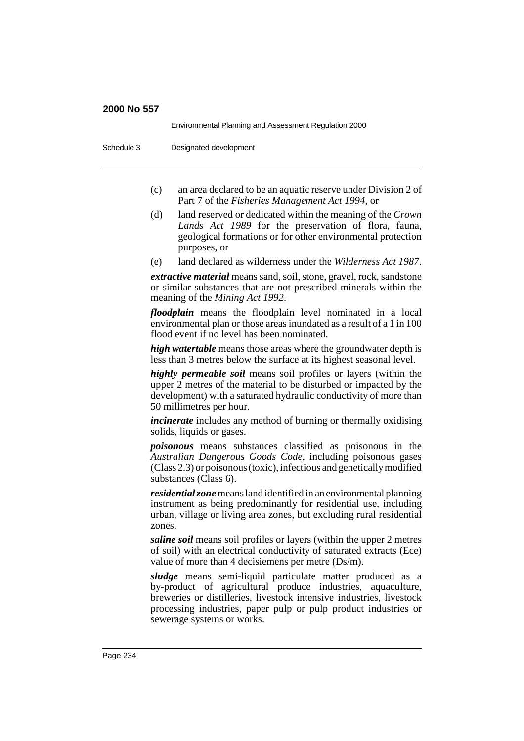|            | Environmental Planning and Assessment Regulation 2000 |
|------------|-------------------------------------------------------|
| Schedule 3 | Designated development                                |

- (c) an area declared to be an aquatic reserve under Division 2 of Part 7 of the *Fisheries Management Act 1994*, or
- (d) land reserved or dedicated within the meaning of the *Crown Lands Act 1989* for the preservation of flora, fauna, geological formations or for other environmental protection purposes, or
- (e) land declared as wilderness under the *Wilderness Act 1987*.

*extractive material* means sand, soil, stone, gravel, rock, sandstone or similar substances that are not prescribed minerals within the meaning of the *Mining Act 1992*.

*floodplain* means the floodplain level nominated in a local environmental plan or those areas inundated as a result of a 1 in 100 flood event if no level has been nominated.

*high watertable* means those areas where the groundwater depth is less than 3 metres below the surface at its highest seasonal level.

*highly permeable soil* means soil profiles or layers (within the upper 2 metres of the material to be disturbed or impacted by the development) with a saturated hydraulic conductivity of more than 50 millimetres per hour.

*incinerate* includes any method of burning or thermally oxidising solids, liquids or gases.

*poisonous* means substances classified as poisonous in the *Australian Dangerous Goods Code*, including poisonous gases (Class 2.3) or poisonous (toxic), infectious and genetically modified substances (Class 6).

*residential zone* means land identified in an environmental planning instrument as being predominantly for residential use, including urban, village or living area zones, but excluding rural residential zones.

*saline soil* means soil profiles or layers (within the upper 2 metres of soil) with an electrical conductivity of saturated extracts (Ece) value of more than 4 decisiemens per metre (Ds/m).

*sludge* means semi-liquid particulate matter produced as a by-product of agricultural produce industries, aquaculture, breweries or distilleries, livestock intensive industries, livestock processing industries, paper pulp or pulp product industries or sewerage systems or works.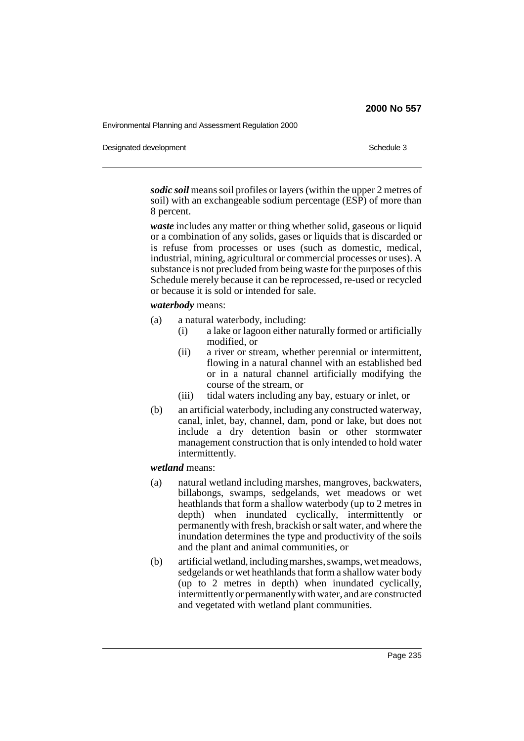Environmental Planning and Assessment Regulation 2000

Designated development **Schedule 3** Schedule 3

*sodic soil* means soil profiles or layers (within the upper 2 metres of soil) with an exchangeable sodium percentage (ESP) of more than 8 percent.

*waste* includes any matter or thing whether solid, gaseous or liquid or a combination of any solids, gases or liquids that is discarded or is refuse from processes or uses (such as domestic, medical, industrial, mining, agricultural or commercial processes or uses). A substance is not precluded from being waste for the purposes of this Schedule merely because it can be reprocessed, re-used or recycled or because it is sold or intended for sale.

### *waterbody* means:

- (a) a natural waterbody, including:
	- (i) a lake or lagoon either naturally formed or artificially modified, or
	- (ii) a river or stream, whether perennial or intermittent, flowing in a natural channel with an established bed or in a natural channel artificially modifying the course of the stream, or
	- (iii) tidal waters including any bay, estuary or inlet, or
- (b) an artificial waterbody, including any constructed waterway, canal, inlet, bay, channel, dam, pond or lake, but does not include a dry detention basin or other stormwater management construction that is only intended to hold water intermittently.

#### *wetland* means:

- (a) natural wetland including marshes, mangroves, backwaters, billabongs, swamps, sedgelands, wet meadows or wet heathlands that form a shallow waterbody (up to 2 metres in depth) when inundated cyclically, intermittently or permanently with fresh, brackish or salt water, and where the inundation determines the type and productivity of the soils and the plant and animal communities, or
- (b) artificial wetland, including marshes, swamps, wet meadows, sedgelands or wet heathlands that form a shallow water body (up to 2 metres in depth) when inundated cyclically, intermittently or permanently with water, and are constructed and vegetated with wetland plant communities.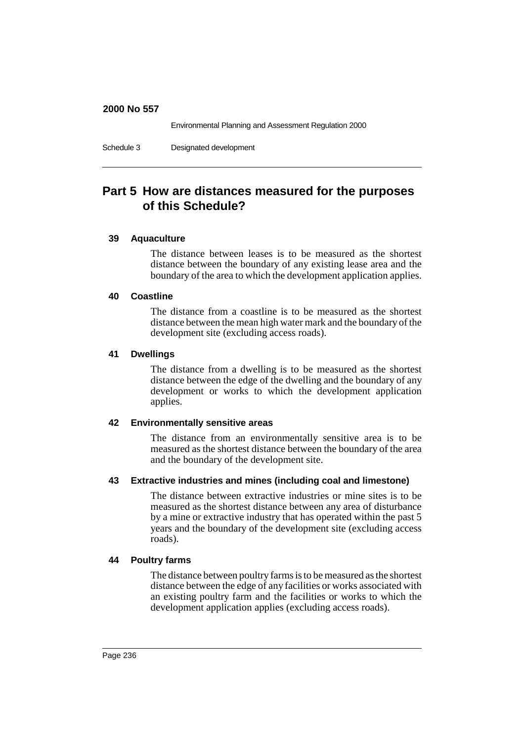Environmental Planning and Assessment Regulation 2000

# **Part 5 How are distances measured for the purposes of this Schedule?**

### **39 Aquaculture**

The distance between leases is to be measured as the shortest distance between the boundary of any existing lease area and the boundary of the area to which the development application applies.

### **40 Coastline**

The distance from a coastline is to be measured as the shortest distance between the mean high water mark and the boundary of the development site (excluding access roads).

### **41 Dwellings**

The distance from a dwelling is to be measured as the shortest distance between the edge of the dwelling and the boundary of any development or works to which the development application applies.

### **42 Environmentally sensitive areas**

The distance from an environmentally sensitive area is to be measured as the shortest distance between the boundary of the area and the boundary of the development site.

# **43 Extractive industries and mines (including coal and limestone)**

The distance between extractive industries or mine sites is to be measured as the shortest distance between any area of disturbance by a mine or extractive industry that has operated within the past 5 years and the boundary of the development site (excluding access roads).

# **44 Poultry farms**

The distance between poultry farms is to be measured as the shortest distance between the edge of any facilities or works associated with an existing poultry farm and the facilities or works to which the development application applies (excluding access roads).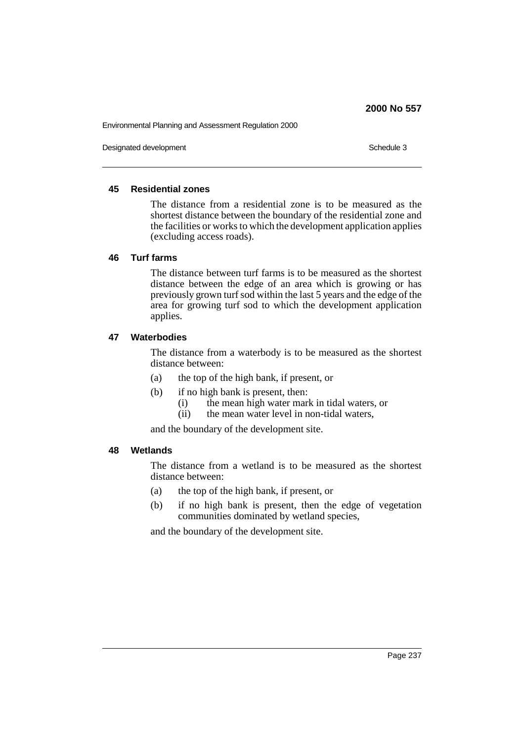Environmental Planning and Assessment Regulation 2000

Designated development **Schedule 3** Schedule 3

### **45 Residential zones**

The distance from a residential zone is to be measured as the shortest distance between the boundary of the residential zone and the facilities or works to which the development application applies (excluding access roads).

### **46 Turf farms**

The distance between turf farms is to be measured as the shortest distance between the edge of an area which is growing or has previously grown turf sod within the last 5 years and the edge of the area for growing turf sod to which the development application applies.

### **47 Waterbodies**

The distance from a waterbody is to be measured as the shortest distance between:

- (a) the top of the high bank, if present, or
- (b) if no high bank is present, then:
	- (i) the mean high water mark in tidal waters, or
	- (ii) the mean water level in non-tidal waters,

and the boundary of the development site.

### **48 Wetlands**

The distance from a wetland is to be measured as the shortest distance between:

- (a) the top of the high bank, if present, or
- (b) if no high bank is present, then the edge of vegetation communities dominated by wetland species,

and the boundary of the development site.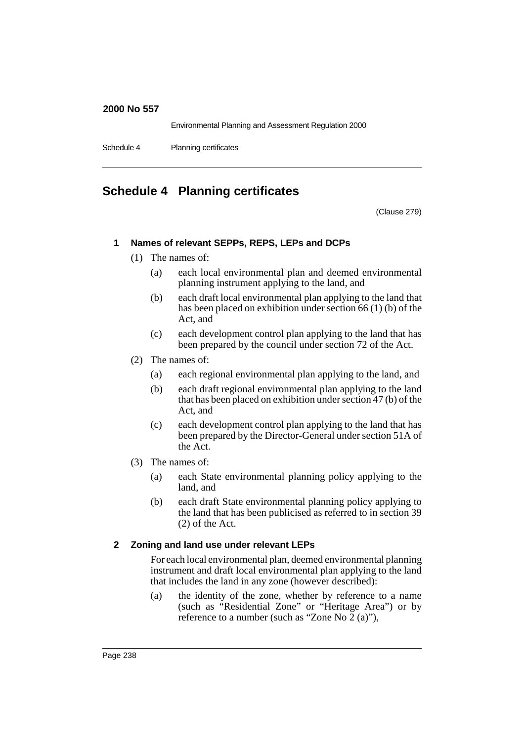Environmental Planning and Assessment Regulation 2000

Schedule 4 Planning certificates

# **Schedule 4 Planning certificates**

(Clause 279)

# **1 Names of relevant SEPPs, REPS, LEPs and DCPs**

- (1) The names of:
	- (a) each local environmental plan and deemed environmental planning instrument applying to the land, and
	- (b) each draft local environmental plan applying to the land that has been placed on exhibition under section 66 (1) (b) of the Act, and
	- (c) each development control plan applying to the land that has been prepared by the council under section 72 of the Act.
- (2) The names of:
	- (a) each regional environmental plan applying to the land, and
	- (b) each draft regional environmental plan applying to the land that has been placed on exhibition under section 47 (b) of the Act, and
	- (c) each development control plan applying to the land that has been prepared by the Director-General under section 51A of the Act.
- (3) The names of:
	- (a) each State environmental planning policy applying to the land, and
	- (b) each draft State environmental planning policy applying to the land that has been publicised as referred to in section 39 (2) of the Act.

# **2 Zoning and land use under relevant LEPs**

For each local environmental plan, deemed environmental planning instrument and draft local environmental plan applying to the land that includes the land in any zone (however described):

(a) the identity of the zone, whether by reference to a name (such as "Residential Zone" or "Heritage Area") or by reference to a number (such as "Zone No  $2$  (a)"),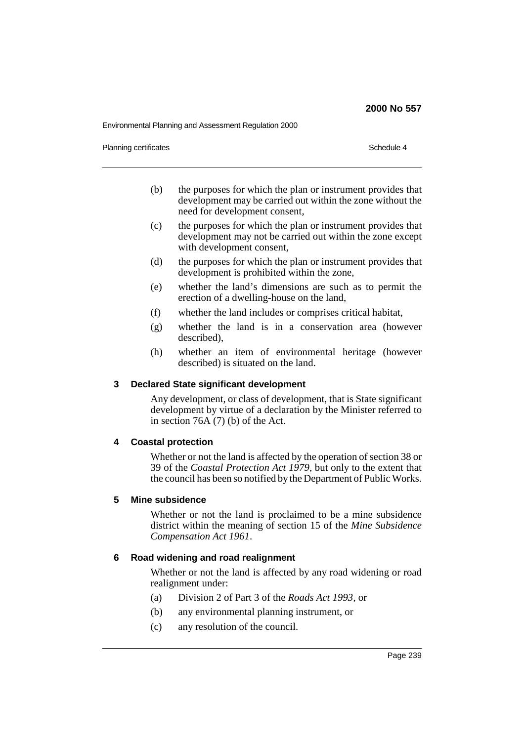Environmental Planning and Assessment Regulation 2000

Planning certificates Schedule 4

- (b) the purposes for which the plan or instrument provides that development may be carried out within the zone without the need for development consent,
- (c) the purposes for which the plan or instrument provides that development may not be carried out within the zone except with development consent,
- (d) the purposes for which the plan or instrument provides that development is prohibited within the zone,
- (e) whether the land's dimensions are such as to permit the erection of a dwelling-house on the land,
- (f) whether the land includes or comprises critical habitat,
- (g) whether the land is in a conservation area (however described),
- (h) whether an item of environmental heritage (however described) is situated on the land.

### **3 Declared State significant development**

Any development, or class of development, that is State significant development by virtue of a declaration by the Minister referred to in section 76A (7) (b) of the Act.

# **4 Coastal protection**

Whether or not the land is affected by the operation of section 38 or 39 of the *Coastal Protection Act 1979*, but only to the extent that the council has been so notified by the Department of Public Works.

### **5 Mine subsidence**

Whether or not the land is proclaimed to be a mine subsidence district within the meaning of section 15 of the *Mine Subsidence Compensation Act 1961*.

# **6 Road widening and road realignment**

Whether or not the land is affected by any road widening or road realignment under:

- (a) Division 2 of Part 3 of the *Roads Act 1993*, or
- (b) any environmental planning instrument, or
- (c) any resolution of the council.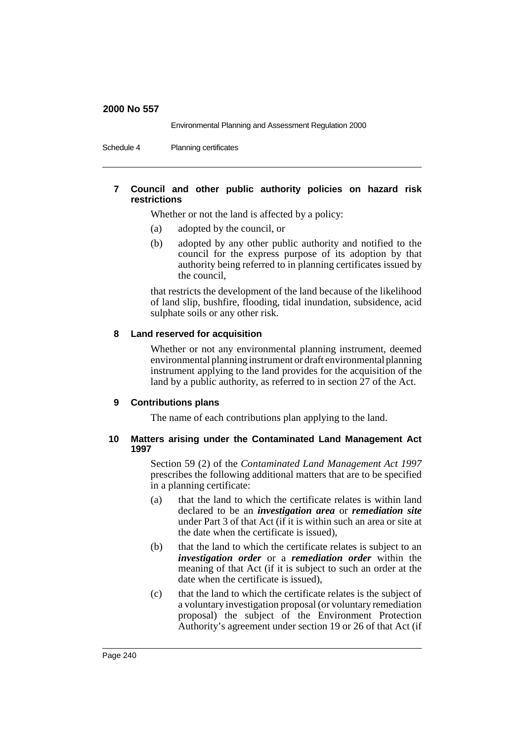Environmental Planning and Assessment Regulation 2000

Schedule 4 Planning certificates

### **7 Council and other public authority policies on hazard risk restrictions**

Whether or not the land is affected by a policy:

- (a) adopted by the council, or
- (b) adopted by any other public authority and notified to the council for the express purpose of its adoption by that authority being referred to in planning certificates issued by the council,

that restricts the development of the land because of the likelihood of land slip, bushfire, flooding, tidal inundation, subsidence, acid sulphate soils or any other risk.

### **8 Land reserved for acquisition**

Whether or not any environmental planning instrument, deemed environmental planning instrument or draft environmental planning instrument applying to the land provides for the acquisition of the land by a public authority, as referred to in section 27 of the Act.

#### **9 Contributions plans**

The name of each contributions plan applying to the land.

### **10 Matters arising under the Contaminated Land Management Act 1997**

Section 59 (2) of the *Contaminated Land Management Act 1997* prescribes the following additional matters that are to be specified in a planning certificate:

- (a) that the land to which the certificate relates is within land declared to be an *investigation area* or *remediation site* under Part 3 of that Act (if it is within such an area or site at the date when the certificate is issued),
- (b) that the land to which the certificate relates is subject to an *investigation order* or a *remediation order* within the meaning of that Act (if it is subject to such an order at the date when the certificate is issued),
- (c) that the land to which the certificate relates is the subject of a voluntary investigation proposal (or voluntary remediation proposal) the subject of the Environment Protection Authority's agreement under section 19 or 26 of that Act (if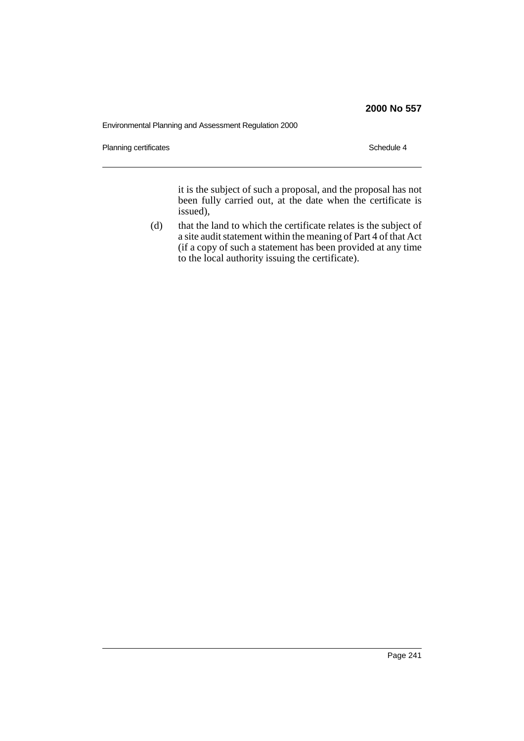Environmental Planning and Assessment Regulation 2000

Planning certificates **Schedule 4** Schedule 4

it is the subject of such a proposal, and the proposal has not been fully carried out, at the date when the certificate is issued),

(d) that the land to which the certificate relates is the subject of a site audit statement within the meaning of Part 4 of that Act (if a copy of such a statement has been provided at any time to the local authority issuing the certificate).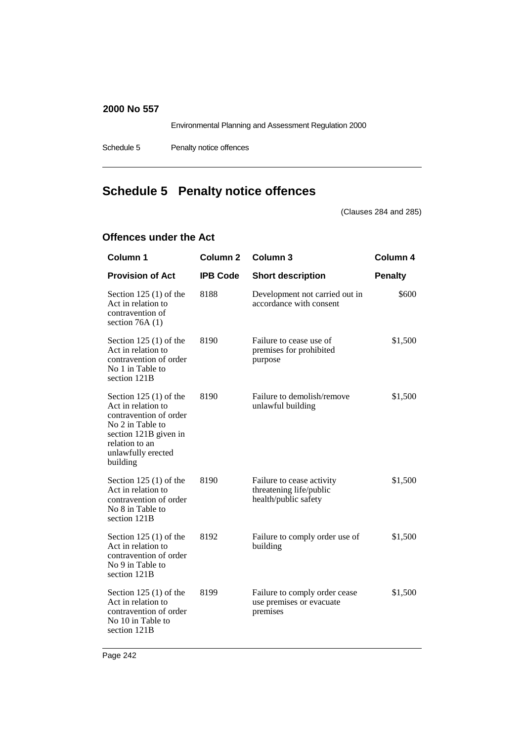Environmental Planning and Assessment Regulation 2000

Schedule 5 Penalty notice offences

# **Schedule 5 Penalty notice offences**

(Clauses 284 and 285)

# **Offences under the Act**

| Column 1                                                                                                                                                                 | Column <sub>2</sub> | <b>Column 3</b>                                                              | Column 4       |
|--------------------------------------------------------------------------------------------------------------------------------------------------------------------------|---------------------|------------------------------------------------------------------------------|----------------|
| <b>Provision of Act</b>                                                                                                                                                  | <b>IPB Code</b>     | <b>Short description</b>                                                     | <b>Penalty</b> |
| Section $125(1)$ of the<br>Act in relation to<br>contravention of<br>section $76A(1)$                                                                                    | 8188                | Development not carried out in<br>accordance with consent                    | \$600          |
| Section $125(1)$ of the<br>Act in relation to<br>contravention of order<br>No 1 in Table to<br>section 121B                                                              | 8190                | Failure to cease use of<br>premises for prohibited<br>purpose                | \$1,500        |
| Section $125(1)$ of the<br>Act in relation to<br>contravention of order<br>No 2 in Table to<br>section 121B given in<br>relation to an<br>unlawfully erected<br>building | 8190                | Failure to demolish/remove<br>unlawful building                              | \$1,500        |
| Section $125(1)$ of the<br>Act in relation to<br>contravention of order<br>No 8 in Table to<br>section 121B                                                              | 8190                | Failure to cease activity<br>threatening life/public<br>health/public safety | \$1,500        |
| Section $125(1)$ of the<br>Act in relation to<br>contravention of order<br>No 9 in Table to<br>section 121B                                                              | 8192                | Failure to comply order use of<br>building                                   | \$1,500        |
| Section 125 $(1)$ of the<br>Act in relation to<br>contravention of order<br>No 10 in Table to<br>section 121B                                                            | 8199                | Failure to comply order cease<br>use premises or evacuate<br>premises        | \$1,500        |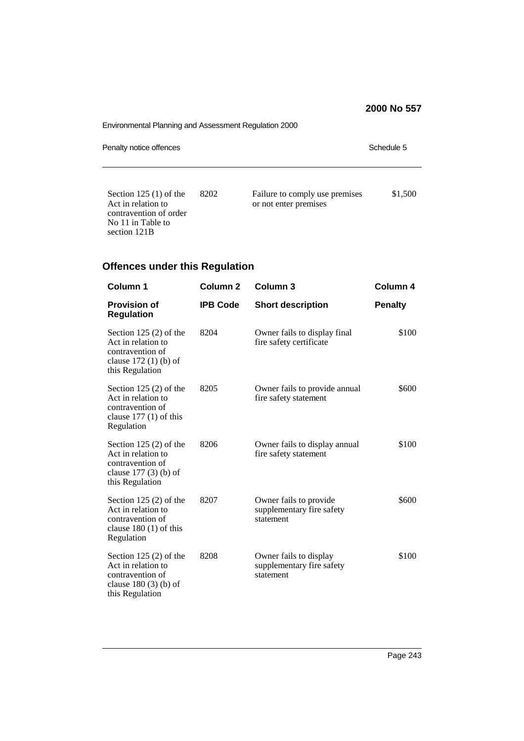Environmental Planning and Assessment Regulation 2000 Penalty notice offences **Schedule 5** Schedule 5

Section 125 (1) of the Act in relation to contravention of order No 11 in Table to section 121B 8202 Failure to comply use premises or not enter premises \$1,500

# **Offences under this Regulation**

| Column 1                                                                                                        | Column <sub>2</sub> | <b>Column 3</b>                                                  | Column 4       |
|-----------------------------------------------------------------------------------------------------------------|---------------------|------------------------------------------------------------------|----------------|
| <b>Provision of</b><br><b>Regulation</b>                                                                        | <b>IPB Code</b>     | <b>Short description</b>                                         | <b>Penalty</b> |
| Section $125(2)$ of the<br>Act in relation to<br>contravention of<br>clause $172(1)$ (b) of<br>this Regulation  | 8204                | Owner fails to display final<br>fire safety certificate          | \$100          |
| Section 125 $(2)$ of the<br>Act in relation to<br>contravention of<br>clause $177(1)$ of this<br>Regulation     | 8205                | Owner fails to provide annual<br>fire safety statement           | \$600          |
| Section 125 $(2)$ of the<br>Act in relation to<br>contravention of<br>clause $177(3)$ (b) of<br>this Regulation | 8206                | Owner fails to display annual<br>fire safety statement           | \$100          |
| Section 125 $(2)$ of the<br>Act in relation to<br>contravention of<br>clause $180(1)$ of this<br>Regulation     | 8207                | Owner fails to provide<br>supplementary fire safety<br>statement | \$600          |
| Section 125 $(2)$ of the<br>Act in relation to<br>contravention of<br>clause $180(3)$ (b) of<br>this Regulation | 8208                | Owner fails to display<br>supplementary fire safety<br>statement | \$100          |